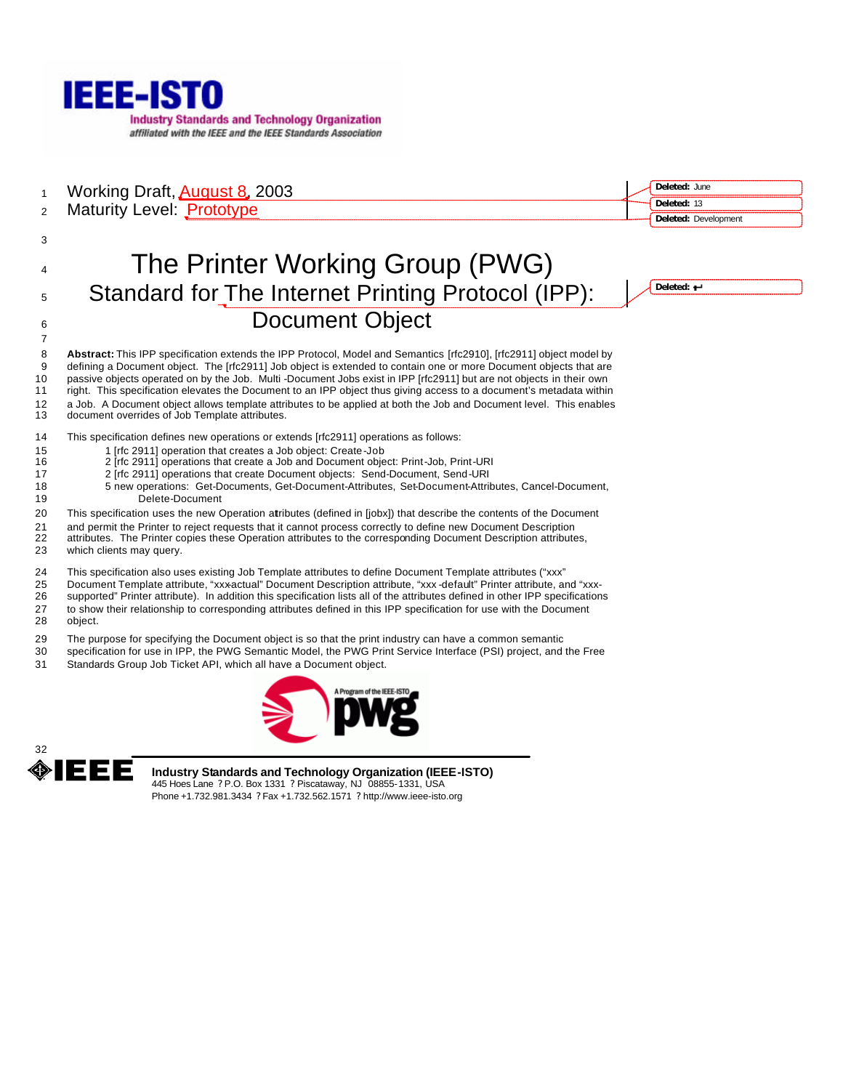

1 Working Draft, **August 8, 2003** 

| Deleted: June |                             |
|---------------|-----------------------------|
| Deleted: 13   |                             |
|               | <b>Deleted: Development</b> |

# Maturity Level: Prototype

# The Printer Working Group (PWG) Standard for The Internet Printing Protocol (IPP): **Document Object**

**Deleted:** 

 **Abstract:** This IPP specification extends the IPP Protocol, Model and Semantics [rfc2910], [rfc2911] object model by defining a Document object. The [rfc2911] Job object is extended to contain one or more Document objects that are passive objects operated on by the Job. Multi -Document Jobs exist in IPP [rfc2911] but are not objects in their own right. This specification elevates the Document to an IPP object thus giving access to a document's metadata within a Job. A Document object allows template attributes to be applied at both the Job and Document level. This enables document overrides of Job Template attributes.

This specification defines new operations or extends [rfc2911] operations as follows:

- 1 [rfc 2911] operation that creates a Job object: Create-Job
- 2 [rfc 2911] operations that create a Job and Document object: Print-Job, Print-URI
- 2 [rfc 2911] operations that create Document objects: Send-Document, Send-URI
- 5 new operations: Get-Documents, Get-Document-Attributes, Set-Document-Attributes, Cancel-Document, Delete-Document
- This specification uses the new Operation attributes (defined in [jobx]) that describe the contents of the Document
- and permit the Printer to reject requests that it cannot process correctly to define new Document Description
- attributes. The Printer copies these Operation attributes to the corresponding Document Description attributes, which clients may query.
- 
- This specification also uses existing Job Template attributes to define Document Template attributes ("xxx"
- 25 Document Template attribute, "xxx-actual" Document Description attribute, "xxx -default" Printer attribute, and "xxx-<br>26 supported" Printer attribute). In addition this specification lists all of the attributes defined
- supported" Printer attribute). In addition this specification lists all of the attributes defined in other IPP specifications to show their relationship to corresponding attributes defined in this IPP specification for use with the Document
- object.

- The purpose for specifying the Document object is so that the print industry can have a common semantic
- specification for use in IPP, the PWG Semantic Model, the PWG Print Service Interface (PSI) project, and the Free Standards Group Job Ticket API, which all have a Document object.
- 





**Industry Standards and Technology Organization (IEEE-ISTO)** 445 Hoes Lane ? P.O. Box 1331 ? Piscataway, NJ 08855-1331, USA Phone +1.732.981.3434 ? Fax +1.732.562.1571 ? http://www.ieee-isto.org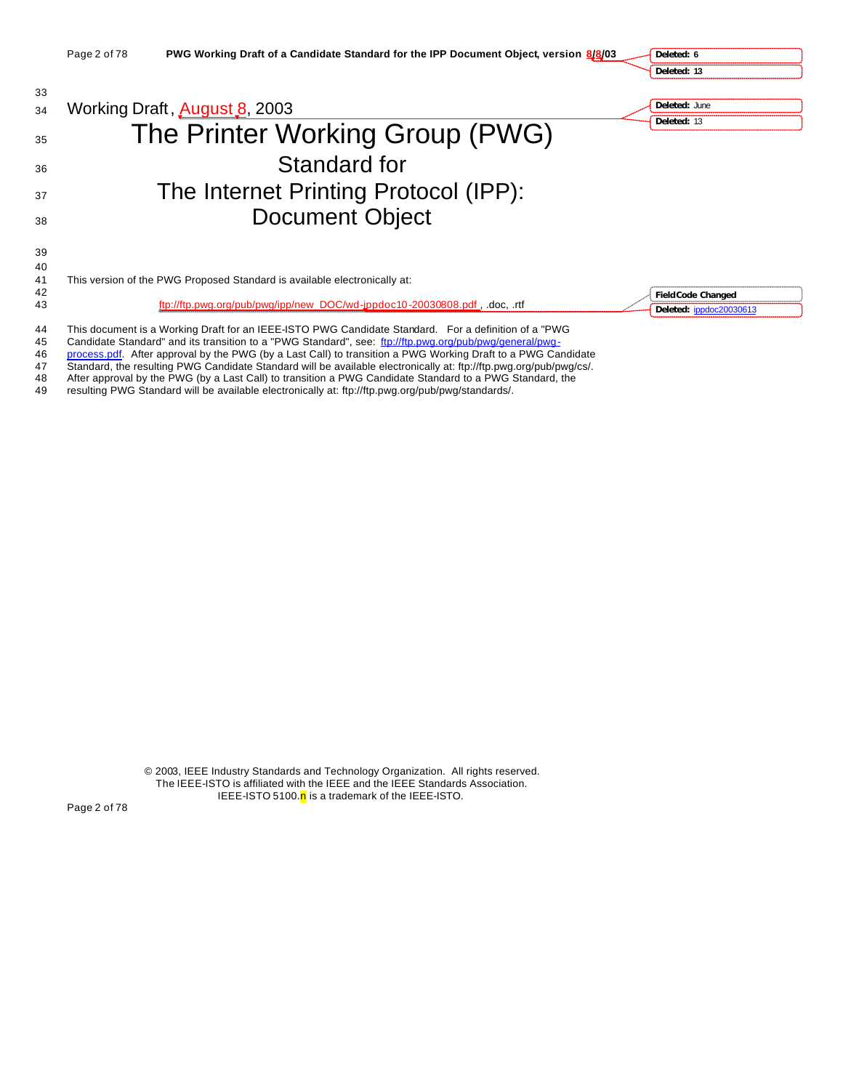|          | Page 2 of 78 | PWG Working Draft of a Candidate Standard for the IPP Document Object, version 8/8/03                | Deleted: 6                |
|----------|--------------|------------------------------------------------------------------------------------------------------|---------------------------|
|          |              |                                                                                                      | Deleted: 13               |
| 33       |              |                                                                                                      |                           |
| 34       |              | Working Draft, <b>August 8</b> , 2003                                                                | Deleted: June             |
| 35       |              | The Printer Working Group (PWG)                                                                      | Deleted: 13               |
| 36       |              | Standard for                                                                                         |                           |
| 37       |              | The Internet Printing Protocol (IPP):                                                                |                           |
| 38       |              | <b>Document Object</b>                                                                               |                           |
| 39       |              |                                                                                                      |                           |
| 40       |              |                                                                                                      |                           |
| 41<br>42 |              | This version of the PWG Proposed Standard is available electronically at:                            | <b>Field Code Changed</b> |
| 43       |              | ftp://ftp.pwg.org/pub/pwg/ipp/new_DOC/wd-ippdoc10-20030808.pdf, .docrtf                              | Deleted: ippdoc20030613   |
| 44       |              | This document is a Working Draft for an IEEE-ISTO PWG Candidate Standard. For a definition of a "PWG |                           |

- 45 Candidate Standard" and its transition to a "PWG Standard", see: ftp://ftp.pwg.org/pub/pwg/general/pwg-
- 46 process.pdf. After approval by the PWG (by a Last Call) to transition a PWG Working Draft to a PWG Candidate
- 47 Standard, the resulting PWG Candidate Standard will be available electronically at: ftp://ftp.pwg.org/pub/pwg/cs/.
- 48 After approval by the PWG (by a Last Call) to transition a PWG Candidate Standard to a PWG Standard, the
- 49 resulting PWG Standard will be available electronically at: ftp://ftp.pwg.org/pub/pwg/standards/.

© 2003, IEEE Industry Standards and Technology Organization. All rights reserved. The IEEE-ISTO is affiliated with the IEEE and the IEEE Standards Association. IEEE-ISTO 5100. $n$  is a trademark of the IEEE-ISTO.

Page 2 of 78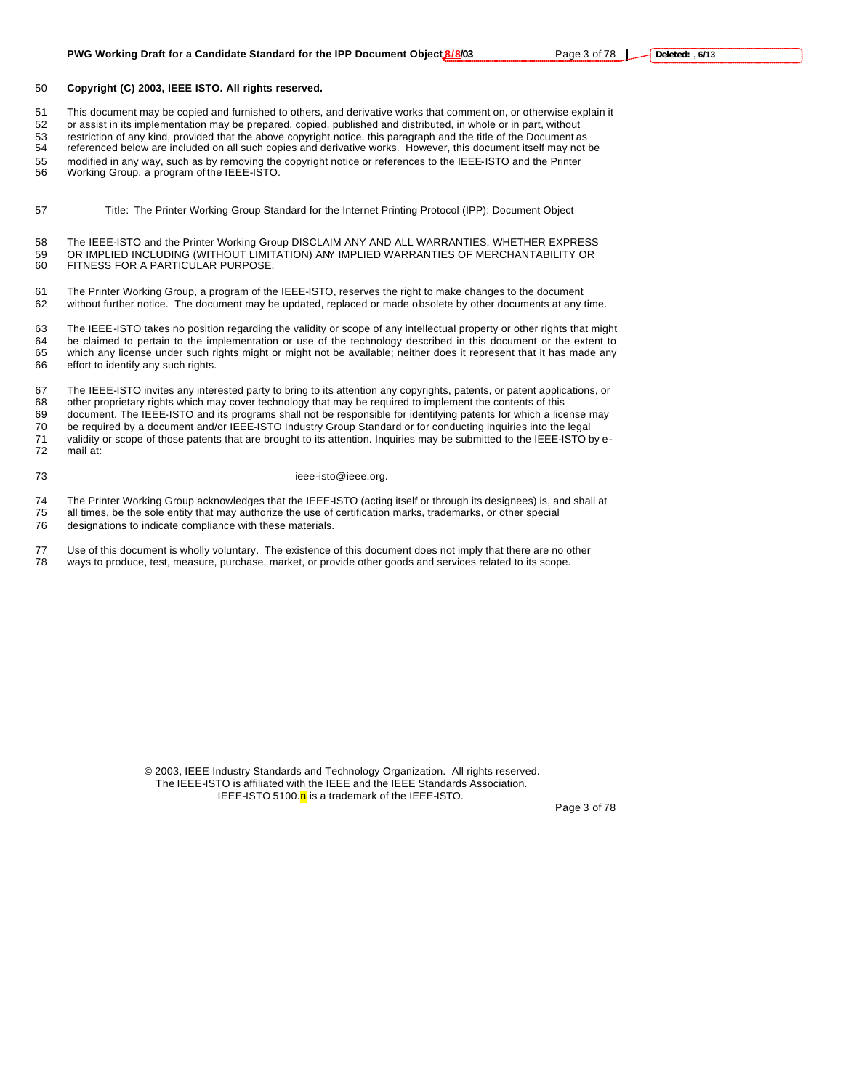#### **PWG Working Draft for a Candidate Standard for the IPP Document Object 8/8/03** Page 3 of 78 |

#### **Copyright (C) 2003, IEEE ISTO. All rights reserved.**

This document may be copied and furnished to others, and derivative works that comment on, or otherwise explain it

or assist in its implementation may be prepared, copied, published and distributed, in whole or in part, without

 restriction of any kind, provided that the above copyright notice, this paragraph and the title of the Document as referenced below are included on all such copies and derivative works. However, this document itself may not be

modified in any way, such as by removing the copyright notice or references to the IEEE-ISTO and the Printer

Working Group, a program of the IEEE-ISTO.

Title: The Printer Working Group Standard for the Internet Printing Protocol (IPP): Document Object

 The IEEE-ISTO and the Printer Working Group DISCLAIM ANY AND ALL WARRANTIES, WHETHER EXPRESS OR IMPLIED INCLUDING (WITHOUT LIMITATION) ANY IMPLIED WARRANTIES OF MERCHANTABILITY OR FITNESS FOR A PARTICULAR PURPOSE.

 The Printer Working Group, a program of the IEEE-ISTO, reserves the right to make changes to the document without further notice. The document may be updated, replaced or made obsolete by other documents at any time.

 The IEEE-ISTO takes no position regarding the validity or scope of any intellectual property or other rights that might be claimed to pertain to the implementation or use of the technology described in this document or the extent to which any license under such rights might or might not be available; neither does it represent that it has made any effort to identify any such rights.

 The IEEE-ISTO invites any interested party to bring to its attention any copyrights, patents, or patent applications, or other proprietary rights which may cover technology that may be required to implement the contents of this document. The IEEE-ISTO and its programs shall not be responsible for identifying patents for which a license may be required by a document and/or IEEE-ISTO Industry Group Standard or for conducting inquiries into the legal 71 validity or scope of those patents that are brought to its attention. Inquiries may be submitted to the IEEE-ISTO by e-<br>72 mail at: mail at:

#### 73 ieee-isto@ieee.org.

74 The Printer Working Group acknowledges that the IEEE-ISTO (acting itself or through its designees) is, and shall at 75 all times be the sole entity that may authorize the use of certification marks, trademarks, or other

- all times, be the sole entity that may authorize the use of certification marks, trademarks, or other special
- designations to indicate compliance with these materials.
- Use of this document is wholly voluntary. The existence of this document does not imply that there are no other ways to produce, test, measure, purchase, market, or provide other goods and services related to its scope.

© 2003, IEEE Industry Standards and Technology Organization. All rights reserved. The IEEE-ISTO is affiliated with the IEEE and the IEEE Standards Association. IEEE-ISTO 5100. $n$  is a trademark of the IEEE-ISTO.

Page 3 of 78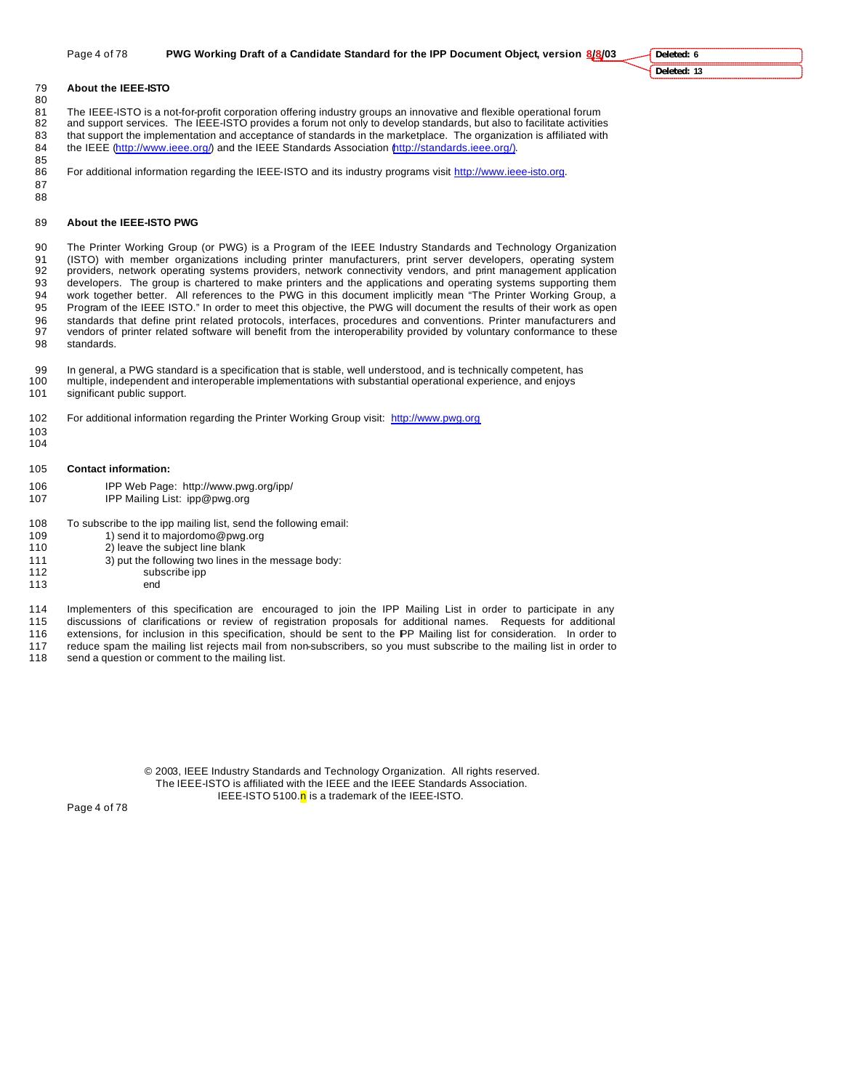#### **About the IEEE-ISTO**

81 The IEEE-ISTO is a not-for-profit corporation offering industry groups an innovative and flexible operational forum<br>82 and support services. The IEEE-ISTO provides a forum not only to develop standards, but also to faci and support services. The IEEE-ISTO provides a forum not only to develop standards, but also to facilitate activities that support the implementation and acceptance of standards in the marketplace. The organization is affiliated with 84 the IEEE (http://www.ieee.org/) and the IEEE Standards Association (http://standards.ieee.org/).

85<br>86 For additional information regarding the IEEE-ISTO and its industry programs visit http://www.ieee-isto.org.

- 
- **About the IEEE-ISTO PWG**

 The Printer Working Group (or PWG) is a Program of the IEEE Industry Standards and Technology Organization (ISTO) with member organizations including printer manufacturers, print server developers, operating system providers, network operating systems providers, network connectivity vendors, and print management application developers. The group is chartered to make printers and the applications and operating systems supporting them work together better. All references to the PWG in this document implicitly mean "The Printer Working Group, a Program of the IEEE ISTO." In order to meet this objective, the PWG will document the results of their work as open standards that define print related protocols, interfaces, procedures and conventions. Printer manufacturers and vendors of printer related software will benefit from the interoperability provided by voluntary conformance to these standards.

 In general, a PWG standard is a specification that is stable, well understood, and is technically competent, has multiple, independent and interoperable implementations with substantial operational experience, and enjoys significant public support.

- For additional information regarding the Printer Working Group visit: http://www.pwg.org
- 
- 
- **Contact information:**
- IPP Web Page: http://www.pwg.org/ipp/ IPP Mailing List: ipp@pwg.org
- To subscribe to the ipp mailing list, send the following email:
- 109 1) send it to majordomo@pwg.org
- 2) leave the subject line blank
- 3) put the following two lines in the message body:
- 112 subscribe ipp
- end

Implementers of this specification are encouraged to join the IPP Mailing List in order to participate in any

- discussions of clarifications or review of registration proposals for additional names. Requests for additional
- extensions, for inclusion in this specification, should be sent to the IPP Mailing list for consideration. In order to 117 reduce spam the mailing list rejects mail from non-subscribers, so you must subscribe to the mailing list in order to 118 send a question or comment to the mailing list.
- send a question or comment to the mailing list.

© 2003, IEEE Industry Standards and Technology Organization. All rights reserved. The IEEE-ISTO is affiliated with the IEEE and the IEEE Standards Association. IEEE-ISTO 5100.n is a trademark of the IEEE-ISTO.

Page 4 of 78

**Deleted: 6**

**Deleted: 13**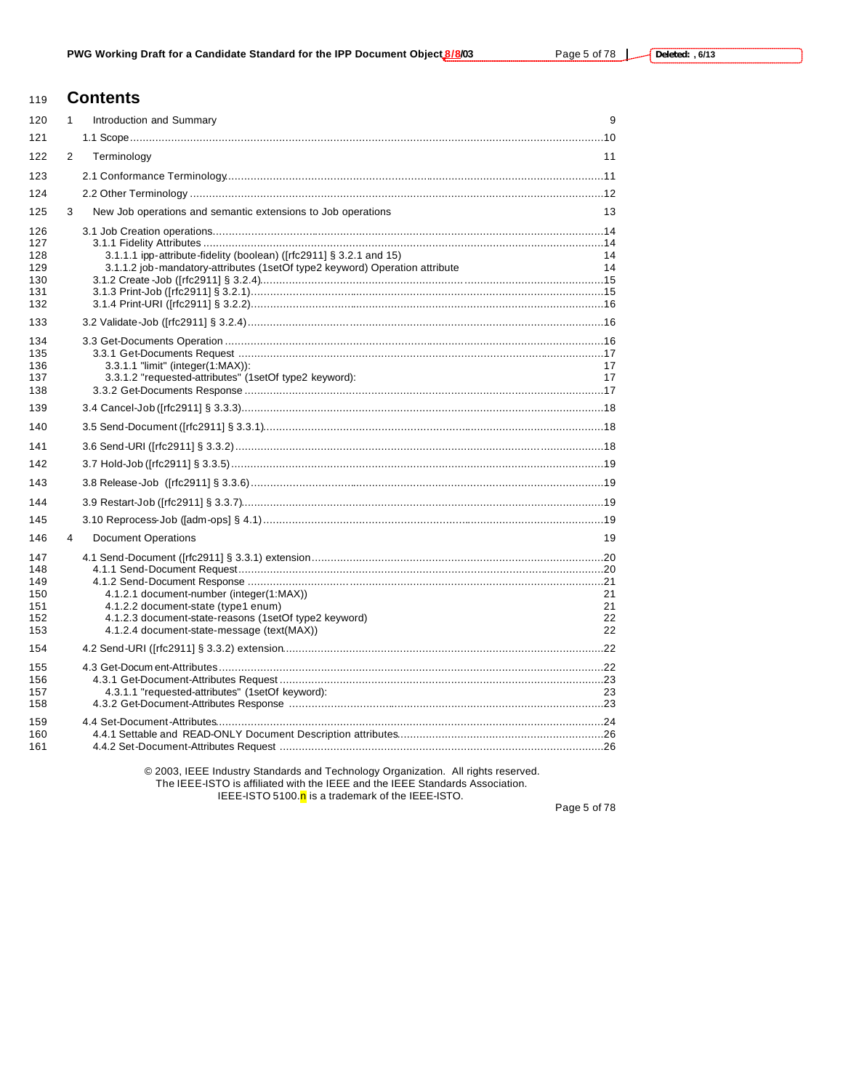# **Contents**

| 120                                           | 1 | Introduction and Summary                                                                                                                                                               | 9                    |
|-----------------------------------------------|---|----------------------------------------------------------------------------------------------------------------------------------------------------------------------------------------|----------------------|
| 121                                           |   |                                                                                                                                                                                        |                      |
| 122                                           | 2 | Terminology                                                                                                                                                                            | 11                   |
| 123                                           |   |                                                                                                                                                                                        |                      |
| 124                                           |   |                                                                                                                                                                                        |                      |
| 125                                           | 3 | New Job operations and semantic extensions to Job operations                                                                                                                           | 13                   |
| 126<br>127<br>128<br>129<br>130<br>131<br>132 |   | 3.1.1.1 ipp-attribute-fidelity (boolean) ([rfc2911] § 3.2.1 and 15)<br>3.1.1.2 job-mandatory-attributes (1setOf type2 keyword) Operation attribute                                     | 14<br>14             |
| 133                                           |   |                                                                                                                                                                                        |                      |
| 134<br>135<br>136<br>137<br>138               |   | 3.3.1.1 "limit" (integer(1:MAX)):<br>3.3.1.2 "requested-attributes" (1setOf type2 keyword):                                                                                            | 17<br>17             |
| 139                                           |   |                                                                                                                                                                                        |                      |
| 140                                           |   |                                                                                                                                                                                        |                      |
| 141                                           |   |                                                                                                                                                                                        |                      |
| 142                                           |   |                                                                                                                                                                                        |                      |
| 143                                           |   |                                                                                                                                                                                        |                      |
| 144                                           |   |                                                                                                                                                                                        |                      |
| 145                                           |   |                                                                                                                                                                                        |                      |
| 146                                           | 4 | <b>Document Operations</b>                                                                                                                                                             | 19                   |
| 147<br>148<br>149<br>150<br>151<br>152<br>153 |   | 4.1.2.1 document-number (integer(1:MAX))<br>4.1.2.2 document-state (type1 enum)<br>4.1.2.3 document-state-reasons (1setOf type2 keyword)<br>4.1.2.4 document-state-message (text(MAX)) | 21<br>21<br>22<br>22 |
| 154                                           |   |                                                                                                                                                                                        |                      |
| 155<br>156<br>157<br>158                      |   | 4.3.1.1 "requested-attributes" (1setOf keyword):                                                                                                                                       | 23                   |
| 159<br>160<br>161                             |   |                                                                                                                                                                                        |                      |
|                                               |   |                                                                                                                                                                                        |                      |

© 2003, IEEE Industry Standards and Technology Organization. All rights reserved. The IEEE-ISTO is affiliated with the IEEE and the IEEE Standards Association.

IEEE-ISTO 5100.<sup>n</sup> is a trademark of the IEEE-ISTO.

Page 5 of 78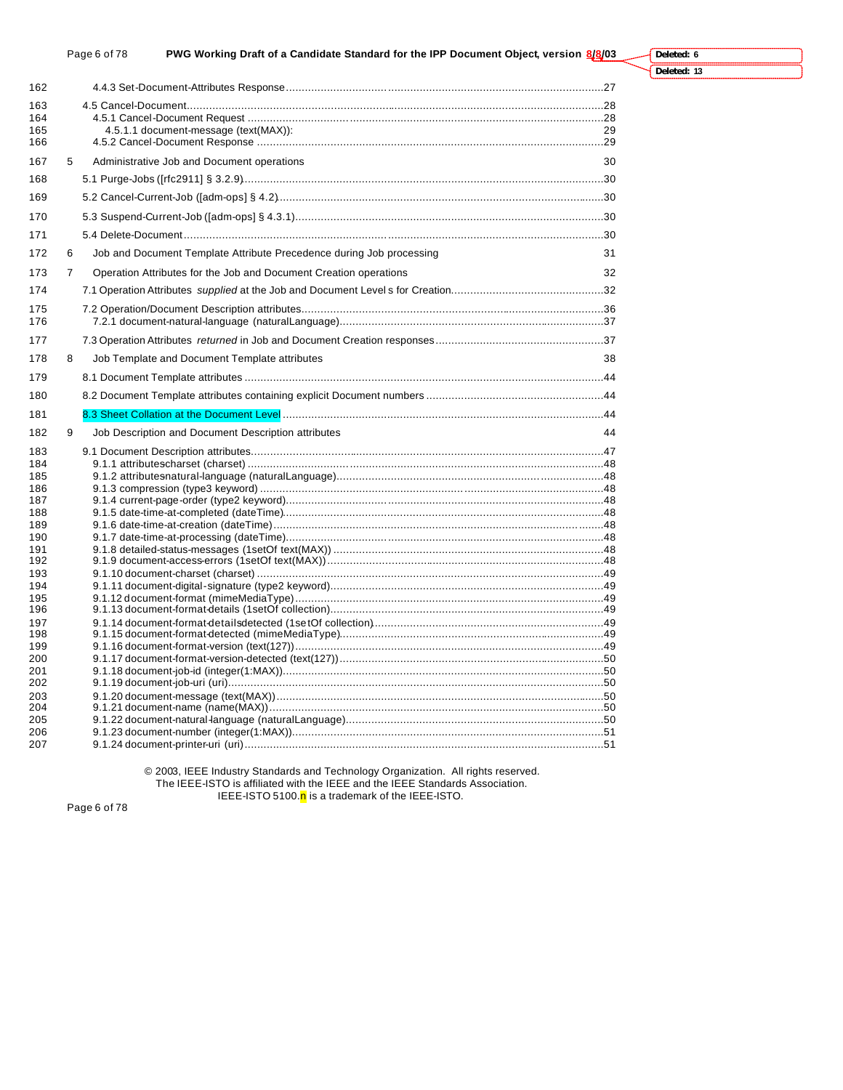### Page 6 of 78 **PWG Working Draft of a Candidate Standard for the IPP Document Object, version 8/8/03**

**Deleted: 13**

**Deleted: 6**

| 162        |   |                                                                      |    |
|------------|---|----------------------------------------------------------------------|----|
| 163        |   |                                                                      |    |
| 164        |   |                                                                      |    |
| 165        |   | 4.5.1.1 document-message (text(MAX)):                                | 29 |
| 166        |   |                                                                      |    |
| 167        | 5 | Administrative Job and Document operations                           | 30 |
| 168        |   |                                                                      |    |
| 169        |   |                                                                      |    |
| 170        |   |                                                                      |    |
| 171        |   |                                                                      |    |
| 172        | 6 | Job and Document Template Attribute Precedence during Job processing | 31 |
| 173        | 7 | Operation Attributes for the Job and Document Creation operations    | 32 |
| 174        |   |                                                                      |    |
| 175        |   |                                                                      |    |
| 176        |   |                                                                      |    |
| 177        |   |                                                                      |    |
| 178        | 8 | Job Template and Document Template attributes                        | 38 |
| 179        |   |                                                                      |    |
| 180        |   |                                                                      |    |
| 181        |   |                                                                      |    |
| 182        | 9 | Job Description and Document Description attributes                  | 44 |
| 183        |   |                                                                      |    |
| 184        |   |                                                                      |    |
| 185        |   |                                                                      |    |
| 186        |   |                                                                      |    |
| 187        |   |                                                                      |    |
| 188        |   |                                                                      |    |
| 189        |   |                                                                      |    |
| 190        |   |                                                                      |    |
| 191<br>192 |   |                                                                      |    |
| 193        |   |                                                                      |    |
| 194        |   |                                                                      |    |
| 195        |   |                                                                      |    |
| 196        |   |                                                                      |    |
| 197        |   |                                                                      |    |
| 198        |   |                                                                      |    |
| 199        |   |                                                                      |    |
| 200        |   |                                                                      |    |
| 201        |   |                                                                      |    |
| 202        |   |                                                                      |    |
| 203        |   |                                                                      |    |
| 204        |   |                                                                      |    |
| 205        |   |                                                                      |    |
| 206<br>207 |   |                                                                      |    |
|            |   |                                                                      |    |

© 2003, IEEE Industry Standards and Technology Organization. All rights reserved. The IEEE-ISTO is affiliated with the IEEE and the IEEE Standards Association. IEEE-ISTO 5100.<sup>n</sup> is a trademark of the IEEE-ISTO.

Page 6 of 78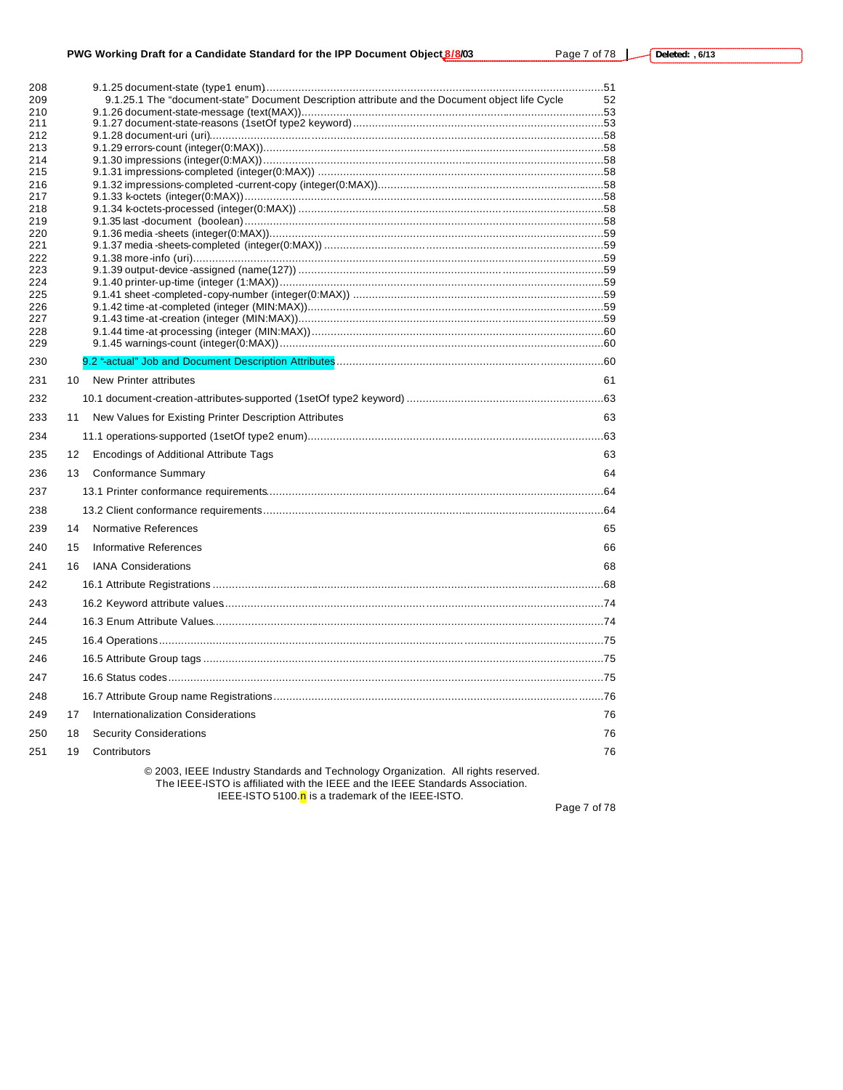# **PWG Working Draft for a Candidate Standard for the IPP Document Object 8/8/03** Page 7 of 78 L

| 208<br>209 |    | 9.1.25.1 The "document-state" Document Description attribute and the Document object life Cycle | 52 |
|------------|----|-------------------------------------------------------------------------------------------------|----|
| 210        |    |                                                                                                 |    |
| 211        |    |                                                                                                 |    |
| 212        |    |                                                                                                 |    |
| 213        |    |                                                                                                 |    |
| 214<br>215 |    |                                                                                                 |    |
| 216        |    |                                                                                                 |    |
| 217        |    |                                                                                                 |    |
| 218        |    |                                                                                                 |    |
| 219<br>220 |    |                                                                                                 |    |
| 221        |    |                                                                                                 |    |
| 222        |    |                                                                                                 |    |
| 223        |    |                                                                                                 |    |
| 224<br>225 |    |                                                                                                 |    |
| 226        |    |                                                                                                 |    |
| 227        |    |                                                                                                 |    |
| 228        |    |                                                                                                 |    |
| 229        |    |                                                                                                 |    |
| 230        |    |                                                                                                 |    |
| 231        | 10 | <b>New Printer attributes</b>                                                                   | 61 |
| 232        |    |                                                                                                 |    |
| 233        | 11 | New Values for Existing Printer Description Attributes                                          | 63 |
| 234        |    |                                                                                                 |    |
| 235        | 12 | <b>Encodings of Additional Attribute Tags</b>                                                   | 63 |
| 236        | 13 | Conformance Summary                                                                             | 64 |
| 237        |    |                                                                                                 |    |
| 238        |    |                                                                                                 |    |
| 239        | 14 | <b>Normative References</b>                                                                     | 65 |
| 240        | 15 | Informative References                                                                          | 66 |
| 241        | 16 | <b>IANA Considerations</b>                                                                      | 68 |
| 242        |    |                                                                                                 |    |
| 243        |    |                                                                                                 |    |
| 244        |    |                                                                                                 |    |
| 245        |    |                                                                                                 |    |
| 246        |    |                                                                                                 |    |
| 247        |    |                                                                                                 |    |
| 248        |    |                                                                                                 |    |
| 249        | 17 | Internationalization Considerations                                                             | 76 |
| 250        | 18 | <b>Security Considerations</b>                                                                  | 76 |
| 251        | 19 | Contributors                                                                                    | 76 |
|            |    | $\otimes$ 0000 JEEE to declare Other drasts, and Traditional components of All delate           |    |

© 2003, IEEE Industry Standards and Technology Organization. All rights reserved. The IEEE-ISTO is affiliated with the IEEE and the IEEE Standards Association.

IEEE-ISTO 5100.<sup>n</sup> is a trademark of the IEEE-ISTO.

Page 7 of 78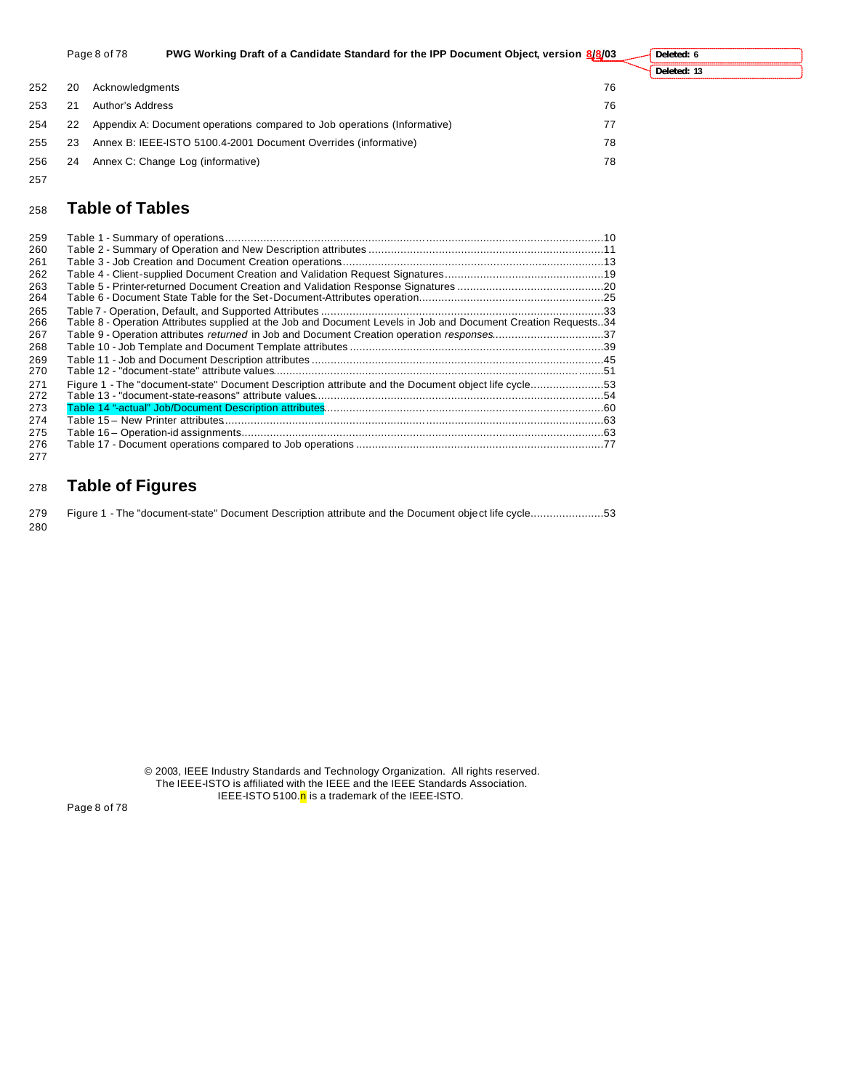|     |    | Page 8 of 78     | PWG Working Draft of a Candidate Standard for the IPP Document Object, version 8/8/03 |    | Deleted: 6  |
|-----|----|------------------|---------------------------------------------------------------------------------------|----|-------------|
|     |    |                  |                                                                                       |    | Deleted: 13 |
| 252 | 20 | Acknowledaments  |                                                                                       | 76 |             |
| 253 | 21 | Author's Address |                                                                                       | 76 |             |
| 254 | 22 |                  | Appendix A: Document operations compared to Job operations (Informative)              | 77 |             |
| 255 | 23 |                  | Annex B: IEEE-ISTO 5100.4-2001 Document Overrides (informative)                       | 78 |             |
| 256 | 24 |                  | Annex C: Change Log (informative)                                                     | 78 |             |

# **Table of Tables**

| 259 |                                                                                                                |  |
|-----|----------------------------------------------------------------------------------------------------------------|--|
| 260 |                                                                                                                |  |
| 261 |                                                                                                                |  |
| 262 |                                                                                                                |  |
| 263 |                                                                                                                |  |
| 264 |                                                                                                                |  |
| 265 |                                                                                                                |  |
| 266 | Table 8 - Operation Attributes supplied at the Job and Document Levels in Job and Document Creation Requests34 |  |
| 267 | Table 9 - Operation attributes returned in Job and Document Creation operation responses37                     |  |
| 268 |                                                                                                                |  |
| 269 |                                                                                                                |  |
| 270 |                                                                                                                |  |
| 271 | Figure 1 - The "document-state" Document Description attribute and the Document object life cycle53            |  |
| 272 |                                                                                                                |  |
| 273 |                                                                                                                |  |
| 274 |                                                                                                                |  |
| 275 |                                                                                                                |  |
| 276 |                                                                                                                |  |
| 277 |                                                                                                                |  |

# **Table of Figures**

|     | 279 Figure 1 - The "document-state" Document Description attribute and the Document object life cycle53 |  |
|-----|---------------------------------------------------------------------------------------------------------|--|
| 280 |                                                                                                         |  |

© 2003, IEEE Industry Standards and Technology Organization. All rights reserved. The IEEE-ISTO is affiliated with the IEEE and the IEEE Standards Association. IEEE-ISTO 5100.<mark>n</mark> is a trademark of the IEEE-ISTO.

Page 8 of 78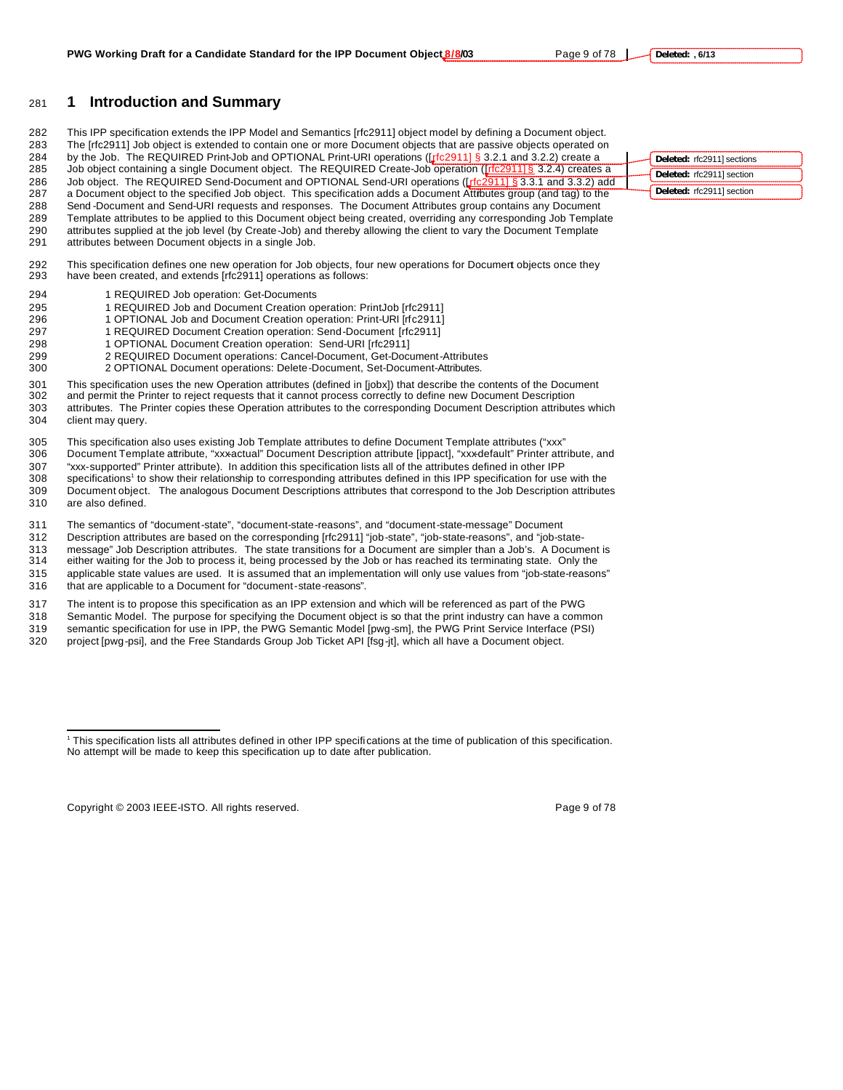# **1 Introduction and Summary**

 This IPP specification extends the IPP Model and Semantics [rfc2911] object model by defining a Document object. The [rfc2911] Job object is extended to contain one or more Document objects that are passive objects operated on 284 by the Job. The REQUIRED Print-Job and OPTIONAL Print-URI operations ([rfc2911] § 3.2.1 and 3.2.2) create a 285 Job object containing a single Document object. The REQUIRED Create-Job operation ([rfc2911] § 3.2.4) creates a 286 Job object. The REQUIRED Send-Document and OPTIONAL Send-URI operations (Lteo 29111 § 3.3.1 and 3.3.2) add a Document object to the specified Job object. This specification adds a Document Attributes group (and tag) to the Send -Document and Send-URI requests and responses. The Document Attributes group contains any Document Template attributes to be applied to this Document object being created, overriding any corresponding Job Template attributes supplied at the job level (by Create-Job) and thereby allowing the client to vary the Document Template attributes between Document objects in a single Job.

 This specification defines one new operation for Job objects, four new operations for Document objects once they have been created, and extends [rfc2911] operations as follows:

- 1 REQUIRED Job operation: Get-Documents
- 295 1 REQUIRED Job and Document Creation operation: PrintJob [rfc2911]<br>296 1 OPTIONAL Job and Document Creation operation: Print-URI [rfc2911]
- 1 OPTIONAL Job and Document Creation operation: Print-URI [rfc2911]
- 297 1 REQUIRED Document Creation operation: Send-Document [rfc2911]
- 1 OPTIONAL Document Creation operation: Send-URI [rfc2911]
- 2 REQUIRED Document operations: Cancel-Document, Get-Document-Attributes
- 2 OPTIONAL Document operations: Delete-Document, Set-Document-Attributes.

 This specification uses the new Operation attributes (defined in [jobx]) that describe the contents of the Document and permit the Printer to reject requests that it cannot process correctly to define new Document Description attributes. The Printer copies these Operation attributes to the corresponding Document Description attributes which client may query.

305 This specification also uses existing Job Template attributes to define Document Template attributes ("xxx"<br>306 Document Template attribute, "xxxactual" Document Description attribute [ippact], "xxxdefault" Printer att Document Template attribute, "xxxactual" Document Description attribute [ippact], "xxx-default" Printer attribute, and "xxx-supported" Printer attribute). In addition this specification lists all of the attributes defined in other IPP 308 specifications<sup>1</sup> to show their relationship to corresponding attributes defined in this IPP specification for use with the Document object. The analogous Document Descriptions attributes that correspond to the Job Description attributes are also defined.

The semantics of "document-state", "document-state-reasons", and "document-state-message" Document

- Description attributes are based on the corresponding [rfc2911] "job-state", "job-state-reasons", and "job-state-
- message" Job Description attributes. The state transitions for a Document are simpler than a Job's. A Document is

 either waiting for the Job to process it, being processed by the Job or has reached its terminating state. Only the applicable state values are used. It is assumed that an implementation will only use values from "job-state-reasons" that are applicable to a Document for "document-state-reasons".

 The intent is to propose this specification as an IPP extension and which will be referenced as part of the PWG Semantic Model. The purpose for specifying the Document object is so that the print industry can have a common semantic specification for use in IPP, the PWG Semantic Model [pwg-sm], the PWG Print Service Interface (PSI)

project [pwg-psi], and the Free Standards Group Job Ticket API [fsg-jt], which all have a Document object.

Copyright © 2003 IEEE-ISTO. All rights reserved. example 2003 1999 9 of 78

 $\overline{a}$ 

| Deleted: rfc2911] sections |
|----------------------------|
| Deleted: rfc2911] section  |
| Deleted: rfc2911] section  |

 This specification lists all attributes defined in other IPP specifications at the time of publication of this specification. No attempt will be made to keep this specification up to date after publication.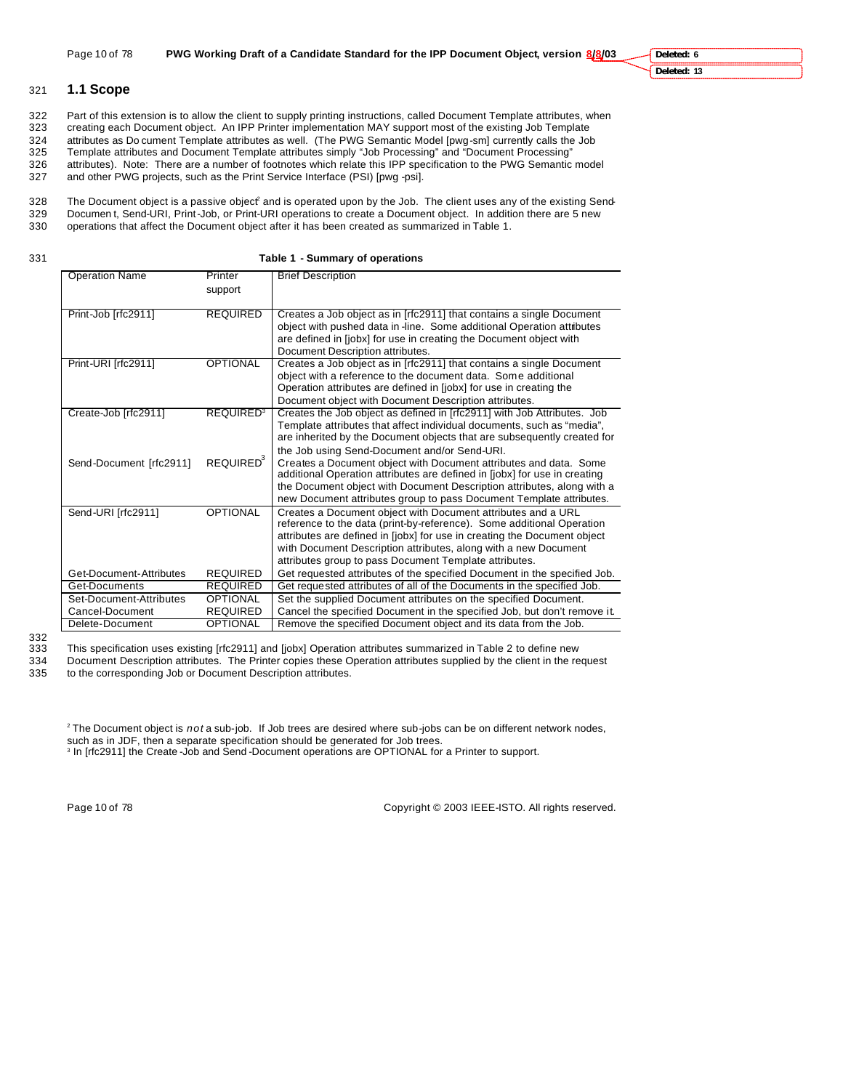### 321 **1.1 Scope**

322 Part of this extension is to allow the client to supply printing instructions, called Document Template attributes, when<br>323 creating each Document object. An IPP Printer implementation MAY support most of the existing creating each Document object. An IPP Printer implementation MAY support most of the existing Job Template 324 attributes as Do cument Template attributes as well. (The PWG Semantic Model [pwg-sm] currently calls the Job<br>325 Template attributes and Document Template attributes simply "Job Processing" and "Document Processing" Template attributes and Document Template attributes simply "Job Processing" and "Document Processing" 326 attributes). Note: There are a number of footnotes which relate this IPP specification to the PWG Semantic model

- 
- 327 and other PWG projects, such as the Print Service Interface (PSI) [pwg -psi].

328 The Document object is a passive object<sup>2</sup> and is operated upon by the Job. The client uses any of the existing Send-

- 329 Documen t, Send-URI, Print-Job, or Print-URI operations to create a Document object. In addition there are 5 new
- 330 operations that affect the Document object after it has been created as summarized in Table 1.
- 

331 **Table 1 - Summary of operations**

| <b>Operation Name</b>   | Printer                     | <b>Brief Description</b>                                                  |
|-------------------------|-----------------------------|---------------------------------------------------------------------------|
|                         | support                     |                                                                           |
| Print-Job [rfc2911]     | <b>REQUIRED</b>             | Creates a Job object as in [rfc2911] that contains a single Document      |
|                         |                             | object with pushed data in -line. Some additional Operation attributes    |
|                         |                             | are defined in [jobx] for use in creating the Document object with        |
|                         |                             | Document Description attributes.                                          |
| Print-URI [rfc2911]     | <b>OPTIONAL</b>             | Creates a Job object as in [rfc2911] that contains a single Document      |
|                         |                             | object with a reference to the document data. Some additional             |
|                         |                             | Operation attributes are defined in [jobx] for use in creating the        |
|                         |                             | Document object with Document Description attributes.                     |
| Create-Job [rfc2911]    | <b>REQUIRED<sup>3</sup></b> | Creates the Job object as defined in [rfc2911] with Job Attributes. Job   |
|                         |                             | Template attributes that affect individual documents, such as "media",    |
|                         |                             | are inherited by the Document objects that are subsequently created for   |
|                         |                             | the Job using Send-Document and/or Send-URI.                              |
| Send-Document [rfc2911] | REQUIRED <sup>3</sup>       | Creates a Document object with Document attributes and data. Some         |
|                         |                             | additional Operation attributes are defined in [jobx] for use in creating |
|                         |                             | the Document object with Document Description attributes, along with a    |
|                         |                             | new Document attributes group to pass Document Template attributes.       |
| Send-URI [rfc2911]      | <b>OPTIONAL</b>             | Creates a Document object with Document attributes and a URL              |
|                         |                             | reference to the data (print-by-reference). Some additional Operation     |
|                         |                             | attributes are defined in [jobx] for use in creating the Document object  |
|                         |                             | with Document Description attributes, along with a new Document           |
|                         |                             | attributes group to pass Document Template attributes.                    |
| Get-Document-Attributes | <b>REQUIRED</b>             | Get requested attributes of the specified Document in the specified Job.  |
| Get-Documents           | <b>REQUIRED</b>             | Get requested attributes of all of the Documents in the specified Job.    |
| Set-Document-Attributes | <b>OPTIONAL</b>             | Set the supplied Document attributes on the specified Document.           |
| Cancel-Document         | <b>REQUIRED</b>             | Cancel the specified Document in the specified Job, but don't remove it.  |
| Delete-Document         | <b>OPTIONAL</b>             | Remove the specified Document object and its data from the Job.           |

<sup>332</sup>

333 This specification uses existing [rfc2911] and [jobx] Operation attributes summarized in Table 2 to define new

334 Document Description attributes. The Printer copies these Operation attributes supplied by the client in the request 335 to the corresponding Job or Document Description attributes.

2 The Document object is *not* a sub-job. If Job trees are desired where sub-jobs can be on different network nodes, such as in JDF, then a separate specification should be generated for Job trees.

3 In [rfc2911] the Create -Job and Send -Document operations are OPTIONAL for a Printer to support.

Page 10 of 78 Copyright © 2003 IEEE-ISTO. All rights reserved.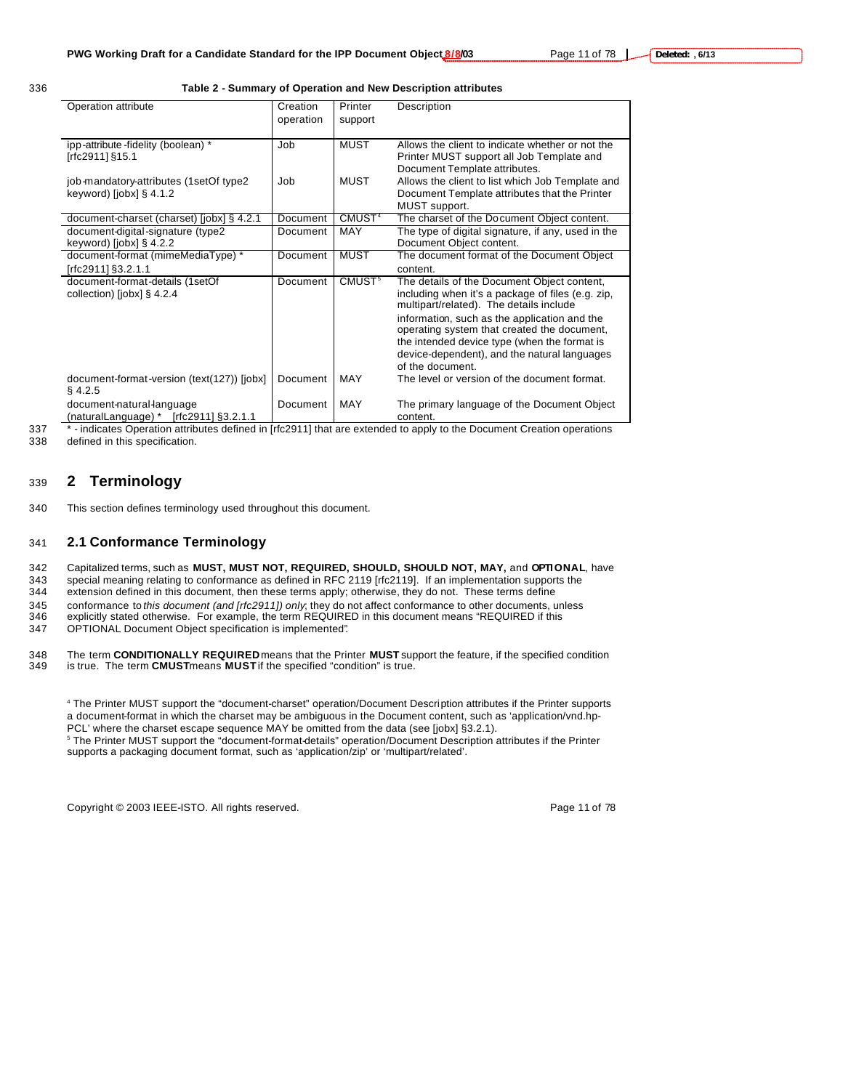336 **Table 2 - Summary of Operation and New Description attributes**

| Operation attribute                                     | Creation  | Printer            | Description                                                                                  |
|---------------------------------------------------------|-----------|--------------------|----------------------------------------------------------------------------------------------|
|                                                         | operation | support            |                                                                                              |
|                                                         |           |                    |                                                                                              |
| ipp-attribute-fidelity (boolean) *                      | Job       | <b>MUST</b>        | Allows the client to indicate whether or not the                                             |
| [rfc2911] §15.1                                         |           |                    | Printer MUST support all Job Template and                                                    |
|                                                         |           |                    | Document Template attributes.                                                                |
| job-mandatory-attributes (1setOf type2                  | Job       | <b>MUST</b>        | Allows the client to list which Job Template and                                             |
| keyword) $[i$ obx $]$ § 4.1.2                           |           |                    | Document Template attributes that the Printer                                                |
|                                                         |           |                    | MUST support.                                                                                |
| document-charset (charset) [jobx] § 4.2.1               | Document  | CMUST <sup>4</sup> | The charset of the Document Object content.                                                  |
| document-digital-signature (type2                       | Document  | <b>MAY</b>         | The type of digital signature, if any, used in the                                           |
| keyword) [jobx] $\S$ 4.2.2                              |           |                    | Document Object content.                                                                     |
| document-format (mimeMediaType) *                       | Document  | <b>MUST</b>        | The document format of the Document Object                                                   |
| rfc2911] §3.2.1.1                                       |           |                    | content.                                                                                     |
| document-format-details (1setOf                         | Document  | CMUST <sup>5</sup> | The details of the Document Object content,                                                  |
| collection) [jobx] § 4.2.4                              |           |                    | including when it's a package of files (e.g. zip,<br>multipart/related). The details include |
|                                                         |           |                    | information, such as the application and the<br>operating system that created the document,  |
|                                                         |           |                    | the intended device type (when the format is                                                 |
|                                                         |           |                    | device-dependent), and the natural languages                                                 |
|                                                         |           |                    | of the document.                                                                             |
| document-format-version (text(127)) [jobx]<br>$§$ 4.2.5 | Document  | MAY                | The level or version of the document format.                                                 |
| document-natural-language                               | Document  | MAY                | The primary language of the Document Object                                                  |
| (naturalLanguage) * [rfc2911] §3.2.1.1                  | .         |                    | content.                                                                                     |

337 \*-indicates Operation attributes defined in [rfc2911] that are extended to apply to the Document Creation operations

338 defined in this specification.

# <sup>339</sup> **2 Terminology**

340 This section defines terminology used throughout this document.

#### 341 **2.1 Conformance Terminology**

342 Capitalized terms, such as **MUST, MUST NOT, REQUIRED, SHOULD, SHOULD NOT, MAY,** and **OPTIONAL**, have

343 special meaning relating to conformance as defined in RFC 2119 [rfc2119]. If an implementation supports the<br>344 extension defined in this document, then these terms apply; otherwise, they do not. These terms define

extension defined in this document, then these terms apply; otherwise, they do not. These terms define

345 conformance to *this document (and [rfc2911]) only*; they do not affect conformance to other documents, unless

- 346 explicitly stated otherwise. For example, the term REQUIRED in this document means "REQUIRED if this
- 347 OPTIONAL Document Object specification is implemented"*.*

348 The term **CONDITIONALLY REQUIRED** means that the Printer **MUST** support the feature, if the specified condition 349 is true. is true. The term **CMUST** means **MUST** if the specified "condition" is true.

4 The Printer MUST support the "document-charset" operation/Document Description attributes if the Printer supports a document-format in which the charset may be ambiguous in the Document content, such as 'application/vnd.hp-PCL' where the charset escape sequence MAY be omitted from the data (see [jobx] §3.2.1).

5 The Printer MUST support the "document-format-details" operation/Document Description attributes if the Printer supports a packaging document format, such as 'application/zip' or 'multipart/related'.

Copyright © 2003 IEEE-ISTO. All rights reserved. Page 11 of 78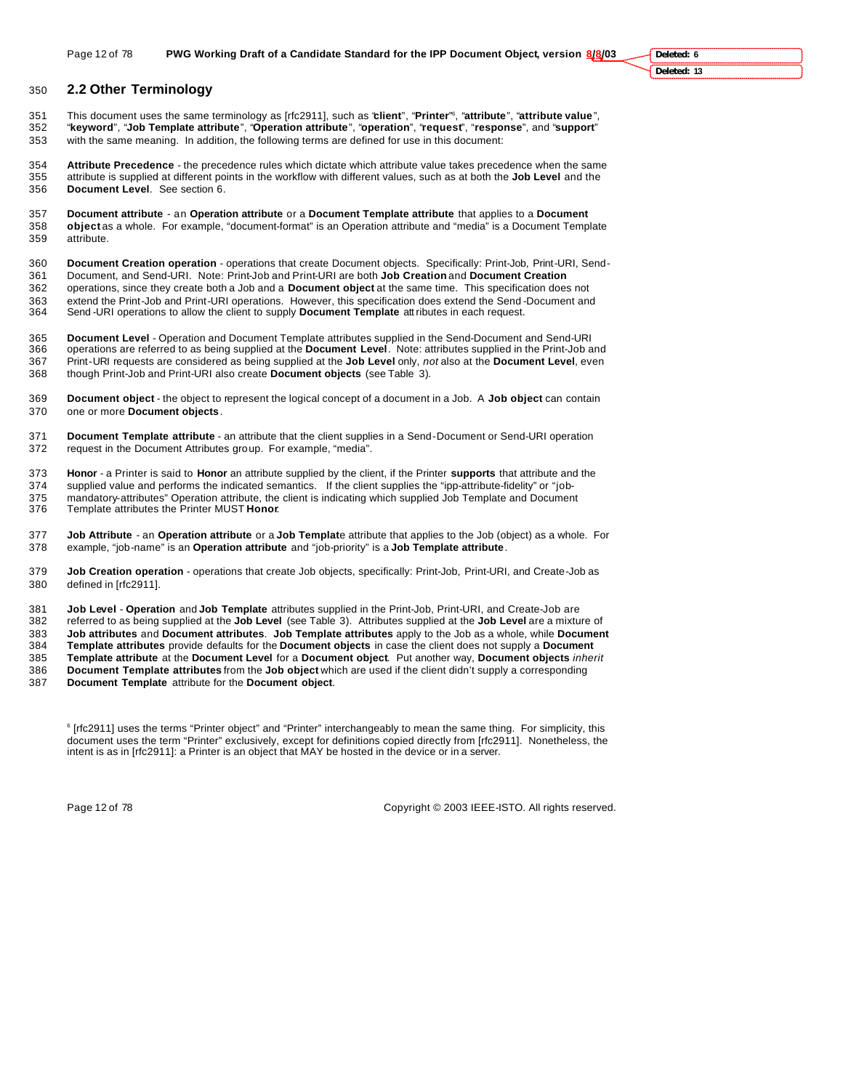### **2.2 Other Terminology**

This document uses the same terminology as [rfc2911], such as "**client**", "**Printer**" <sup>6</sup> , "**attribute**", "**attribute value**", "**keyword**", "**Job Template attribute**", "**Operation attribute**", "**operation**", "**request**", "**response**", and "**support**" with the same meaning. In addition, the following terms are defined for use in this document:

 **Attribute Precedence** - the precedence rules which dictate which attribute value takes precedence when the same attribute is supplied at different points in the workflow with different values, such as at both the **Job Level** and the **Document Level**. See section 6.

 **Document attribute** - an **Operation attribute** or a **Document Template attribute** that applies to a **Document object** as a whole. For example, "document-format" is an Operation attribute and "media" is a Document Template attribute.

**Document Creation operation** - operations that create Document objects. Specifically: Print-Job, Print-URI, Send-

 Document, and Send-URI. Note: Print-Job and Print-URI are both **Job Creation** and **Document Creation** operations, since they create both a Job and a **Document object** at the same time. This specification does not 363 extend the Print-Job and Print-URI operations. However, this specification does extend the Send-Document and<br>364 Send-URI operations to allow the client to supply **Document Template** att ributes in each request.

Send -URI operations to allow the client to supply **Document Template** attributes in each request.

 **Document Level** - Operation and Document Template attributes supplied in the Send-Document and Send-URI operations are referred to as being supplied at the **Document Level**. Note: attributes supplied in the Print-Job and Print-URI requests are considered as being supplied at the **Job Level** only, *not* also at the **Document Level**, even though Print-Job and Print-URI also create **Document objects** (see Table 3).

 **Document object** - the object to represent the logical concept of a document in a Job. A **Job object** can contain one or more **Document objects**.

 **Document Template attribute** - an attribute that the client supplies in a Send-Document or Send-URI operation request in the Document Attributes group. For example, "media".

 **Honor** - a Printer is said to **Honor** an attribute supplied by the client, if the Printer **supports** that attribute and the supplied value and performs the indicated semantics. If the client supplies the "ipp-attribute-fidelity" or "job-

375 mandatory-attributes" Operation attribute, the client is indicating which supplied Job Template and Document<br>376 Template attributes the Printer MUST Honor. Template attributes the Printer MUST **Honor**.

 **Job Attribute** - an **Operation attribute** or a **Job Templat**e attribute that applies to the Job (object) as a whole. For example, "job-name" is an **Operation attribute** and "job-priority" is a **Job Template attribute**.

 **Job Creation operation** - operations that create Job objects, specifically: Print-Job, Print-URI, and Create-Job as defined in [rfc2911].

**Job Level** - **Operation** and **Job Template** attributes supplied in the Print-Job, Print-URI, and Create-Job are

 referred to as being supplied at the **Job Level** (see Table 3). Attributes supplied at the **Job Level** are a mixture of **Job attributes** and **Document attributes**. **Job Template attributes** apply to the Job as a whole, while **Document** 

 **Template attributes** provide defaults for the **Document objects** in case the client does not supply a **Document Template attribute** at the **Document Level** for a **Document object**. Put another way, **Document objects** *inherit*

**Document Template attributes** from the **Job object** which are used if the client didn't supply a corresponding

**Document Template** attribute for the **Document object**.

 [rfc2911] uses the terms "Printer object" and "Printer" interchangeably to mean the same thing. For simplicity, this document uses the term "Printer" exclusively, except for definitions copied directly from [rfc2911]. Nonetheless, the intent is as in [rfc2911]: a Printer is an object that MAY be hosted in the device or in a server.

Page 12 of 78 Copyright © 2003 IEEE-ISTO. All rights reserved.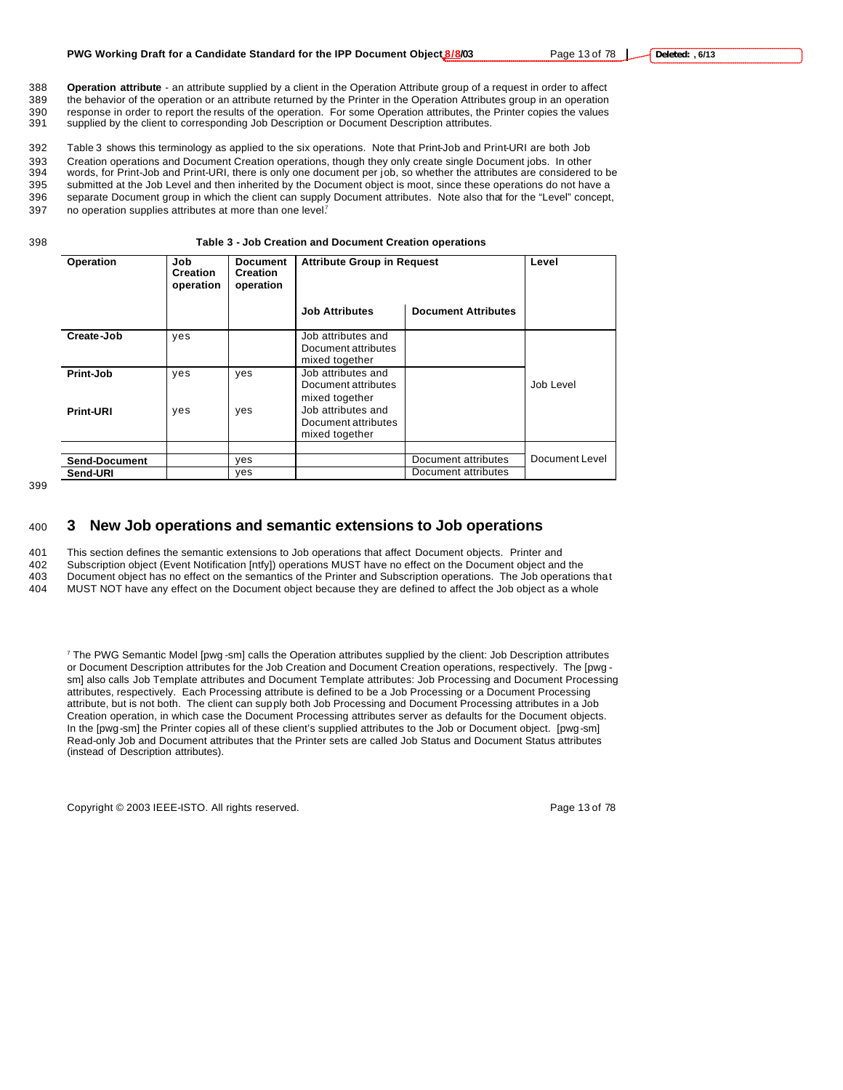388 **Operation attribute** - an attribute supplied by a client in the Operation Attribute group of a request in order to affect 389 the behavior of the operation or an attribute returned by the Printer in the Operation Attributes group in an operation 390 response in order to report the results of the operation. For some Operation attributes, the Printer copies the values 391 supplied by the client to corresponding Job Description or Document Description attributes. supplied by the client to corresponding Job Description or Document Description attributes.

 Table 3 shows this terminology as applied to the six operations. Note that Print-Job and Print-URI are both Job Creation operations and Document Creation operations, though they only create single Document jobs. In other words, for Print-Job and Print-URI, there is only one document per job, so whether the attributes are considered to be submitted at the Job Level and then inherited by the Document object is moot, since these operations do not have a separate Document group in which the client can supply Document attributes. Note also that for the "Level" concept,

397 no operation supplies attributes at more than one level?

398 **Table 3 - Job Creation and Document Creation operations**

| Operation            | Job<br><b>Creation</b><br>operation | Document<br><b>Creation</b><br>operation | <b>Attribute Group in Request</b>                           | Level                      |                |
|----------------------|-------------------------------------|------------------------------------------|-------------------------------------------------------------|----------------------------|----------------|
|                      |                                     |                                          | <b>Job Attributes</b>                                       | <b>Document Attributes</b> |                |
| Create-Job           | yes                                 |                                          | Job attributes and<br>Document attributes<br>mixed together |                            |                |
| Print-Job            | yes                                 | yes                                      | Job attributes and<br>Document attributes<br>mixed together |                            | Job Level      |
| <b>Print-URI</b>     | yes                                 | yes                                      | Job attributes and<br>Document attributes<br>mixed together |                            |                |
| <b>Send-Document</b> |                                     | yes                                      |                                                             | Document attributes        | Document Level |
| Send-URI             |                                     | yes                                      |                                                             | Document attributes        |                |

399

### <sup>400</sup> **3 New Job operations and semantic extensions to Job operations**

401 This section defines the semantic extensions to Job operations that affect Document objects. Printer and

402 Subscription object (Event Notification [ntfy]) operations MUST have no effect on the Document object and the

403 Document object has no effect on the semantics of the Printer and Subscription operations. The Job operations that

404 MUST NOT have any effect on the Document object because they are defined to affect the Job object as a whole

7 The PWG Semantic Model [pwg -sm] calls the Operation attributes supplied by the client: Job Description attributes or Document Description attributes for the Job Creation and Document Creation operations, respectively. The [pwg sm] also calls Job Template attributes and Document Template attributes: Job Processing and Document Processing attributes, respectively. Each Processing attribute is defined to be a Job Processing or a Document Processing attribute, but is not both. The client can supply both Job Processing and Document Processing attributes in a Job Creation operation, in which case the Document Processing attributes server as defaults for the Document objects. In the [pwg-sm] the Printer copies all of these client's supplied attributes to the Job or Document object. [pwg-sm] Read-only Job and Document attributes that the Printer sets are called Job Status and Document Status attributes (instead of Description attributes).

Copyright © 2003 IEEE-ISTO. All rights reserved. Copyright C 2003 IEEE-ISTO. All rights reserved.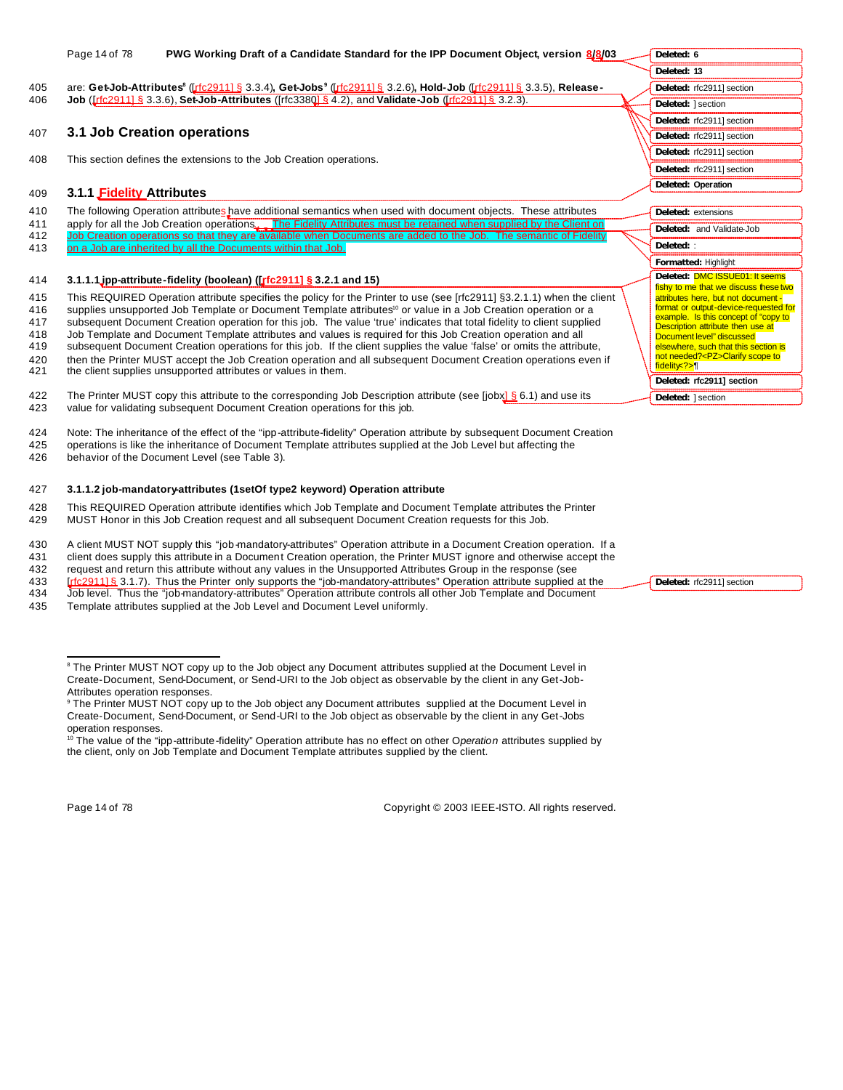|            | Page 14 of 78<br>PWG Working Draft of a Candidate Standard for the IPP Document Object, version 8/8/03                                                                           | Deleted: 6                                                                    |
|------------|----------------------------------------------------------------------------------------------------------------------------------------------------------------------------------|-------------------------------------------------------------------------------|
|            |                                                                                                                                                                                  | Deleted: 13                                                                   |
| 405        | are: Get-Job-Attributes <sup>8</sup> (Luise 2011) § 3.3.4), Get-Jobs <sup>9</sup> (Luise 2011) § 3.2.6), Hold-Job (Luise 2011) § 3.3.5), Release-                                | Deleted: rfc2911] section                                                     |
| 406        | <b>Job</b> ( <i>Irfc29111 §</i> 3.3.6), Set-Job-Attributes ( <i>Irfc3380 § 4.2</i> ), and Validate-Job ( <i>Irfc29111 § 3.2.3</i> ).                                             | Deleted: 1 section                                                            |
|            |                                                                                                                                                                                  | Deleted: rfc2911] section                                                     |
| 407        | 3.1 Job Creation operations                                                                                                                                                      | Deleted: rfc2911] section                                                     |
| 408        | This section defines the extensions to the Job Creation operations.                                                                                                              | Deleted: rfc2911] section                                                     |
|            |                                                                                                                                                                                  | Deleted: rfc2911] section                                                     |
| 409        | 3.1.1 Fidelity Attributes                                                                                                                                                        | Deleted: Operation                                                            |
|            |                                                                                                                                                                                  |                                                                               |
| 410        | The following Operation attributes have additional semantics when used with document objects. These attributes                                                                   | Deleted: extensions                                                           |
| 411        | apply for all the Job Creation operations. The Fidelity Attributes must be retained when supplied by the Client on                                                               | Deleted: and Validate-Job                                                     |
| 412<br>413 | Job Creation operations so that they are available when Documents are added to the Job. The semantic of Fidelity<br>on a Job are inherited by all the Documents within that Job. | Deleted: :                                                                    |
|            |                                                                                                                                                                                  | Formatted: Highlight                                                          |
| 414        | 3.1.1.1 jpp-attribute-fidelity (boolean) ( $\left[\frac{r}{c} \cdot 2911\right] \times 3.2.1$ and 15)                                                                            | Deleted: DMC ISSUE01: It seems                                                |
|            |                                                                                                                                                                                  | fishy to me that we discuss these two                                         |
| 415        | This REQUIRED Operation attribute specifies the policy for the Printer to use (see [rfc2911] §3.2.1.1) when the client                                                           | attributes here, but not document -<br>format or output-device-requested for  |
| 416        | supplies unsupported Job Template or Document Template attributes <sup>10</sup> or value in a Job Creation operation or a                                                        | example. Is this concept of "copy to                                          |
| 417        | subsequent Document Creation operation for this job. The value 'true' indicates that total fidelity to client supplied                                                           | Description attribute then use at                                             |
| 418<br>419 | Job Template and Document Template attributes and values is required for this Job Creation operation and all                                                                     | Document level" discussed                                                     |
|            | subsequent Document Creation operations for this job. If the client supplies the value 'false' or omits the attribute,                                                           | elsewhere, such that this section is<br>not needed? <pz>Clarify scope to</pz> |
| 420<br>421 | then the Printer MUST accept the Job Creation operation and all subsequent Document Creation operations even if<br>the client supplies unsupported attributes or values in them. | fidelity ?> [                                                                 |
|            |                                                                                                                                                                                  | Deleted: rfc2911] section                                                     |
| 422        | The Printer MUST copy this attribute to the corresponding Job Description attribute (see [jobx] $\S$ 6.1) and use its                                                            | Deleted: 1 section                                                            |
| 423        | value for validating subsequent Document Creation operations for this job.                                                                                                       |                                                                               |

424 Note: The inheritance of the effect of the "ipp-attribute-fidelity" Operation attribute by subsequent Document Creation 425 operations is like the inheritance of Document Template attributes supplied at the Job Level but affecting the 426 behavior of the Document Level (see Table 3).

# 427 **3.1.1.2 job-mandatory-attributes (1setOf type2 keyword) Operation attribute**

428 This REQUIRED Operation attribute identifies which Job Template and Document Template attributes the Printer 429 MUST Honor in this Job Creation request and all subsequent Document Creation requests for this Job.

430 A client MUST NOT supply this "job-mandatory-attributes" Operation attribute in a Document Creation operation. If a

431 client does supply this attribute in a Document Creation operation, the Printer MUST ignore and otherwise accept the

432 request and return this attribute without any values in the Unsupported Attributes Group in the response (see<br>433 [ft c 29111 § 3.1.7). Thus the Printer only supports the "job-mandatory-attributes" Operation attribute

- 433 [rfc2911] § 3.1.7). Thus the Printer only supports the "job-mandatory-attributes" Operation attribute supplied at the 434 Job level. Thus the "job-mandatory-attributes" Operation attribute controls all other Job Templa 434 Job level. Thus the "job-mandatory-attributes" Operation attribute controls all other Job Template and Document
- 435 Template attributes supplied at the Job Level and Document Level uniformly.

 $\overline{a}$ 

Page 14 of 78 Copyright © 2003 IEEE-ISTO. All rights reserved.

**Deleted:** rfc2911] section

<sup>&</sup>lt;sup>8</sup> The Printer MUST NOT copy up to the Job object any Document attributes supplied at the Document Level in Create-Document, Send-Document, or Send-URI to the Job object as observable by the client in any Get-Job-

Attributes operation responses. 9 The Printer MUST NOT copy up to the Job object any Document attributes supplied at the Document Level in Create-Document, Send-Document, or Send-URI to the Job object as observable by the client in any Get-Jobs operation responses.

<sup>10</sup> The value of the "ipp-attribute-fidelity" Operation attribute has no effect on other O*peration* attributes supplied by the client, only on Job Template and Document Template attributes supplied by the client.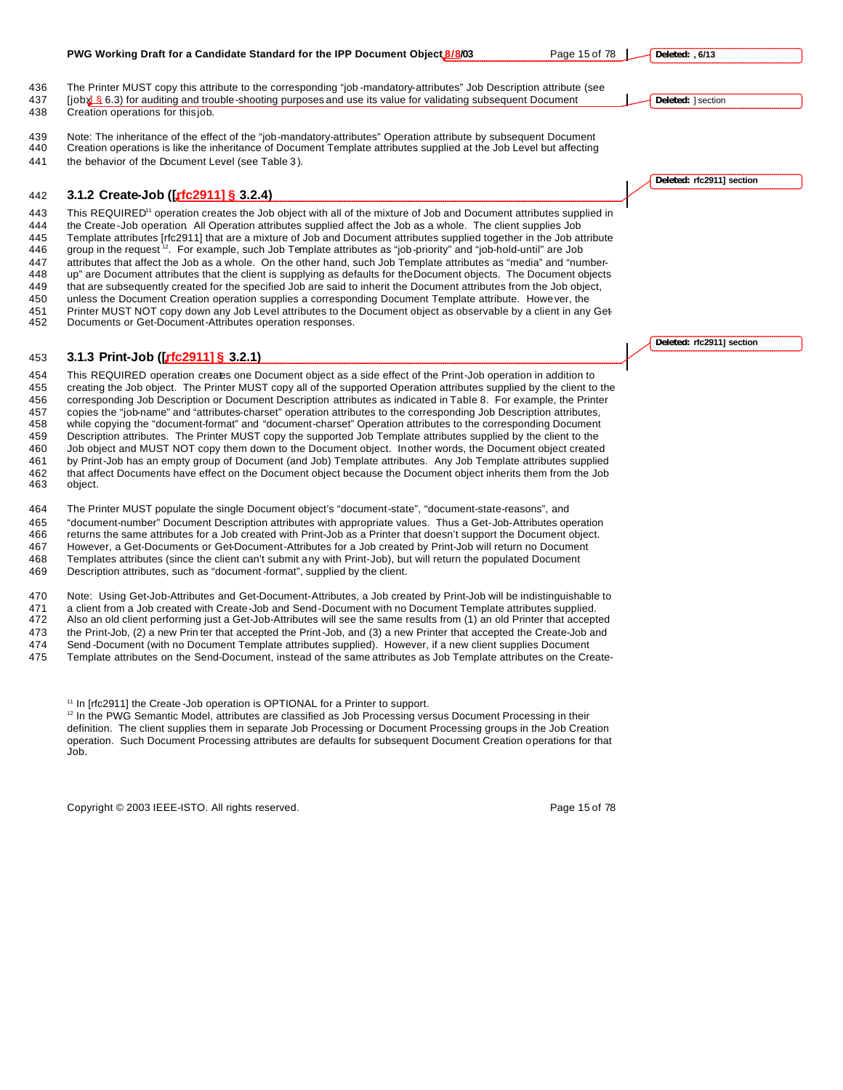| 436                                                                | The Printer MUST copy this attribute to the corresponding "job-mandatory-attributes" Job Description attribute (see                                                                                                                                                                                                                                                                                                                                                                                                                                                                                                                                                                                                                                                                                                                                                                                                                                                                                                                                                                                                                                                           |                    |                           |  |
|--------------------------------------------------------------------|-------------------------------------------------------------------------------------------------------------------------------------------------------------------------------------------------------------------------------------------------------------------------------------------------------------------------------------------------------------------------------------------------------------------------------------------------------------------------------------------------------------------------------------------------------------------------------------------------------------------------------------------------------------------------------------------------------------------------------------------------------------------------------------------------------------------------------------------------------------------------------------------------------------------------------------------------------------------------------------------------------------------------------------------------------------------------------------------------------------------------------------------------------------------------------|--------------------|---------------------------|--|
| 437                                                                | $[iobx]$ 6.3) for auditing and trouble-shooting purposes and use its value for validating subsequent Document                                                                                                                                                                                                                                                                                                                                                                                                                                                                                                                                                                                                                                                                                                                                                                                                                                                                                                                                                                                                                                                                 | Deleted: 1 section |                           |  |
| 438                                                                | Creation operations for this job.                                                                                                                                                                                                                                                                                                                                                                                                                                                                                                                                                                                                                                                                                                                                                                                                                                                                                                                                                                                                                                                                                                                                             |                    |                           |  |
| 439<br>440<br>441                                                  | Note: The inheritance of the effect of the "job-mandatory-attributes" Operation attribute by subsequent Document<br>Creation operations is like the inheritance of Document Template attributes supplied at the Job Level but affecting<br>the behavior of the Document Level (see Table 3).                                                                                                                                                                                                                                                                                                                                                                                                                                                                                                                                                                                                                                                                                                                                                                                                                                                                                  |                    |                           |  |
|                                                                    |                                                                                                                                                                                                                                                                                                                                                                                                                                                                                                                                                                                                                                                                                                                                                                                                                                                                                                                                                                                                                                                                                                                                                                               |                    | Deleted: rfc2911] section |  |
| 442                                                                | 3.1.2 Create-Job ([rfc2911] § 3.2.4)                                                                                                                                                                                                                                                                                                                                                                                                                                                                                                                                                                                                                                                                                                                                                                                                                                                                                                                                                                                                                                                                                                                                          |                    |                           |  |
| 443<br>444<br>445<br>446<br>447<br>448<br>449<br>450<br>451<br>452 | This REQUIRED <sup>11</sup> operation creates the Job object with all of the mixture of Job and Document attributes supplied in<br>the Create-Job operation All Operation attributes supplied affect the Job as a whole. The client supplies Job<br>Template attributes [rfc2911] that are a mixture of Job and Document attributes supplied together in the Job attribute<br>group in the request <sup>12</sup> . For example, such Job Template attributes as "job-priority" and "job-hold-until" are Job<br>attributes that affect the Job as a whole. On the other hand, such Job Template attributes as "media" and "number-<br>up" are Document attributes that the client is supplying as defaults for the Document objects. The Document objects<br>that are subsequently created for the specified Job are said to inherit the Document attributes from the Job object,<br>unless the Document Creation operation supplies a corresponding Document Template attribute. However, the<br>Printer MUST NOT copy down any Job Level attributes to the Document object as observable by a client in any Get<br>Documents or Get-Document-Attributes operation responses. |                    |                           |  |
|                                                                    |                                                                                                                                                                                                                                                                                                                                                                                                                                                                                                                                                                                                                                                                                                                                                                                                                                                                                                                                                                                                                                                                                                                                                                               |                    | Deleted: rfc2911] section |  |
| 453                                                                | 3.1.3 Print-Job ([rfc2911] § 3.2.1)                                                                                                                                                                                                                                                                                                                                                                                                                                                                                                                                                                                                                                                                                                                                                                                                                                                                                                                                                                                                                                                                                                                                           |                    |                           |  |
| 454<br>455<br>456<br>457<br>458<br>459<br>460<br>461<br>462<br>463 | This REQUIRED operation creates one Document object as a side effect of the Print-Job operation in addition to<br>creating the Job object. The Printer MUST copy all of the supported Operation attributes supplied by the client to the<br>corresponding Job Description or Document Description attributes as indicated in Table 8. For example, the Printer<br>copies the "job-name" and "attributes-charset" operation attributes to the corresponding Job Description attributes,<br>while copying the "document-format" and "document-charset" Operation attributes to the corresponding Document<br>Description attributes. The Printer MUST copy the supported Job Template attributes supplied by the client to the<br>Job object and MUST NOT copy them down to the Document object. In other words, the Document object created<br>by Print-Job has an empty group of Document (and Job) Template attributes. Any Job Template attributes supplied<br>that affect Documents have effect on the Document object because the Document object inherits them from the Job<br>object.                                                                                   |                    |                           |  |
| 464                                                                | The Printer MUST populate the single Document object's "document-state", "document-state-reasons", and                                                                                                                                                                                                                                                                                                                                                                                                                                                                                                                                                                                                                                                                                                                                                                                                                                                                                                                                                                                                                                                                        |                    |                           |  |

465 "document-number" Document Description attributes with appropriate values. Thus a Get-Job-Attributes operation<br>466 returns the same attributes for a Job created with Print-Job as a Printer that doesn't support the Docu returns the same attributes for a Job created with Print-Job as a Printer that doesn't support the Document object. However, a Get-Documents or Get-Document-Attributes for a Job created by Print-Job will return no Document Templates attributes (since the client can't submit any with Print-Job), but will return the populated Document Description attributes, such as "document -format", supplied by the client.

 Note: Using Get-Job-Attributes and Get-Document-Attributes, a Job created by Print-Job will be indistinguishable to a client from a Job created with Create-Job and Send-Document with no Document Template attributes supplied. Also an old client performing just a Get-Job-Attributes will see the same results from (1) an old Printer that accepted the Print-Job, (2) a new Prin ter that accepted the Print-Job, and (3) a new Printer that accepted the Create-Job and Send -Document (with no Document Template attributes supplied). However, if a new client supplies Document Template attributes on the Send-Document, instead of the same attributes as Job Template attributes on the Create-

<sup>11</sup> In [rfc2911] the Create -Job operation is OPTIONAL for a Printer to support.

<sup>12</sup> In the PWG Semantic Model, attributes are classified as Job Processing versus Document Processing in their definition. The client supplies them in separate Job Processing or Document Processing groups in the Job Creation operation. Such Document Processing attributes are defaults for subsequent Document Creation operations for that Job.

Copyright © 2003 IEEE-ISTO. All rights reserved. Page 15 of 78

#### **PWG Working Draft for a Candidate Standard for the IPP Document Object 8/8/03** Page 15 of 78  $\left| \right|$

**Deleted: , 6/13**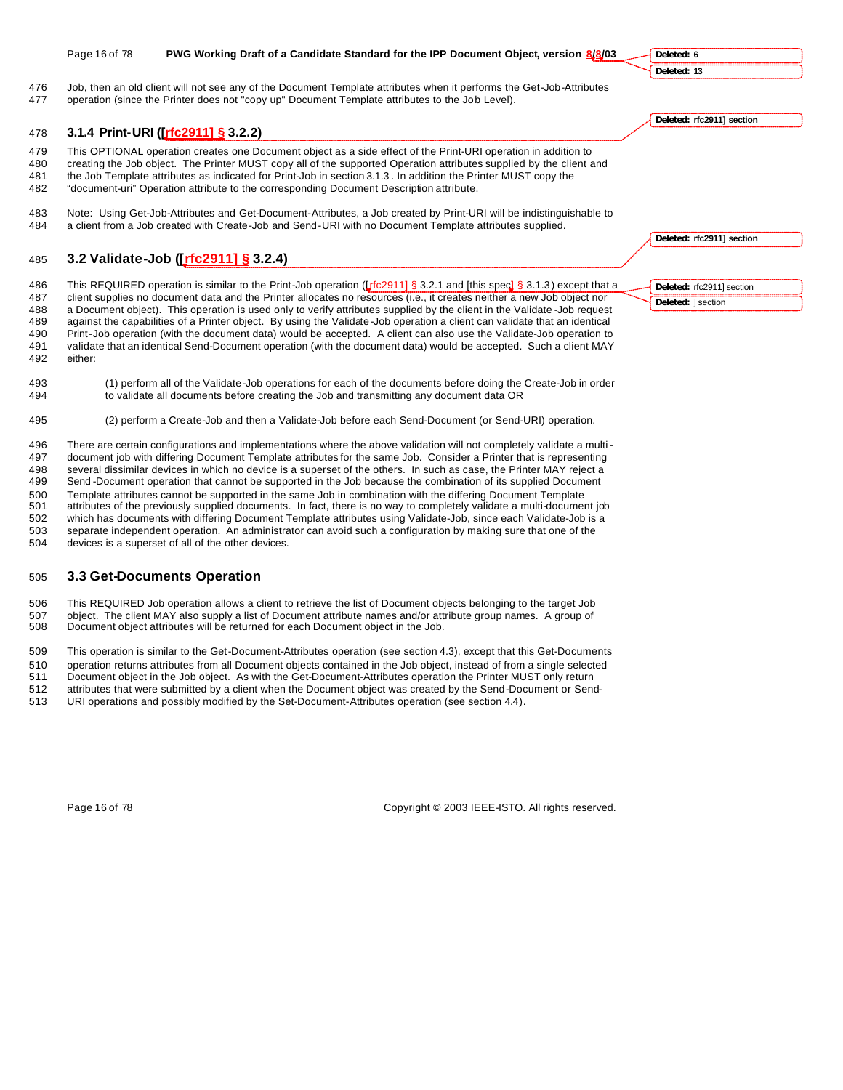|                          | Page 16 of 78 | PWG Working Draft of a Candidate Standard for the IPP Document Object, version 8/8/03                                                                                                                                                                                                                                                                                                                                                              | Deleted: 6                |
|--------------------------|---------------|----------------------------------------------------------------------------------------------------------------------------------------------------------------------------------------------------------------------------------------------------------------------------------------------------------------------------------------------------------------------------------------------------------------------------------------------------|---------------------------|
|                          |               |                                                                                                                                                                                                                                                                                                                                                                                                                                                    | Deleted: 13               |
| 476<br>477               |               | Job, then an old client will not see any of the Document Template attributes when it performs the Get-Job-Attributes<br>operation (since the Printer does not "copy up" Document Template attributes to the Job Level).                                                                                                                                                                                                                            |                           |
|                          |               |                                                                                                                                                                                                                                                                                                                                                                                                                                                    | Deleted: rfc2911] section |
| 478                      |               | 3.1.4 Print-URI ([rfc2911] § 3.2.2)                                                                                                                                                                                                                                                                                                                                                                                                                |                           |
| 479<br>480<br>481<br>482 |               | This OPTIONAL operation creates one Document object as a side effect of the Print-URI operation in addition to<br>creating the Job object. The Printer MUST copy all of the supported Operation attributes supplied by the client and<br>the Job Template attributes as indicated for Print-Job in section 3.1.3. In addition the Printer MUST copy the<br>"document-uri" Operation attribute to the corresponding Document Description attribute. |                           |
| 483<br>484               |               | Note: Using Get-Job-Attributes and Get-Document-Attributes, a Job created by Print-URI will be indistinguishable to<br>a client from a Job created with Create-Job and Send-URI with no Document Template attributes supplied.                                                                                                                                                                                                                     |                           |
|                          |               |                                                                                                                                                                                                                                                                                                                                                                                                                                                    | Deleted: rfc2911] section |
| 485                      |               | 3.2 Validate-Job ([rfc2911] § 3.2.4)                                                                                                                                                                                                                                                                                                                                                                                                               |                           |
| 486                      |               | This REQUIRED operation is similar to the Print-Job operation ( $\int_{0}^{1}$ 5 3.2.1 and [this spec] § 3.1.3) except that a                                                                                                                                                                                                                                                                                                                      | Deleted: rfc2911] section |
| 487<br>488               |               | client supplies no document data and the Printer allocates no resources (i.e., it creates neither a new Job object nor<br>a Document object). This operation is used only to verify attributes supplied by the client in the Validate-Job request                                                                                                                                                                                                  | Deleted: 1 section        |
| 489                      |               | against the capabilities of a Printer object. By using the Validate-Job operation a client can validate that an identical                                                                                                                                                                                                                                                                                                                          |                           |
| 490                      |               | Print-Job operation (with the document data) would be accepted. A client can also use the Validate-Job operation to                                                                                                                                                                                                                                                                                                                                |                           |
| 491<br>492               | either:       | validate that an identical Send-Document operation (with the document data) would be accepted. Such a client MAY                                                                                                                                                                                                                                                                                                                                   |                           |
| 493                      |               | (1) perform all of the Validate-Job operations for each of the documents before doing the Create-Job in order                                                                                                                                                                                                                                                                                                                                      |                           |

- to validate all documents before creating the Job and transmitting any document data OR
- (2) perform a Create-Job and then a Validate-Job before each Send-Document (or Send-URI) operation.

 There are certain configurations and implementations where the above validation will not completely validate a multi - document job with differing Document Template attributes for the same Job. Consider a Printer that is representing several dissimilar devices in which no device is a superset of the others. In such as case, the Printer MAY reject a Send -Document operation that cannot be supported in the Job because the combination of its supplied Document Template attributes cannot be supported in the same Job in combination with the differing Document Template attributes of the previously supplied documents. In fact, there is no way to completely validate a multi-document job which has documents with differing Document Template attributes using Validate-Job, since each Validate-Job is a separate independent operation. An administrator can avoid such a configuration by making sure that one of the

devices is a superset of all of the other devices.

# **3.3 Get-Documents Operation**

 This REQUIRED Job operation allows a client to retrieve the list of Document objects belonging to the target Job object. The client MAY also supply a list of Document attribute names and/or attribute group names. A group of Document object attributes will be returned for each Document object in the Job.

This operation is similar to the Get-Document-Attributes operation (see section 4.3), except that this Get-Documents

 operation returns attributes from all Document objects contained in the Job object, instead of from a single selected Document object in the Job object. As with the Get-Document-Attributes operation the Printer MUST only return

attributes that were submitted by a client when the Document object was created by the Send-Document or Send-

URI operations and possibly modified by the Set-Document-Attributes operation (see section 4.4).

Page 16 of 78 Copyright © 2003 IEEE-ISTO. All rights reserved.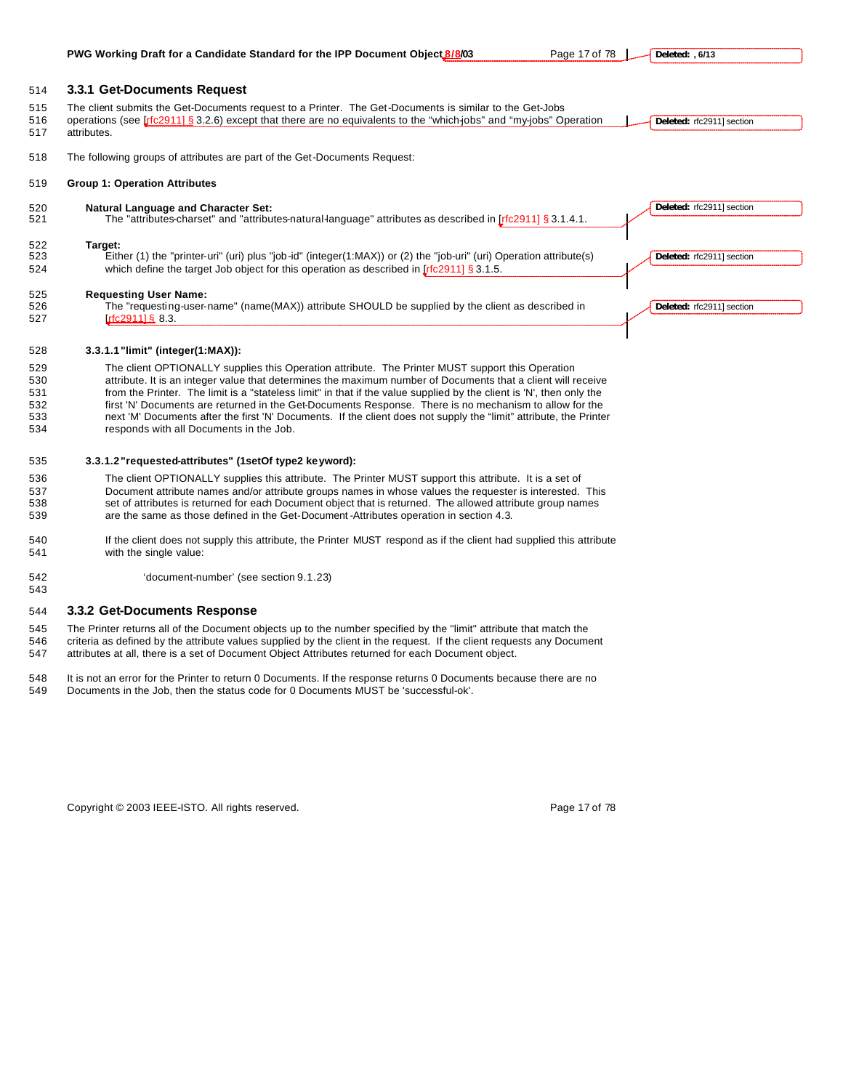**PWG Working Draft for a Candidate Standard for the IPP Document Object 8/8/03** Page 17 of 78 |

**Deleted: , 6/13**

#### **3.3.1 Get-Documents Request**

| 515<br>516<br>517 | The client submits the Get-Documents request to a Printer. The Get-Documents is similar to the Get-Jobs<br>operations (see [ $\frac{f}{c}$ [2911] § 3.2.6) except that there are no equivalents to the "which-jobs" and "my-jobs" Operation<br>Deleted: rfc2911] section<br>attributes. |  |
|-------------------|-----------------------------------------------------------------------------------------------------------------------------------------------------------------------------------------------------------------------------------------------------------------------------------------|--|
| 518               | The following groups of attributes are part of the Get-Documents Request:                                                                                                                                                                                                               |  |

#### **Group 1: Operation Attributes**

| 520<br>521        | <b>Natural Language and Character Set:</b><br>The "attributes-charset" and "attributes-natural-language" attributes as described in $[rfc2911]$ § 3.1.4.1.                                                                    | Deleted: rfc2911] section |
|-------------------|-------------------------------------------------------------------------------------------------------------------------------------------------------------------------------------------------------------------------------|---------------------------|
| 522<br>523<br>524 | Target:<br>Either (1) the "printer-uri" (uri) plus "job-id" (integer(1:MAX)) or (2) the "job-uri" (uri) Operation attribute(s)<br>which define the target Job object for this operation as described in $[rfc2911]\$ § 3.1.5. | Deleted: rfc2911] section |
| 525<br>526<br>527 | <b>Requesting User Name:</b><br>The "requesting-user-name" (name(MAX)) attribute SHOULD be supplied by the client as described in<br>rfc291116883.                                                                            | Deleted: rfc2911] section |

#### **3.3.1.1"limit" (integer(1:MAX)):**

 The client OPTIONALLY supplies this Operation attribute. The Printer MUST support this Operation 530 attribute. It is an integer value that determines the maximum number of Documents that a client will receive<br>531 from the Printer. The limit is a "stateless limit" in that if the value supplied by the client is 'N', th from the Printer. The limit is a "stateless limit" in that if the value supplied by the client is 'N', then only the first 'N' Documents are returned in the Get-Documents Response. There is no mechanism to allow for the next 'M' Documents after the first 'N' Documents. If the client does not supply the "limit" attribute, the Printer responds with all Documents in the Job.

#### **3.3.1.2"requested-attributes" (1setOf type2 keyword):**

 The client OPTIONALLY supplies this attribute. The Printer MUST support this attribute. It is a set of Document attribute names and/or attribute groups names in whose values the requester is interested. This set of attributes is returned for each Document object that is returned. The allowed attribute group names are the same as those defined in the Get-Document -Attributes operation in section 4.3.

- If the client does not supply this attribute, the Printer MUST respond as if the client had supplied this attribute with the single value:
- 'document-number' (see section 9.1.23)

### **3.3.2 Get-Documents Response**

 The Printer returns all of the Document objects up to the number specified by the "limit" attribute that match the criteria as defined by the attribute values supplied by the client in the request. If the client requests any Document attributes at all, there is a set of Document Object Attributes returned for each Document object.

- It is not an error for the Printer to return 0 Documents. If the response returns 0 Documents because there are no
- Documents in the Job, then the status code for 0 Documents MUST be 'successful-ok'.

Copyright © 2003 IEEE-ISTO. All rights reserved. Page 17 of 78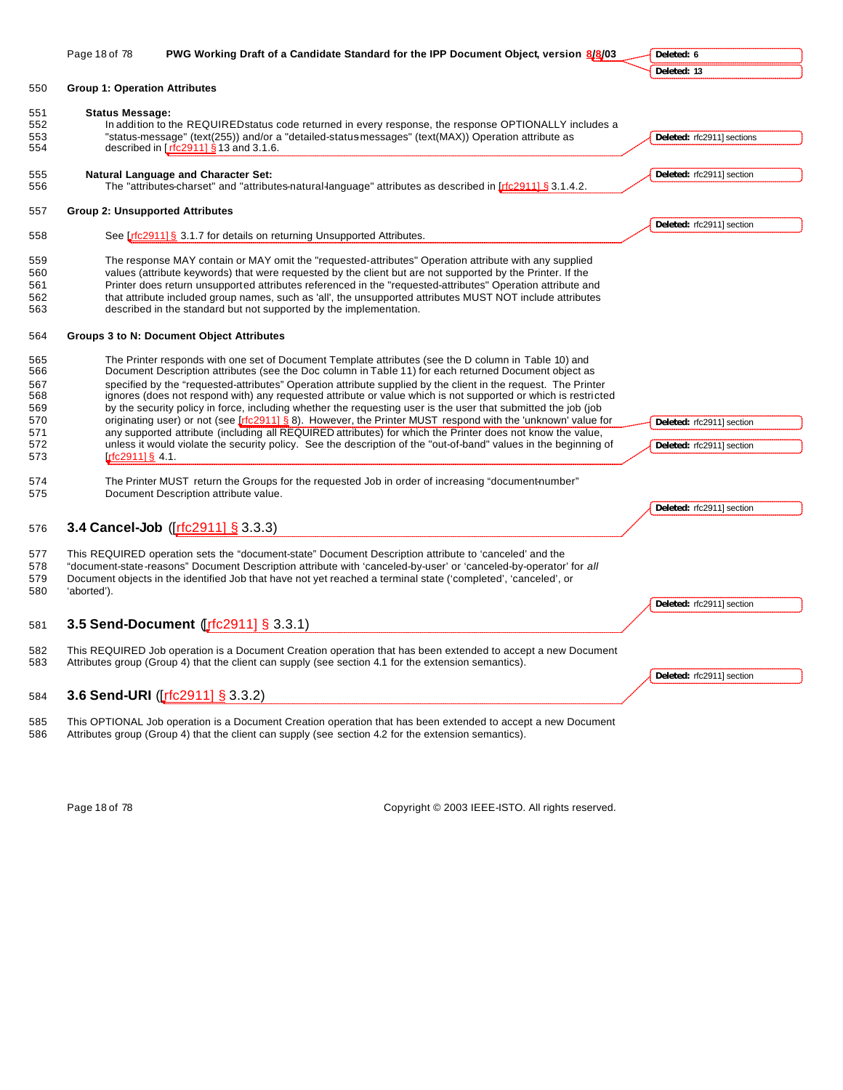|            | Page 18 of 78                          | PWG Working Draft of a Candidate Standard for the IPP Document Object, version 8/8/03                                                                                                                         | Deleted: 6                 |
|------------|----------------------------------------|---------------------------------------------------------------------------------------------------------------------------------------------------------------------------------------------------------------|----------------------------|
|            |                                        |                                                                                                                                                                                                               | Deleted: 13                |
| 550        | <b>Group 1: Operation Attributes</b>   |                                                                                                                                                                                                               |                            |
|            |                                        |                                                                                                                                                                                                               |                            |
| 551        | <b>Status Message:</b>                 |                                                                                                                                                                                                               |                            |
| 552        |                                        | In addition to the REQUIRED status code returned in every response, the response OPTIONALLY includes a                                                                                                        |                            |
| 553        |                                        | "status-message" (text(255)) and/or a "detailed-status-messages" (text(MAX)) Operation attribute as                                                                                                           | Deleted: rfc2911] sections |
| 554        |                                        | described in $[rfc2911]$ § 13 and 3.1.6.                                                                                                                                                                      |                            |
|            |                                        |                                                                                                                                                                                                               |                            |
| 555<br>556 |                                        | <b>Natural Language and Character Set:</b><br>The "attributes-charset" and "attributes-natural-language" attributes as described in Irfc29111 § 3.1.4.2.                                                      | Deleted: rfc2911] section  |
|            |                                        |                                                                                                                                                                                                               |                            |
| 557        | <b>Group 2: Unsupported Attributes</b> |                                                                                                                                                                                                               |                            |
|            |                                        |                                                                                                                                                                                                               | Deleted: rfc2911] section  |
| 558        |                                        | See Lrfc2911] § 3.1.7 for details on returning Unsupported Attributes.                                                                                                                                        |                            |
|            |                                        |                                                                                                                                                                                                               |                            |
| 559        |                                        | The response MAY contain or MAY omit the "requested-attributes" Operation attribute with any supplied                                                                                                         |                            |
| 560        |                                        | values (attribute keywords) that were requested by the client but are not supported by the Printer. If the                                                                                                    |                            |
| 561        |                                        | Printer does return unsupported attributes referenced in the "requested-attributes" Operation attribute and                                                                                                   |                            |
| 562        |                                        | that attribute included group names, such as 'all', the unsupported attributes MUST NOT include attributes                                                                                                    |                            |
| 563        |                                        | described in the standard but not supported by the implementation.                                                                                                                                            |                            |
|            |                                        |                                                                                                                                                                                                               |                            |
| 564        |                                        | Groups 3 to N: Document Object Attributes                                                                                                                                                                     |                            |
|            |                                        |                                                                                                                                                                                                               |                            |
| 565<br>566 |                                        | The Printer responds with one set of Document Template attributes (see the D column in Table 10) and<br>Document Description attributes (see the Doc column in Table 11) for each returned Document object as |                            |
|            |                                        |                                                                                                                                                                                                               |                            |
| 567        |                                        | specified by the "requested-attributes" Operation attribute supplied by the client in the request. The Printer                                                                                                |                            |
| 568        |                                        | ignores (does not respond with) any requested attribute or value which is not supported or which is restricted                                                                                                |                            |
| 569        |                                        | by the security policy in force, including whether the requesting user is the user that submitted the job (job                                                                                                |                            |
| 570        |                                        | originating user) or not (see [rfc2911] § 8). However, the Printer MUST respond with the 'unknown' value for                                                                                                  | Deleted: rfc2911] section  |
| 571        |                                        | any supported attribute (including all REQUIRED attributes) for which the Printer does not know the value,                                                                                                    |                            |
| 572        |                                        | unless it would violate the security policy. See the description of the "out-of-band" values in the beginning of                                                                                              | Deleted: rfc2911] section  |
| 573        | $rfc2911$ ] § 4.1.                     |                                                                                                                                                                                                               |                            |
| 574        |                                        | The Printer MUST return the Groups for the requested Job in order of increasing "document-number"                                                                                                             |                            |
| 575        |                                        | Document Description attribute value.                                                                                                                                                                         |                            |
|            |                                        |                                                                                                                                                                                                               | Deleted: rfc2911] section  |
|            |                                        |                                                                                                                                                                                                               |                            |
| 576        |                                        | 3.4 Cancel-Job ([rfc2911] § 3.3.3)                                                                                                                                                                            |                            |
|            |                                        |                                                                                                                                                                                                               |                            |
| 577        |                                        | This REQUIRED operation sets the "document-state" Document Description attribute to 'canceled' and the                                                                                                        |                            |
| 578        |                                        | "document-state-reasons" Document Description attribute with 'canceled-by-user' or 'canceled-by-operator' for all                                                                                             |                            |
| 579        |                                        | Document objects in the identified Job that have not yet reached a terminal state ('completed', 'canceled', or                                                                                                |                            |
| 580        | 'aborted').                            |                                                                                                                                                                                                               |                            |
|            |                                        |                                                                                                                                                                                                               | Deleted: rfc2911] section  |
| 581        |                                        | 3.5 Send-Document ([fc2911] § 3.3.1)                                                                                                                                                                          |                            |
|            |                                        |                                                                                                                                                                                                               |                            |
| 582        |                                        | This REQUIRED Job operation is a Document Creation operation that has been extended to accept a new Document                                                                                                  |                            |
| 583        |                                        | Attributes group (Group 4) that the client can supply (see section 4.1 for the extension semantics).                                                                                                          |                            |
|            |                                        |                                                                                                                                                                                                               | Deleted: rfc2911] section  |
|            |                                        |                                                                                                                                                                                                               |                            |
| 584        |                                        | 3.6 Send-URI ([rfc2911] § 3.3.2)                                                                                                                                                                              |                            |
| 585        |                                        | This OPTIONAL Job operation is a Document Creation operation that has been extended to accept a new Document                                                                                                  |                            |
| 586        |                                        | Attributes group (Group 4) that the client can supply (see section 4.2 for the extension semantics).                                                                                                          |                            |
|            |                                        |                                                                                                                                                                                                               |                            |
|            |                                        |                                                                                                                                                                                                               |                            |
|            |                                        |                                                                                                                                                                                                               |                            |
|            |                                        |                                                                                                                                                                                                               |                            |

Page 18 of 78 Copyright © 2003 IEEE-ISTO. All rights reserved.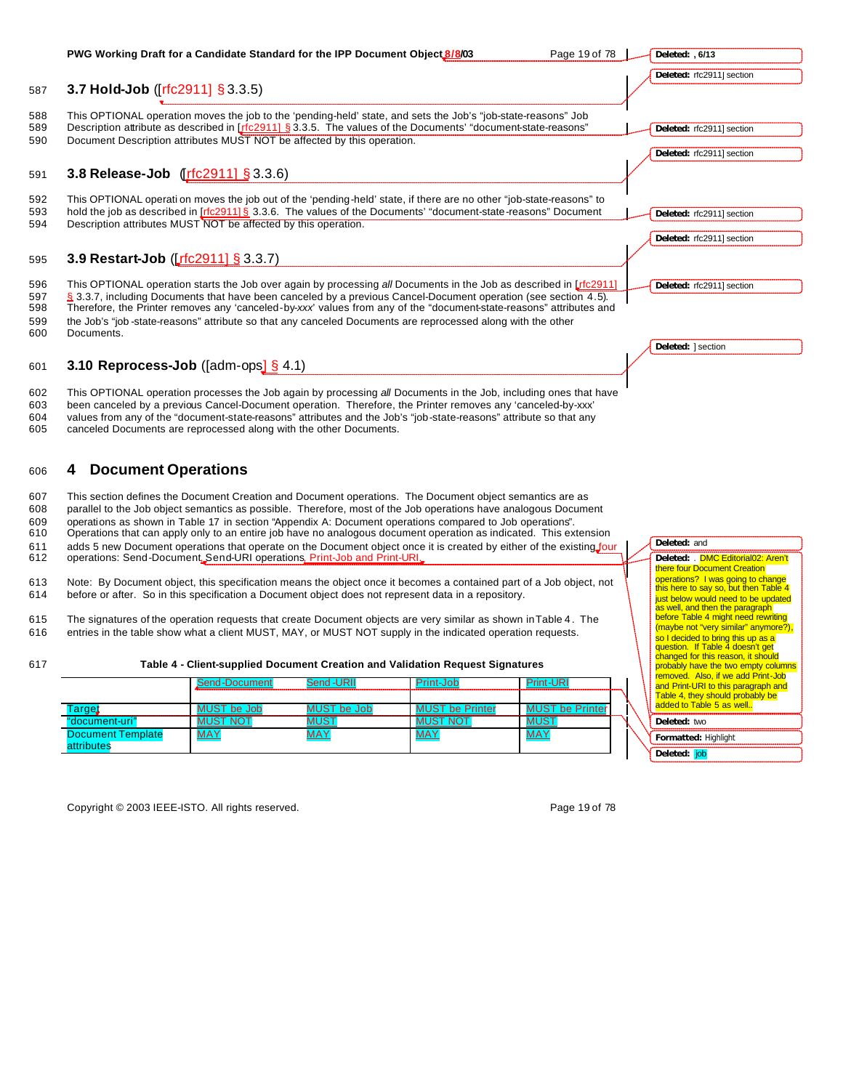#### **PWG Working Draft for a Candidate Standard for the IPP Document Object 8/8/03** Page 19 of 78 | 587 **3.7 Hold-Job** ([rfc2911] § 3.3.5) 588 This OPTIONAL operation moves the job to the 'pending-held' state, and sets the Job's "job-state-reasons" Job<br>589 Description attribute as described in [rfc2911] § 3.3.5. The values of the Documents' "document-state-re Description attribute as described in [rfc2911] § 3.3.5. The values of the Documents' "document-state-reasons" 590 Document Description attributes MUST NOT be affected by this operation. 591 **3.8 Release-Job** ([rfc2911] § 3.3.6) 592 This OPTIONAL operati on moves the job out of the 'pending-held' state, if there are no other "job-state-reasons" to 593 hold the job as described in [rfc2911] § 3.3.6. The values of the Documents' "document-state-reasons" Document 594 Description attributes MUST NOT be affected by this operation. 595 **3.9 Restart-Job** ([rfc2911] § 3.3.7) 596 This OPTIONAL operation starts the Job over again by processing *all* Documents in the Job as described in [rfc2911] 597 § 3.3.7, including Documents that have been canceled by a previous Cancel-Document operation (see section 4.5).<br>598 Therefore, the Printer removes any 'canceled-by-xxx' values from any of the "document-state-reasons" 598 Therefore, the Printer removes any 'canceled-by-*xxx*' values from any of the "document-state-reasons" attributes and 599 the Job's "job -state-reasons" attribute so that any canceled Documents are reprocessed along with the other 600 Documents. 601 **3.10 Reprocess-Job** ([adm-ops] § 4.1) 602 This OPTIONAL operation processes the Job again by processing *all* Documents in the Job, including ones that have 603 been canceled by a previous Cancel-Document operation. Therefore, the Printer removes any 'canceled-by-xxx' 604 values from any of the "document-state-reasons" attributes and the Job's "job-state-reasons" attribute so that any<br>605 canceled Documents are reprocessed along with the other Documents. canceled Documents are reprocessed along with the other Documents. <sup>606</sup> **4 Document Operations** 607 This section defines the Document Creation and Document operations. The Document object semantics are as 608 parallel to the Job object semantics as possible. Therefore, most of the Job operations have analogous Document 609 operations as shown in Table 17 in section "Appendix A: Document operations compared to Job operations". 610 Operations that can apply only to an entire job have no analogous document operation as indicated. This extension 611 adds 5 new Document operations that operate on the Document object once it is created by either of the existing four 612 operations: Send-Document, Send-URI operations, Print-Job and Print-URI. 613 Note: By Document object, this specification means the object once it becomes a contained part of a Job object, not 614 before or after. So in this specification a Document object does not represent data in a repository. **Deleted: , 6/13 Deleted:** rfc2911] section **Deleted:** rfc2911] section **Deleted:** rfc2911] section **Deleted:** rfc2911] section **Deleted:** rfc2911] section **Deleted:** rfc2911] section **Deleted:** ] section **Deleted:** and **Deleted:** . DMC Editorial02: Aren't there four Document Creation operations? I was going to change this here to say so, but then Table 4 just below would need to be updated as well, and then the paragraph before Table 4 might need rewriting

615 The signatures of the operation requests that create Document objects are very similar as shown in Table 4 . The 616 entries in the table show what a client MUST, MAY, or MUST NOT supply in the indicated operation requests.

### 617 **Table 4 - Client-supplied Document Creation and Validation Request Signatures**

|                                        | Send-Document   | <b>Send-URII</b> | Print-Job              | <b>Print-URI</b>       |  |
|----------------------------------------|-----------------|------------------|------------------------|------------------------|--|
|                                        |                 |                  |                        |                        |  |
| Farget                                 | MUST be Job     | MUST be Job      | <b>MUST be Printer</b> | <b>MUST be Printer</b> |  |
| "document-uri"                         | <b>MUST NOT</b> | <b>MUST</b>      | <b>MUST NOT</b>        | <b>MUST</b>            |  |
| <b>Document Template</b><br>attributes | <b>MAY</b>      | <b>MAY</b>       | <b>MAY</b>             | <b>MAY</b>             |  |

Copyright © 2003 IEEE-ISTO. All rights reserved. Copyright C 2003 IEEE-ISTO. All rights reserved.

**Formatted:** Highlight

**Deleted:** two

**Deleted:** job

(maybe not "very similar" anymore?), so I decided to bring this up as a question. If Table 4 doesn't get changed for this reason, it should probably have the two empty columns **removed.** Also, if we add Print-Job and Print-URI to this paragraph and Table 4, they should probably be added to Table 5 as well..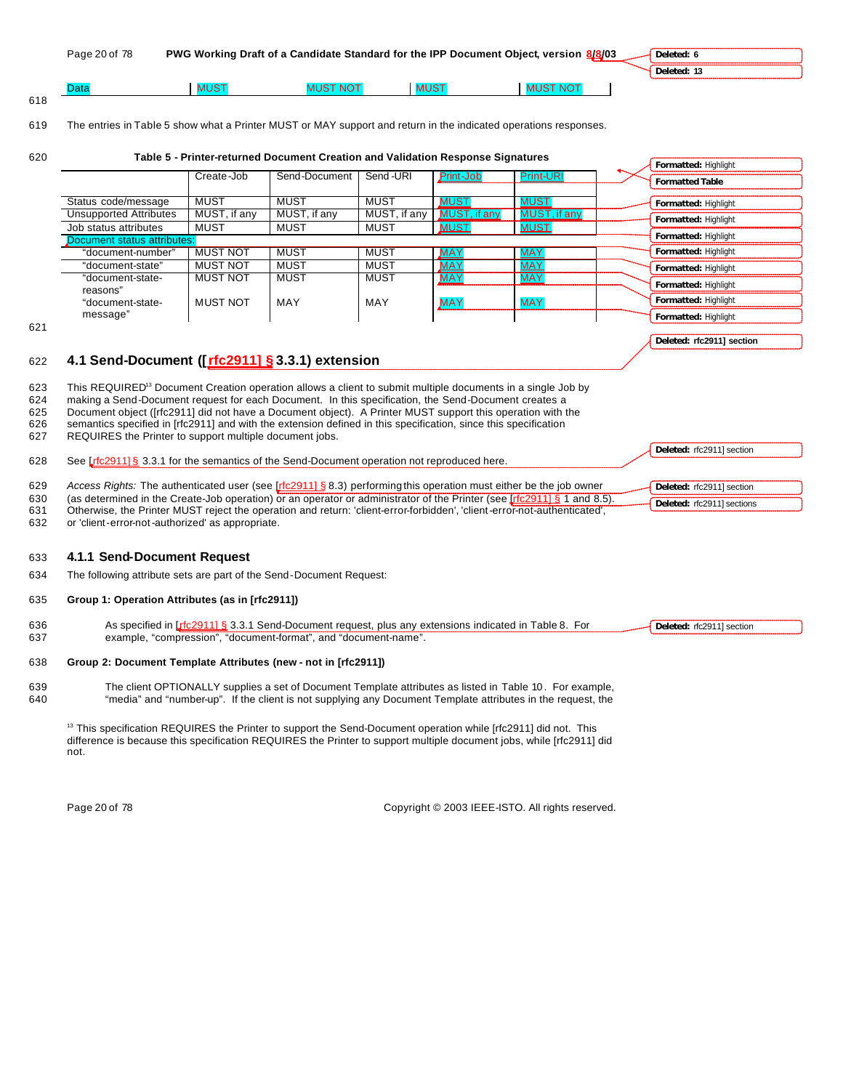| Page 20 of 78 |      |                | PWG Working Draft of a Candidate Standard for the IPP Document Object, version 8/8/03 | Deleted: 6  |
|---------------|------|----------------|---------------------------------------------------------------------------------------|-------------|
|               |      |                |                                                                                       | Deleted: 13 |
| Data          | MUS1 | <b>IST NOT</b> | <b>MUST NOT</b>                                                                       |             |

#### 619 The entries in Table 5 show what a Printer MUST or MAY support and return in the indicated operations responses.

618

#### 620 **Table 5 - Printer-returned Document Creation and Validation Response Signatures**

|                               | Create-Job      | Send-Document | Send-URI     | Print-Job    | <b>Print-URI</b> | <b>Formatted Table</b> |
|-------------------------------|-----------------|---------------|--------------|--------------|------------------|------------------------|
|                               |                 |               |              |              |                  |                        |
| Status code/message           | <b>MUST</b>     | MUST          | <b>MUST</b>  | <b>MUST</b>  | <b>MUST</b>      | Formatted: Highlight   |
| <b>Unsupported Attributes</b> | MUST, if any    | MUST, if any  | MUST, if any | MUST, if any | MUST, if any     | Formatted: Highlight   |
| Job status attributes         | MUST            | <b>MUST</b>   | MUST         | <b>MUST</b>  | <b>MUST</b>      |                        |
| Document status attributes:   |                 |               |              |              |                  | Formatted: Highlight   |
| "document-number"             | <b>MUST NOT</b> | <b>MUST</b>   | <b>MUST</b>  | <u>MAY</u>   | <u>MAY</u>       | Formatted: Highlight   |
| "document-state"              | <b>MUST NOT</b> | <b>MUST</b>   | <b>MUST</b>  | <b>MAY</b>   | <b>MAY</b>       | Formatted: Highlight   |
| "document-state-              | <b>MUST NOT</b> | <b>MUST</b>   | <b>MUST</b>  | <b>MAY</b>   | <b>MAY</b>       | Formatted: Highlight   |
| reasons"                      |                 |               |              |              |                  |                        |
| "document-state-              | <b>MUST NOT</b> | MAY           | MAY          | <b>MAY</b>   | <b>MAY</b>       | Formatted: Highlight   |
| message"                      |                 |               |              |              |                  | Formatted: Highlight   |

621

### **Deleted: rfc2911] section**

**Deleted:** rfc2911] section

**Deleted:** rfc2911] section **Deleted:** rfc2911] sections

**Formatted:** Highlight

# 622 **4.1 Send-Document ([rfc2911] § 3.3.1) extension**

- 623 This REQUIRED<sup>13</sup> Document Creation operation allows a client to submit multiple documents in a single Job by
- 624 making a Send-Document request for each Document. In this specification, the Send-Document creates a
- 625 Document object ([rfc2911] did not have a Document object). A Printer MUST support this operation with the
- 626 semantics specified in [rfc2911] and with the extension defined in this specification, since this specification
- 627 REQUIRES the Printer to support multiple document jobs.
- 628 See [rfc2911] § 3.3.1 for the semantics of the Send-Document operation not reproduced here.
- 629 *Access Rights:* The authenticated user (see [rfc2911] § 8.3) performing this operation must either be the job owner
- 630 (as determined in the Create-Job operation) or an operator or administrator of the Printer (see [rfc2911] § 1 and 8.5).
- 631 Otherwise, the Printer MUST reject the operation and return: 'client-error-forbidden', 'client-error-not-authenticated',
- 632 or 'client-error-not-authorized' as appropriate.

#### 633 **4.1.1 Send-Document Request**

634 The following attribute sets are part of the Send-Document Request:

#### 635 **Group 1: Operation Attributes (as in [rfc2911])**

636 As specified in [rfc2911] § 3.3.1 Send-Document request, plus any extensions indicated in Table 8. For 637 example, "compression", "document-format", and "document-name". Deleted: rfc2911] section

#### 638 **Group 2: Document Template Attributes (new - not in [rfc2911])**

639 The client OPTIONALLY supplies a set of Document Template attributes as listed in Table 10 . For example, 640 "media" and "number-up". If the client is not supplying any Document Template attributes in the request, the

<sup>13</sup> This specification REQUIRES the Printer to support the Send-Document operation while [rfc2911] did not. This difference is because this specification REQUIRES the Printer to support multiple document jobs, while [rfc2911] did not.

Page 20 of 78 Copyright © 2003 IEEE-ISTO. All rights reserved.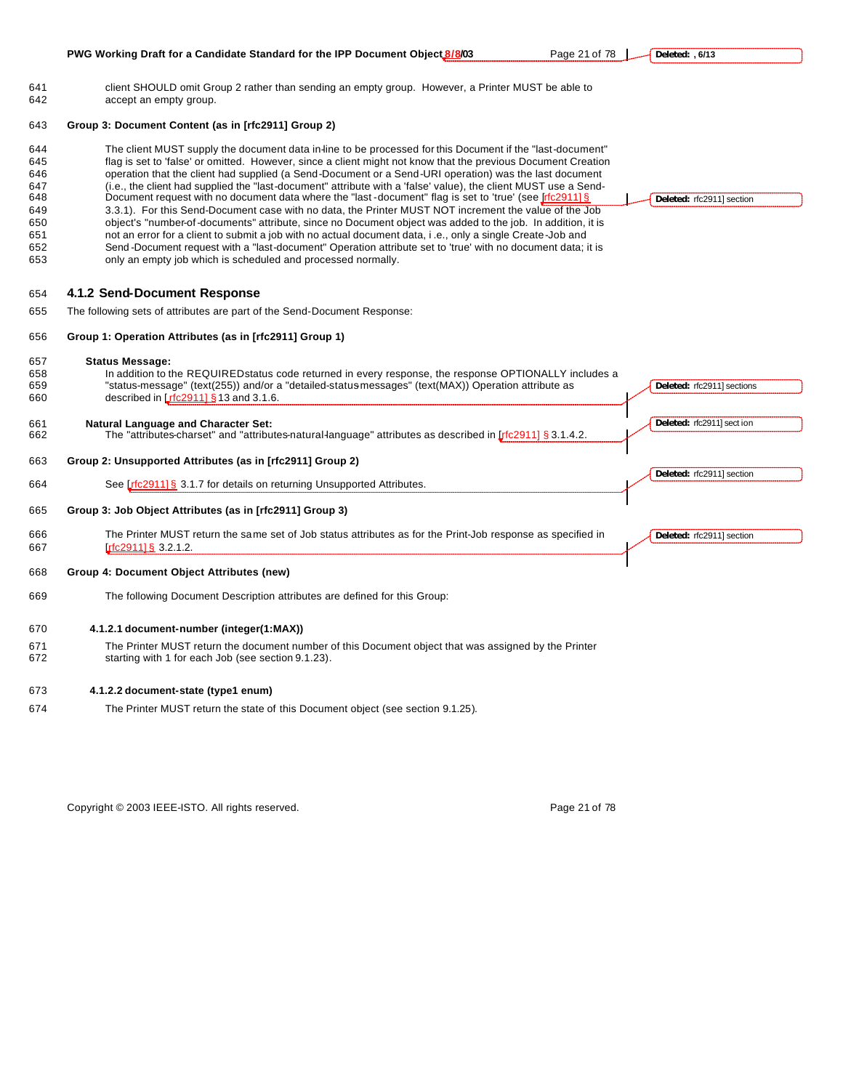| Deleted: rfc2911] section  |
|----------------------------|
|                            |
|                            |
|                            |
| Deleted: rfc2911] sections |
| Deleted: rfc2911] sect ion |
|                            |
| Deleted: rfc2911] section  |
|                            |
| Deleted: rfc2911] section  |
|                            |
|                            |
|                            |
|                            |
|                            |
|                            |
|                            |

Copyright © 2003 IEEE-ISTO. All rights reserved. example 21 of 78 Page 21 of 78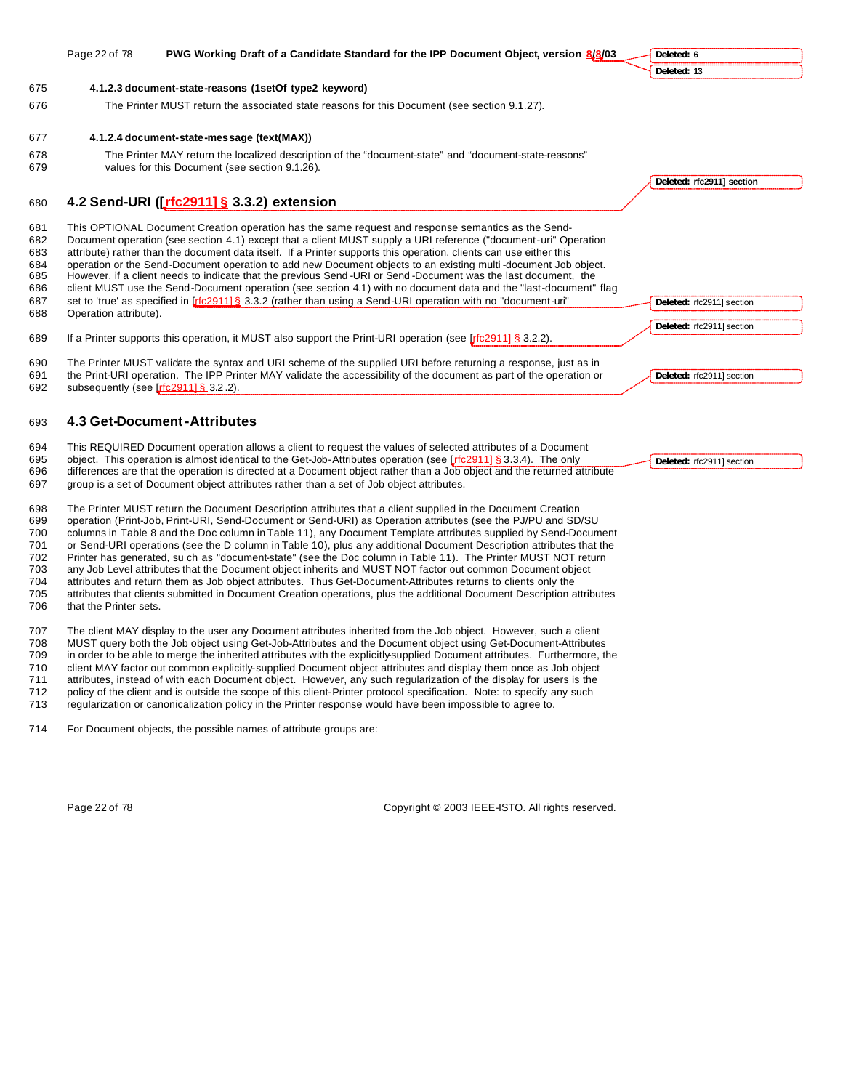|                                               | Page 22 of 78         | PWG Working Draft of a Candidate Standard for the IPP Document Object, version 8/8/03                                                                                                                                                                                                                                                                                                                                                                                                                                                                                                                                                                                                                                                                                                                                  | Deleted: 6                |
|-----------------------------------------------|-----------------------|------------------------------------------------------------------------------------------------------------------------------------------------------------------------------------------------------------------------------------------------------------------------------------------------------------------------------------------------------------------------------------------------------------------------------------------------------------------------------------------------------------------------------------------------------------------------------------------------------------------------------------------------------------------------------------------------------------------------------------------------------------------------------------------------------------------------|---------------------------|
|                                               |                       |                                                                                                                                                                                                                                                                                                                                                                                                                                                                                                                                                                                                                                                                                                                                                                                                                        | Deleted: 13               |
| 675                                           |                       | 4.1.2.3 document-state-reasons (1setOf type2 keyword)                                                                                                                                                                                                                                                                                                                                                                                                                                                                                                                                                                                                                                                                                                                                                                  |                           |
| 676                                           |                       | The Printer MUST return the associated state reasons for this Document (see section 9.1.27).                                                                                                                                                                                                                                                                                                                                                                                                                                                                                                                                                                                                                                                                                                                           |                           |
| 677                                           |                       | 4.1.2.4 document-state-message (text(MAX))                                                                                                                                                                                                                                                                                                                                                                                                                                                                                                                                                                                                                                                                                                                                                                             |                           |
| 678<br>679                                    |                       | The Printer MAY return the localized description of the "document-state" and "document-state-reasons"<br>values for this Document (see section 9.1.26).                                                                                                                                                                                                                                                                                                                                                                                                                                                                                                                                                                                                                                                                |                           |
|                                               |                       |                                                                                                                                                                                                                                                                                                                                                                                                                                                                                                                                                                                                                                                                                                                                                                                                                        | Deleted: rfc2911] section |
| 680                                           |                       | 4.2 Send-URI ([rfc2911] § 3.3.2) extension                                                                                                                                                                                                                                                                                                                                                                                                                                                                                                                                                                                                                                                                                                                                                                             |                           |
| 681<br>682<br>683<br>684<br>685<br>686<br>687 |                       | This OPTIONAL Document Creation operation has the same request and response semantics as the Send-<br>Document operation (see section 4.1) except that a client MUST supply a URI reference ("document-uri" Operation<br>attribute) rather than the document data itself. If a Printer supports this operation, clients can use either this<br>operation or the Send-Document operation to add new Document objects to an existing multi-document Job object.<br>However, if a client needs to indicate that the previous Send -URI or Send -Document was the last document, the<br>client MUST use the Send-Document operation (see section 4.1) with no document data and the "last-document" flag<br>set to 'true' as specified in [rfc2911] § 3.3.2 (rather than using a Send-URI operation with no "document-uri" | Deleted: rfc2911] section |
| 688                                           | Operation attribute). |                                                                                                                                                                                                                                                                                                                                                                                                                                                                                                                                                                                                                                                                                                                                                                                                                        |                           |
| 689                                           |                       | If a Printer supports this operation, it MUST also support the Print-URI operation (see [rfc2911] § 3.2.2).                                                                                                                                                                                                                                                                                                                                                                                                                                                                                                                                                                                                                                                                                                            | Deleted: rfc2911] section |
| 690<br>691<br>692                             |                       | The Printer MUST validate the syntax and URI scheme of the supplied URI before returning a response, just as in<br>the Print-URI operation. The IPP Printer MAY validate the accessibility of the document as part of the operation or<br>subsequently (see [rfc291116 3.2.2).                                                                                                                                                                                                                                                                                                                                                                                                                                                                                                                                         | Deleted: rfc2911] section |
| 693                                           |                       | 4.3 Get-Document-Attributes                                                                                                                                                                                                                                                                                                                                                                                                                                                                                                                                                                                                                                                                                                                                                                                            |                           |
| 694<br>695<br>696<br>697                      |                       | This REQUIRED Document operation allows a client to request the values of selected attributes of a Document<br>object. This operation is almost identical to the Get-Job-Attributes operation (see Lrfc2911] § 3.3.4). The only<br>differences are that the operation is directed at a Document object rather than a Job object and the returned attribute<br>group is a set of Document object attributes rather than a set of Job object attributes.                                                                                                                                                                                                                                                                                                                                                                 | Deleted: rfc2911] section |

698 The Printer MUST return the Document Description attributes that a client supplied in the Document Creation<br>699 operation (Print-Job. Print-URI. Send-Document or Send-URI) as Operation attributes (see the PJ/PU and SD 699 operation (Print-Job, Print-URI, Send-Document or Send-URI) as Operation attributes (see the PJ/PU and SD/SU 700 columns in Table 8 and the Doc column in Table 11), any Document Template attributes supplied by Send-Document<br>701 or Send-URI operations (see the D column in Table 10), plus any additional Document Description attribu or Send-URI operations (see the D column in Table 10), plus any additional Document Description attributes that the 702 Printer has generated, su ch as "document-state" (see the Doc column in Table 11). The Printer MUST NOT return 703 any Job Level attributes that the Document object inherits and MUST NOT factor out common Document object<br>704 attributes and return them as Job object attributes. Thus Get-Document-Attributes returns to clients only th attributes and return them as Job object attributes. Thus Get-Document-Attributes returns to clients only the 705 attributes that clients submitted in Document Creation operations, plus the additional Document Description attributes 706 that the Printer sets.

707 The client MAY display to the user any Document attributes inherited from the Job object. However, such a client<br>708 MUST query both the Job object using Get-Job-Attributes and the Document object using Get-Document-At 708 MUST query both the Job object using Get-Job-Attributes and the Document object using Get-Document-Attributes in order to be able to merge the inherited attributes with the explicitly-supplied Document attributes. Furthermore, the 710 client MAY factor out common explicitly-supplied Document object attributes and display them once as Job object<br>711 attributes, instead of with each Document object. However, any such regularization of the display for attributes, instead of with each Document object. However, any such regularization of the display for users is the 712 policy of the client and is outside the scope of this client-Printer protocol specification. Note: to specify any such 713 regularization or canonicalization policy in the Printer response would have been impossible to agree to.

714 For Document objects, the possible names of attribute groups are:

Page 22 of 78 Copyright © 2003 IEEE-ISTO. All rights reserved.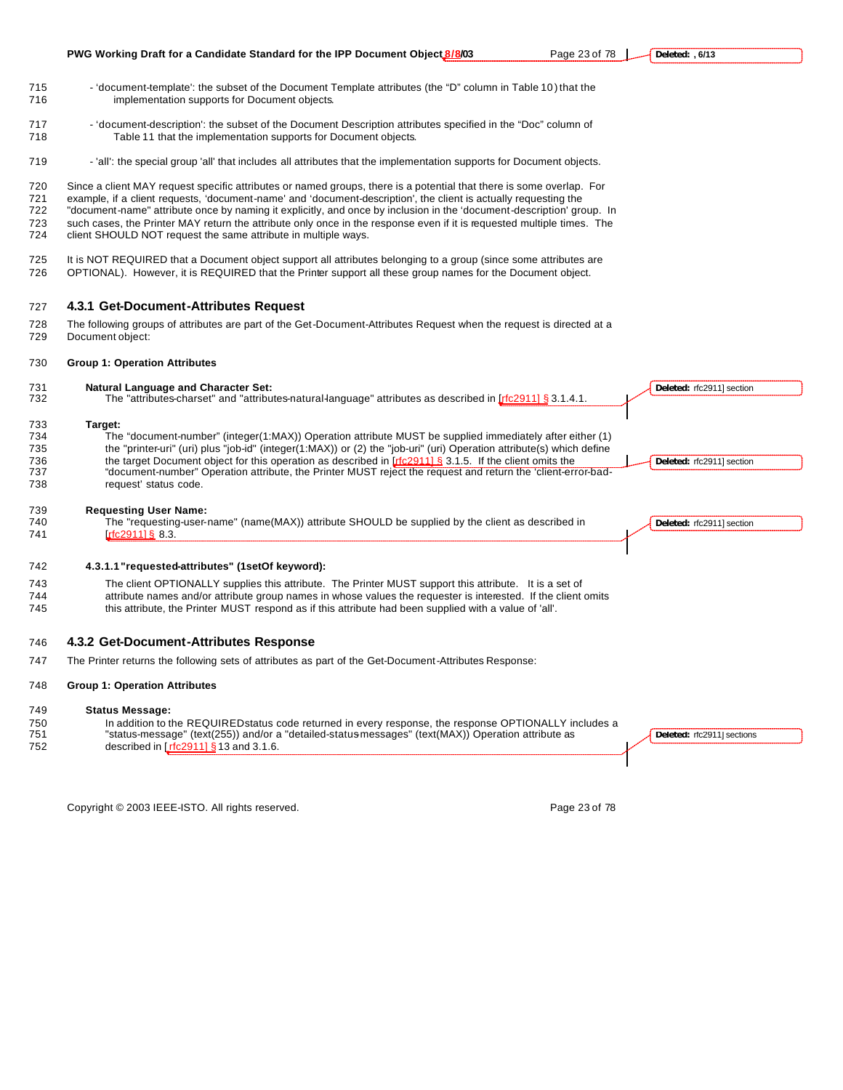

Copyright © 2003 IEEE-ISTO. All rights reserved. Copyright C 2003 IEEE-ISTO. All rights reserved.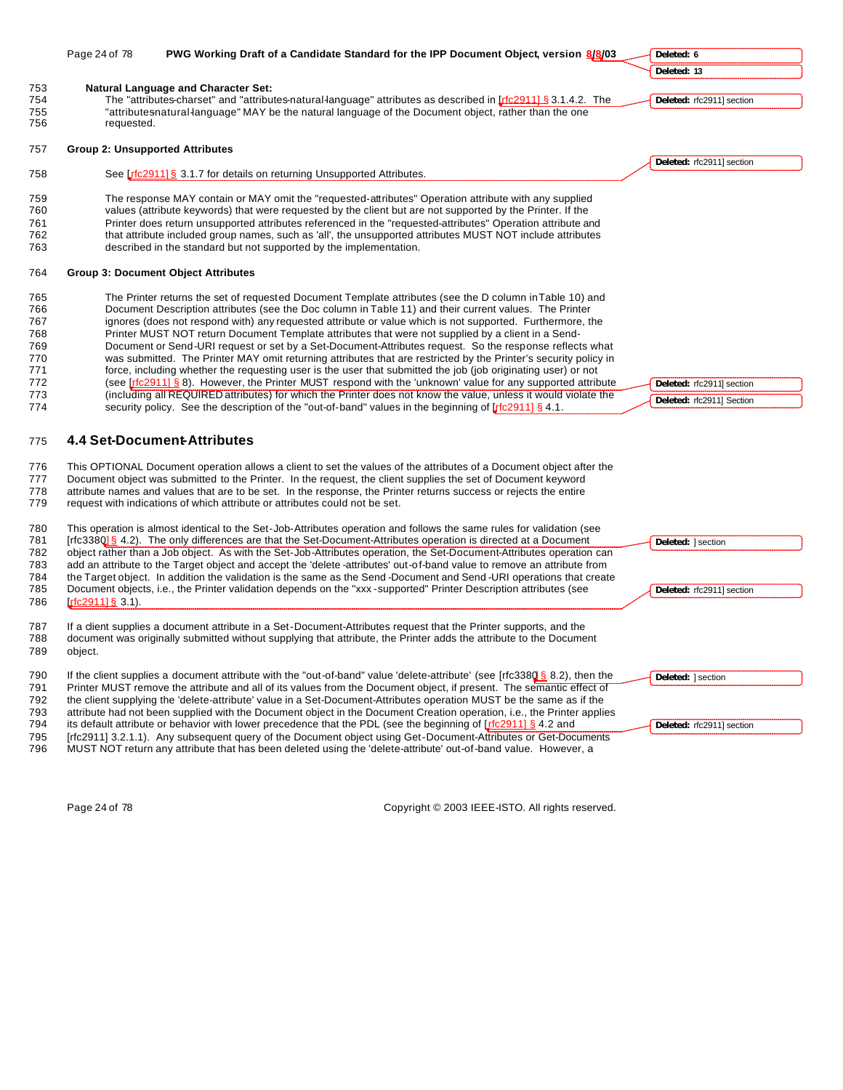|            | Page 24 of 78                          | PWG Working Draft of a Candidate Standard for the IPP Document Object, version 8/8/03                                                                                                                                                  | Deleted: 6                |
|------------|----------------------------------------|----------------------------------------------------------------------------------------------------------------------------------------------------------------------------------------------------------------------------------------|---------------------------|
|            |                                        |                                                                                                                                                                                                                                        | Deleted: 13               |
| 753        |                                        | <b>Natural Language and Character Set:</b>                                                                                                                                                                                             |                           |
| 754<br>755 |                                        | The "attributes-charset" and "attributes-natural-language" attributes as described in [rfc2911] § 3.1.4.2. The<br>"attributesnatural-language" MAY be the natural language of the Document object, rather than the one                 | Deleted: rfc2911] section |
| 756        | requested.                             |                                                                                                                                                                                                                                        |                           |
|            |                                        |                                                                                                                                                                                                                                        |                           |
| 757        | <b>Group 2: Unsupported Attributes</b> |                                                                                                                                                                                                                                        |                           |
| 758        |                                        | See Lrfc2911] § 3.1.7 for details on returning Unsupported Attributes.                                                                                                                                                                 | Deleted: rfc2911] section |
|            |                                        |                                                                                                                                                                                                                                        |                           |
| 759        |                                        | The response MAY contain or MAY omit the "requested-attributes" Operation attribute with any supplied                                                                                                                                  |                           |
| 760<br>761 |                                        | values (attribute keywords) that were requested by the client but are not supported by the Printer. If the<br>Printer does return unsupported attributes referenced in the "requested-attributes" Operation attribute and              |                           |
| 762        |                                        | that attribute included group names, such as 'all', the unsupported attributes MUST NOT include attributes                                                                                                                             |                           |
| 763        |                                        | described in the standard but not supported by the implementation.                                                                                                                                                                     |                           |
| 764        |                                        | <b>Group 3: Document Object Attributes</b>                                                                                                                                                                                             |                           |
| 765        |                                        | The Printer returns the set of requested Document Template attributes (see the D column in Table 10) and                                                                                                                               |                           |
| 766        |                                        | Document Description attributes (see the Doc column in Table 11) and their current values. The Printer                                                                                                                                 |                           |
| 767        |                                        | ignores (does not respond with) any requested attribute or value which is not supported. Furthermore, the                                                                                                                              |                           |
| 768        |                                        | Printer MUST NOT return Document Template attributes that were not supplied by a client in a Send-                                                                                                                                     |                           |
| 769        |                                        | Document or Send-URI request or set by a Set-Document-Attributes request. So the response reflects what                                                                                                                                |                           |
| 770<br>771 |                                        | was submitted. The Printer MAY omit returning attributes that are restricted by the Printer's security policy in<br>force, including whether the requesting user is the user that submitted the job (job originating user) or not      |                           |
| 772        |                                        | (see $[rfc2911]$ § 8). However, the Printer MUST respond with the 'unknown' value for any supported attribute                                                                                                                          | Deleted: rfc2911] section |
| 773        |                                        | (including all REQUIRED attributes) for which the Printer does not know the value, unless it would violate the                                                                                                                         |                           |
| 774        |                                        | security policy. See the description of the "out-of-band" values in the beginning of $\int \int \int f(z^2 + 1) dz$ .                                                                                                                  | Deleted: rfc2911] Section |
| 775        |                                        | <b>4.4 Set-Document-Attributes</b>                                                                                                                                                                                                     |                           |
| 776        |                                        | This OPTIONAL Document operation allows a client to set the values of the attributes of a Document object after the                                                                                                                    |                           |
| 777        |                                        | Document object was submitted to the Printer. In the request, the client supplies the set of Document keyword                                                                                                                          |                           |
| 778        |                                        | attribute names and values that are to be set. In the response, the Printer returns success or rejects the entire                                                                                                                      |                           |
| 779        |                                        | request with indications of which attribute or attributes could not be set.                                                                                                                                                            |                           |
| 780        |                                        | This operation is almost identical to the Set-Job-Attributes operation and follows the same rules for validation (see                                                                                                                  |                           |
| 781        |                                        | [rfc3380] § 4.2). The only differences are that the Set-Document-Attributes operation is directed at a Document                                                                                                                        | Deleted:   section        |
| 782        |                                        | object rather than a Job object. As with the Set-Job-Attributes operation, the Set-Document-Attributes operation can                                                                                                                   |                           |
| 783        |                                        | add an attribute to the Target object and accept the 'delete -attributes' out-of-band value to remove an attribute from                                                                                                                |                           |
| 784        |                                        | the Target object. In addition the validation is the same as the Send-Document and Send-URI operations that create                                                                                                                     |                           |
| 785<br>786 | $rrc2911183.1$ .                       | Document objects, i.e., the Printer validation depends on the "xxx-supported" Printer Description attributes (see                                                                                                                      | Deleted: rfc2911] section |
|            |                                        |                                                                                                                                                                                                                                        |                           |
| 787        |                                        | If a dient supplies a document attribute in a Set-Document-Attributes request that the Printer supports, and the                                                                                                                       |                           |
| 788        |                                        | document was originally submitted without supplying that attribute, the Printer adds the attribute to the Document                                                                                                                     |                           |
| 789        | object.                                |                                                                                                                                                                                                                                        |                           |
| 790        |                                        | If the client supplies a document attribute with the "out-of-band" value 'delete-attribute' (see [rfc3380 § 8.2), then the                                                                                                             | Deleted:   section        |
| 791        |                                        | Printer MUST remove the attribute and all of its values from the Document object, if present. The semantic effect of                                                                                                                   |                           |
| 792        |                                        | the client supplying the 'delete-attribute' value in a Set-Document-Attributes operation MUST be the same as if the                                                                                                                    |                           |
| 793<br>794 |                                        | attribute had not been supplied with the Document object in the Document Creation operation, i.e., the Printer applies<br>its default attribute or behavior with lower precedence that the PDL (see the beginning of $r$ $r$ = 4.2 and |                           |
| 795        |                                        | [rfc2911] 3.2.1.1). Any subsequent query of the Document object using Get-Document-Attributes or Get-Documents                                                                                                                         | Deleted: rfc2911] section |
| 796        |                                        | MUST NOT return any attribute that has been deleted using the 'delete-attribute' out-of-band value. However, a                                                                                                                         |                           |

Page 24 of 78 Copyright © 2003 IEEE-ISTO. All rights reserved.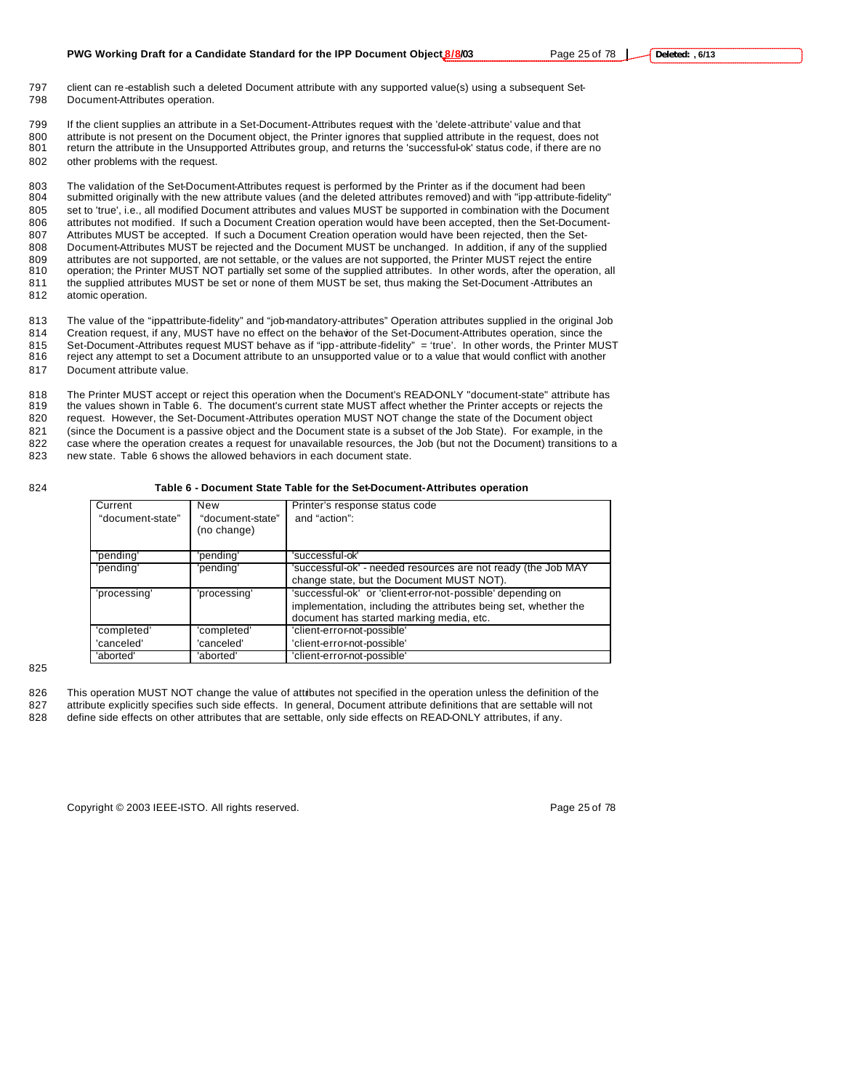- 797 client can re-establish such a deleted Document attribute with any supported value(s) using a subsequent Set-798 Document-Attributes operation.
- 799 If the client supplies an attribute in a Set-Document-Attributes request with the 'delete-attribute' value and that 800 attribute is not present on the Document object, the Printer ignores that supplied attribute in the request, does not 801 return the attribute in the Unsupported Attributes group, and returns the 'successful-ok' status code, if there are no 802 other problems with the request.

 The validation of the Set-Document-Attributes request is performed by the Printer as if the document had been submitted originally with the new attribute values (and the deleted attributes removed) and with "ipp-attribute-fidelity" set to 'true', i.e., all modified Document attributes and values MUST be supported in combination with the Document attributes not modified. If such a Document Creation operation would have been accepted, then the Set-Document- Attributes MUST be accepted. If such a Document Creation operation would have been rejected, then the Set- Document-Attributes MUST be rejected and the Document MUST be unchanged. In addition, if any of the supplied attributes are not supported, are not settable, or the values are not supported, the Printer MUST reject the entire operation; the Printer MUST NOT partially set some of the supplied attributes. In other words, after the operation, all 811 the supplied attributes MUST be set or none of them MUST be set, thus making the Set-Document -Attributes an atomic operation.

813 The value of the "ipp-attribute-fidelity" and "job-mandatory-attributes" Operation attributes supplied in the original Job 814 Creation request, if any, MUST have no effect on the behavior of the Set-Document-Attributes operation, since the

- 815 Set-Document-Attributes request MUST behave as if "ipp-attribute-fidelity" = 'true'. In other words, the Printer MUST<br>816 reject any attempt to set a Document attribute to an unsupported value or to a value that would reject any attempt to set a Document attribute to an unsupported value or to a value that would conflict with another
- 817 Document attribute value.

818 The Printer MUST accept or reject this operation when the Document's READ-ONLY "document-state" attribute has<br>819 the values shown in Table 6. The document's current state MUST affect whether the Printer accepts or rej the values shown in Table 6. The document's current state MUST affect whether the Printer accepts or rejects the 820 request. However, the Set-Document-Attributes operation MUST NOT change the state of the Document object 821 (since the Document is a passive object and the Document state is a subset of the Job State). For example, in the 822 case where the operation creates a request for unavailable resources, the Job (but not the Document) transitions to a 823 new state. Table 6 shows the allowed behaviors in each document state.

#### 824 **Table 6 - Document State Table for the Set-Document-Attributes operation**

| Current          | New              | Printer's response status code                                  |
|------------------|------------------|-----------------------------------------------------------------|
| "document-state" | "document-state" | and "action":                                                   |
|                  | (no change)      |                                                                 |
|                  |                  |                                                                 |
| 'pending'        | 'pending'        | 'successful-ok'                                                 |
| 'pending'        | 'pending'        | 'successful-ok' - needed resources are not ready (the Job MAY   |
|                  |                  | change state, but the Document MUST NOT).                       |
| 'processing'     | 'processing'     | 'successful-ok' or 'client-error-not-possible' depending on     |
|                  |                  | implementation, including the attributes being set, whether the |
|                  |                  | document has started marking media, etc.                        |
| 'completed'      | 'completed'      | 'client-error-not-possible'                                     |
| 'canceled'       | 'canceled'       | 'client-error-not-possible'                                     |
| 'aborted'        | 'aborted'        | 'client-error-not-possible'                                     |

#### 825

826 This operation MUST NOT change the value of attributes not specified in the operation unless the definition of the

- 827 attribute explicitly specifies such side effects. In general, Document attribute definitions that are settable will not 828 define side effects on other attributes that are settable, only side effects on READ-ONLY attributes, if any.
	-

Copyright © 2003 IEEE-ISTO. All rights reserved. Copyright C 2003 IEEE-ISTO. All rights reserved.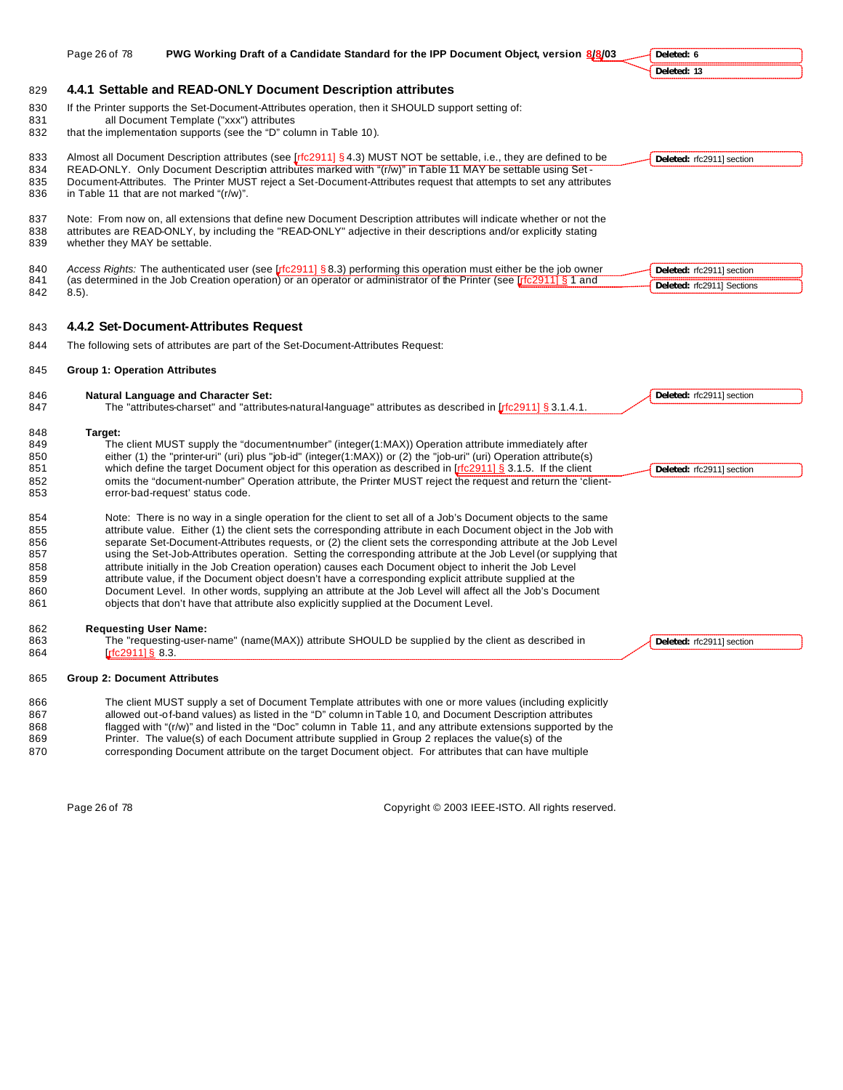|                   | Page 26 of 78                        | PWG Working Draft of a Candidate Standard for the IPP Document Object, version 8/8/03                                                                                                                                                   | Deleted: 6                 |
|-------------------|--------------------------------------|-----------------------------------------------------------------------------------------------------------------------------------------------------------------------------------------------------------------------------------------|----------------------------|
|                   |                                      |                                                                                                                                                                                                                                         | Deleted: 13                |
| 829               |                                      | 4.4.1 Settable and READ-ONLY Document Description attributes                                                                                                                                                                            |                            |
| 830<br>831<br>832 |                                      | If the Printer supports the Set-Document-Attributes operation, then it SHOULD support setting of:<br>all Document Template ("xxx") attributes<br>that the implementation supports (see the "D" column in Table 10).                     |                            |
| 833<br>834        |                                      | Almost all Document Description attributes (see $[rfc2911]$ § 4.3) MUST NOT be settable, i.e., they are defined to be<br>READ-ONLY. Only Document Description attributes marked with "(r/w)" in Table 11 MAY be settable using Set-     | Deleted: rfc2911] section  |
| 835<br>836        |                                      | Document-Attributes. The Printer MUST reject a Set-Document-Attributes request that attempts to set any attributes<br>in Table 11 that are not marked "(r/w)".                                                                          |                            |
| 837<br>838<br>839 | whether they MAY be settable.        | Note: From now on, all extensions that define new Document Description attributes will indicate whether or not the<br>attributes are READ-ONLY, by including the "READ-ONLY" adjective in their descriptions and/or explicitly stating  |                            |
| 840               |                                      | Access Rights: The authenticated user (see [ $rfc2911$ ] § 8.3) performing this operation must either be the job owner                                                                                                                  | Deleted: rfc2911] section  |
| 841<br>842        | $8.5$ ).                             | (as determined in the Job Creation operation) or an operator or administrator of the Printer (see [rfc2911] § 1 and                                                                                                                     | Deleted: rfc2911] Sections |
| 843               |                                      | 4.4.2 Set-Document-Attributes Request                                                                                                                                                                                                   |                            |
| 844               |                                      | The following sets of attributes are part of the Set-Document-Attributes Request:                                                                                                                                                       |                            |
| 845               | <b>Group 1: Operation Attributes</b> |                                                                                                                                                                                                                                         |                            |
| 846<br>847        |                                      | <b>Natural Language and Character Set:</b><br>The "attributes-charset" and "attributes-natural-language" attributes as described in [rfc2911] § 3.1.4.1.                                                                                | Deleted: rfc2911] section  |
| 848               | Target:                              |                                                                                                                                                                                                                                         |                            |
| 849               |                                      | The client MUST supply the "document-number" (integer(1:MAX)) Operation attribute immediately after                                                                                                                                     |                            |
| 850<br>851        |                                      | either (1) the "printer-uri" (uri) plus "job-id" (integer(1: $MAX$ )) or (2) the "job-uri" (uri) Operation attribute(s)<br>which define the target Document object for this operation as described in [r fc2911] § 3.1.5. If the client | Deleted: rfc2911] section  |
| 852<br>853        |                                      | omits the "document-number" Operation attribute, the Printer MUST reject the request and return the 'client-<br>error-bad-request' status code.                                                                                         |                            |
| 854               |                                      | Note: There is no way in a single operation for the client to set all of a Job's Document objects to the same                                                                                                                           |                            |
| 855               |                                      | attribute value. Either (1) the client sets the corresponding attribute in each Document object in the Job with                                                                                                                         |                            |
| 856<br>857        |                                      | separate Set-Document-Attributes requests, or (2) the client sets the corresponding attribute at the Job Level<br>using the Set-Job-Attributes operation. Setting the corresponding attribute at the Job Level (or supplying that       |                            |
| 858               |                                      | attribute initially in the Job Creation operation) causes each Document object to inherit the Job Level                                                                                                                                 |                            |
| 859               |                                      | attribute value, if the Document object doesn't have a corresponding explicit attribute supplied at the                                                                                                                                 |                            |
| 860<br>861        |                                      | Document Level. In other words, supplying an attribute at the Job Level will affect all the Job's Document<br>objects that don't have that attribute also explicitly supplied at the Document Level.                                    |                            |
| 862               | <b>Requesting User Name:</b>         |                                                                                                                                                                                                                                         |                            |
| 863<br>864        | $rfc2911$ ] § 8.3.                   | The "requesting-user-name" (name(MAX)) attribute SHOULD be supplied by the client as described in                                                                                                                                       | Deleted: rfc2911] section  |
| 865               | <b>Group 2: Document Attributes</b>  |                                                                                                                                                                                                                                         |                            |
| 866               |                                      | The client MUST supply a set of Document Template attributes with one or more values (including explicitly                                                                                                                              |                            |
| 867               |                                      | allowed out-of-band values) as listed in the "D" column in Table 10, and Document Description attributes                                                                                                                                |                            |
| 868<br>869        |                                      | flagged with "(r/w)" and listed in the "Doc" column in Table 11, and any attribute extensions supported by the<br>Printer. The value(s) of each Document attribute supplied in Group 2 replaces the value(s) of the                     |                            |
| 870               |                                      | corresponding Document attribute on the target Document object. For attributes that can have multiple                                                                                                                                   |                            |
|                   |                                      |                                                                                                                                                                                                                                         |                            |

Page 26 of 78 Copyright © 2003 IEEE-ISTO. All rights reserved.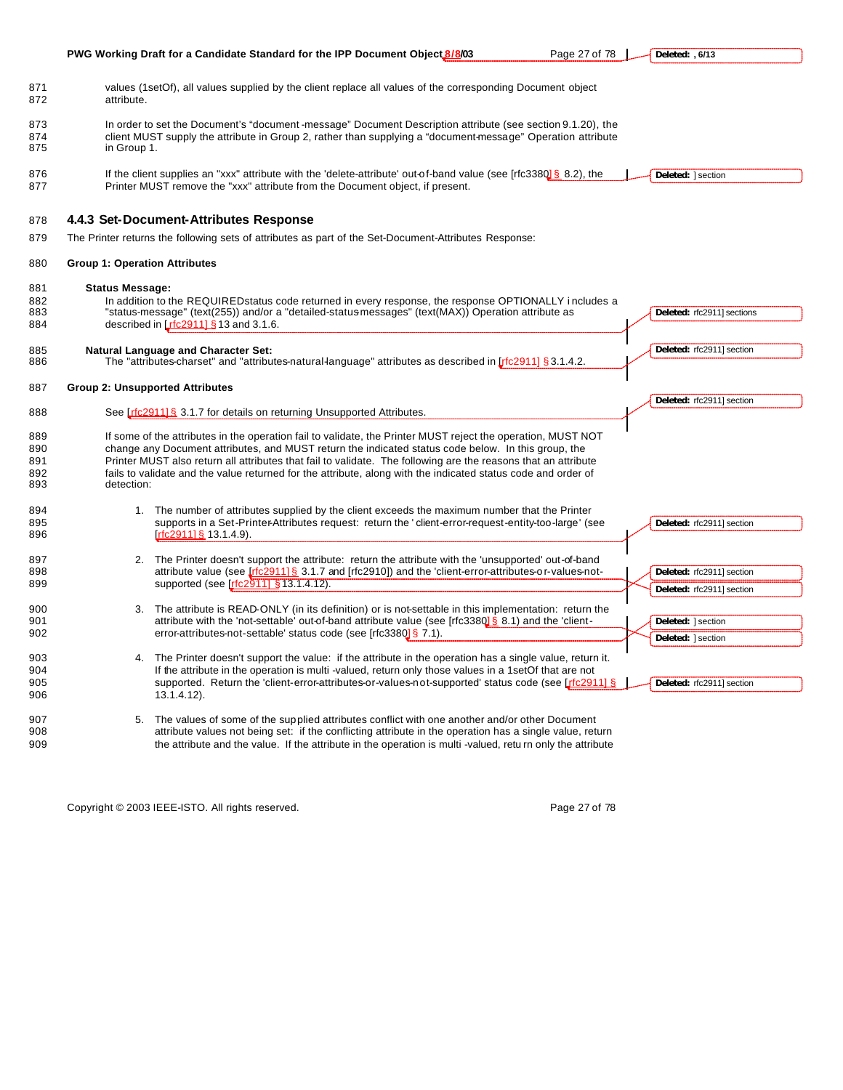|                                 | PWG Working Draft for a Candidate Standard for the IPP Document Object 8/8/03<br>Page 27 of 78                                                                                                                                                                                                                                                                                                                                                                       | Deleted: , 6/13                                        |
|---------------------------------|----------------------------------------------------------------------------------------------------------------------------------------------------------------------------------------------------------------------------------------------------------------------------------------------------------------------------------------------------------------------------------------------------------------------------------------------------------------------|--------------------------------------------------------|
| 871<br>872                      | values (1setOf), all values supplied by the client replace all values of the corresponding Document object<br>attribute.                                                                                                                                                                                                                                                                                                                                             |                                                        |
| 873<br>874<br>875               | In order to set the Document's "document-message" Document Description attribute (see section 9.1.20), the<br>client MUST supply the attribute in Group 2, rather than supplying a "document-message" Operation attribute<br>in Group 1.                                                                                                                                                                                                                             |                                                        |
| 876<br>877                      | If the client supplies an "xxx" attribute with the 'delete-attribute' out-of-band value (see [rfc3380] § 8.2), the<br>Printer MUST remove the "xxx" attribute from the Document object, if present.                                                                                                                                                                                                                                                                  | Deleted:   section                                     |
| 878                             | 4.4.3 Set-Document-Attributes Response                                                                                                                                                                                                                                                                                                                                                                                                                               |                                                        |
| 879                             | The Printer returns the following sets of attributes as part of the Set-Document-Attributes Response:                                                                                                                                                                                                                                                                                                                                                                |                                                        |
| 880                             | <b>Group 1: Operation Attributes</b>                                                                                                                                                                                                                                                                                                                                                                                                                                 |                                                        |
| 881<br>882<br>883<br>884        | <b>Status Message:</b><br>In addition to the REQUIRED status code returned in every response, the response OPTIONALLY includes a<br>"status-message" (text(255)) and/or a "detailed-status messages" (text(MAX)) Operation attribute as<br>described in $[rfc29111 \& 13$ and 3.1.6.                                                                                                                                                                                 | Deleted: rfc2911] sections                             |
| 885<br>886                      | <b>Natural Language and Character Set:</b><br>The "attributes-charset" and "attributes-natural-language" attributes as described in $\int$ fc2911] § 3.1.4.2.                                                                                                                                                                                                                                                                                                        | Deleted: rfc2911] section                              |
| 887                             | <b>Group 2: Unsupported Attributes</b>                                                                                                                                                                                                                                                                                                                                                                                                                               | Deleted: rfc2911] section                              |
| 888                             | See [rfc291116 3.1.7 for details on returning Unsupported Attributes.                                                                                                                                                                                                                                                                                                                                                                                                |                                                        |
| 889<br>890<br>891<br>892<br>893 | If some of the attributes in the operation fail to validate, the Printer MUST reject the operation, MUST NOT<br>change any Document attributes, and MUST return the indicated status code below. In this group, the<br>Printer MUST also return all attributes that fail to validate. The following are the reasons that an attribute<br>fails to validate and the value returned for the attribute, along with the indicated status code and order of<br>detection: |                                                        |
| 894<br>895<br>896               | 1. The number of attributes supplied by the client exceeds the maximum number that the Printer<br>supports in a Set-Printer-Attributes request: return the 'client-error-request-entity-too-large' (see<br>$[rfc2911]\S 13.1.4.9$ .                                                                                                                                                                                                                                  | Deleted: rfc2911] section                              |
| 897<br>898<br>899               | 2. The Printer doesn't support the attribute: return the attribute with the 'unsupported' out-of-band<br>attribute value (see $[rfc2911]$ § 3.1.7 and $[rfc2910]$ ) and the 'client-error-attributes-or-values-not-<br>supported (see [rfc2911] §13.1.4.12).                                                                                                                                                                                                         | Deleted: rfc2911] section<br>Deleted: rfc2911] section |
| 900<br>901<br>902               | 3. The attribute is READ-ONLY (in its definition) or is not-settable in this implementation: return the<br>attribute with the 'not-settable' out-of-band attribute value (see [rfc3380] § 8.1) and the 'client-<br>error-attributes-not-settable' status code (see [rfc3380] § 7.1).                                                                                                                                                                                 | Deleted:   section<br>Deleted: 1 section               |
| 903<br>904<br>905<br>906        | 4. The Printer doesn't support the value: if the attribute in the operation has a single value, return it.<br>If the attribute in the operation is multi-valued, return only those values in a 1 set Of that are not<br>supported. Return the 'client-error-attributes-or-values-not-supported' status code (see [rfc29111 §<br>$13.1.4.12$ ).                                                                                                                       | Deleted: rfc2911] section                              |
| 907<br>908<br>909               | 5. The values of some of the supplied attributes conflict with one another and/or other Document<br>attribute values not being set: if the conflicting attribute in the operation has a single value, return<br>the attribute and the value. If the attribute in the operation is multi -valued, retu rn only the attribute                                                                                                                                          |                                                        |

Copyright © 2003 IEEE-ISTO. All rights reserved. example 27 of 78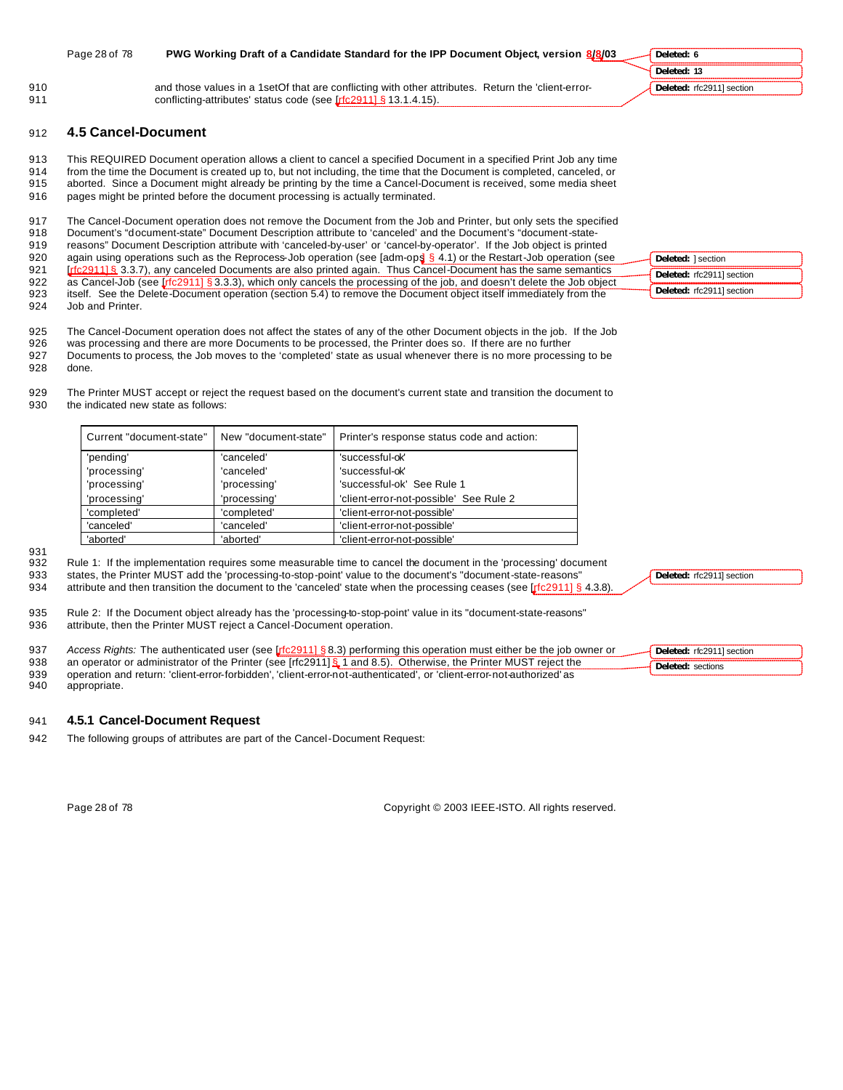|            | Page 28 of 78       | PWG Working Draft of a Candidate Standard for the IPP Document Object, version 8/8/03                                                                                            | Deleted: 6                |
|------------|---------------------|----------------------------------------------------------------------------------------------------------------------------------------------------------------------------------|---------------------------|
|            |                     |                                                                                                                                                                                  | Deleted: 13               |
| 910<br>911 |                     | and those values in a 1 set Of that are conflicting with other attributes. Return the 'client-error-<br>conflicting-attributes' status code (see <b>Irfc29111 § 13.1.4.15</b> ). | Deleted: rfc2911] section |
| 912        | 4.5 Cancel-Document |                                                                                                                                                                                  |                           |
| 913        |                     | This REQUIRED Document operation allows a client to cancel a specified Document in a specified Print Job any time                                                                |                           |
| 914        |                     | from the time the Document is created up to, but not including, the time that the Document is completed, canceled, or                                                            |                           |
| 915        |                     | aborted. Since a Document might already be printing by the time a Cancel-Document is received, some media sheet                                                                  |                           |
| 916        |                     | pages might be printed before the document processing is actually terminated.                                                                                                    |                           |
| 917        |                     | The Cancel-Document operation does not remove the Document from the Job and Printer, but only sets the specified                                                                 |                           |
| 918        |                     | Document's "document-state" Document Description attribute to 'canceled' and the Document's "document-state-                                                                     |                           |
| 919        |                     | reasons" Document Description attribute with 'canceled-by-user' or 'cancel-by-operator'. If the Job object is printed                                                            |                           |
| 920        |                     | again using operations such as the Reprocess-Job operation (see [adm-ops] $\S$ 4.1) or the Restart-Job operation (see                                                            | Deleted: 1 section        |
| 921        |                     | Irfc29111§ 3.3.7), any canceled Documents are also printed again. Thus Cancel-Document has the same semantics                                                                    | Deleted: rfc2911] section |

925 The Cancel-Document operation does not affect the states of any of the other Document objects in the job. If the Job

922 as Cancel-Job (see [rfc2911] § 3.3.3), which only cancels the processing of the job, and doesn't delete the Job object<br>923 itself. See the Delete-Document operation (section 5.4) to remove the Document object itself im itself. See the Delete-Document operation (section 5.4) to remove the Document object itself immediately from the

926 was processing and there are more Documents to be processed, the Printer does so. If there are no further 927 Documents to process, the Job moves to the 'completed' state as usual whenever there is no more processing to be

928 done.

924 Job and Printer.

929 The Printer MUST accept or reject the request based on the document's current state and transition the document to 930 the indicated new state as follows:

| Current "document-state" | New "document-state" | Printer's response status code and action: |
|--------------------------|----------------------|--------------------------------------------|
| 'pending'                | 'canceled'           | 'successful-ok'                            |
| 'processing'             | 'canceled'           | 'successful-ok'                            |
| 'processing'             | 'processing'         | 'successful-ok' See Rule 1                 |
| 'processing'             | 'processing'         | 'client-error-not-possible' See Rule 2     |
| 'completed'              | 'completed'          | 'client-error-not-possible'                |
| 'canceled'               | 'canceled'           | 'client-error-not-possible'                |
| 'aborted'                | 'aborted'            | 'client-error-not-possible'                |

931<br>932

Rule 1: If the implementation requires some measurable time to cancel the document in the 'processing' document

933 states, the Printer MUST add the 'processing-to-stop-point' value to the document's "document-state-reasons" 934 attribute and then transition the document to the 'canceled' state when the processing ceases (see [rfc2911] § 4.3.8).

935 Rule 2: If the Document object already has the 'processing-to-stop-point' value in its "document-state-reasons" 936 attribute, then the Printer MUST reject a Cancel-Document operation.

937 *Access Rights:* The authenticated user (see [rfc2911] § 8.3) performing this operation must either be the job owner or

938 an operator or administrator of the Printer (see [rfc2911] § 1 and 8.5). Otherwise, the Printer MUST reject the

939 operation and return: 'client-error-forbidden', 'client-error-not-authenticated', or 'client-error-not-authorized' as 940 appropriate.

# 941 **4.5.1 Cancel-Document Request**

942 The following groups of attributes are part of the Cancel-Document Request:

Page 28 of 78 Copyright © 2003 IEEE-ISTO. All rights reserved.

**Deleted:** rfc2911] section

**Deleted:** rfc2911] section **Deleted:** sections

**Deleted:** rfc2911] section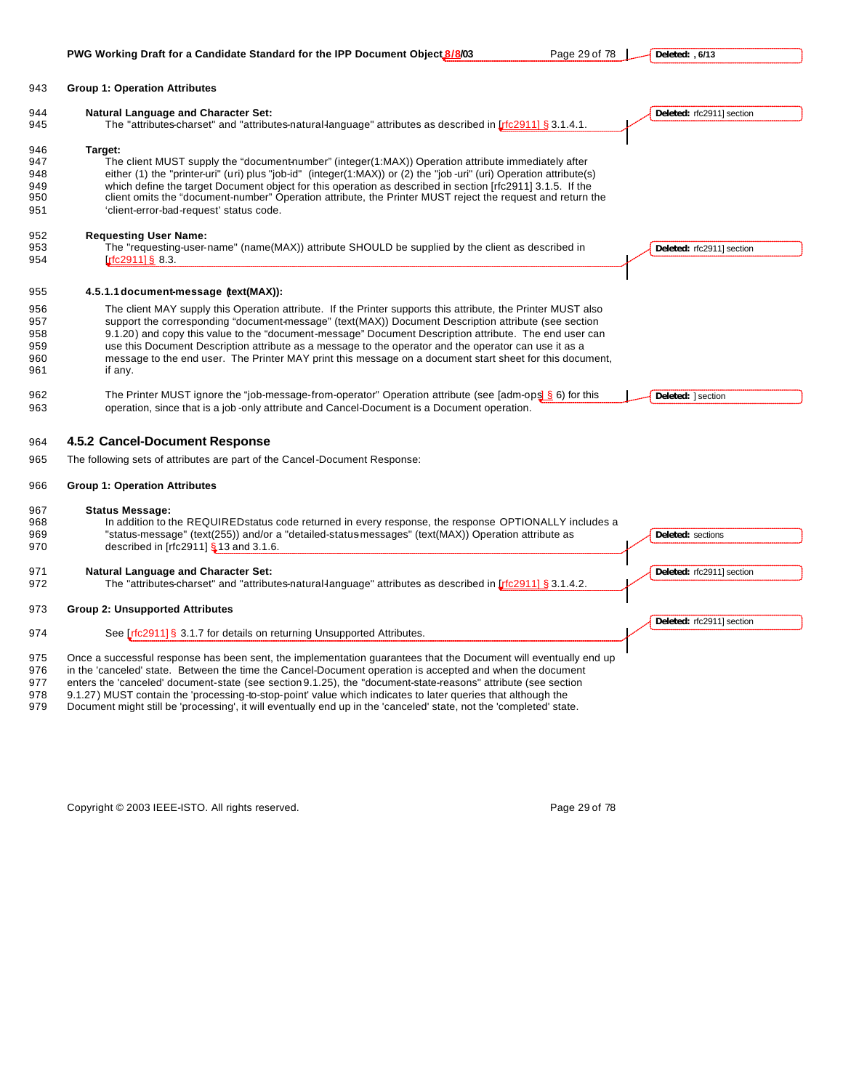## **Group 1: Operation Attributes Natural Language and Character Set:** 945 The "attributes-charset" and "attributes-natural-language" attributes as described in [rfc2911] § 3.1.4.1. **Target:** 947 The client MUST supply the "document-number" (integer(1:MAX)) Operation attribute immediately after either (1) the "printer-uri" (uri) plus "job-id" (integer(1:MAX)) or (2) the "job -uri" (uri) Operation attribute(s) which define the target Document object for this operation as described in section [rfc2911] 3.1.5. If the client omits the "document-number" Operation attribute, the Printer MUST reject the request and return the 'client-error-bad-request' status code. **Requesting User Name:** The "requesting-user-name" (name(MAX)) attribute SHOULD be supplied by the client as described in **[rfc2911] § 8.3. 4.5.1.1document-message (text(MAX)):** The client MAY supply this Operation attribute. If the Printer supports this attribute, the Printer MUST also support the corresponding "document-message" (text(MAX)) Document Description attribute (see section 9.1.20) and copy this value to the "document-message" Document Description attribute. The end user can use this Document Description attribute as a message to the operator and the operator can use it as a message to the end user. The Printer MAY print this message on a document start sheet for this document, if any. 962 The Printer MUST ignore the "job-message-from-operator" Operation attribute (see [adm-ops] § 6) for this operation, since that is a job -only attribute and Cancel-Document is a Document operation. **4.5.2 Cancel-Document Response** The following sets of attributes are part of the Cancel-Document Response: **Group 1: Operation Attributes Status Message:** 968 In addition to the REQUIRED status code returned in every response, the response OPTIONALLY includes a "status-message" (text(255)) and/or a "detailed-status-messages" (text(MAX)) Operation attribute as 970 described in [rfc2911] § 13 and 3.1.6. **Natural Language and Character Set:** 972 The "attributes-charset" and "attributes-natural-language" attributes as described in [rfc2911] § 3.1.4.2. **Group 2: Unsupported Attributes** 974 See [rfc2911] § 3.1.7 for details on returning Unsupported Attributes. Once a successful response has been sent, the implementation guarantees that the Document will eventually end up in the 'canceled' state. Between the time the Cancel-Document operation is accepted and when the document enters the 'canceled' document-state (see section 9.1.25), the "document-state-reasons" attribute (see section 9.1.27) MUST contain the 'processing-to-stop-point' value which indicates to later queries that although the Document might still be 'processing', it will eventually end up in the 'canceled' state, not the 'completed' state. **Deleted:** rfc2911] section **Deleted:** rfc2911] section **Deleted:** ] section **Deleted:** sections **Deleted:** rfc2911] section **Deleted:** rfc2911] section

Copyright © 2003 IEEE-ISTO. All rights reserved. Copyright C 2003 IEEE-ISTO. All rights reserved.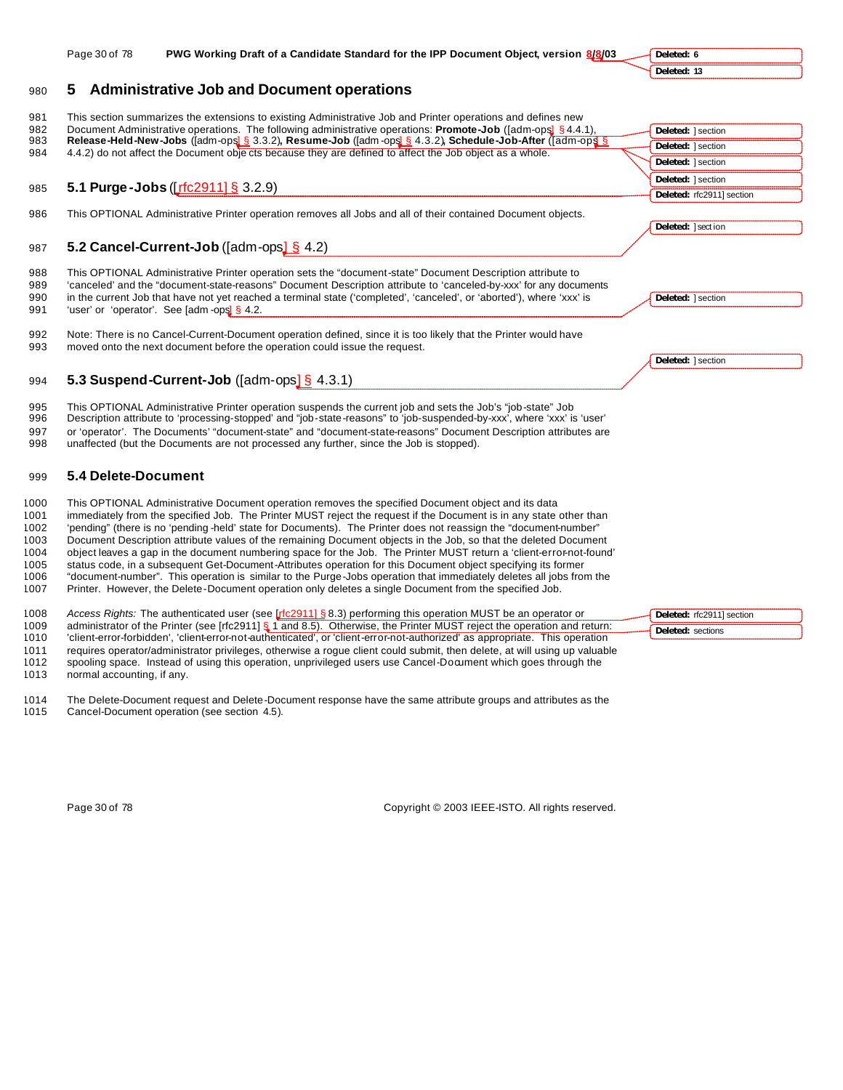| 980          | <b>Administrative Job and Document operations</b><br>5                                                                                                                                                                               |                           |
|--------------|--------------------------------------------------------------------------------------------------------------------------------------------------------------------------------------------------------------------------------------|---------------------------|
| 981          | This section summarizes the extensions to existing Administrative Job and Printer operations and defines new                                                                                                                         |                           |
| 982          | Document Administrative operations. The following administrative operations: <b>Promote-Job</b> ([adm-ops] § 4.4.1),                                                                                                                 | Deleted:   section        |
| 983<br>984   | Release-Held-New-Jobs ([adm-ops] § 3.3.2), Resume-Job ([adm-ops] § 4.3.2), Schedule-Job-After ([adm-ops] §<br>4.4.2) do not affect the Document objects because they are defined to affect the Job object as a whole.                | Deleted:   section        |
|              |                                                                                                                                                                                                                                      | Deleted: 1 section        |
|              |                                                                                                                                                                                                                                      | Deleted:   section        |
| 985          | 5.1 Purge-Jobs ([rfc2911] § 3.2.9)                                                                                                                                                                                                   | Deleted: rfc2911] section |
| 986          | This OPTIONAL Administrative Printer operation removes all Jobs and all of their contained Document objects.                                                                                                                         |                           |
|              |                                                                                                                                                                                                                                      | Deleted: ] section        |
|              |                                                                                                                                                                                                                                      |                           |
| 987          | 5.2 Cancel-Current-Job ( $\lceil \text{adm-ops} \rceil \frac{S}{2}$ 4.2)                                                                                                                                                             |                           |
| 988<br>989   | This OPTIONAL Administrative Printer operation sets the "document-state" Document Description attribute to<br>'canceled' and the "document-state-reasons" Document Description attribute to 'canceled-by-xxx' for any documents      |                           |
| 990<br>991   | in the current Job that have not yet reached a terminal state ('completed', 'canceled', or 'aborted'), where 'xxx' is<br>'user' or 'operator'. See [adm -ops] § 4.2.                                                                 | Deleted:   section        |
| 992<br>993   | Note: There is no Cancel-Current-Document operation defined, since it is too likely that the Printer would have<br>moved onto the next document before the operation could issue the request.                                        |                           |
|              |                                                                                                                                                                                                                                      | Deleted:   section        |
| 994          | 5.3 Suspend-Current-Job ( $\lceil \text{adm-ops} \rceil \S$ 4.3.1)                                                                                                                                                                   |                           |
| 995<br>996   | This OPTIONAL Administrative Printer operation suspends the current job and sets the Job's "job-state" Job<br>Description attribute to 'processing-stopped' and "job-state-reasons" to 'job-suspended-by-xxx', where 'xxx' is 'user' |                           |
| 997<br>998   | or 'operator'. The Documents' "document-state" and "document-state-reasons" Document Description attributes are<br>unaffected (but the Documents are not processed any further, since the Job is stopped).                           |                           |
| 999          | 5.4 Delete-Document                                                                                                                                                                                                                  |                           |
| 1000         | This OPTIONAL Administrative Document operation removes the specified Document object and its data                                                                                                                                   |                           |
| 1001         | immediately from the specified Job. The Printer MUST reject the request if the Document is in any state other than                                                                                                                   |                           |
| 1002         | 'pending" (there is no 'pending-held' state for Documents). The Printer does not reassign the "document-number"                                                                                                                      |                           |
| 1003         | Document Description attribute values of the remaining Document objects in the Job, so that the deleted Document                                                                                                                     |                           |
| 1004         | object leaves a gap in the document numbering space for the Job. The Printer MUST return a 'client-error-not-found'                                                                                                                  |                           |
| 1005<br>1006 | status code, in a subsequent Get-Document-Attributes operation for this Document object specifying its former<br>"document-number". This operation is similar to the Purge-Jobs operation that immediately deletes all jobs from the |                           |
| 1007         | Printer. However, the Delete-Document operation only deletes a single Document from the specified Job.                                                                                                                               |                           |

**Deleted: 6 Deleted: 13**

Page 30 of 78 **PWG Working Draft of a Candidate Standard for the IPP Document Object, version 8/8/03** 

| 1008 | Access Rights: The authenticated user (see [rfc2911] § 8.3) performing this operation MUST be an operator or                | Deleted: rfc2911] section |
|------|-----------------------------------------------------------------------------------------------------------------------------|---------------------------|
| 1009 | administrator of the Printer (see [rfc2911] § 1 and 8.5). Otherwise, the Printer MUST reject the operation and return:      | Deleted: sections         |
| 1010 | 'client-error-forbidden', 'client-error-not-authenticated', or 'client-error-not-authorized' as appropriate. This operation |                           |
| 1011 | requires operator/administrator privileges, otherwise a roque client could submit, then delete, at will using up valuable   |                           |
| 1012 | spooling space. Instead of using this operation, unprivileged users use Cancel-Document which goes through the              |                           |

normal accounting, if any.

 The Delete-Document request and Delete-Document response have the same attribute groups and attributes as the Cancel-Document operation (see section 4.5).

Page 30 of 78 Copyright © 2003 IEEE-ISTO. All rights reserved.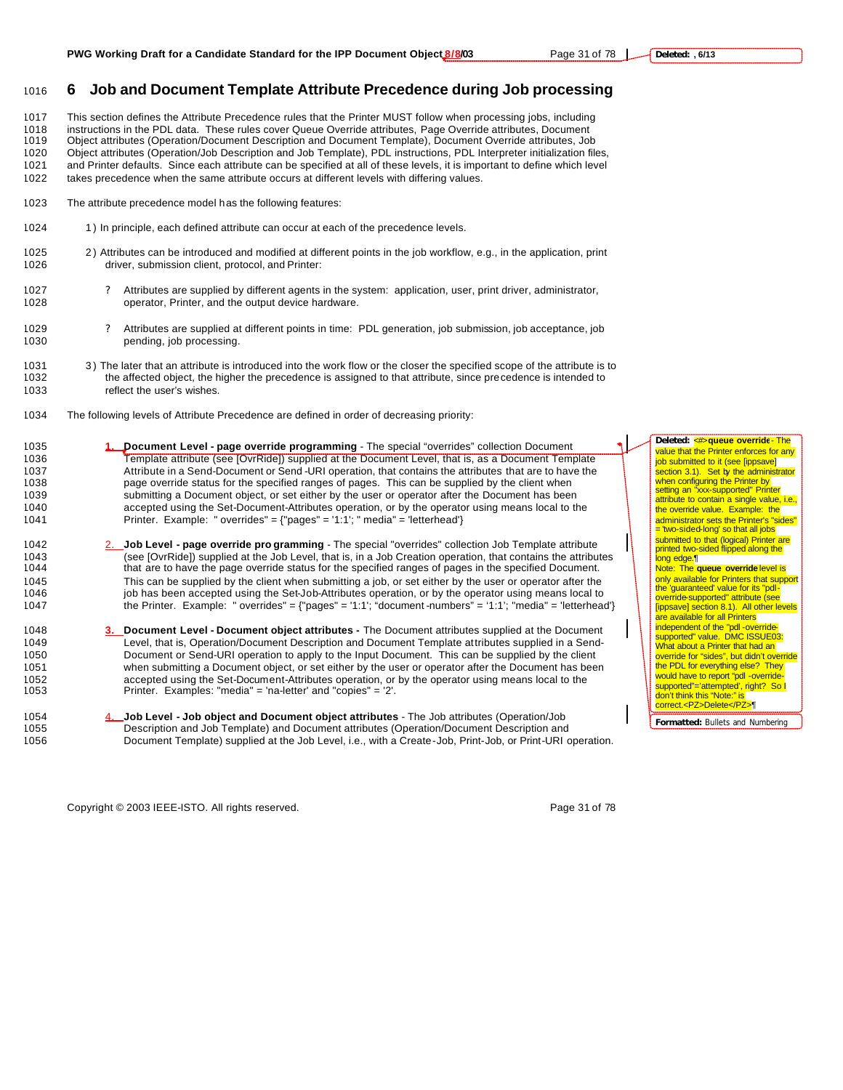## <sup>1016</sup> **6 Job and Document Template Attribute Precedence during Job processing**

 This section defines the Attribute Precedence rules that the Printer MUST follow when processing jobs, including instructions in the PDL data. These rules cover Queue Override attributes, Page Override attributes, Document Object attributes (Operation/Document Description and Document Template), Document Override attributes, Job Object attributes (Operation/Job Description and Job Template), PDL instructions, PDL Interpreter initialization files, and Printer defaults. Since each attribute can be specified at all of these levels, it is important to define which level

1022 takes precedence when the same attribute occurs at different levels with differing values.

- 1023 The attribute precedence model has the following features:
- 1024 1) In principle, each defined attribute can occur at each of the precedence levels.
- 1025 2 ) Attributes can be introduced and modified at different points in the job workflow, e.g., in the application, print 1026 driver, submission client, protocol, and Printer:
- 1027 ? Attributes are supplied by different agents in the system: application, user, print driver, administrator, 1028 operator, Printer, and the output device hardware.
- 1029 ? Attributes are supplied at different points in time: PDL generation, job submission, job acceptance, job 1030 pending, job processing.
- 1031 3) The later that an attribute is introduced into the work flow or the closer the specified scope of the attribute is to 1032 the affected object, the higher the precedence is assigned to that attribute, since precede the affected object, the higher the precedence is assigned to that attribute, since precedence is intended to 1033 reflect the user's wishes.
- 1034 The following levels of Attribute Precedence are defined in order of decreasing priority:
- 1035 **1. Document Level page override programming** The special "overrides" collection Document 1036 Template attribute (see [OvrRide]) supplied at the Document Level, that is, as a Document Template 1037 Attribute in a Send-Document or Send-URI operation, that contains the attributes that are to have the 1038<br>1038 page override status for the specified ranges of pages. This can be supplied by the client when page override status for the specified ranges of pages. This can be supplied by the client when 1039 submitting a Document object, or set either by the user or operator after the Document has been 1040 accepted using the Set-Document-Attributes operation, or by the operator using means local to the 1041 Printer. Example: " overrides" = {"pages" = '1:1'; " media" = 'letterhead'}
- 1042 2. **Job Level page override pro gramming** The special "overrides" collection Job Template attribute 1043 (see [OvrRide]) supplied at the Job Level, that is, in a Job Creation operation, that contains the attributes 1044 that are to have the page override status for the specified ranges of pages in the specified Document. 1045 This can be supplied by the client when submitting a job, or set either by the user or operator after the<br>1046 job has been accepted using the Set-Job-Attributes operation, or by the operator using means local to job has been accepted using the Set-Job-Attributes operation, or by the operator using means local to 1047 the Printer. Example: " overrides" = {"pages" = '1:1'; "document -numbers" = '1:1'; "media" = 'letterhead'}
- 1048 **3. Document Level Document object attributes -** The Document attributes supplied at the Document 1049 Level, that is, Operation/Document Description and Document Template attributes supplied in a Send-1050 Document or Send-URI operation to apply to the Input Document. This can be supplied by the client 1051 when submitting a Document object, or set either by the user or operator after the Document has been 1052 accepted using the Set-Document-Attributes operation, or by the operator using means local to the 1053 <br>1053 Printer. Examples: "media" = 'na-letter' and "copies" = '2'. Printer. Examples: "media" = 'na-letter' and "copies" = '2'.
- 1054 4. **Job Level Job object and Document object attributes**  The Job attributes (Operation/Job 1055 Description and Job Template) and Document attributes (Operation/Document Description and 1056 Document Template) supplied at the Job Level, i.e., with a Create-Job, Print-Job, or Print-URI operation.

Copyright © 2003 IEEE-ISTO. All rights reserved. Page 31 of 78

value that the Printer enforces for any job submitted to it (see [ippsave] section 3.1). Set by the administrator<br>when configuring the Printer by<br>setting an "xxx-supported" Printer attribute to contain a single value, i.e., the override value. Example: the administrator sets the Printer's "sides" = 'two-sided-long' so that all jobs submitted to that (logical) Printer are printed two-sided flipped along the long edge.¶ Note: The **queue override** level is only available for Printers that support the 'guaranteed' value for its "pdloverride-supported" attribute (see<br>[ippsave] section 8.1). All other levels **are available for all Printers** independent of the "pdl -override-supported" value. DMC ISSUE03:

**Deleted:** <#>**queue override**- The

What about a Printer that had an override for "sides", but didn't override<br>the PDL for everything else? They would have to report "pdl -overridesupported"='attempted', right? So I<br>don't think this "Note:" is correct.<PZ>Delete</PZ>¶

**Formatted:** Bullets and Numbering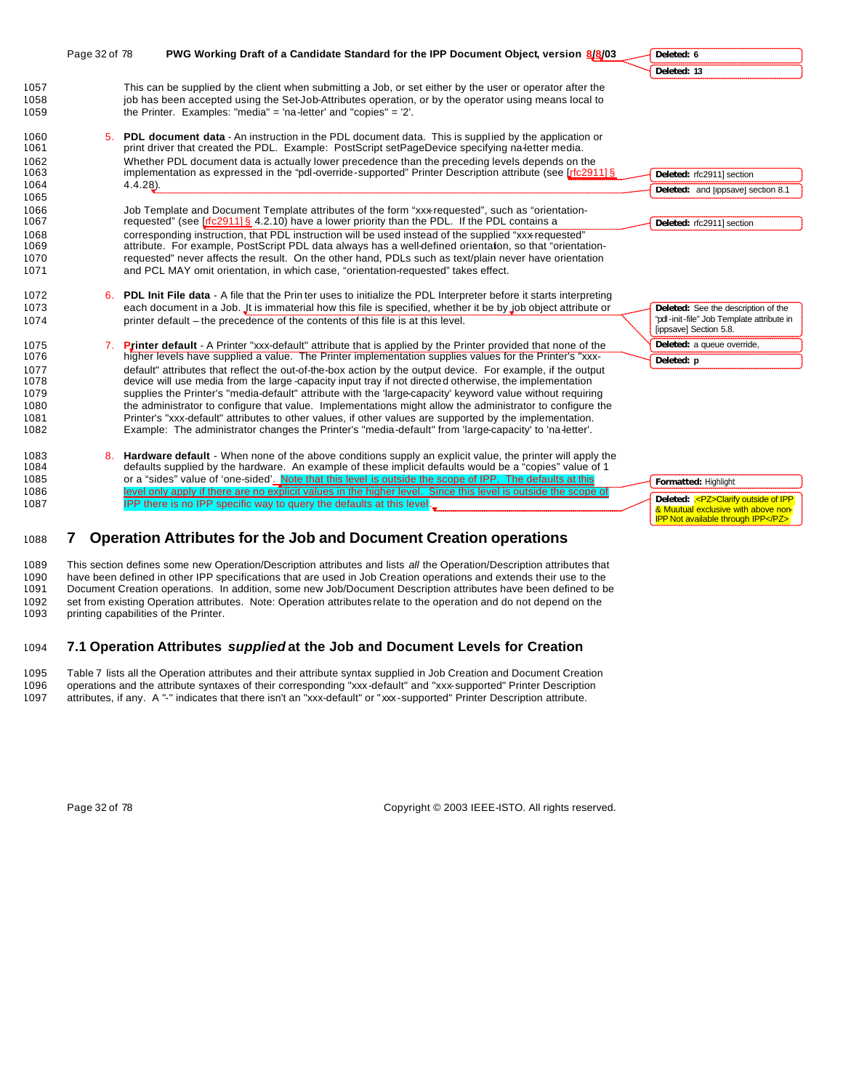|                                                              | Page 32 of 78 | PWG Working Draft of a Candidate Standard for the IPP Document Object, version 8/8/03                                                                                                                                                                                                                                                                                                                                                                                                                                                                                                                                                                                                                                                                                                                                                                                                             | Deleted: 6                                                                                                   |
|--------------------------------------------------------------|---------------|---------------------------------------------------------------------------------------------------------------------------------------------------------------------------------------------------------------------------------------------------------------------------------------------------------------------------------------------------------------------------------------------------------------------------------------------------------------------------------------------------------------------------------------------------------------------------------------------------------------------------------------------------------------------------------------------------------------------------------------------------------------------------------------------------------------------------------------------------------------------------------------------------|--------------------------------------------------------------------------------------------------------------|
|                                                              |               |                                                                                                                                                                                                                                                                                                                                                                                                                                                                                                                                                                                                                                                                                                                                                                                                                                                                                                   | Deleted: 13                                                                                                  |
| 1057<br>1058<br>1059                                         |               | This can be supplied by the client when submitting a Job, or set either by the user or operator after the<br>job has been accepted using the Set-Job-Attributes operation, or by the operator using means local to<br>the Printer. Examples: "media" = 'na-letter' and "copies" = $2'$ .                                                                                                                                                                                                                                                                                                                                                                                                                                                                                                                                                                                                          |                                                                                                              |
| 1060<br>1061<br>1062<br>1063<br>1064                         |               | 5. PDL document data - An instruction in the PDL document data. This is supplied by the application or<br>print driver that created the PDL. Example: PostScript setPageDevice specifying na-letter media.<br>Whether PDL document data is actually lower precedence than the preceding levels depends on the<br>implementation as expressed in the "pdl-override-supported" Printer Description attribute (see [r[c2911] §<br>$4.4.28$ ).                                                                                                                                                                                                                                                                                                                                                                                                                                                        | Deleted: rfc2911] section<br>Deleted: and [ippsave] section 8.1                                              |
| 1065<br>1066<br>1067<br>1068<br>1069<br>1070<br>1071         |               | Job Template and Document Template attributes of the form "xxx-requested", such as "orientation-<br>requested" (see $[fc2911]$ § 4.2.10) have a lower priority than the PDL. If the PDL contains a<br>corresponding instruction, that PDL instruction will be used instead of the supplied "xxx requested"<br>attribute. For example, PostScript PDL data always has a well-defined orientation, so that "orientation-<br>requested" never affects the result. On the other hand, PDLs such as text/plain never have orientation<br>and PCL MAY omit orientation, in which case, "orientation-requested" takes effect.                                                                                                                                                                                                                                                                            | Deleted: rfc2911] section                                                                                    |
| 1072<br>1073<br>1074                                         |               | 6. PDL Init File data - A file that the Prin ter uses to initialize the PDL Interpreter before it starts interpreting<br>each document in a Job. It is immaterial how this file is specified, whether it be by job object attribute or<br>printer default – the precedence of the contents of this file is at this level.                                                                                                                                                                                                                                                                                                                                                                                                                                                                                                                                                                         | Deleted: See the description of the<br>"pdl-init-file" Job Template attribute in<br>[ippsave] Section 5.8.   |
| 1075<br>1076<br>1077<br>1078<br>1079<br>1080<br>1081<br>1082 | 7.            | Printer default - A Printer "xxx-default" attribute that is applied by the Printer provided that none of the<br>higher levels have supplied a value. The Printer implementation supplies values for the Printer's "xxx-<br>default" attributes that reflect the out-of-the-box action by the output device. For example, if the output<br>device will use media from the large-capacity input tray if not directed otherwise, the implementation<br>supplies the Printer's "media-default" attribute with the 'large-capacity' keyword value without requiring<br>the administrator to configure that value. Implementations might allow the administrator to configure the<br>Printer's "xxx-default" attributes to other values, if other values are supported by the implementation.<br>Example: The administrator changes the Printer's "media-default" from 'large-capacity' to 'na letter'. | Deleted: a queue override,<br>Deleted: p                                                                     |
| 1083<br>1084<br>1085<br>1086<br>1087                         |               | 8. Hardware default - When none of the above conditions supply an explicit value, the printer will apply the<br>defaults supplied by the hardware. An example of these implicit defaults would be a "copies" value of 1<br>or a "sides" value of 'one-sided'. Note that this level is outside the scope of IPP. The defaults at this<br>level only apply if there are no explicit values in the higher level. Since this level is outside the scope of<br>IPP there is no IPP specific way to query the defaults at this level                                                                                                                                                                                                                                                                                                                                                                    | Formatted: Highlight<br>Deleted: <pz>Clarify outside of IPP<br/>&amp; Muutual exclusive with above non-</pz> |

# <sup>1088</sup> **7 Operation Attributes for the Job and Document Creation operations**

1089 This section defines some new Operation/Description attributes and lists *all* the Operation/Description attributes that 1090 have been defined in other IPP specifications that are used in Job Creation operations and extends their use to the<br>1091 Document Creation operations. In addition, some new Job/Document Description attributes have bee Document Creation operations. In addition, some new Job/Document Description attributes have been defined to be 1092 set from existing Operation attributes. Note: Operation attributes relate to the operation and do not depend on the<br>1093 printing capabilities of the Printer. printing capabilities of the Printer.

# 1094 **7.1 Operation Attributes** *supplied* **at the Job and Document Levels for Creation**

1095 Table 7 lists all the Operation attributes and their attribute syntax supplied in Job Creation and Document Creation 1096 operations and the attribute syntaxes of their corresponding "xxx-default" and "xxx-supported" Printer Description<br>1097 attributes, if any. A "-" indicates that there isn't an "xxx-default" or "xxx-supported" Printer attributes, if any. A "-" indicates that there isn't an "xxx-default" or "xxx-supported" Printer Description attribute.

Page 32 of 78 Copyright © 2003 IEEE-ISTO. All rights reserved.

IPP Not available through IPP</PZ>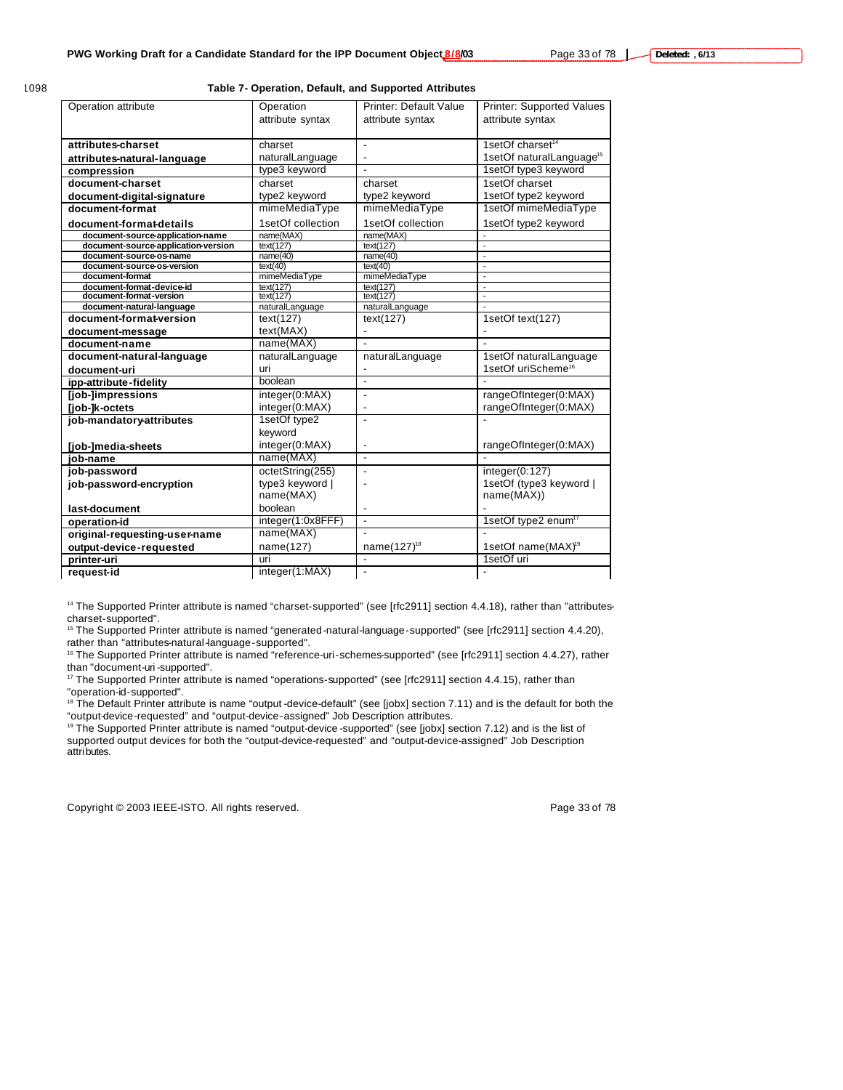#### **Table 7- Operation, Default, and Supported Attributes**

| Operation attribute                                  | Operation              | <b>Printer: Default Value</b> | <b>Printer: Supported Values</b>         |
|------------------------------------------------------|------------------------|-------------------------------|------------------------------------------|
|                                                      | attribute syntax       | attribute syntax              | attribute syntax                         |
|                                                      |                        |                               |                                          |
| attributes-charset                                   | charset                | ä,                            | 1setOf charset <sup>14</sup>             |
| attributes-natural-language                          | naturalLanguage        | $\overline{\phantom{a}}$      | 1setOf naturalLanguage <sup>15</sup>     |
| compression                                          | type3 keyword          |                               | 1setOf type3 keyword                     |
| document-charset                                     | charset                | charset                       | 1setOf charset                           |
| document-digital-signature                           | type2 keyword          | type2 keyword                 | 1setOf type2 keyword                     |
| document-format                                      | mimeMediaType          | mimeMediaType                 | 1setOf mimeMediaType                     |
| document-format-details                              | 1setOf collection      | 1setOf collection             | 1setOf type2 keyword                     |
| document-source-application-name                     | name(MAX)              | name(MAX)                     |                                          |
| document-source-application-version                  | text(127)              | text(127)                     |                                          |
| document-source-os-name                              | name(40)               | name(40)                      |                                          |
| document-source-os-version                           | text(40)               | text(40)                      | $\blacksquare$                           |
| document-format                                      | mimeMediaType          | mimeMediaType                 | $\overline{\phantom{a}}$                 |
| document-format-device-id<br>document-format-version | text(127)<br>text(127) | text(127)<br>text(127)        | $\mathbf{r}$<br>$\overline{\phantom{a}}$ |
| document-natural-language                            | naturalLanguage        | naturalLanguage               |                                          |
| document-format-version                              | text(127)              |                               | 1setOf text(127)                         |
|                                                      |                        | text(127)                     |                                          |
| document-message                                     | text(MAX)              | L,                            |                                          |
| document-name                                        | name(MAX)              | $\overline{a}$                |                                          |
| document-natural-language                            | naturalLanguage        | naturalLanguage               | 1setOf naturalLanguage                   |
| document-uri                                         | uri                    | ٠                             | 1setOf uriScheme <sup>16</sup>           |
| ipp-attribute-fidelity                               | boolean                | ä,                            |                                          |
| [job-]impressions                                    | integer(0:MAX)         | $\qquad \qquad \blacksquare$  | rangeOfInteger(0:MAX)                    |
| [job-]k-octets                                       | integer(0:MAX)         | ٠                             | rangeOfInteger(0:MAX)                    |
| job-mandatory-attributes                             | 1setOf type2           | $\overline{\phantom{a}}$      |                                          |
|                                                      | keyword                |                               |                                          |
| [job-]media-sheets                                   | integer(0:MAX)         | ٠                             | rangeOfInteger(0:MAX)                    |
| job-name                                             | name(MAX)              | $\blacksquare$                |                                          |
| job-password                                         | octetString(255)       | Ĭ.                            | integer(0:127)                           |
| job-password-encryption                              | type3 keyword          |                               | 1setOf (type3 keyword                    |
|                                                      | name(MAX)              |                               | name(MAX))                               |
| last-document                                        | boolean                | ٠                             |                                          |
| operation-id                                         | integer(1:0x8FFF)      | $\blacksquare$                | 1setOf type2 enum <sup>17</sup>          |
| original-requesting-user-name                        | name(MAX)              |                               |                                          |
| output-device-requested                              | name(127)              | name(127) <sup>18</sup>       | 1setOf name(MAX) <sup>19</sup>           |
| printer-uri                                          | uri                    | $\overline{a}$                | 1setOf uri                               |
| reauest-id                                           | integer(1:MAX)         |                               |                                          |
|                                                      |                        |                               |                                          |

<sup>14</sup> The Supported Printer attribute is named "charset-supported" (see [rfc2911] section 4.4.18), rather than "attributescharset-supported".

<sup>15</sup> The Supported Printer attribute is named "generated-natural-language-supported" (see [rfc2911] section 4.4.20), rather than "attributes-natural-language-supported".

<sup>16</sup> The Supported Printer attribute is named "reference-uri-schemes-supported" (see [rfc2911] section 4.4.27), rather than "document-uri-supported".

<sup>17</sup> The Supported Printer attribute is named "operations-supported" (see [rfc2911] section 4.4.15), rather than "operation-id-supported".

<sup>18</sup> The Default Printer attribute is name "output -device-default" (see [jobx] section 7.11) and is the default for both the "output-device-requested" and "output-device-assigned" Job Description attributes.

<sup>19</sup> The Supported Printer attribute is named "output-device -supported" (see [jobx] section 7.12) and is the list of supported output devices for both the "output-device-requested" and "output-device-assigned" Job Description attributes.

Copyright © 2003 IEEE-ISTO. All rights reserved. Page 33 of 78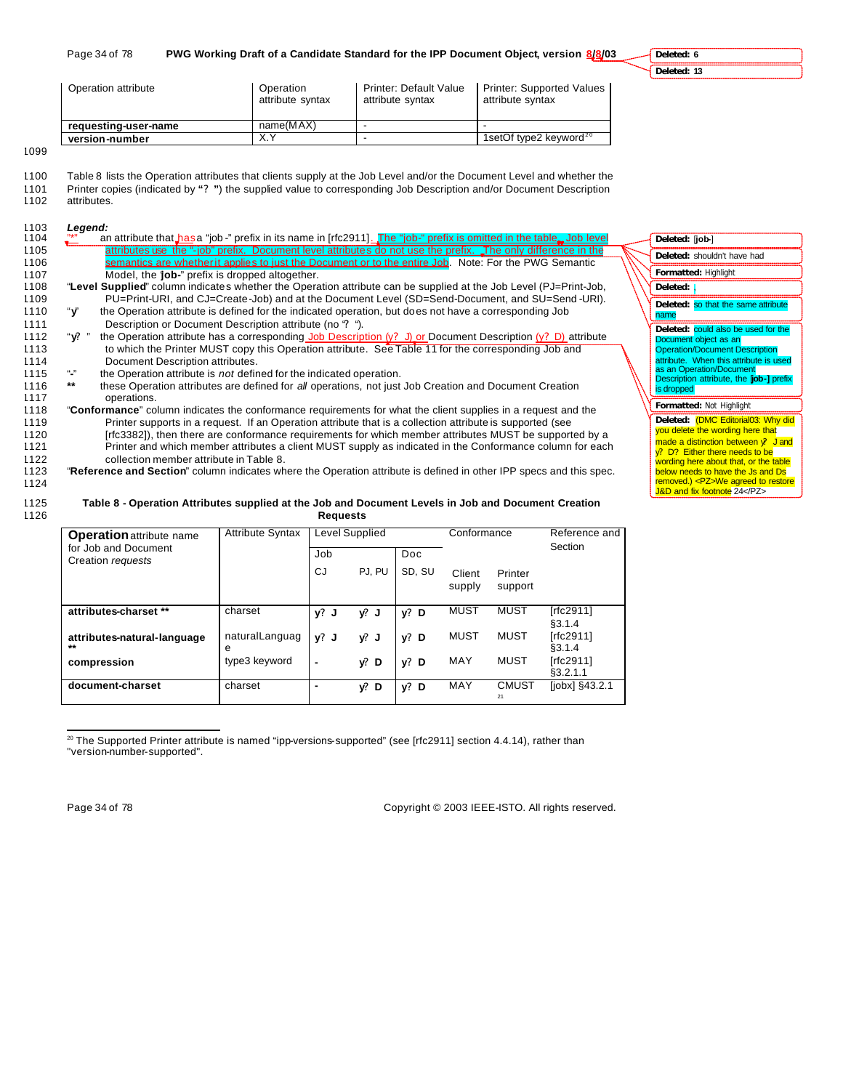**Deleted: 6 Deleted: 13**

| Operation attribute  | Operation<br>attribute syntax | Printer: Default Value<br>attribute syntax | <b>Printer: Supported Values</b><br>attribute syntax |
|----------------------|-------------------------------|--------------------------------------------|------------------------------------------------------|
| requesting-user-name | name(MAX)                     |                                            |                                                      |
| version-number       | $\vee$ $\vee$                 |                                            | 1setOf type2 keyword $20$                            |

1099

- 1100 Table 8 lists the Operation attributes that clients supply at the Job Level and/or the Document Level and whether the 1101 Printer copies (indicated by **"? "**) the supplied value to corresponding Job Description and/or Document Description
- 1102 attributes.

1103 *Legend:*

1104  $\frac{1}{2}$  an attribute that has a "job -" prefix in its name in [rfc2911]. The "job-" prefix is omit 1105 attributes use the "-job" prefix. Document level attributes do not use the prefix. The only 1106 semantics are whether it applies to just the Document or to the entire Job. Note: For the PWG Semantic 1107 Model, the 'job-" prefix is dropped altogether.<br>1108 **Level Supplied**" column indicates whether the Opera 1108 "**Level Supplied**" column indicates whether the Operation attribute can be supplied at the Job Level (PJ=Print-Job, 1109 PU=Print-URI, and CJ=Create-Job) and at the Document Level (SD=Send-Document, and SU=Send -URI). 1110 "**y**" the Operation attribute is defined for the indicated operation, but does not have a corresponding Job 1111 Description or Document Description attribute (no **?** ").<br>1112 "**y?** " the Operation attribute has a corresponding Job Descrip 1112 "**y?** " the Operation attribute has a corresponding Job Description (y**?** J) or Document Description (y**?** D) attribute 1113 to which the Printer MUST copy this Operation attribute. See Table 11 for the corresponding Job and 1114 Document Description attributes. 1115 "**-**" the Operation attribute is *not* defined for the indicated operation. 1116 **\*\*** these Operation attributes are defined for *all* operations, not just Job Creation and Document Creation 1117 operations. 1118 "**Conformance**" column indicates the conformance requirements for what the client supplies in a request and the 1119 Printer supports in a request. If an Operation attribute that is a collection attribute is supported (see 1120 [rfc3382]), then there are conformance requirements for which member attributes MUST be supported by a<br>1121 Printer and which member attributes a client MUST supply as indicated in the Conformance column for each Printer and which member attributes a client MUST supply as indicated in the Conformance column for each 1122 collection member attribute in Table 8. 1123 "**Reference and Section**" column indicates where the Operation attribute is defined in other IPP specs and this spec. 1124 **Formatted:** Highlight **Formatted:** Not Highlight **Deleted:** [**job-**] **Deleted:** shouldn't have had Deleted: **Deleted:** so that the same attribute name Deleted: **could also be used for the** Document object as an **Operation/Document Description** attribute. When this attribute is used as an Operation/Document<br>Description attribute, the [**job-]** prefix is dropped Deleted: **(DMC Editorial03: Why did** you delete the wording here that made a distinction between y**?** J and y**?** D? Either there needs to be wording here about that, or the table below needs to have the Js and Ds removed.) <PZ>We agreed to restore J&D and fix footnote 24</PZ>

#### 1125 **Table 8 - Operation Attributes supplied at the Job and Document Levels in Job and Document Creation**  1126 **Requests**

| <b>Operation attribute name</b>           | <b>Attribute Syntax</b> |         | <b>Level Supplied</b> |        | Conformance      |                    | Reference and<br>Section |
|-------------------------------------------|-------------------------|---------|-----------------------|--------|------------------|--------------------|--------------------------|
| for Job and Document<br>Creation requests |                         | Job     |                       | Doc.   |                  |                    |                          |
|                                           |                         | CJ.     | PJ. PU                | SD, SU | Client<br>supply | Printer<br>support |                          |
| attributes-charset **                     | charset                 | v?<br>J | $y!$ J                | $y?$ D | MUST             | <b>MUST</b>        | [rfc2911]<br>\$3.1.4     |
| attributes-natural-language<br>$***$      | naturalLanguag<br>е     | $v^2$ J | y? J                  | $y?$ D | MUST             | <b>MUST</b>        | [rfc2911]<br>\$3.1.4     |
| compression                               | type3 keyword           | ۰       | y: D                  | $y?$ D | MAY              | <b>MUST</b>        | [rfc2911]<br>\$3.2.1.1   |
| document-charset                          | charset                 |         | y? D                  | $y?$ D | MAY              | <b>CMUST</b><br>21 | [jobx] §43.2.1           |

 $^{20}$  The Supported Printer attribute is named "ipp-versions-supported" (see [rfc2911] section 4.4.14), rather than "version-number-supported".

 $\overline{a}$ 

Page 34 of 78 Copyright © 2003 IEEE-ISTO. All rights reserved.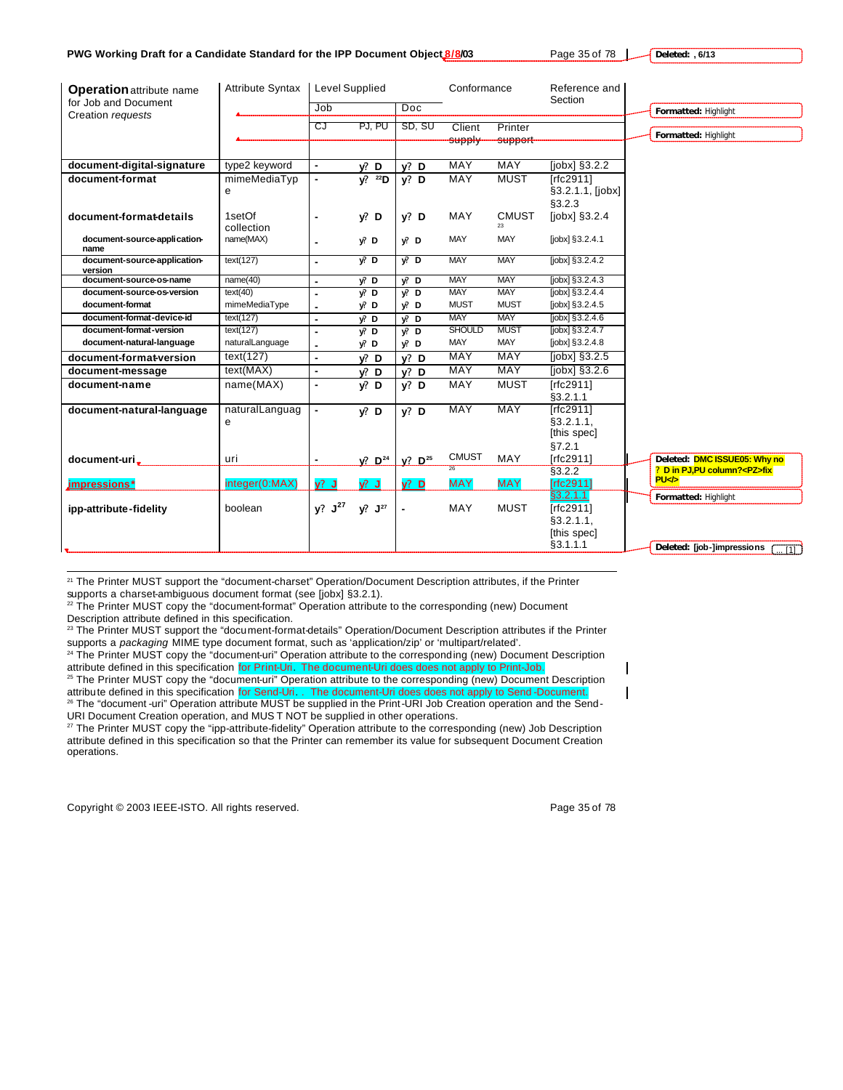**Deleted: , 6/13**

| <b>Operation attribute name</b>           | <b>Attribute Syntax</b> | <b>Level Supplied</b> |                  |                       | Conformance                     |                     | Reference and<br>Section         |                                                  |
|-------------------------------------------|-------------------------|-----------------------|------------------|-----------------------|---------------------------------|---------------------|----------------------------------|--------------------------------------------------|
| for Job and Document<br>Creation requests |                         | Job                   |                  | Doc                   |                                 |                     |                                  | Formatted: Highlight                             |
|                                           |                         | CJ                    | PJ, PU           | SD, SU                | Client<br>supply                | Printer<br>support- |                                  | Formatted: Highlight                             |
| document-digital-signature                | type2 keyword           | $\blacksquare$        | V. D             | $v?$ D                | <b>MAY</b>                      | <b>MAY</b>          | $[jobx]$ §3.2.2                  |                                                  |
| document-format                           | mimeMediaTyp            |                       | $V^2$ $^{22}D$   | $v?$ D                | MAY                             | <b>MUST</b>         | [rfc2911]                        |                                                  |
|                                           | e                       |                       |                  |                       |                                 |                     | §3.2.1.1, [jobx]                 |                                                  |
| document-format-details                   | 1setOf<br>collection    |                       | V: D             | $v?$ D                | <b>MAY</b>                      | <b>CMUST</b><br>23  | §3.2.3<br>[jobx] §3.2.4          |                                                  |
| document-source-application-<br>name      | name(MAX)               |                       | $y$ ? D          | V: D                  | MAY                             | MAY                 | [jobx] §3.2.4.1                  |                                                  |
| document-source-application-<br>version   | text(127)               | $\blacksquare$        | $\sqrt{p}$ D     | $V^2$ D               | <b>MAY</b>                      | <b>MAY</b>          | $[jobx]$ §3.2.4.2                |                                                  |
| document-source-os-name                   | name(40)                | ×,                    | $y$ ? D          | V: D                  | <b>MAY</b>                      | <b>MAY</b>          | $[jobx]$ §3.2.4.3                |                                                  |
| document-source-os-version                | text(40)                |                       | $y^p$ D          | $\sqrt{2}$ D          | <b>MAY</b>                      | <b>MAY</b>          | $[jobx]$ §3.2.4.4                |                                                  |
| document-format                           | mimeMediaType           |                       | $y$ ? D          | $y$ ? D               | <b>MUST</b>                     | <b>MUST</b>         | $[jobx]$ §3.2.4.5                |                                                  |
| document-format-device-id                 | text(127)               | ÷                     | V. D             | V: D                  | <b>MAY</b>                      | <b>MAY</b>          | $[jobx]$ §3.2.4.6                |                                                  |
| document-format-version                   | text(127)               |                       | $y^p$ D          | V: D                  | <b>SHOULD</b>                   | <b>MUST</b>         | $[jobx]$ §3.2.4.7                |                                                  |
| document-natural-language                 | naturalLanguage         |                       | $y$ ? D          | $y$ ? D               | MAY                             | MAY                 | [jobx] §3.2.4.8                  |                                                  |
| document-format-version                   | text(127)               | ÷                     | $y$ ? D          | $v?$ D                | <b>MAY</b>                      | <b>MAY</b>          | [ <i>j</i> obx] <sub>3.2.5</sub> |                                                  |
| document-message                          | text(MAX)               | ٠                     | $y$ ? D          | $v?$ D                | <b>MAY</b>                      | <b>MAY</b>          | [jobx] §3.2.6                    |                                                  |
| document-name                             | name(MAX)               | $\blacksquare$        | $y$ ? D          | $v?$ D                | MAY                             | <b>MUST</b>         | [ $rfc2911$ ]                    |                                                  |
|                                           |                         |                       |                  |                       |                                 |                     | §3.2.1.1                         |                                                  |
| document-natural-language                 | naturalLanguag          | $\blacksquare$        | V: D             | $v?$ D                | <b>MAY</b>                      | MAY                 | [rfc2911]                        |                                                  |
|                                           | e                       |                       |                  |                       |                                 |                     | §3.2.1.1,                        |                                                  |
|                                           |                         |                       |                  |                       |                                 |                     | [this spec]                      |                                                  |
|                                           |                         |                       |                  |                       |                                 |                     | §7.2.1                           |                                                  |
| document-uri,                             | uri                     |                       | $V^2$ . $D^{24}$ | $V^2$ D <sup>25</sup> | <b>CMUST</b><br>$\overline{26}$ | MAY                 | [rfc2911]                        | Deleted: DMC ISSUE05: Why no                     |
| impressions*                              | integer(0:MAX)          | $y^2$ J               | $\sqrt{2}$       | $y?$ D                | <b>MAY</b>                      | <b>MAY</b>          | \$3.2.2<br>[rfc2911]             | ? D in PJ, PU column? <pz>fix<br/><b>PU</b></pz> |
| ipp-attribute-fidelity                    | boolean                 | y? J <sup>27</sup>    | $y!$ $J^{27}$    |                       | MAY                             | <b>MUST</b>         | §3.2.1.1<br>$[rfc2911]$          | Formatted: Highlight                             |
|                                           |                         |                       |                  |                       |                                 |                     | §3.2.1.1,                        |                                                  |
|                                           |                         |                       |                  |                       |                                 |                     | [this spec]<br>§3.1.1.1          |                                                  |
|                                           |                         |                       |                  |                       |                                 |                     |                                  | Deleted: [job-]impressions<br>$\overline{111}$   |

<sup>21</sup> The Printer MUST support the "document-charset" Operation/Document Description attributes, if the Printer supports a charset-ambiguous document format (see [jobx] §3.2.1).

<sup>22</sup> The Printer MUST copy the "document-format" Operation attribute to the corresponding (new) Document Description attribute defined in this specification.

<sup>23</sup> The Printer MUST support the "document-format-details" Operation/Document Description attributes if the Printer supports a *packaging* MIME type document format, such as 'application/zip' or 'multipart/related'.

<sup>24</sup> The Printer MUST copy the "document-uri" Operation attribute to the corresponding (new) Document Description attribute defined in this specification for Print-Uri. The document-Uri does does not apply to Print-Job. <sup>25</sup> The Printer MUST copy the "document-uri" Operation attribute to the corresponding (new) Document Description

attribute defined in this specification for Send-Uri. . The document-Uri does does not apply to Send -Document. <sup>26</sup> The "document -uri" Operation attribute MUST be supplied in the Print-URI Job Creation operation and the Send-URI Document Creation operation, and MUS T NOT be supplied in other operations.

<sup>27</sup> The Printer MUST copy the "ipp-attribute-fidelity" Operation attribute to the corresponding (new) Job Description attribute defined in this specification so that the Printer can remember its value for subsequent Document Creation operations.

Copyright © 2003 IEEE-ISTO. All rights reserved. Page 35 of 78

 $\overline{a}$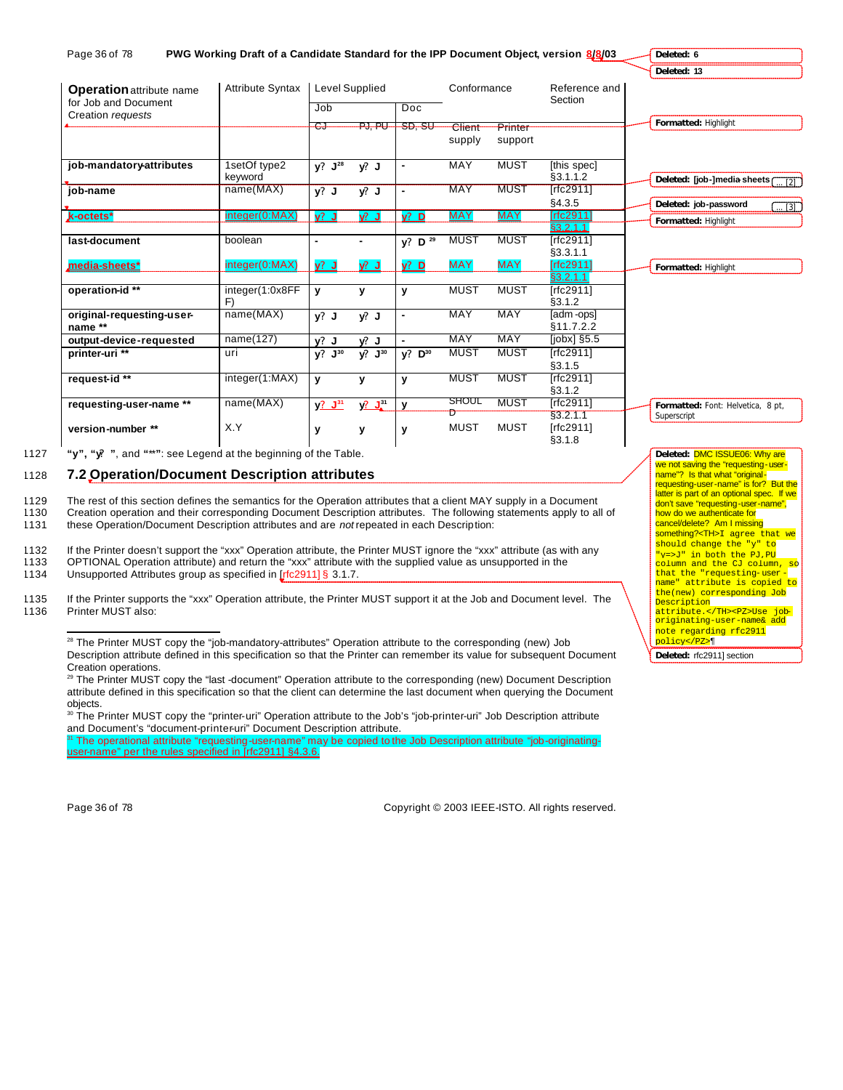| Page 36 of 78                                                                | PWG Working Draft of a Candidate Standard for the IPP Document Object, version 8/8/03 |                |                           |                      |                   |                    |                                  | Deleted: 6                                      |
|------------------------------------------------------------------------------|---------------------------------------------------------------------------------------|----------------|---------------------------|----------------------|-------------------|--------------------|----------------------------------|-------------------------------------------------|
|                                                                              |                                                                                       |                |                           |                      |                   |                    |                                  | Deleted: 13                                     |
| <b>Operation attribute name</b><br>for Job and Document<br>Creation requests | <b>Attribute Syntax</b>                                                               | Level Supplied |                           |                      | Conformance       |                    | Reference and<br>Section         |                                                 |
|                                                                              |                                                                                       | Job            |                           | Doc                  |                   |                    |                                  |                                                 |
|                                                                              |                                                                                       | €J             | ᠊ᠲᢋ <sub>᠇</sub> ᡉᡁ       | <del>SD. SU</del>    | Client<br>supply  | Printer<br>support |                                  | Formatted: Highlight                            |
| job-mandatory-attributes                                                     | 1setOf type2                                                                          | $y? J^{28}$    | $y!$ J                    | ۰                    | <b>MAY</b>        | <b>MUST</b>        | [this spec]                      |                                                 |
| job-name                                                                     | keyword<br>name(MAX)                                                                  |                | V: J                      |                      | <b>MAY</b>        | <b>MUST</b>        | §3.1.1.2<br>[rfc2911]            | Deleted: [job-]media sheets<br>$\overline{121}$ |
|                                                                              |                                                                                       | $y?$ J         |                           |                      |                   |                    | §4.3.5                           | Deleted: job-password<br>$-131$                 |
| k-octets*                                                                    | integer(0:MAX)                                                                        | $v^2$ J        | $\mathcal{V}$ . J         | $V^2$ D              | <b>MAY</b>        | <b>MAY</b>         | [rfc2911]<br>\$3.2.1.1           | Formatted: Highlight                            |
| last-document                                                                | boolean                                                                               | ۰              |                           | $y?$ D <sup>29</sup> | <b>MUST</b>       | <b>MUST</b>        | [rfc2911]<br>§3.3.1.1            |                                                 |
| media-sheets*                                                                | integer(0:MAX)                                                                        | $y^2$ J        | $\sqrt{2}$ J              | $y?$ D               | <b>MAY</b>        | <b>MAY</b>         | [rfc2911]<br>§3.2.1.1            | Formatted: Highlight                            |
| operation-id **                                                              | integer(1:0x8FF<br>F)                                                                 | y              | y                         | y                    | <b>MUST</b>       | <b>MUST</b>        | [rfc2911]<br>§3.1.2              |                                                 |
| original-requesting-user-<br>name **                                         | name(MAX)                                                                             | $y?$ J         | V:J                       | $\blacksquare$       | <b>MAY</b>        | <b>MAY</b>         | [adm-ops]<br>\$11.7.2.2          |                                                 |
| output-device-requested                                                      | name(127)                                                                             | v? J           | v? J                      |                      | <b>MAY</b>        | MAY                | $[jobx]$ §5.5                    |                                                 |
| printer-uri **                                                               | uri                                                                                   | $y?$ $J^{30}$  | $y^2$ $\overline{J^{30}}$ | $y?$ $D^{30}$        | <b>MUST</b>       | <b>MUST</b>        | [rfc2911]<br>§3.1.5              |                                                 |
| request-id **                                                                | integer(1:MAX)                                                                        | y              | y                         | $\mathbf{v}$         | <b>MUST</b>       | <b>MUST</b>        | [rfc2911]<br>§3.1.2              |                                                 |
| requesting-user-name **                                                      | name(MAX)                                                                             | $V^2$ $J^{31}$ | $\sqrt{2}$ $\sqrt{31}$    | y                    | SHOUL             | <b>MUST</b>        | [rfc2911]                        | Formatted: Font: Helvetica, 8 pt,               |
| version-number **                                                            | X.Y                                                                                   | y              | y                         | y                    | ft<br><b>MUST</b> | <b>MUST</b>        | \$3.2.1.1<br>[rfc2911]<br>§3.1.8 | Superscript                                     |

1127 **"y", "y? "**, and **"**\*\***"**: see Legend at the beginning of the Table. 1128 **7.2 Operation/Document Description attributes**

1129 The rest of this section defines the semantics for the Operation attributes that a client MAY supply in a Document<br>1130 Creation operation and their corresponding Document Description attributes. The following stateme Creation operation and their corresponding Document Description attributes. The following statements apply to all of

1131 these Operation/Document Description attributes and are *not* repeated in each Description:

1132 If the Printer doesn't support the "xxx" Operation attribute, the Printer MUST ignore the "xxx" attribute (as with any 1133 OPTIONAL Operation attribute) and return the "xxx" attribute with the supplied value as unsupported in the 1134 Unsupported Attributes group as specified in [fc2911] § 3.1.7.

Unsupported Attributes group as specified in [rfc2911] § 3.1.7.

1135 If the Printer supports the "xxx" Operation attribute, the Printer MUST support it at the Job and Document level. The 1136 Printer MUST also: Printer MUST also:

<sup>28</sup> The Printer MUST copy the "job-mandatory-attributes" Operation attribute to the corresponding (new) Job Description attribute defined in this specification so that the Printer can remember its value for subsequent Document Creation operations.

<sup>29</sup> The Printer MUST copy the "last -document" Operation attribute to the corresponding (new) Document Description attribute defined in this specification so that the client can determine the last document when querying the Document objects.

<sup>30</sup> The Printer MUST copy the "printer-uri" Operation attribute to the Job's "job-printer-uri" Job Description attribute and Document's "document-printer-uri" Document Description attribute.

The operational attribute "requesting-user-name" may be copied to the Job Description attribute "job-originatinguser-name" per the rules specified in [rfc2911] §4.3.6.

 $\overline{a}$ 

Page 36 of 78 Copyright © 2003 IEEE-ISTO. All rights reserved.

**Deleted:** DMC ISSUE06: Why are we not saving the "requesting-username"? Is that what "original-<br>requesting-user-name" is for? But the latter is part of an optional spec. If we don't save "requesting-user-name",<br>how do we authenticate for cancel/delete? Am I missing something?<TH>I agree that we should change the "y" to "y=>J" in both the PJ,PU column and the CJ column, so that the "requesting-user - name" attribute is copied to the(new) corresponding Job <mark>Description</mark> attribute.</TH><PZ>Use joboriginating-user-name& add note regarding rfc2911 policy</PZ>¶

**Deleted:** rfc2911] section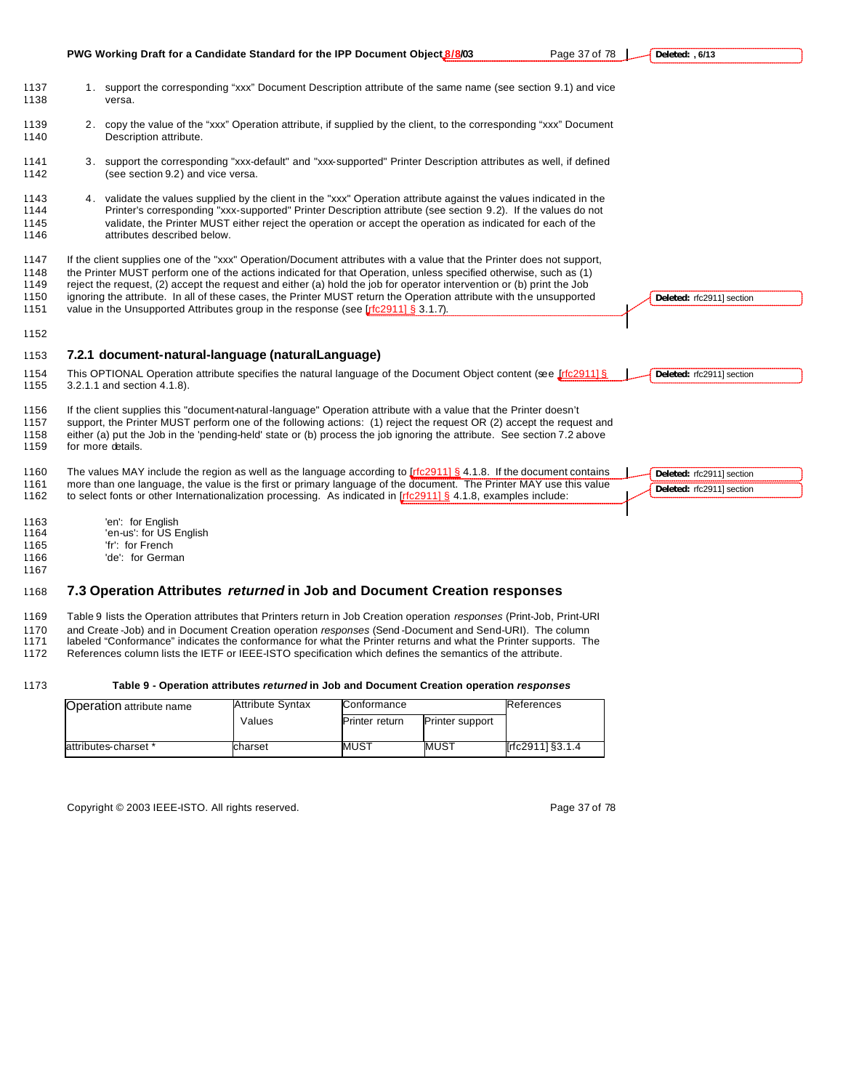|                                      | PWG Working Draft for a Candidate Standard for the IPP Document Object 8/8/03                                                                                                                                                                                                                                                                                                                                                                                                                                                                                                    | Page 37 of 78 | Deleted: , 6/13                                        |
|--------------------------------------|----------------------------------------------------------------------------------------------------------------------------------------------------------------------------------------------------------------------------------------------------------------------------------------------------------------------------------------------------------------------------------------------------------------------------------------------------------------------------------------------------------------------------------------------------------------------------------|---------------|--------------------------------------------------------|
| 1137<br>1138                         | 1. support the corresponding "xxx" Document Description attribute of the same name (see section 9.1) and vice<br>versa.                                                                                                                                                                                                                                                                                                                                                                                                                                                          |               |                                                        |
| 1139<br>1140                         | 2. copy the value of the "xxx" Operation attribute, if supplied by the client, to the corresponding "xxx" Document<br>Description attribute.                                                                                                                                                                                                                                                                                                                                                                                                                                     |               |                                                        |
| 1141<br>1142                         | 3. support the corresponding "xxx-default" and "xxx-supported" Printer Description attributes as well, if defined<br>(see section 9.2) and vice versa.                                                                                                                                                                                                                                                                                                                                                                                                                           |               |                                                        |
| 1143<br>1144<br>1145<br>1146         | 4. validate the values supplied by the client in the "xxx" Operation attribute against the values indicated in the<br>Printer's corresponding "xxx-supported" Printer Description attribute (see section 9.2). If the values do not<br>validate, the Printer MUST either reject the operation or accept the operation as indicated for each of the<br>attributes described below.                                                                                                                                                                                                |               |                                                        |
| 1147<br>1148<br>1149<br>1150<br>1151 | If the client supplies one of the "xxx" Operation/Document attributes with a value that the Printer does not support,<br>the Printer MUST perform one of the actions indicated for that Operation, unless specified otherwise, such as (1)<br>reject the request, (2) accept the request and either (a) hold the job for operator intervention or (b) print the Job<br>ignoring the attribute. In all of these cases, the Printer MUST return the Operation attribute with the unsupported<br>value in the Unsupported Attributes group in the response (see [r[c2911] § 3.1.7). |               | Deleted: rfc2911] section                              |
| 1152                                 |                                                                                                                                                                                                                                                                                                                                                                                                                                                                                                                                                                                  |               |                                                        |
| 1153                                 | 7.2.1 document-natural-language (naturalLanguage)                                                                                                                                                                                                                                                                                                                                                                                                                                                                                                                                |               |                                                        |
| 1154<br>1155                         | This OPTIONAL Operation attribute specifies the natural language of the Document Object content (see <i>Irfc29111§</i><br>3.2.1.1 and section 4.1.8).                                                                                                                                                                                                                                                                                                                                                                                                                            |               | Deleted: rfc2911] section                              |
| 1156<br>1157<br>1158<br>1159         | If the client supplies this "document-natural-language" Operation attribute with a value that the Printer doesn't<br>support, the Printer MUST perform one of the following actions: (1) reject the request OR (2) accept the request and<br>either (a) put the Job in the 'pending-held' state or (b) process the job ignoring the attribute. See section 7.2 above<br>for more details.                                                                                                                                                                                        |               |                                                        |
| 1160<br>1161<br>1162                 | The values MAY include the region as well as the language according to $\frac{[r(c2911)]}{[s]}$ 4.1.8. If the document contains<br>more than one language, the value is the first or primary language of the document. The Printer MAY use this value<br>to select fonts or other Internationalization processing. As indicated in $[rfc2911]$ § 4.1.8, examples include:                                                                                                                                                                                                        |               | Deleted: rfc2911] section<br>Deleted: rfc2911] section |
| 1163<br>1164<br>1165                 | 'en': for English<br>'en-us': for US English<br>'fr': for French                                                                                                                                                                                                                                                                                                                                                                                                                                                                                                                 |               |                                                        |

'de': for German

# **7.3 Operation Attributes** *returned* **in Job and Document Creation responses**

Table 9 lists the Operation attributes that Printers return in Job Creation operation *responses* (Print-Job, Print-URI

and Create -Job) and in Document Creation operation *responses* (Send -Document and Send-URI). The column

labeled "Conformance" indicates the conformance for what the Printer returns and what the Printer supports. The

References column lists the IETF or IEEE-ISTO specification which defines the semantics of the attribute.

# **Table 9 - Operation attributes** *returned* **in Job and Document Creation operation** *responses*

| <b>Operation attribute name</b> | <b>Attribute Syntax</b> | Conformance                              | References |                  |
|---------------------------------|-------------------------|------------------------------------------|------------|------------------|
|                                 | Values                  | Printer support<br><b>Printer return</b> |            |                  |
| attributes-charset *            | charset                 | <b>IMUST</b>                             | MUST       | [rfc2911] §3.1.4 |

Copyright © 2003 IEEE-ISTO. All rights reserved. example 2003 12 and 2009 178

 $\mathbf{r}$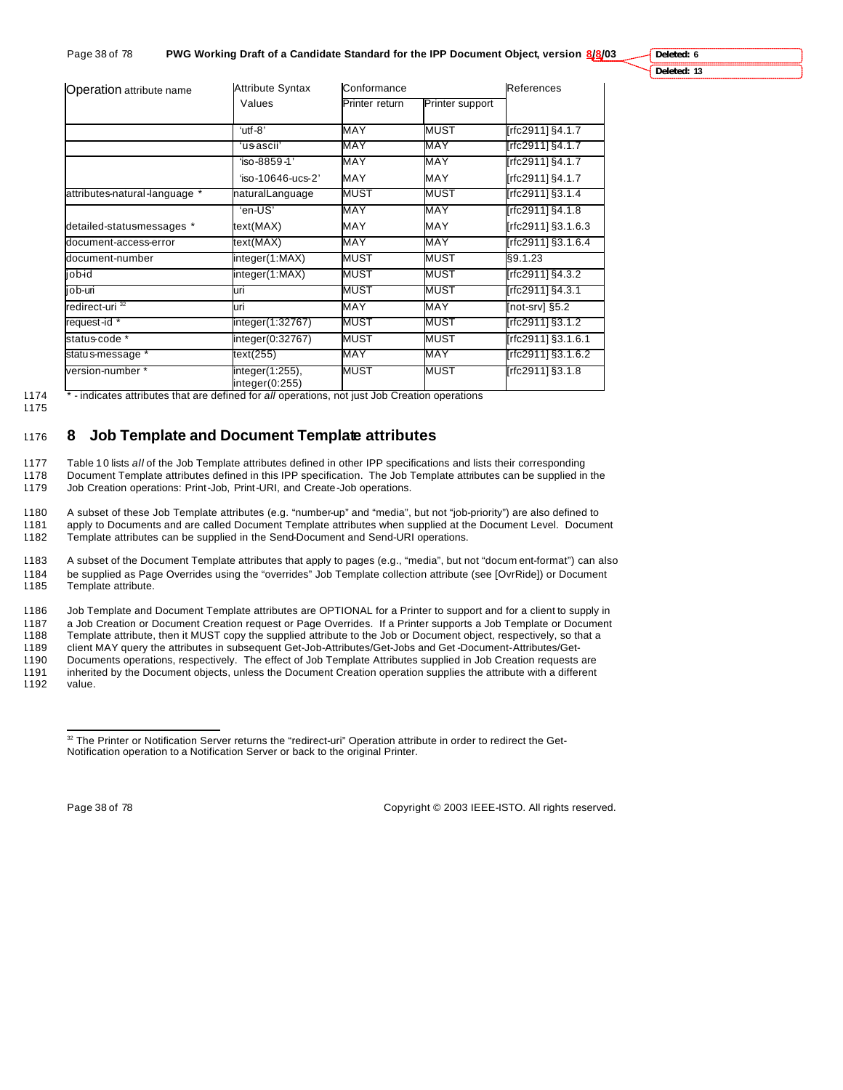**Deleted: 6**

**Deleted: 13**

| Operation attribute name      | <b>Attribute Syntax</b>           | Conformance    | References      |                    |
|-------------------------------|-----------------------------------|----------------|-----------------|--------------------|
|                               | Values                            | Printer return | Printer support |                    |
|                               | 'utf-8"                           | MAY            | <b>MUST</b>     | [rfc2911] §4.1.7   |
|                               | 'usascii'                         | MAY            | MAY             | [rfc2911] §4.1.7   |
|                               | 'iso-8859-1'                      | MAY            | MAY             | [rfc2911] §4.1.7   |
|                               | 'iso-10646-ucs-2'                 | <b>MAY</b>     | <b>MAY</b>      | [rfc2911] §4.1.7   |
| attributes-natural-language * | naturalLanguage                   | MUST           | MUST            | [rfc2911] §3.1.4   |
|                               | 'en-US'                           | MAY            | MAY             | [rfc2911] §4.1.8   |
| detailed-statusmessages *     | text(MAX)                         | MAY            | <b>MAY</b>      | [rfc2911] §3.1.6.3 |
| document-access-error         | text(MAX)                         | MAY            | MAY             | [rfc2911] §3.1.6.4 |
| document-number               | integer(1:MAX)                    | MUST           | <b>MUST</b>     | \$9.1.23           |
| bidoj                         | integer(1:MAX)                    | MUST           | MUST            | [rfc2911] §4.3.2   |
| job-uri                       | uri                               | MUST           | MUST            | [rfc2911] §4.3.1   |
| redirect-uri <sup>32</sup>    | uri                               | <b>MAY</b>     | MAY             | [not-srv] §5.2     |
| request-id *                  | integer(1:32767)                  | MUST           | MUST            | [rfc2911] §3.1.2   |
| status-code *                 | integer(0:32767)                  | <b>MUST</b>    | <b>MUST</b>     | [rfc2911] §3.1.6.1 |
| status-message *              | text(255)                         | MAY            | MAY             | [rfc2911] §3.1.6.2 |
| version-number *              | integer(1:255),<br>integer(0:255) | <b>MUST</b>    | MUST            | [rfc2911] §3.1.8   |

1174 \* - indicates attributes that are defined for *all* operations, not just Job Creation operations

1175

# <sup>1176</sup> **8 Job Template and Document Template attributes**

1177 Table 1 0 lists *all* of the Job Template attributes defined in other IPP specifications and lists their corresponding

1178 Document Template attributes defined in this IPP specification. The Job Template attributes can be supplied in the 1179 Job Creation operations: Print-Job, Print-URI, and Create-Job operations.

1180 A subset of these Job Template attributes (e.g. "number-up" and "media", but not "job-priority") are also defined to 1181 apply to Documents and are called Document Template attributes when supplied at the Document Level. Document

1182 Template attributes can be supplied in the Send-Document and Send-URI operations.

1183 A subset of the Document Template attributes that apply to pages (e.g., "media", but not "docum ent-format") can also 1184 be supplied as Page Overrides using the "overrides" Job Template collection attribute (see [OvrRide]) or Document Template attribute.

1186 Job Template and Document Template attributes are OPTIONAL for a Printer to support and for a client to supply in

1187 a Job Creation or Document Creation request or Page Overrides. If a Printer supports a Job Template or Document<br>1188 Template attribute, then it MUST copy the supplied attribute to the Job or Document object, respecti Template attribute, then it MUST copy the supplied attribute to the Job or Document object, respectively, so that a

1189 client MAY query the attributes in subsequent Get-Job-Attributes/Get-Jobs and Get -Document-Attributes/Get-

1190 Documents operations, respectively. The effect of Job Template Attributes supplied in Job Creation requests are

1191 inherited by the Document objects, unless the Document Creation operation supplies the attribute with a different value.

 $\overline{a}$ 

Page 38 of 78 Copyright © 2003 IEEE-ISTO. All rights reserved.

<sup>32</sup> The Printer or Notification Server returns the "redirect-uri" Operation attribute in order to redirect the Get-Notification operation to a Notification Server or back to the original Printer.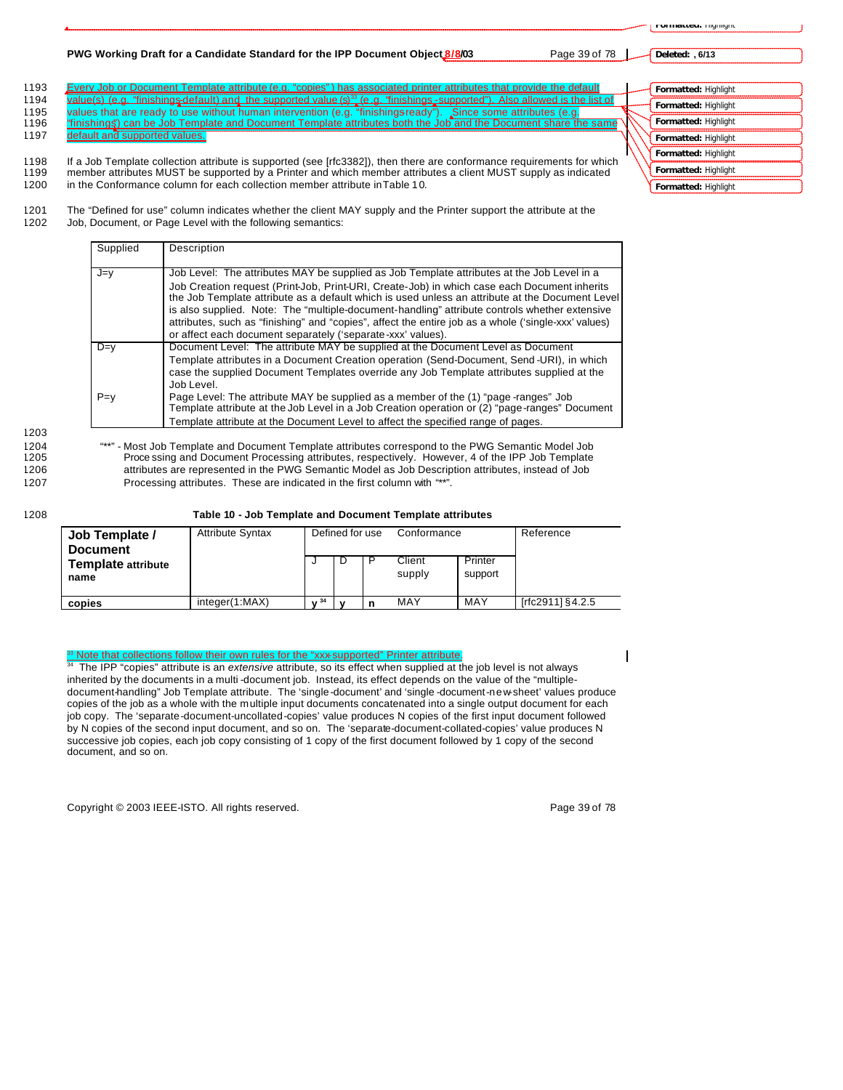#### **PWG Working Draft for a Candidate Standard for the IPP Document Object 8/8/03** Page 39 of 78

**Deleted: , 6/13**

- 1193 Every Job or Document Template attribute (e.g. "copies") has associated printer attributes that provide the default ue(s) (e.g. "finishings-default) an 1194 value(s) (e.g. "finishings-default) and the supported value (s)<sup>33</sup> (e.g. "finishings-supported"). Also allowed is the list of
- 1195 values that are ready to use without human intervention (e.g. "finishingsready"). Since some attributes (e.g.<br>1196 "finishings") can be Job Template and Document Template attributes both the Job and the Document share <u>"finishings") can be Job Template and Document Template attributes both the </u>
- 1197 default and supported values.

1198 If a Job Template collection attribute is supported (see [rfc3382]), then there are conformance requirements for which 1199 member attributes MUST be supported by a Printer and which member attributes a client MUST supply as indicated 1200 in the Conformance column for each collection member attribute in Table 1 0.

1201 The "Defined for use" column indicates whether the client MAY supply and the Printer support the attribute at the 1202 Job, Document, or Page Level with the following semantics:

| Supplied | Description                                                                                                                                                                                                                                                                             |  |
|----------|-----------------------------------------------------------------------------------------------------------------------------------------------------------------------------------------------------------------------------------------------------------------------------------------|--|
| J=v      | Job Level: The attributes MAY be supplied as Job Template attributes at the Job Level in a                                                                                                                                                                                              |  |
|          | Job Creation request (Print-Job, Print-URI, Create-Job) in which case each Document inherits<br>the Job Template attribute as a default which is used unless an attribute at the Document Level                                                                                         |  |
|          | is also supplied. Note: The "multiple-document-handling" attribute controls whether extensive                                                                                                                                                                                           |  |
|          | attributes, such as "finishing" and "copies", affect the entire job as a whole ('single-xxx' values)<br>or affect each document separately ('separate-xxx' values).                                                                                                                     |  |
| $D=y$    | Document Level: The attribute MAY be supplied at the Document Level as Document<br>Template attributes in a Document Creation operation (Send-Document, Send -URI), in which<br>case the supplied Document Templates override any Job Template attributes supplied at the<br>Job Level. |  |
| $P = v$  | Page Level: The attribute MAY be supplied as a member of the (1) "page-ranges" Job<br>Template attribute at the Job Level in a Job Creation operation or (2) "page-ranges" Document                                                                                                     |  |
|          | Template attribute at the Document Level to affect the specified range of pages.                                                                                                                                                                                                        |  |

1203

1204 "\*\*" - Most Job Template and Document Template attributes correspond to the PWG Semantic Model Job<br>1205 Proce ssing and Document Processing attributes, respectively. However, 4 of the IPP Job Template Proce ssing and Document Processing attributes, respectively. However, 4 of the IPP Job Template 1206 attributes are represented in the PWG Semantic Model as Job Description attributes, instead of Job 1207 Processing attributes. These are indicated in the first column with "\*\*".

1208 **Table 10 - Job Template and Document Template attributes**

| Table TV - JOD Template and Document Template attributes |                         |                 |                 |  |                  |                    |                  |  |
|----------------------------------------------------------|-------------------------|-----------------|-----------------|--|------------------|--------------------|------------------|--|
| Job Template /<br><b>Document</b>                        | <b>Attribute Syntax</b> |                 | Defined for use |  | Conformance      |                    | Reference        |  |
| <b>Template attribute</b><br>name                        |                         |                 |                 |  | Client<br>supply | Printer<br>support |                  |  |
| copies                                                   | integer(1:MAX)          | V <sup>34</sup> |                 |  | MAY              | MAY                | [rfc2911] §4.2.5 |  |

**333 Note that collections follow their own rules for the "xxx-supported" Printer attribute.** 

<sup>34</sup> The IPP "copies" attribute is an *extensive* attribute, so its effect when supplied at the job level is not always inherited by the documents in a multi -document job. Instead, its effect depends on the value of the "multipledocument-handling" Job Template attribute. The 'single-document' and 'single -document-new-sheet' values produce copies of the job as a whole with the multiple input documents concatenated into a single output document for each job copy. The 'separate-document-uncollated-copies' value produces N copies of the first input document followed by N copies of the second input document, and so on. The 'separate-document-collated-copies' value produces N successive job copies, each job copy consisting of 1 copy of the first document followed by 1 copy of the second document, and so on.

Copyright © 2003 IEEE-ISTO. All rights reserved. Page 39 of 78

| Formatted: Highlight |  |
|----------------------|--|
| Formatted: Highlight |  |
| Formatted: Highlight |  |
| Formatted: Highlight |  |
| Formatted: Highlight |  |
| Formatted: Highlight |  |
| Formatted: Highlight |  |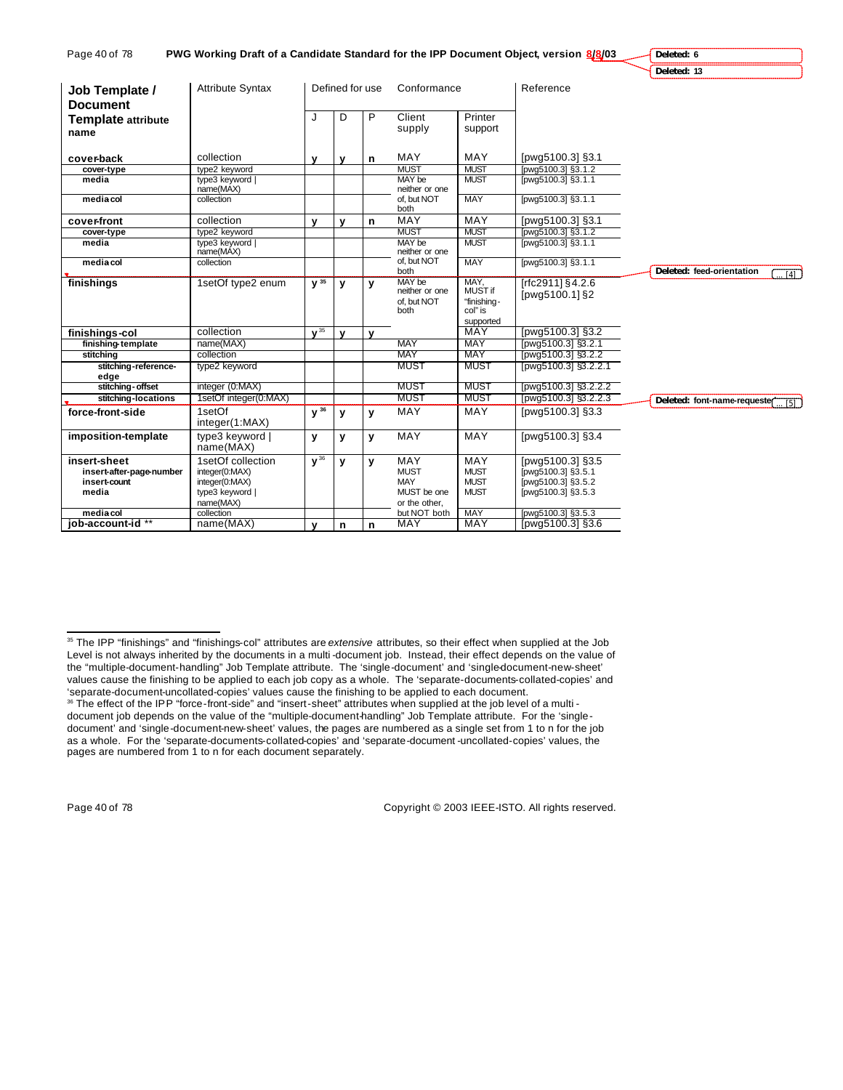| Page 40 of <i>7</i> 8 | PWG Working Draft of a Candidate Standard for the IPP Document Object, version 8/8/03 |  |
|-----------------------|---------------------------------------------------------------------------------------|--|
|-----------------------|---------------------------------------------------------------------------------------|--|

**Deleted: 6 Deleted: 13**

| Job Template /               | <b>Attribute Syntax</b>      |              | Defined for use |              | Conformance                             |                                | Reference                          |                                                 |
|------------------------------|------------------------------|--------------|-----------------|--------------|-----------------------------------------|--------------------------------|------------------------------------|-------------------------------------------------|
| <b>Document</b>              |                              |              |                 |              |                                         |                                |                                    |                                                 |
| <b>Template attribute</b>    |                              | J            | D               | P            | Client                                  | Printer                        |                                    |                                                 |
| name                         |                              |              |                 |              | supply                                  | support                        |                                    |                                                 |
|                              |                              |              |                 |              |                                         |                                |                                    |                                                 |
| cover-back                   | collection                   | v            | $\mathbf v$     | n            | <b>MAY</b>                              | <b>MAY</b>                     | [pwg5100.3] §3.1                   |                                                 |
| cover-type                   | type2 keyword                |              |                 |              | <b>MUST</b>                             | <b>MUST</b>                    | [pwg5100.3] §3.1.2                 |                                                 |
| media                        | type3 keyword<br>name(MAX)   |              |                 |              | MAY be<br>neither or one                | <b>MUST</b>                    | [pwg5100.3] §3.1.1                 |                                                 |
| media col                    | collection                   |              |                 |              | of. but NOT<br>both                     | <b>MAY</b>                     | [pwg5100.3] §3.1.1                 |                                                 |
| cover-front                  | collection                   | $\mathbf{v}$ | $\mathbf{v}$    | n            | MAY                                     | <b>MAY</b>                     | [pwg5100.3] §3.1                   |                                                 |
| cover-type                   | type2 keyword                |              |                 |              | <b>MUST</b>                             | <b>MUST</b>                    | [pwg5100.3] §3.1.2                 |                                                 |
| media                        | type3 keyword<br>name(MAX)   |              |                 |              | MAY be<br>neither or one                | <b>MUST</b>                    | [pwg5100.3] §3.1.1                 |                                                 |
| media col                    | collection                   |              |                 |              | of, but NOT<br>both                     | <b>MAY</b>                     | [pwg5100.3] §3.1.1                 | Deleted: feed-orientation<br>$\overline{[4]}$   |
| finishings                   | 1setOf type2 enum            | $V^{35}$     | $\mathbf{v}$    | y            | MAY be<br>neither or one<br>of. but NOT | MAY.<br>MUST if<br>"finishina- | [rfc2911] §4.2.6<br>[pwg5100.1] §2 |                                                 |
|                              |                              |              |                 |              | both                                    | col" is<br>supported           |                                    |                                                 |
| finishings-col               | collection                   | $V^{35}$     | $\mathbf{v}$    | $\mathbf{v}$ |                                         | <b>MAY</b>                     | [pwg5100.3] §3.2                   |                                                 |
| finishing-template           | name(MAX)                    |              |                 |              | <b>MAY</b>                              | MAY                            | [pwg5100.3] §3.2.1                 |                                                 |
| stitching                    | collection                   |              |                 |              | <b>MAY</b>                              | MAY                            | [pwg5100.3] §3.2.2                 |                                                 |
| stitching-reference-<br>edge | type2 keyword                |              |                 |              | <b>MUST</b>                             | <b>MUST</b>                    | [pwg5100.3] §3.2.2.1               |                                                 |
| stitching-offset             | integer (0:MAX)              |              |                 |              | <b>MUST</b>                             | MUST                           | [pwg5100.3] §3.2.2.2               |                                                 |
| stitching-locations          | 1setOf integer(0:MAX)        |              |                 |              | <b>MUST</b>                             | <b>MUST</b>                    | [pwg5100.3] §3.2.2.3               | Deleted: font-name-requester<br>$\overline{51}$ |
| force-front-side             | 1setOf                       | $y^{36}$     | y               | v            | MAY                                     | MAY                            | [pwg5100.3] §3.3                   |                                                 |
|                              | integer(1:MAX)               |              |                 |              |                                         |                                |                                    |                                                 |
| imposition-template          | type3 keyword  <br>name(MAX) | y            | y               | $\mathbf v$  | <b>MAY</b>                              | MAY                            | [pwg5100.3] §3.4                   |                                                 |
| insert-sheet                 | 1setOf collection            | $y^{36}$     | y               | $\mathbf v$  | <b>MAY</b>                              | MAY                            | [pwg5100.3] §3.5                   |                                                 |
| insert-after-page-number     | integer(0:MAX)               |              |                 |              | <b>MUST</b>                             | <b>MUST</b>                    | [pwg5100.3] §3.5.1                 |                                                 |
| insert-count                 | integer(0:MAX)               |              |                 |              | <b>MAY</b>                              | <b>MUST</b>                    | [pwg5100.3] §3.5.2                 |                                                 |
| media                        | type3 keyword                |              |                 |              | MUST be one                             | <b>MUST</b>                    | [pwg5100.3] §3.5.3                 |                                                 |
|                              | name(MAX)                    |              |                 |              | or the other.                           |                                |                                    |                                                 |
| media col                    | collection                   |              |                 |              | but NOT both                            | <b>MAY</b>                     | [pwg5100.3] §3.5.3                 |                                                 |
| iob-account-id **            | name(MAX)                    | y            | n               | n            | <b>MAY</b>                              | <b>MAY</b>                     | [pwg5100.3] §3.6                   |                                                 |

 $\overline{a}$ 

Page 40 of 78 Copyright © 2003 IEEE-ISTO. All rights reserved.

<sup>35</sup> The IPP "finishings" and "finishings-col" attributes are *extensive* attributes, so their effect when supplied at the Job Level is not always inherited by the documents in a multi-document job. Instead, their effect depends on the value of the "multiple-document-handling" Job Template attribute. The 'single-document' and 'single-document-new-sheet' values cause the finishing to be applied to each job copy as a whole. The 'separate-documents-collated-copies' and 'separate-document-uncollated-copies' values cause the finishing to be applied to each document. <sup>36</sup> The effect of the IPP "force-front-side" and "insert-sheet" attributes when supplied at the job level of a multi -

document job depends on the value of the "multiple-document-handling" Job Template attribute. For the 'singledocument' and 'single-document-new-sheet' values, the pages are numbered as a single set from 1 to n for the job as a whole. For the 'separate-documents-collated-copies' and 'separate-document -uncollated-copies' values, the pages are numbered from 1 to n for each document separately.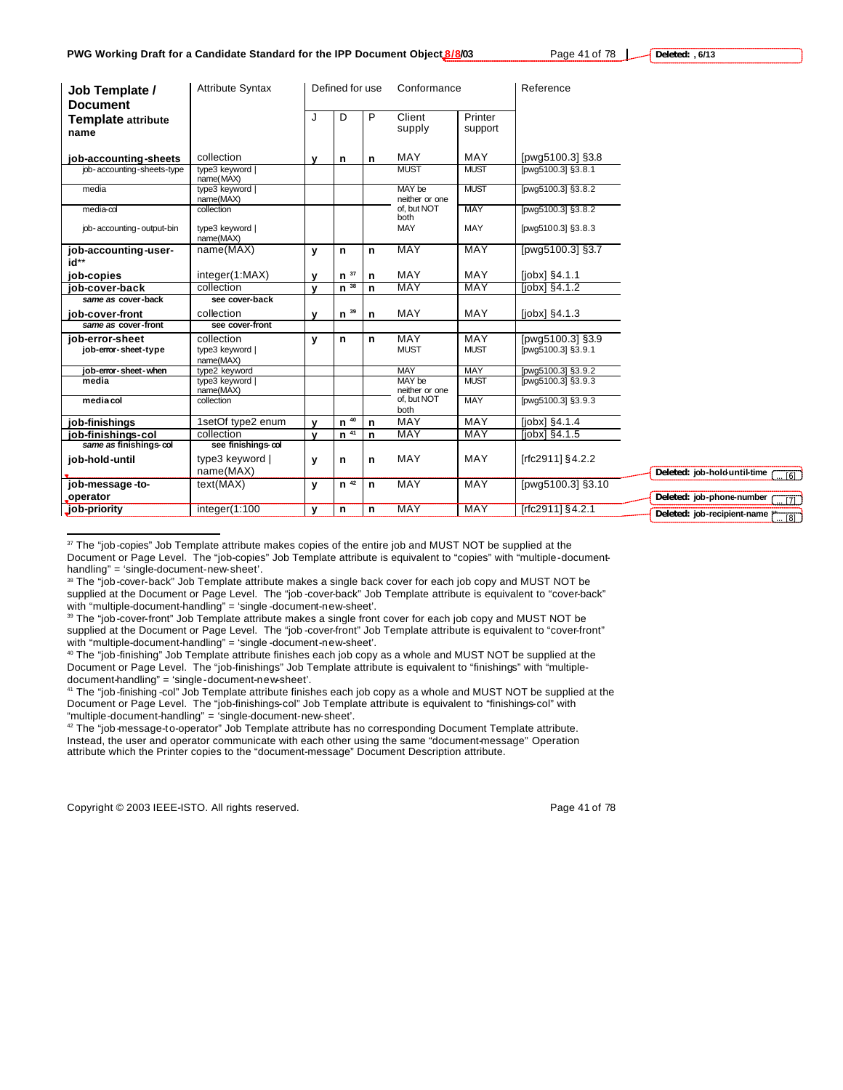| Job Template /<br><b>Document</b>       | <b>Attribute Syntax</b>                    |              | Defined for use |   | Conformance              |                    | Reference                              |                               |
|-----------------------------------------|--------------------------------------------|--------------|-----------------|---|--------------------------|--------------------|----------------------------------------|-------------------------------|
| <b>Template attribute</b><br>name       |                                            | J            | D               | P | Client<br>supply         | Printer<br>support |                                        |                               |
| job-accounting-sheets                   | collection                                 | v            | n               | n | <b>MAY</b>               | <b>MAY</b>         | [pwg5100.3] §3.8                       |                               |
| job-accounting-sheets-type              | type3 keyword  <br>name(MAX)               |              |                 |   | <b>MUST</b>              | <b>MUST</b>        | [pwg5100.3] §3.8.1                     |                               |
| media                                   | type3 keyword<br>name(MAX)                 |              |                 |   | MAY be<br>neither or one | <b>MUST</b>        | [pwg5100.3] §3.8.2                     |                               |
| $media$ - $\infty$                      | collection                                 |              |                 |   | of, but NOT<br>both      | <b>MAY</b>         | [pwg5100.3] §3.8.2                     |                               |
| job-accounting-output-bin               | type3 keyword  <br>name(MAX)               |              |                 |   | <b>MAY</b>               | MAY                | [pwg5100.3] §3.8.3                     |                               |
| job-accounting-user-<br>id**            | name(MAX)                                  | y            | n               | n | <b>MAY</b>               | <b>MAY</b>         | [pwg5100.3] §3.7                       |                               |
| job-copies                              | integer(1:MAX)                             | $\mathbf v$  | $n^{37}$        | n | <b>MAY</b>               | <b>MAY</b>         | $[jobx]$ §4.1.1                        |                               |
| iob-cover-back                          | collection                                 | $\mathbf{v}$ | $n^{38}$        | n | <b>MAY</b>               | <b>MAY</b>         | $[jobx]$ $§4.1.2$                      |                               |
| same as cover-back                      | see cover-back                             |              |                 |   |                          |                    |                                        |                               |
| job-cover-front                         | collection                                 | v            | $n^{39}$        | n | MAY                      | MAY                | $[jobx]$ §4.1.3                        |                               |
| same as cover-front                     | see cover-front                            |              |                 |   |                          |                    |                                        |                               |
| iob-error-sheet<br>job-error-sheet-type | collection<br>type3 keyword  <br>name(MAX) | у            | n               | n | MAY<br><b>MUST</b>       | MAY<br><b>MUST</b> | [pwg5100.3] §3.9<br>[pwg5100.3] §3.9.1 |                               |
| job-error-sheet-when                    | type2 keyword                              |              |                 |   | <b>MAY</b>               | <b>MAY</b>         | [pwg5100.3] §3.9.2                     |                               |
| media                                   | type3 keyword  <br>name(MAX)               |              |                 |   | MAY be<br>neither or one | <b>MUST</b>        | [pwg5100.3] §3.9.3                     |                               |
| media col                               | collection                                 |              |                 |   | of, but NOT<br>both      | <b>MAY</b>         | [pwg5100.3] §3.9.3                     |                               |
| job-finishings                          | 1setOf type2 enum                          | $\mathbf{v}$ | $n^{40}$        | n | MAY                      | <b>MAY</b>         | $[jobx]$ §4.1.4                        |                               |
| job-finishings-col                      | collection                                 | $\mathbf{v}$ | n <sup>41</sup> | n | <b>MAY</b>               | <b>MAY</b>         | $[jobx]5$ §4.1.5                       |                               |
| same as finishings-col                  | see finishings-col                         |              |                 |   |                          |                    |                                        |                               |
| job-hold-until                          | type3 keyword  <br>name(MAX)               | У            | n               | n | <b>MAY</b>               | <b>MAY</b>         | [rfc2911] §4.2.2                       | Deleted: job-hold-until-time  |
| job-message-to-                         | text(MAX)                                  | y            | $n^{42}$        | n | <b>MAY</b>               | MAY                | [pwg5100.3] §3.10                      |                               |
| operator                                |                                            |              |                 |   |                          |                    |                                        | Deleted: job-phone-number     |
| job-priority                            | integer(1:100                              | y            | n               | n | MAY                      | <b>MAY</b>         | [rfc2911] §4.2.1                       | Deleted: job-recipient-name } |

<sup>&</sup>lt;sup>37</sup> The "job-copies" Job Template attribute makes copies of the entire job and MUST NOT be supplied at the Document or Page Level. The "job-copies" Job Template attribute is equivalent to "copies" with "multiple-documenthandling" = 'single-document-new-sheet'.

<sup>40</sup> The "job-finishing" Job Template attribute finishes each job copy as a whole and MUST NOT be supplied at the Document or Page Level. The "job-finishings" Job Template attribute is equivalent to "finishings" with "multipledocument-handling" = 'single-document-new-sheet'.

<sup>41</sup> The "job-finishing -col" Job Template attribute finishes each job copy as a whole and MUST NOT be supplied at the Document or Page Level. The "job-finishings-col" Job Template attribute is equivalent to "finishings-col" with "multiple-document-handling" = 'single-document-new-sheet'.

<sup>42</sup> The "job-message-to-operator" Job Template attribute has no corresponding Document Template attribute. Instead, the user and operator communicate with each other using the same "document-message" Operation attribute which the Printer copies to the "document-message" Document Description attribute.

Copyright © 2003 IEEE-ISTO. All rights reserved. Page 41 of 78

 $\overline{a}$ 

**Deleted: , 6/13**

... [7] ... [6]

 $R$ 

<sup>&</sup>lt;sup>38</sup> The "job-cover-back" Job Template attribute makes a single back cover for each job copy and MUST NOT be supplied at the Document or Page Level. The "job -cover-back" Job Template attribute is equivalent to "cover-back" with "multiple-document-handling" = 'single -document-new-sheet'.

<sup>&</sup>lt;sup>39</sup> The "iob-cover-front" Job Template attribute makes a single front cover for each job copy and MUST NOT be supplied at the Document or Page Level. The "job -cover-front" Job Template attribute is equivalent to "cover-front" with "multiple-document-handling" = 'single -document-new-sheet'.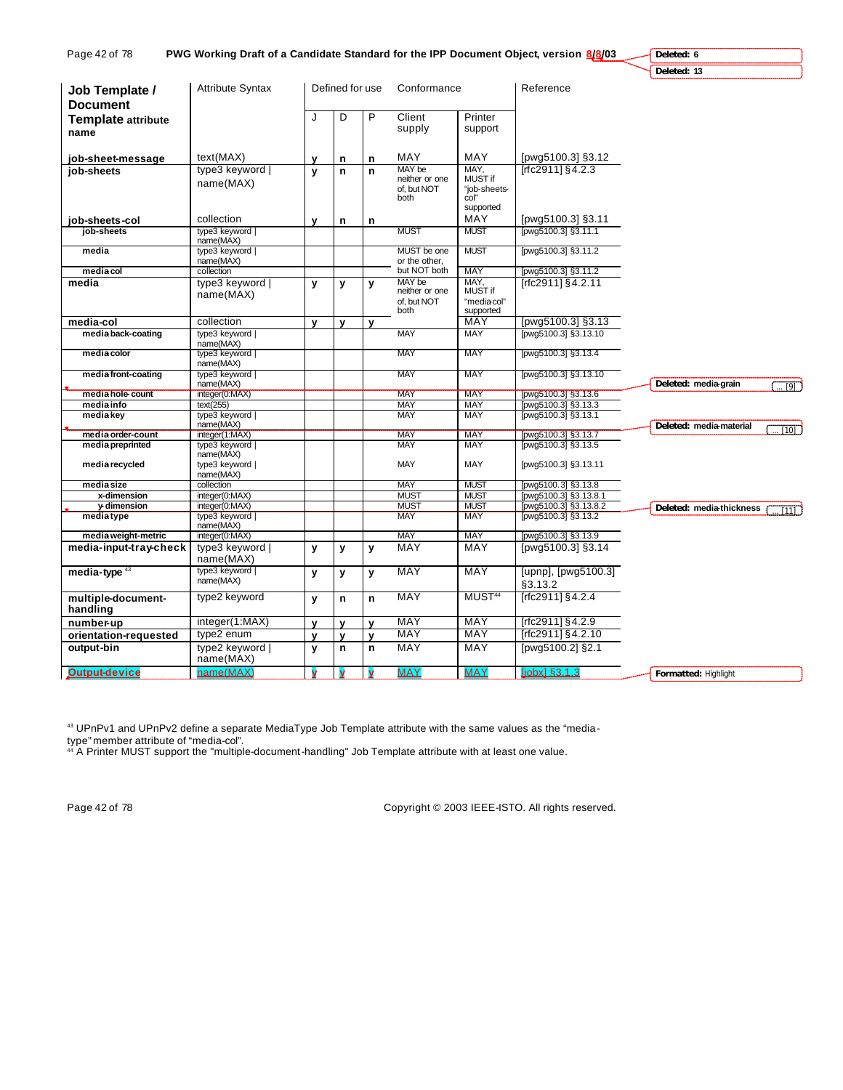| Page 42 of 78<br>PWG Working Draft of a Candidate Standard for the IPP Document Object, version 8/8/03 | Deleted: 6                       |             |                 |              |                               |                            |                                                |                                          |
|--------------------------------------------------------------------------------------------------------|----------------------------------|-------------|-----------------|--------------|-------------------------------|----------------------------|------------------------------------------------|------------------------------------------|
|                                                                                                        |                                  |             |                 |              |                               |                            |                                                | Deleted: 13                              |
| Job Template /                                                                                         | Attribute Syntax                 |             | Defined for use |              | Conformance                   |                            | Reference                                      |                                          |
| <b>Document</b>                                                                                        |                                  |             |                 |              |                               |                            |                                                |                                          |
| Template attribute                                                                                     |                                  | J           | D               | P            | Client                        | Printer                    |                                                |                                          |
| name                                                                                                   |                                  |             |                 |              | supply                        | support                    |                                                |                                          |
|                                                                                                        |                                  |             |                 |              |                               |                            |                                                |                                          |
| job-sheet-message                                                                                      | text(MAX)                        | v           | n               | n            | MAY                           | MAY                        | [pwg5100.3] §3.12                              |                                          |
| job-sheets                                                                                             | type3 keyword                    | y           | n               | $\mathbf n$  | MAY be                        | MAY.                       | [rfc2911] §4.2.3                               |                                          |
|                                                                                                        | name(MAX)                        |             |                 |              | neither or one<br>of. but NOT | MUST if<br>"job-sheets-    |                                                |                                          |
|                                                                                                        |                                  |             |                 |              | both                          | col"                       |                                                |                                          |
|                                                                                                        |                                  |             |                 |              |                               | supported                  |                                                |                                          |
| job-sheets-col                                                                                         | collection                       | $\mathbf v$ | n               | n            |                               | MAY                        | [pwg5100.3] §3.11                              |                                          |
| job-sheets                                                                                             | type3 keyword                    |             |                 |              | <b>MUST</b>                   | <b>MUST</b>                | [pwg5100.3] §3.11.1                            |                                          |
| media                                                                                                  | name(MAX)<br>type3 keyword       |             |                 |              | MUST be one                   | <b>MUST</b>                | [pwg5100.3] §3.11.2                            |                                          |
|                                                                                                        | name(MAX)                        |             |                 |              | or the other.                 |                            |                                                |                                          |
| media col                                                                                              | collection                       |             |                 |              | but NOT both                  | MAY                        | [pwg5100.3] §3.11.2                            |                                          |
| media                                                                                                  | type3 keyword                    | у           | у               | y            | MAY be<br>neither or one      | MAY,<br>MUST if            | [rfc2911] §4.2.11                              |                                          |
|                                                                                                        | name(MAX)                        |             |                 |              | of, but NOT                   | "mediacol"                 |                                                |                                          |
|                                                                                                        |                                  |             |                 |              | both                          | supported                  |                                                |                                          |
| media-col                                                                                              | collection                       | y           | y               | $\mathbf{v}$ |                               | <b>MAY</b>                 | [pwg5100.3] §3.13                              |                                          |
| media back-coating                                                                                     | type3 keyword                    |             |                 |              | <b>MAY</b>                    | <b>MAY</b>                 | [pwg5100.3] §3.13.10                           |                                          |
| media color                                                                                            | name(MAX)<br>type3 keyword       |             |                 |              | MAY                           | MAY                        | [pwg5100.3] §3.13.4                            |                                          |
|                                                                                                        | name(MAX)                        |             |                 |              |                               |                            |                                                |                                          |
| media front-coating                                                                                    | type3 keyword                    |             |                 |              | <b>MAY</b>                    | <b>MAY</b>                 | [pwg5100.3] §3.13.10                           |                                          |
|                                                                                                        | name(MAX)                        |             |                 |              |                               |                            |                                                | Deleted: media-grain<br>$\overline{191}$ |
| media hole-count<br>media info                                                                         | integer(0:MAX)<br>text(255)      |             |                 |              | <b>MAY</b><br>MAY             | <b>MAY</b><br>MAY          | pwg5100.3] §3.13.6<br>[pwg5100.3] §3.13.3      |                                          |
| media key                                                                                              | type3 keyword                    |             |                 |              | <b>MAY</b>                    | <b>MAY</b>                 | [pwg5100.3] §3.13.1                            |                                          |
|                                                                                                        | name(MAX)                        |             |                 |              |                               |                            |                                                | Deleted: media-material<br>[10]          |
| media order-count                                                                                      | integer(1:MAX)                   |             |                 |              | <b>MAY</b>                    | <b>MAY</b>                 | [pwg5100.3] §3.13.7                            |                                          |
| media preprinted                                                                                       | type3 keyword  <br>name(MAX)     |             |                 |              | <b>MAY</b>                    | <b>MAY</b>                 | [pwg5100.3] §3.13.5                            |                                          |
| media recycled                                                                                         | type3 keyword                    |             |                 |              | <b>MAY</b>                    | MAY                        | [pwg5100.3] §3.13.11                           |                                          |
|                                                                                                        | name(MAX)                        |             |                 |              |                               |                            |                                                |                                          |
| media size                                                                                             | collection                       |             |                 |              | <b>MAY</b>                    | <b>MUST</b>                | [pwg5100.3] §3.13.8                            |                                          |
| x-dimension<br>y-dimension                                                                             | integer(0:MAX)<br>integer(0:MAX) |             |                 |              | <b>MUST</b><br><b>MUST</b>    | <b>MUST</b><br><b>MUST</b> | [pwg5100.3] §3.13.8.1<br>[pwg5100.3] §3.13.8.2 |                                          |
| mediatype                                                                                              | type3 keyword                    |             |                 |              | <b>MAY</b>                    | <b>MAY</b>                 | [pwg5100.3] §3.13.2                            | Deleted: media-thickness<br>111          |
|                                                                                                        | name(MAX)                        |             |                 |              |                               |                            |                                                |                                          |
| media weight-metric                                                                                    | integer(0:MAX)                   |             |                 |              | <b>MAY</b>                    | MAY                        | [pwg5100.3] §3.13.9                            |                                          |
| media-input-tray-check                                                                                 | type3 keyword                    | y           | y               | y            | <b>MAY</b>                    | MAY                        | [pwg5100.3] §3.14                              |                                          |
|                                                                                                        | name(MAX)                        |             |                 |              |                               |                            |                                                |                                          |
| media-type $43$                                                                                        | type3 keyword  <br>name(MAX)     | y           | y               | y            | <b>MAY</b>                    | <b>MAY</b>                 | [upnp], [pwg5100.3]                            |                                          |
|                                                                                                        |                                  |             |                 |              |                               |                            | §3.13.2                                        |                                          |
| multiple-document-                                                                                     | type2 keyword                    | y           | n               | $\mathbf n$  | <b>MAY</b>                    | MUST <sup>44</sup>         | [rfc2911] §4.2.4                               |                                          |
| handling                                                                                               |                                  |             |                 |              |                               |                            |                                                |                                          |
| number-up                                                                                              | integer(1:MAX)                   | $\mathbf v$ | $\mathbf{v}$    | $\mathbf{v}$ | <b>MAY</b>                    | <b>MAY</b>                 | [rfc2911] §4.2.9                               |                                          |
| orientation-requested                                                                                  | type2 enum                       | V           | V               | $\mathbf{v}$ | <b>MAY</b>                    | <b>MAY</b>                 | [rfc2911] §4.2.10                              |                                          |
| output-bin                                                                                             | type2 keyword  <br>name(MAX)     | y           | n               | $\mathsf{n}$ | <b>MAY</b>                    | <b>MAY</b>                 | [pwg5100.2] §2.1                               |                                          |
| <b>Output-device</b>                                                                                   | name(MAX)                        | v           | y               | v            | <b>MAY</b>                    | <b>MAY</b>                 | liobx1 §3.1.3                                  | <b>Formatted: Highlight</b>              |

 $^{43}$  UPnPv1 and UPnPv2 define a separate MediaType Job Template attribute with the same values as the "media-

type" member attribute of "media-col".

<sup>44</sup> A Printer MUST support the "multiple-document-handling" Job Template attribute with at least one value.

Page 42 of 78 Copyright © 2003 IEEE-ISTO. All rights reserved.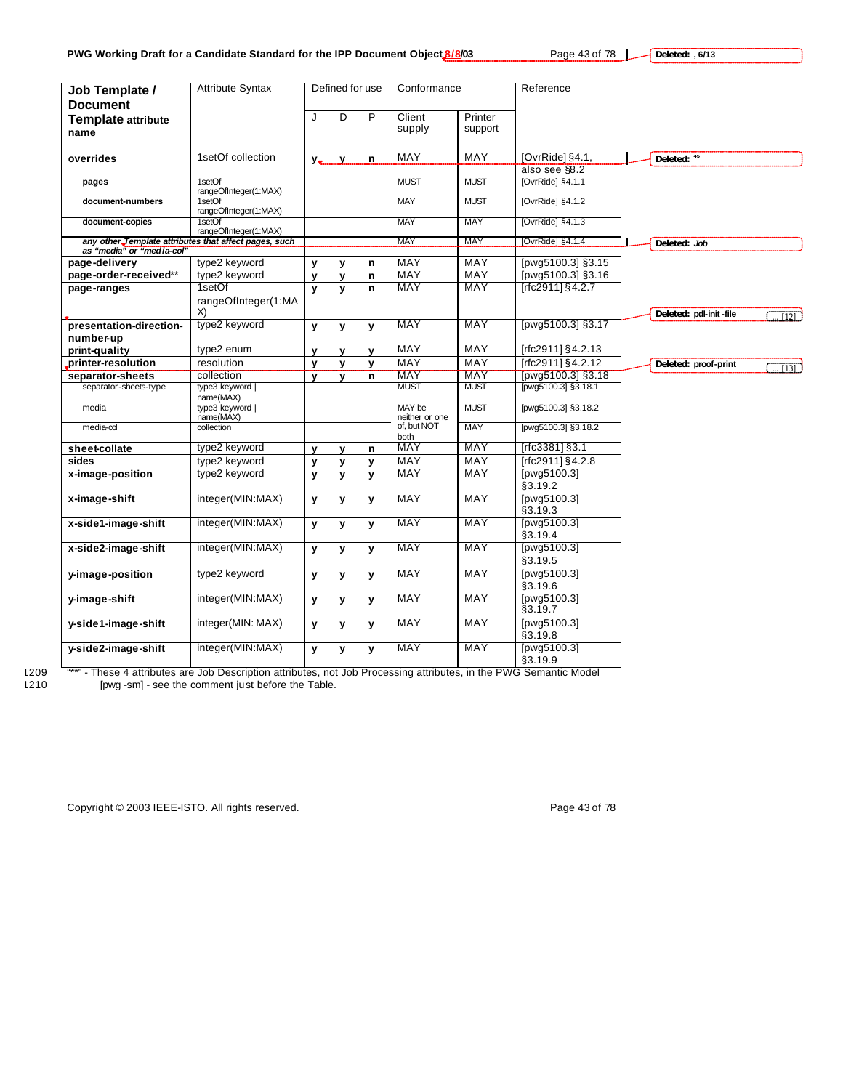**Deleted: , 6/13**

| Job Template /<br><b>Document</b> | <b>Attribute Syntax</b>                                  | Defined for use |              |              | Conformance              |                    | Reference                             |                        |                  |
|-----------------------------------|----------------------------------------------------------|-----------------|--------------|--------------|--------------------------|--------------------|---------------------------------------|------------------------|------------------|
| <b>Template attribute</b><br>name |                                                          | J               | D            | P            | Client<br>supply         | Printer<br>support |                                       |                        |                  |
| overrides                         | 1setOf collection                                        | $y_{\bullet}$   | y            | n            | MAY                      | MAY                | [OvrRide] §4.1,<br>also see §8.2      | Deleted: 45            |                  |
| pages                             | 1setOf                                                   |                 |              |              | <b>MUST</b>              | <b>MUST</b>        | [OvrRide] §4.1.1                      |                        |                  |
| document-numbers                  | rangeOfInteger(1:MAX)<br>1setOf<br>rangeOfInteger(1:MAX) |                 |              |              | <b>MAY</b>               | <b>MUST</b>        | [OvrRide] §4.1.2                      |                        |                  |
| document-copies                   | 1setOf<br>rangeOfInteger(1:MAX)                          |                 |              |              | <b>MAY</b>               | <b>MAY</b>         | [OvrRide] §4.1.3                      |                        |                  |
|                                   | any other Template attributes that affect pages, such    |                 |              |              | <b>MAY</b>               | MAY                | [OvrRide] §4.1.4                      | Deleted: Job           |                  |
| as "media" or "media-col"         |                                                          |                 |              |              |                          |                    |                                       |                        |                  |
| page-delivery                     | type2 keyword                                            | y               | у            | n            | <b>MAY</b>               | <b>MAY</b>         | [pwg5100.3] §3.15                     |                        |                  |
| page-order-received**             | type2 keyword<br>1setOf                                  | V               | $\mathbf v$  | n            | MAY<br>MAY               | <b>MAY</b><br>MAY  | [pwg5100.3] §3.16<br>[rfc2911] §4.2.7 |                        |                  |
| page-ranges                       |                                                          | $\mathbf{v}$    | y            | n            |                          |                    |                                       |                        |                  |
|                                   | rangeOfInteger(1:MA<br>X)                                |                 |              |              |                          |                    |                                       | Deleted: pdl-init-file |                  |
| presentation-direction-           | type2 keyword                                            | $\mathbf{v}$    | y            | y            | <b>MAY</b>               | <b>MAY</b>         | [pwg5100.3] §3.17                     |                        | $\overline{121}$ |
| number-up                         |                                                          |                 |              |              |                          |                    |                                       |                        |                  |
| print-quality                     | type2 enum                                               | $\mathbf{v}$    | V            | v            | <b>MAY</b>               | MAY                | $[rfc2911]\$ §4.2.13                  |                        |                  |
| printer-resolution                | resolution                                               | y               | y            | у            | MAY                      | <b>MAY</b>         | [rfc2911] §4.2.12                     | Deleted: proof-print   | T131             |
| separator-sheets                  | collection                                               | $\mathbf{v}$    | $\mathbf{v}$ | n            | <b>MAY</b>               | <b>MAY</b>         | [pwg5100.3] §3.18                     |                        |                  |
| separator-sheets-type             | type3 keyword  <br>name(MAX)                             |                 |              |              | <b>MUST</b>              | <b>MUST</b>        | [pwg5100.3] §3.18.1                   |                        |                  |
| media                             | type3 keyword  <br>name(MAX)                             |                 |              |              | MAY be<br>neither or one | <b>MUST</b>        | [pwg5100.3] §3.18.2                   |                        |                  |
| media-col                         | collection                                               |                 |              |              | of, but NOT<br>both      | <b>MAY</b>         | [pwg5100.3] §3.18.2                   |                        |                  |
| sheet-collate                     | type2 keyword                                            | $\mathbf v$     | $\mathbf v$  | n            | <b>MAY</b>               | <b>MAY</b>         | $[rfc3381]$ §3.1                      |                        |                  |
| sides                             | type2 keyword                                            | y               | y            | y            | <b>MAY</b>               | <b>MAY</b>         | [rfc2911] §4.2.8                      |                        |                  |
| x-image-position                  | type2 keyword                                            | y               | У            | у            | MAY                      | MAY                | [pwg5100.3]<br>§3.19.2                |                        |                  |
| x-image-shift                     | integer(MIN:MAX)                                         | $\mathbf{v}$    | y            | y            | <b>MAY</b>               | <b>MAY</b>         | [pwg5100.3]<br>§3.19.3                |                        |                  |
| x-side1-image-shift               | integer(MIN:MAX)                                         | $\mathbf{v}$    | y            | $\mathbf{v}$ | MAY                      | MAY                | [pwg5100.3]<br>§3.19.4                |                        |                  |
| x-side2-image-shift               | integer(MIN:MAX)                                         | y               | y            | y            | MAY                      | MAY                | [pwg5100.3]<br>§3.19.5                |                        |                  |
| y-image-position                  | type2 keyword                                            | y               | У            | y            | MAY                      | MAY                | [pwg5100.3]<br>§3.19.6                |                        |                  |
| y-image-shift                     | integer(MIN:MAX)                                         | y               | У            | y            | MAY                      | MAY                | [pwg5100.3]<br>§3.19.7                |                        |                  |
| y-side1-image-shift               | integer(MIN: MAX)                                        | y               | у            | У            | MAY                      | MAY                | [pwg5100.3]<br>§3.19.8                |                        |                  |
| y-side2-image-shift               | integer(MIN:MAX)                                         | y               | У            | y            | <b>MAY</b>               | <b>MAY</b>         | [pwg5100.3]<br>§3.19.9                |                        |                  |

1209 "\*\*" - These 4 attributes are Job Description attributes, not Job Processing attributes, in the PWG Semantic Model 1210 [pwg -sm] - see the comment just before the Table.

Copyright © 2003 IEEE-ISTO. All rights reserved. experience that the page 43 of 78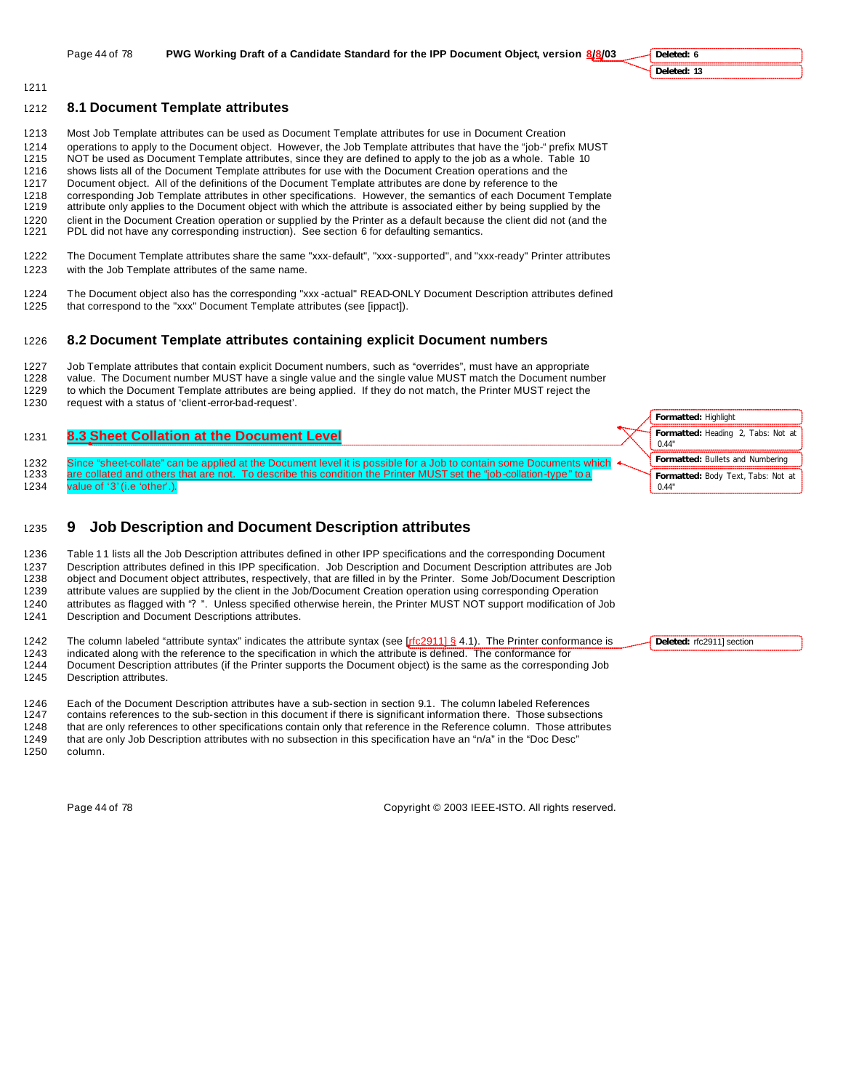**Deleted: 6 Deleted: 13**

# **8.1 Document Template attributes**

- Most Job Template attributes can be used as Document Template attributes for use in Document Creation
- operations to apply to the Document object. However, the Job Template attributes that have the "job-" prefix MUST
- NOT be used as Document Template attributes, since they are defined to apply to the job as a whole. Table 10 shows lists all of the Document Template attributes for use with the Document Creation operations and the
- Document object. All of the definitions of the Document Template attributes are done by reference to the
- corresponding Job Template attributes in other specifications. However, the semantics of each Document Template
- attribute only applies to the Document object with which the attribute is associated either by being supplied by the
- client in the Document Creation operation or supplied by the Printer as a default because the client did not (and the
- PDL did not have any corresponding instruction). See section 6 for defaulting semantics.
- The Document Template attributes share the same "xxx-default", "xxx-supported", and "xxx-ready" Printer attributes with the Job Template attributes of the same name.
- The Document object also has the corresponding "xxx -actual" READ-ONLY Document Description attributes defined that correspond to the "xxx" Document Template attributes (see [ippact]).

# **8.2 Document Template attributes containing explicit Document numbers**

- Job Template attributes that contain explicit Document numbers, such as "overrides", must have an appropriate value. The Document number MUST have a single value and the single value MUST match the Document number
- to which the Document Template attributes are being applied. If they do not match, the Printer MUST reject the
- request with a status of 'client-error-bad-request'.

# **8.3 Sheet Collation at the Document Level**

1232 Since "sheet-collate" can be applied at the Document level it is possible for a Job to contain some Documents which 1233 are collated and others that are not. To describe this condition the Printer MUST set the "job-collation-type" to a value of '3' (i.e 'other'.).

# **9 Job Description and Document Description attributes**

1236 Table 11 lists all the Job Description attributes defined in other IPP specifications and the corresponding Document Description attributes defined in this IPP specification. Job Description and Document Description attributes are Job object and Document object attributes, respectively, that are filled in by the Printer. Some Job/Document Description attribute values are supplied by the client in the Job/Document Creation operation using corresponding Operation attributes as flagged with "? ". Unless specified otherwise herein, the Printer MUST NOT support modification of Job Description and Document Descriptions attributes.

1242 The column labeled "attribute syntax" indicates the attribute syntax (see [rfc2911] § 4.1). The Printer conformance is

1243 indicated along with the reference to the specification in which the attribute is defined. The conformance for<br>1244 Document Description attributes (if the Printer supports the Document object) is the same as the corr Document Description attributes (if the Printer supports the Document object) is the same as the corresponding Job

Description attributes.

Each of the Document Description attributes have a sub-section in section 9.1. The column labeled References

contains references to the sub-section in this document if there is significant information there. Those subsections

that are only references to other specifications contain only that reference in the Reference column. Those attributes

that are only Job Description attributes with no subsection in this specification have an "n/a" in the "Doc Desc"

column.

Page 44 of 78 Copyright © 2003 IEEE-ISTO. All rights reserved.



**Deleted:** rfc2911] section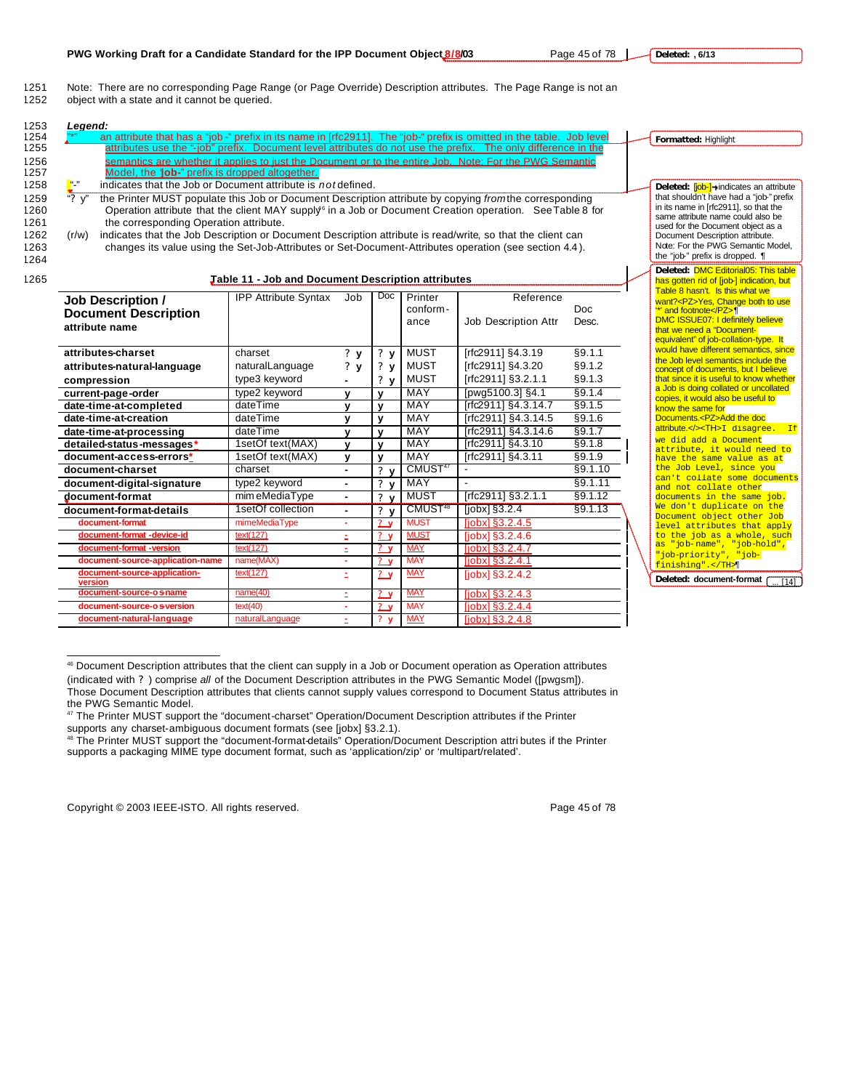1251 Note: There are no corresponding Page Range (or Page Override) Description attributes. The Page Range is not an<br>1252 object with a state and it cannot be queried. object with a state and it cannot be queried.

| 1253         | Legend:                                                                                                                                                               |                                                           |                      |                                                                    |                            |                                            |                   |  |                                                                                  |                |
|--------------|-----------------------------------------------------------------------------------------------------------------------------------------------------------------------|-----------------------------------------------------------|----------------------|--------------------------------------------------------------------|----------------------------|--------------------------------------------|-------------------|--|----------------------------------------------------------------------------------|----------------|
| 1254         | an attribute that has a "job-" prefix in its name in [rfc2911]. The "job-" prefix is omitted in the table. Job level                                                  |                                                           | Formatted: Highlight |                                                                    |                            |                                            |                   |  |                                                                                  |                |
| 1255         | attributes use the "-job" prefix. Document level attributes do not use the prefix.                                                                                    |                                                           |                      |                                                                    |                            |                                            |                   |  |                                                                                  |                |
| 1256         | semantics are whether it applies to just the Document or to the entire Job. Note: For the PWG Semantic                                                                |                                                           |                      |                                                                    |                            |                                            |                   |  |                                                                                  |                |
| 1257         | Model, the 'job-" prefix is dropped altogether.                                                                                                                       |                                                           |                      |                                                                    |                            |                                            |                   |  |                                                                                  |                |
| 1258         | u "<br>indicates that the Job or Document attribute is not defined.                                                                                                   |                                                           |                      |                                                                    |                            |                                            |                   |  | Deleted: [job-]→indicates an attribute                                           |                |
| 1259         | $\frac{1}{2}$ $\sqrt{2}$<br>the Printer MUST populate this Job or Document Description attribute by copying from the corresponding                                    |                                                           |                      |                                                                    |                            |                                            |                   |  | that shouldn't have had a "job-" prefix<br>in its name in [rfc2911], so that the |                |
| 1260         | Operation attribute that the client MAY supply <sup>6</sup> in a Job or Document Creation operation. See Table 8 for                                                  |                                                           |                      |                                                                    |                            |                                            |                   |  | same attribute name could also be                                                |                |
| 1261<br>1262 | the corresponding Operation attribute.<br>indicates that the Job Description or Document Description attribute is read/write, so that the client can                  |                                                           |                      |                                                                    |                            |                                            |                   |  | used for the Document object as a                                                |                |
| 1263         | (r/w)<br>changes its value using the Set-Job-Attributes or Set-Document-Attributes operation (see section 4.4).                                                       |                                                           |                      |                                                                    |                            |                                            |                   |  | Document Description attribute.<br>Note: For the PWG Semantic Model.             |                |
| 1264         |                                                                                                                                                                       |                                                           |                      |                                                                    |                            |                                            |                   |  | the "job-" prefix is dropped. ¶                                                  |                |
|              |                                                                                                                                                                       |                                                           |                      |                                                                    |                            |                                            |                   |  | Deleted: DMC Editorial05: This table                                             |                |
| 1265         |                                                                                                                                                                       | <b>Jable 11 - Job and Document Description attributes</b> |                      |                                                                    |                            |                                            |                   |  | has gotten rid of [job-] indication, but                                         |                |
|              | <b>Job Description /</b>                                                                                                                                              | <b>IPP Attribute Syntax</b>                               | Job                  | Doc                                                                | Printer                    | Reference                                  |                   |  | Table 8 hasn't. Is this what we<br>want? <pz>Yes, Change both to use</pz>        |                |
|              | <b>Document Description</b>                                                                                                                                           |                                                           |                      |                                                                    | conform-                   |                                            | Doc               |  | "" and footnote                                                                  |                |
|              | attribute name                                                                                                                                                        |                                                           |                      |                                                                    | ance                       | Job Description Attr                       | Desc.             |  | <b>DMC ISSUE07: I definitely believe</b>                                         |                |
|              |                                                                                                                                                                       |                                                           |                      | that we need a "Document-<br>equivalent" of job-collation-type. It |                            |                                            |                   |  |                                                                                  |                |
|              | attributes-charset                                                                                                                                                    | §9.1.1                                                    |                      | would have different semantics, since                              |                            |                                            |                   |  |                                                                                  |                |
|              |                                                                                                                                                                       | charset                                                   | ? y                  | $?$ $V$                                                            | <b>MUST</b><br><b>MUST</b> | [rfc2911] §4.3.19<br>[rfc2911] §4.3.20     | §9.1.2            |  | the Job level semantics include the                                              |                |
|              | attributes-natural-language                                                                                                                                           | naturalLanguage                                           | ?y                   | $?$ v                                                              | <b>MUST</b>                |                                            |                   |  | concept of documents, but I believe<br>that since it is useful to know whether   |                |
|              | compression                                                                                                                                                           | type3 keyword                                             | ٠                    | $?$ v                                                              | <b>MAY</b>                 | [rfc2911] §3.2.1.1                         | §9.1.3            |  | a Job is doing collated or uncollated                                            |                |
|              | current-page-order                                                                                                                                                    | type2 keyword<br>dateTime                                 | $\mathbf{v}$         | $\mathbf{v}$                                                       | <b>MAY</b>                 | [pwg5100.3] §4.1                           | §9.1.4<br>§9.1.5  |  | copies, it would also be useful to                                               |                |
|              | date-time-at-completed<br>date-time-at-creation                                                                                                                       | dateTime                                                  | $\mathbf v$          | $\mathbf{v}$                                                       | MAY                        | [rfc2911] §4.3.14.7                        |                   |  | know the same for<br>Documents. <pz>Add the doc</pz>                             |                |
|              |                                                                                                                                                                       | dateTime                                                  | v                    | y                                                                  | MAY                        | [rfc2911] §4.3.14.5<br>[rfc2911] §4.3.14.6 | \$9.1.6<br>§9.1.7 |  | attribute.> <th>I disagree. If</th>                                              | I disagree. If |
|              | date-time-at-processing<br>detailed-status-messages*                                                                                                                  | 1setOf text(MAX)                                          | v<br>$\mathbf{v}$    | $\mathbf{v}$<br>$\mathbf{v}$                                       | <b>MAY</b>                 | [rfc2911] §4.3.10                          | \$9.1.8           |  | we did add a Document                                                            |                |
|              | document-access-errors*                                                                                                                                               | 1setOf text(MAX)                                          | $\mathbf{v}$         | v                                                                  | MAY                        | [rfc2911] §4.3.11                          | §9.1.9            |  | attribute, it would need to                                                      |                |
|              | document-charset                                                                                                                                                      | charset                                                   | ÷.                   | $\mathbf{r}$<br>$\mathbf{v}$                                       | CMUST <sup>47</sup>        | $\blacksquare$                             | §9.1.10           |  | have the same value as at<br>the Job Level, since you                            |                |
|              | document-digital-signature                                                                                                                                            | type2 keyword                                             |                      | $\mathbf{r}$<br>$\mathbf{v}$                                       | MAY                        | $\overline{a}$                             | §9.1.11           |  | can't collate some documents                                                     |                |
|              | document-format                                                                                                                                                       | mim eMediaType                                            | ÷.                   | 2 <sub>v</sub>                                                     | <b>MUST</b>                | [rfc2911] §3.2.1.1                         | §9.1.12           |  | and not collate other<br>documents in the same job.                              |                |
|              | document-format-details                                                                                                                                               | 1setOf collection                                         | ÷.                   | 2 <sub>v</sub>                                                     | CMUST <sup>48</sup>        | [ <i>j</i> obx] <sub>§</sub> 3.2.4         | §9.1.13           |  | We don't duplicate on the                                                        |                |
|              | document-format                                                                                                                                                       |                                                           |                      | Document object other Job                                          |                            |                                            |                   |  |                                                                                  |                |
|              | <b>MUST</b><br>mimeMediaType<br>$[iobs]$ §3.2.4.5<br>÷.<br>2 <sub>v</sub><br><b>MUST</b><br>document-format -device-id<br>text(127)<br>? y<br>$[jobx]$ §3.2.4.6<br>ž. |                                                           |                      |                                                                    |                            |                                            |                   |  | level attributes that apply<br>to the job as a whole, such                       |                |
|              | document-format -version                                                                                                                                              | text(127)                                                 | ÷.                   | ?V                                                                 | <b>MAY</b>                 | $[jobx]$ §3.2.4.7                          |                   |  | as "job-name", "job-hold",                                                       |                |
|              | document-source-application-name                                                                                                                                      | name(MAX)                                                 | ٠                    | 2y                                                                 | <b>MAY</b>                 | $[jobx]$ §3.2.4.1                          |                   |  | "job-priority", "job-                                                            |                |
|              | document-source-application-                                                                                                                                          | text(127)                                                 | ÷.                   | ? y                                                                | <b>MAY</b>                 | [jobx] §3.2.4.2                            |                   |  | finishing".                                                                      |                |
|              | version                                                                                                                                                               |                                                           |                      |                                                                    |                            |                                            |                   |  | Deleted: document-format<br>T141                                                 |                |
|              | document-source-o sname<br>name(40)<br><b>MAY</b><br>$\overline{\mathbf{?}}$<br>$[jobx]$ §3.2.4.3<br>÷                                                                |                                                           |                      |                                                                    |                            |                                            |                   |  |                                                                                  |                |
|              | document-source-os-version                                                                                                                                            | text(40)                                                  |                      | 2y                                                                 | <b>MAY</b>                 | [jobx] §3.2.4.4                            |                   |  |                                                                                  |                |
|              | document-natural-language                                                                                                                                             | naturalLanguage                                           |                      | $?$ V                                                              | <b>MAY</b>                 | fiobx1 83.2.4.8                            |                   |  |                                                                                  |                |

<sup>46</sup> Document Description attributes that the client can supply in a Job or Document operation as Operation attributes (indicated with ? ) comprise *all* of the Document Description attributes in the PWG Semantic Model ([pwgsm]). Those Document Description attributes that clients cannot supply values correspond to Document Status attributes in the PWG Semantic Model.

Copyright © 2003 IEEE-ISTO. All rights reserved. The example of 78 of 78

 $\overline{a}$ 

<sup>47</sup> The Printer MUST support the "document-charset" Operation/Document Description attributes if the Printer supports any charset-ambiguous document formats (see [jobx] §3.2.1).

<sup>48</sup> The Printer MUST support the "document-format-details" Operation/Document Description attri butes if the Printer supports a packaging MIME type document format, such as 'application/zip' or 'multipart/related'.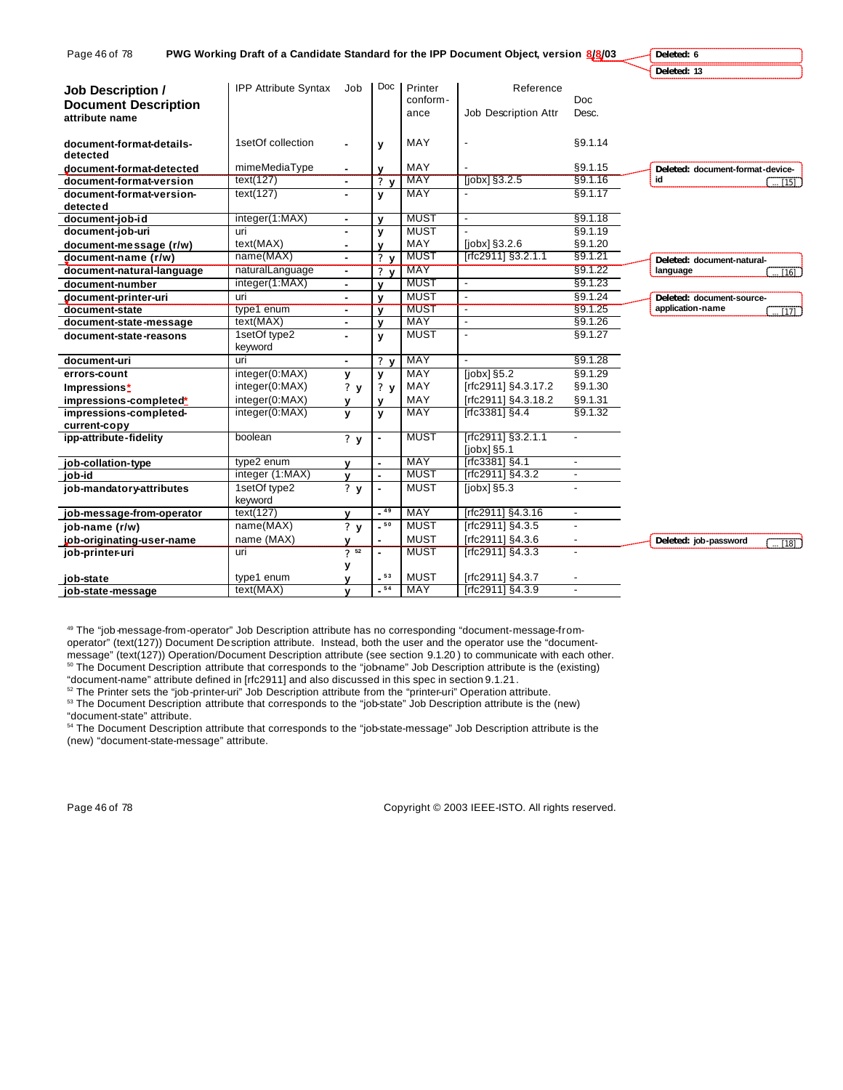| Page 46 of 78               |                             |                 |                |                           | PWG Working Draft of a Candidate Standard for the IPP Document Object, version 8/8/03 |                          | Deleted: 6                                  |
|-----------------------------|-----------------------------|-----------------|----------------|---------------------------|---------------------------------------------------------------------------------------|--------------------------|---------------------------------------------|
|                             |                             |                 |                |                           |                                                                                       |                          | Deleted: 13                                 |
| <b>Job Description /</b>    | <b>IPP Attribute Syntax</b> | Job             | Doc            | Printer                   | Reference                                                                             |                          |                                             |
| <b>Document Description</b> |                             |                 |                | conform-                  |                                                                                       | <b>Doc</b>               |                                             |
| attribute name              |                             |                 |                | ance                      | Job Description Attr                                                                  | Desc.                    |                                             |
|                             |                             |                 |                |                           |                                                                                       |                          |                                             |
| document-format-details-    | 1setOf collection           |                 | y              | MAY                       | $\overline{\phantom{a}}$                                                              | §9.1.14                  |                                             |
| detected                    |                             |                 |                |                           |                                                                                       |                          |                                             |
| document-format-detected    | mimeMediaType               | ۰               | v              | MAY                       |                                                                                       | §9.1.15                  | Deleted: document-format-device-            |
| document-format-version     | text(127)                   | $\sim$          | ? <sub>v</sub> | <b>MAY</b>                | [ <i>j</i> obx] <sub>§</sub> 3.2.5                                                    | §9.1.16                  | id<br>[15]                                  |
| document-format-version-    | text(127)                   |                 | y              | <b>MAY</b>                |                                                                                       | §9.1.17                  |                                             |
| detecte d                   |                             |                 |                | <b>MUST</b>               |                                                                                       |                          |                                             |
| document-job-id             | integer(1:MAX)              | ۰               | v              |                           | $\overline{\phantom{a}}$                                                              | §9.1.18                  |                                             |
| document-job-uri            | uri                         |                 | y              | <b>MUST</b><br>MAY        |                                                                                       | §9.1.19                  |                                             |
| document-message (r/w)      | text(MAX)<br>name(MAX)      | ٠               | v              | <b>MUST</b>               | [jobx] §3.2.6<br>[rfc2911] §3.2.1.1                                                   | §9.1.20<br>§9.1.21       |                                             |
| document-name (r/w)         |                             | $\blacksquare$  | 2 <sub>v</sub> |                           |                                                                                       |                          | Deleted: document-natural-                  |
| document-natural-language   | naturalLanguage             | ۰               | ? <sub>v</sub> | <b>MAY</b><br><b>MUST</b> |                                                                                       | §9.1.22                  | language<br>$\overline{1161}$               |
| document-number             | integer(1:MAX)              | $\blacksquare$  | v              |                           | $\overline{\phantom{a}}$                                                              | §9.1.23                  |                                             |
| document-printer-uri        | uri                         | ٠               | v              | <b>MUST</b>               | ÷,                                                                                    | §9.1.24                  | Deleted: document-source-                   |
| document-state              | type1 enum                  | $\blacksquare$  | $\mathbf{v}$   | <b>MUST</b><br><b>MAY</b> | $\overline{\phantom{a}}$<br>$\overline{\phantom{a}}$                                  | §9.1.25                  | application-name<br>$T_{17}$                |
| document-state-message      | text(MAX)                   | $\blacksquare$  | v              |                           |                                                                                       | §9.1.26                  |                                             |
| document-state-reasons      | 1setOf type2<br>keyword     | ۰               | v              | <b>MUST</b>               |                                                                                       | §9.1.27                  |                                             |
| document-uri                | uri                         | $\blacksquare$  | 2 <sub>v</sub> | <b>MAY</b>                | $\blacksquare$                                                                        | §9.1.28                  |                                             |
| errors-count                | integer(0:MAX)              | У               | ٧              | MAY                       | $[jobx]$ §5.2                                                                         | §9.1.29                  |                                             |
| Impressions*                | integer(0:MAX)              | ?y              | ? y            | MAY                       | [rfc2911] §4.3.17.2                                                                   | §9.1.30                  |                                             |
| impressions-completed*      | integer(0:MAX)              |                 |                | MAY                       | [rfc2911] §4.3.18.2                                                                   | §9.1.31                  |                                             |
| impressions-completed-      | integer(0:MAX)              | $\mathbf v$     | V              | <b>MAY</b>                | [rfc3381] §4.4                                                                        | §9.1.32                  |                                             |
| current-copy                |                             |                 |                |                           |                                                                                       |                          |                                             |
| ipp-attribute-fidelity      | boolean                     | ? y             |                | <b>MUST</b>               | [rfc2911] §3.2.1.1                                                                    |                          |                                             |
|                             |                             |                 |                |                           | $[jobs]$ §5.1                                                                         |                          |                                             |
| job-collation-type          | type2 enum                  | v               |                | MAY                       | [rfc3381] §4.1                                                                        | $\blacksquare$           |                                             |
| job-id                      | integer (1:MAX)             | v               | ٠              | <b>MUST</b>               | [rfc2911] §4.3.2                                                                      | $\overline{\phantom{a}}$ |                                             |
| job-mandatory-attributes    | 1setOf type2                |                 | L              | <b>MUST</b>               | [ <i>i</i> obx] <sub>§</sub> 5.3                                                      | $\blacksquare$           |                                             |
|                             | keyword                     |                 |                |                           |                                                                                       |                          |                                             |
| job-message-from-operator   | text(127)                   |                 | $-49$          | MAY                       | [rfc2911] §4.3.16                                                                     | $\overline{\phantom{a}}$ |                                             |
| job-name (r/w)              | name(MAX)                   | ? y             | $-50$          | <b>MUST</b>               | [rfc2911] §4.3.5                                                                      |                          |                                             |
| job-originating-user-name   | name (MAX)                  | v               |                | <b>MUST</b>               | [rfc2911] §4.3.6                                                                      |                          | Deleted: job-password<br>$\overline{}$ [18] |
| job-printer-uri             | uri                         | 7 <sup>52</sup> | ٠              | <b>MUST</b>               | [rfc2911] §4.3.3                                                                      | $\blacksquare$           |                                             |
|                             |                             | у               |                |                           |                                                                                       |                          |                                             |
| job-state                   | type1 enum                  |                 | $-53$          | <b>MUST</b>               | [rfc2911] §4.3.7                                                                      |                          |                                             |
| job-state-message           | text(MAX)                   | v               | $-54$          | <b>MAY</b>                | [rfc2911] §4.3.9                                                                      | $\blacksquare$           |                                             |

49 The "job-message-from-operator" Job Description attribute has no corresponding "document-message-fromoperator" (text(127)) Document Description attribute. Instead, both the user and the operator use the "document-

message" (text(127)) Operation/Document Description attribute (see section 9.1.20 ) to communicate with each other. <sup>50</sup> The Document Description attribute that corresponds to the "job-name" Job Description attribute is the (existing) "document-name" attribute defined in [rfc2911] and also discussed in this spec in section 9.1.21.

 $52$  The Printer sets the "job-printer-uri" Job Description attribute from the "printer-uri" Operation attribute. <sup>53</sup> The Document Description attribute that corresponds to the "job-state" Job Description attribute is the (new) "document-state" attribute.

<sup>54</sup> The Document Description attribute that corresponds to the "job-state-message" Job Description attribute is the (new) "document-state-message" attribute.

Page 46 of 78 Copyright © 2003 IEEE-ISTO. All rights reserved.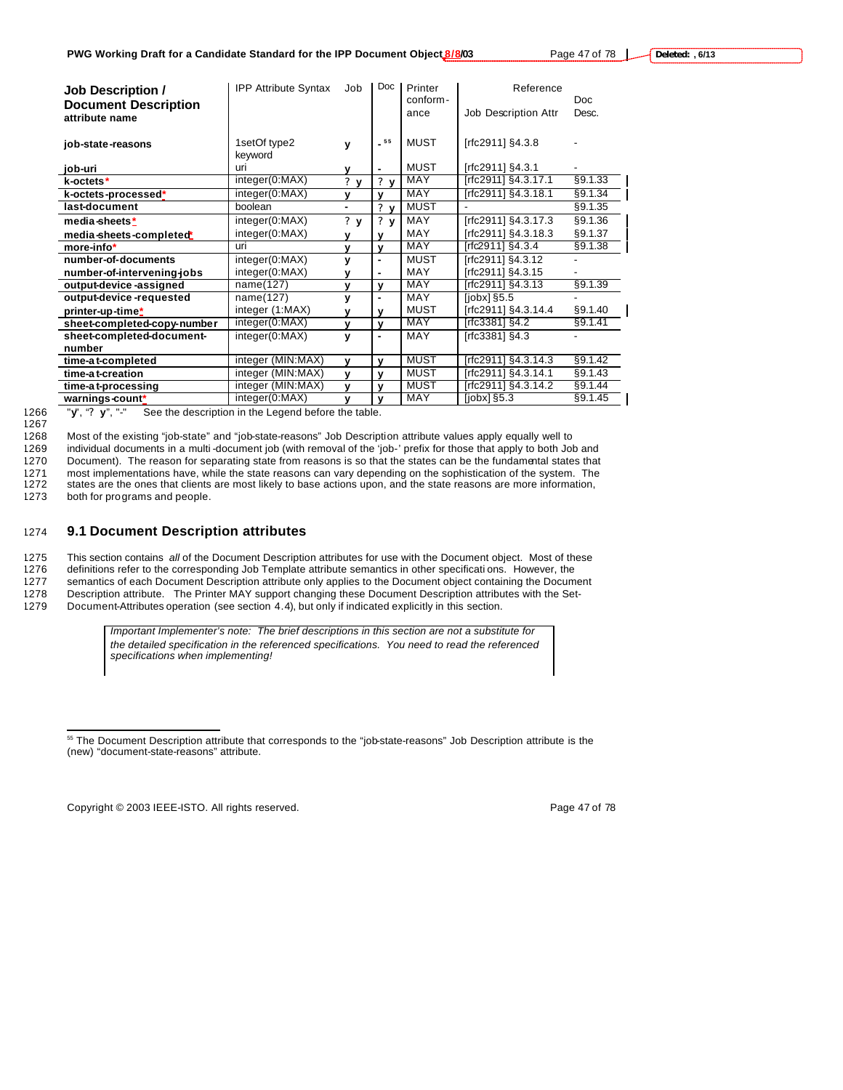| <b>Job Description /</b><br><b>Document Description</b> | <b>IPP Attribute Syntax</b> | Job                             | Doc                         | Printer<br>conform- | Reference            | Doc              |
|---------------------------------------------------------|-----------------------------|---------------------------------|-----------------------------|---------------------|----------------------|------------------|
| attribute name                                          |                             |                                 |                             | ance                | Job Description Attr | Desc.            |
| job-state-reasons                                       | 1setOf type2<br>keyword     | ٧                               | $\_$ 55 $\,$                | MUST                | [rfc2911] §4.3.8     |                  |
| job-uri                                                 | uri                         | v                               | $\blacksquare$              | MUST                | [rfc2911] §4.3.1     |                  |
| k-octets*                                               | integer(0:MAX)              | $\boldsymbol{\mathcal{P}}$<br>v | $?$ v                       | MAY                 | [rfc2911] §4.3.17.1  | §9.1.33          |
| k-octets-processed*                                     | integer(0:MAX)              | $\mathbf{v}$                    | v                           | MAY                 | [rfc2911] §4.3.18.1  | §9.1.34          |
| last-document                                           | boolean                     | $\blacksquare$                  | $\mathbf{r}$<br>$\mathbf v$ | <b>MUST</b>         |                      | §9.1.35          |
| media-sheets*                                           | integer(0:MAX)              | ? y                             | $?$ y                       | MAY                 | [rfc2911] §4.3.17.3  | §9.1.36          |
| media-sheets-completed                                  | integer(0:MAX)              | v                               | ν                           | <b>MAY</b>          | [rfc2911] §4.3.18.3  | §9.1.37          |
| more-info*                                              | uri                         | $\mathbf{v}$                    | $\mathbf v$                 | <b>MAY</b>          | [rfc2911] $§4.3.4$   | §9.1.38          |
| number-of-documents                                     | integer(0:MAX)              | V                               | $\blacksquare$              | <b>MUST</b>         | [rfc2911] §4.3.12    |                  |
| number-of-intervening-jobs                              | integer(0:MAX)              | v                               | $\blacksquare$              | <b>MAY</b>          | [rfc2911] §4.3.15    |                  |
| output-device-assigned                                  | name(127)                   | v                               | v                           | MAY                 | [rfc2911] §4.3.13    | §9.1.39          |
| output-device-requested                                 | name(127)                   | y                               | $\blacksquare$              | <b>MAY</b>          | $[color]$ $$5.5$     |                  |
| printer-up-time*                                        | integer (1:MAX)             | v                               | v                           | <b>MUST</b>         | [rfc2911] §4.3.14.4  | §9.1.40          |
| sheet-completed-copy-number                             | integer(0:MAX)              | $\mathbf{v}$                    | $\mathbf v$                 | MAY                 | $[rfc3381]$ §4.2     | §9.1.41          |
| sheet-completed-document-                               | integer(0:MAX)              | v                               | $\blacksquare$              | MAY                 | $[rfc3381]$ §4.3     |                  |
| number                                                  |                             |                                 |                             |                     |                      |                  |
| time-at-completed                                       | integer (MIN:MAX)           | $\mathbf v$                     | v                           | <b>MUST</b>         | [rfc2911] §4.3.14.3  | §9.1.42          |
| time-at-creation                                        | integer (MIN:MAX)           | v                               | v                           | <b>MUST</b>         | [rfc2911] §4.3.14.1  | §9.1.43          |
| time-at-processing                                      | integer (MIN:MAX)           | v                               | $\mathbf{v}$                | <b>MUST</b>         | [rfc2911] §4.3.14.2  | $\sqrt{89.1.44}$ |
| warnings-count*                                         | integer(0:MAX)              | $\mathbf{v}$                    | $\mathbf{v}$                | MAY                 | $[jobs]$ §5.3        | §9.1.45          |

<sup>1267</sup>

1266 "**y**", "**? y**", "-" See the description in the Legend before the table.

1268 Most of the existing "job-state" and "job-state-reasons" Job Description attribute values apply equally well to

1269 individual documents in a multi -document job (with removal of the 'job-' prefix for those that apply to both Job and 1270 Document). The reason for separating state from reasons is so that the states can be the fundamental states that

1271 most implementations have, while the state reasons can vary depending on the sophistication of the system. The

1272 states are the ones that clients are most likely to base actions upon, and the state reasons are more information,

1273 both for programs and people.

 $\overline{a}$ 

# 1274 **9.1 Document Description attributes**

1275 This section contains *all* of the Document Description attributes for use with the Document object. Most of these

1276 definitions refer to the corresponding Job Template attribute semantics in other specificati ons. However, the<br>1277 semantics of each Document Description attribute only applies to the Document object containing the D

semantics of each Document Description attribute only applies to the Document object containing the Document 1278 Description attribute. The Printer MAY support changing these Document Description attributes with the Set-

1279 Document-Attributes operation (see section 4.4), but only if indicated explicitly in this section.

*Important Implementer's note: The brief descriptions in this section are not a substitute for the detailed specification in the referenced specifications. You need to read the referenced specifications when implementing!*

Copyright © 2003 IEEE-ISTO. All rights reserved. Page 47 of 78

<sup>&</sup>lt;sup>55</sup> The Document Description attribute that corresponds to the "job-state-reasons" Job Description attribute is the (new) "document-state-reasons" attribute.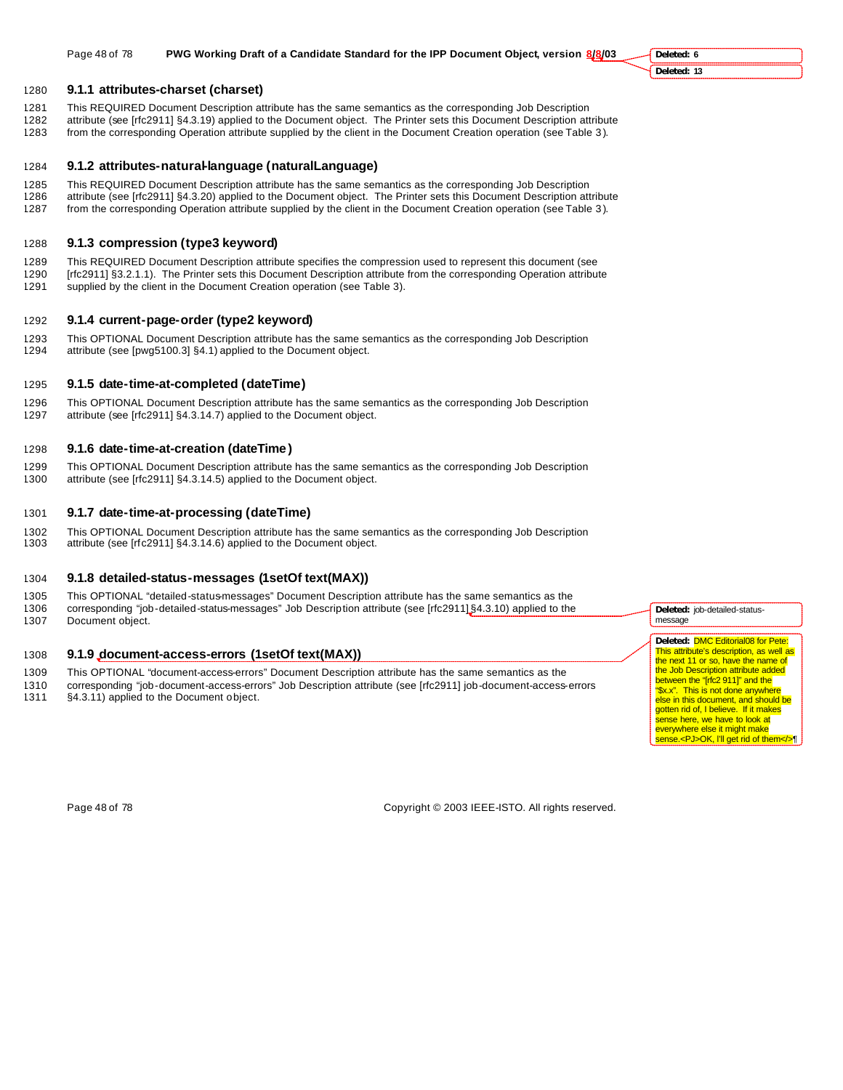#### 1280 **9.1.1 attributes-charset (charset)**

- 1281 This REQUIRED Document Description attribute has the same semantics as the corresponding Job Description
- 1282 attribute (see [rfc2911] §4.3.19) applied to the Document object. The Printer sets this Document Description attribute
- 1283 from the corresponding Operation attribute supplied by the client in the Document Creation operation (see Table 3 ).

#### 1284 **9.1.2 attributes-natural-language (naturalLanguage)**

- 1285 This REQUIRED Document Description attribute has the same semantics as the corresponding Job Description<br>1286 attribute (see [rfc2911] §4.3.20) applied to the Document object. The Printer sets this Document Descriptio attribute (see [rfc2911] §4.3.20) applied to the Document object. The Printer sets this Document Description attribute
- 1287 from the corresponding Operation attribute supplied by the client in the Document Creation operation (see Table 3 ).

# 1288 **9.1.3 compression (type3 keyword)**

1289 This REQUIRED Document Description attribute specifies the compression used to represent this document (see 1290 [rfc2911] §3.2.1.1). The Printer sets this Document Description attribute from the corresponding Operation attribute 1291 supplied by the client in the Document Creation operation (see Table 3).

#### 1292 **9.1.4 current-page-order (type2 keyword)**

1293 This OPTIONAL Document Description attribute has the same semantics as the corresponding Job Description 1294 attribute (see [pwg5100.3] §4.1) applied to the Document object.

# 1295 **9.1.5 date-time-at-completed (dateTime)**

1296 This OPTIONAL Document Description attribute has the same semantics as the corresponding Job Description 1297 attribute (see [rfc2911] §4.3.14.7) applied to the Document object.

### 1298 **9.1.6 date-time-at-creation (dateTime )**

1299 This OPTIONAL Document Description attribute has the same semantics as the corresponding Job Description 1300 attribute (see [rfc2911] §4.3.14.5) applied to the Document object.

## 1301 **9.1.7 date-time-at-processing (dateTime)**

1302 This OPTIONAL Document Description attribute has the same semantics as the corresponding Job Description 1303 attribute (see [rfc2911] §4.3.14.6) applied to the Document object.

## 1304 **9.1.8 detailed-status-messages (1setOf text(MAX))**

1305 This OPTIONAL "detailed-status-messages" Document Description attribute has the same semantics as the 1306 corresponding "job-detailed-status-messages" Job Description attribute (see [rfc2911] §4.3.10) applied to the 1307 Document object.

#### 1308 **9.1.9 document-access-errors (1setOf text(MAX))**

- 1309 This OPTIONAL "document-access-errors" Document Description attribute has the same semantics as the
- 1310 corresponding "job-document-access-errors" Job Description attribute (see [rfc2911] job-document-access-errors
- §4.3.11) applied to the Document object.

**Deleted:** job-detailed-statusmessage

**Deleted:** DMC Editorial08 for Pete: This attribute's description, as well as the next 11 or so, have the name of the Job Description attribute added between the "[rfc2 911]" and the<br>"\$x.x". This is not done anywhe This is not done anywhere else in this document, and should be gotten rid of, I believe. If it makes sense here, we have to look at everywhere else it might make sense.<PJ>OK, l'll get rid of them</>¶

Page 48 of 78 Copyright © 2003 IEEE-ISTO. All rights reserved.

**Deleted: 6 Deleted: 13**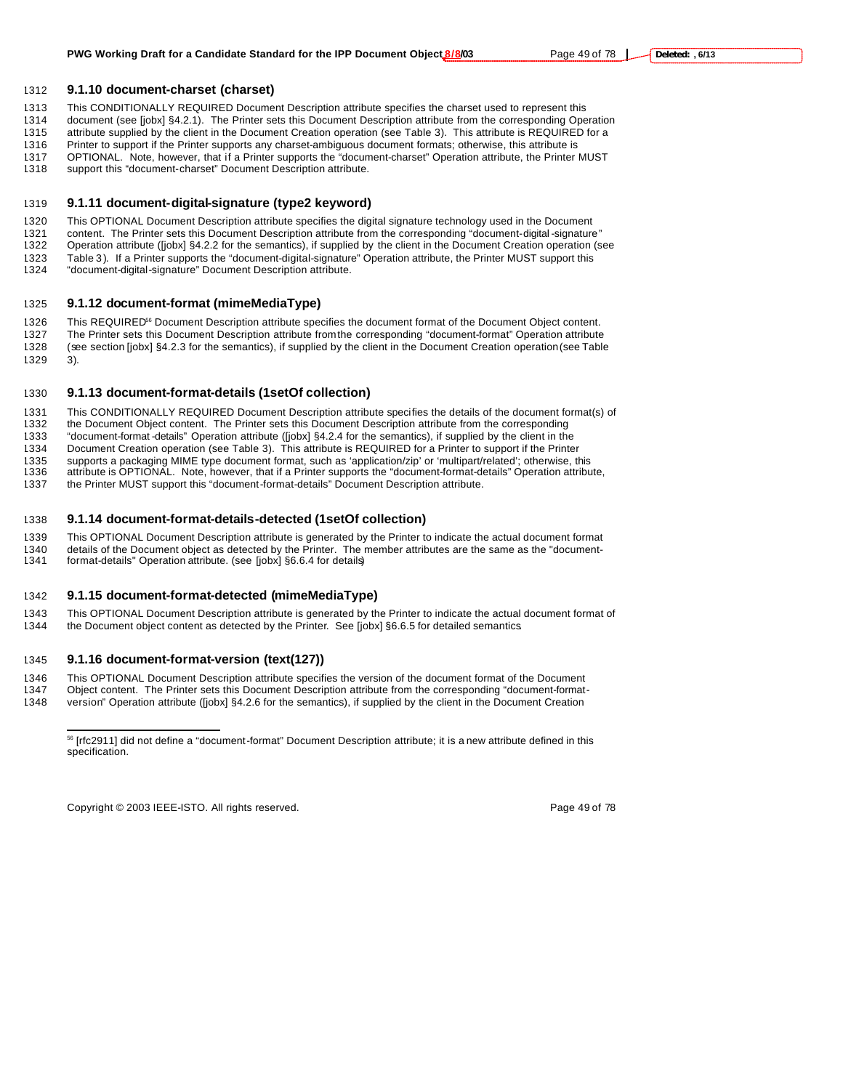#### **9.1.10 document-charset (charset)**

- This CONDITIONALLY REQUIRED Document Description attribute specifies the charset used to represent this
- document (see [jobx] §4.2.1). The Printer sets this Document Description attribute from the corresponding Operation
- attribute supplied by the client in the Document Creation operation (see Table 3). This attribute is REQUIRED for a
- Printer to support if the Printer supports any charset-ambiguous document formats; otherwise, this attribute is OPTIONAL. Note, however, that if a Printer supports the "document-charset" Operation attribute, the Printer MUST
- support this "document-charset" Document Description attribute.
- 

# **9.1.11 document-digital-signature (type2 keyword)**

This OPTIONAL Document Description attribute specifies the digital signature technology used in the Document

- content. The Printer sets this Document Description attribute from the corresponding "document-digital -signature"
- Operation attribute ([jobx] §4.2.2 for the semantics), if supplied by the client in the Document Creation operation (see 1323 Table 3). If a Printer supports the "document-digital-signature" Operation attribute, the Printer MUST support this 1324 "document-digital-signature" Document Description attribute.
- "document-digital-signature" Document Description attribute.

#### **9.1.12 document-format (mimeMediaType)**

1326 This REQUIRED<sup>56</sup> Document Description attribute specifies the document format of the Document Object content. The Printer sets this Document Description attribute from the corresponding "document-format" Operation attribute (see section [jobx] §4.2.3 for the semantics), if supplied by the client in the Document Creation operation (see Table 3).

# **9.1.13 document-format-details (1setOf collection)**

This CONDITIONALLY REQUIRED Document Description attribute specifies the details of the document format(s) of

- the Document Object content. The Printer sets this Document Description attribute from the corresponding
- "document-format -details" Operation attribute ([jobx] §4.2.4 for the semantics), if supplied by the client in the
- Document Creation operation (see Table 3). This attribute is REQUIRED for a Printer to support if the Printer
- 1335 supports a packaging MIME type document format, such as 'application/zip' or 'multipart/related'; otherwise, this<br>1336 attribute is OPTIONAL. Note, however, that if a Printer supports the "document-format-details" Ope attribute is OPTIONAL. Note, however, that if a Printer supports the "document-format-details" Operation attribute,
- the Printer MUST support this "document-format-details" Document Description attribute.

#### **9.1.14 document-format-details-detected (1setOf collection)**

 This OPTIONAL Document Description attribute is generated by the Printer to indicate the actual document format details of the Document object as detected by the Printer. The member attributes are the same as the "document-format-details" Operation attribute. (see [jobx] §6.6.4 for details)

#### **9.1.15 document-format-detected (mimeMediaType)**

 This OPTIONAL Document Description attribute is generated by the Printer to indicate the actual document format of the Document object content as detected by the Printer. See [jobx] §6.6.5 for detailed semantics.

#### **9.1.16 document-format-version (text(127))**

 $\overline{a}$ 

- 1346 This OPTIONAL Document Description attribute specifies the version of the document format of the Document<br>1347 Object content. The Printer sets this Document Description attribute from the corresponding "document-form
- Object content. The Printer sets this Document Description attribute from the corresponding "document-format-
- version" Operation attribute ([jobx] §4.2.6 for the semantics), if supplied by the client in the Document Creation

Copyright © 2003 IEEE-ISTO. All rights reserved. Copyright C 2003 IEEE-ISTO. All rights reserved.

 [rfc2911] did not define a "document-format" Document Description attribute; it is a new attribute defined in this specification.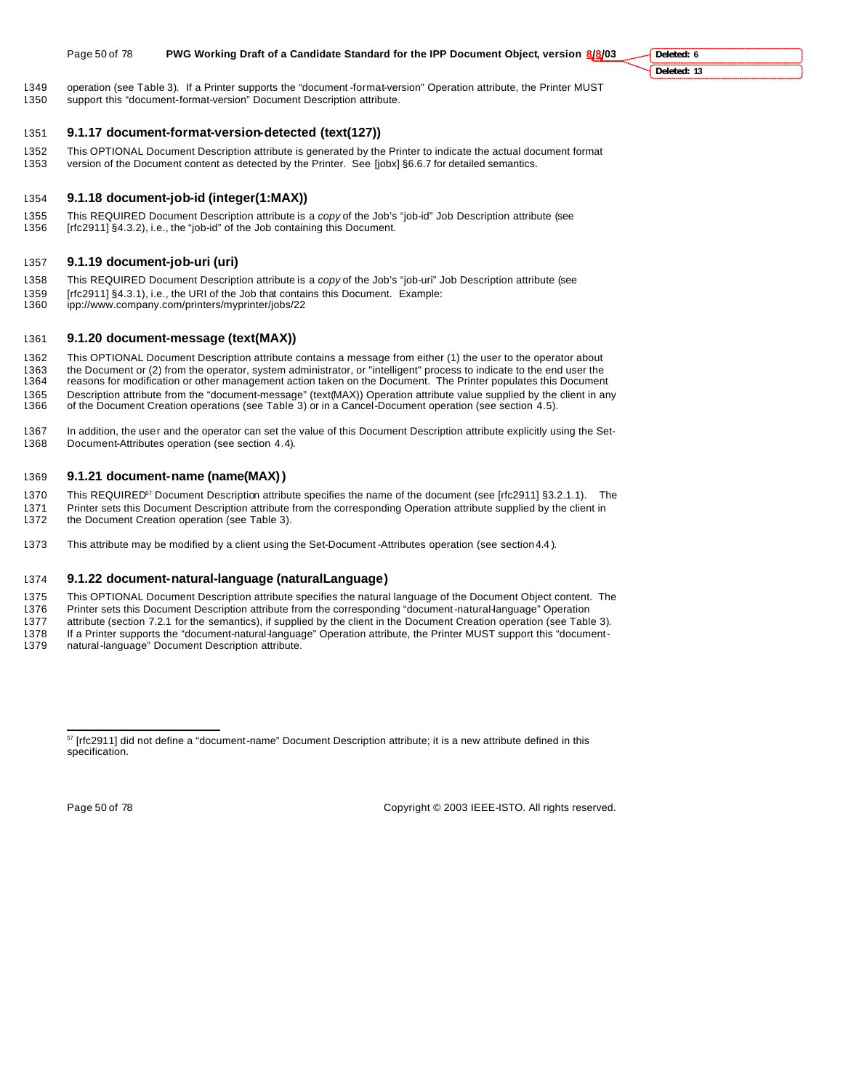#### Page 50 of 78 **PWG Working Draft of a Candidate Standard for the IPP Document Object, version 8/8/03**

 operation (see Table 3). If a Printer supports the "document -format-version" Operation attribute, the Printer MUST support this "document-format-version" Document Description attribute.

#### **9.1.17 document-format-version-detected (text(127))**

- This OPTIONAL Document Description attribute is generated by the Printer to indicate the actual document format version of the Document content as detected by the Printer. See [jobx] §6.6.7 for detailed semantics.
- 

# **9.1.18 document-job-id (integer(1:MAX))**

 This REQUIRED Document Description attribute is a *copy* of the Job's "job-id" Job Description attribute (see [rfc2911] §4.3.2), i.e., the "job-id" of the Job containing this Document.

# **9.1.19 document-job-uri (uri)**

- This REQUIRED Document Description attribute is a *copy* of the Job's "job-uri" Job Description attribute (see
- 1359 [rfc2911] §4.3.1), i.e., the URI of the Job that contains this Document. Example:<br>1360 ipp://www.company.com/printers/myprinter/jobs/22
- ipp://www.company.com/printers/myprinter/jobs/22

# **9.1.20 document-message (text(MAX))**

- This OPTIONAL Document Description attribute contains a message from either (1) the user to the operator about
- the Document or (2) from the operator, system administrator, or "intelligent" process to indicate to the end user the
- reasons for modification or other management action taken on the Document. The Printer populates this Document
- 1365 Description attribute from the "document-message" (text(MAX)) Operation attribute value supplied by the client in any<br>1366 of the Document Creation operations (see Table 3) or in a Cancel-Document operation (see secti of the Document Creation operations (see Table 3) or in a Cancel-Document operation (see section 4.5).
- In addition, the user and the operator can set the value of this Document Description attribute explicitly using the Set-Document-Attributes operation (see section 4.4).

# **9.1.21 document-name (name(MAX))**

- 1370 This REQUIRED<sup>57</sup> Document Description attribute specifies the name of the document (see [rfc2911] §3.2.1.1). The
- 1371 Printer sets this Document Description attribute from the corresponding Operation attribute supplied by the client in<br>1372 the Document Creation operation (see Table 3) the Document Creation operation (see Table 3).
- This attribute may be modified by a client using the Set-Document -Attributes operation (see section 4.4 ).

# **9.1.22 document-natural-language (naturalLanguage)**

- This OPTIONAL Document Description attribute specifies the natural language of the Document Object content. The
- Printer sets this Document Description attribute from the corresponding "document-natural-language" Operation
- attribute (section 7.2.1 for the semantics), if supplied by the client in the Document Creation operation (see Table 3). 1378 If a Printer supports the "document-natural-language" Operation attribute, the Printer MUST support this "document-
- natural-language" Document Description attribute.

 $\overline{a}$ 

Page 50 of 78 Copyright © 2003 IEEE-ISTO. All rights reserved.

**Deleted: 6 Deleted: 13**

<sup>&</sup>lt;sup>57</sup> [rfc2911] did not define a "document-name" Document Description attribute; it is a new attribute defined in this specification.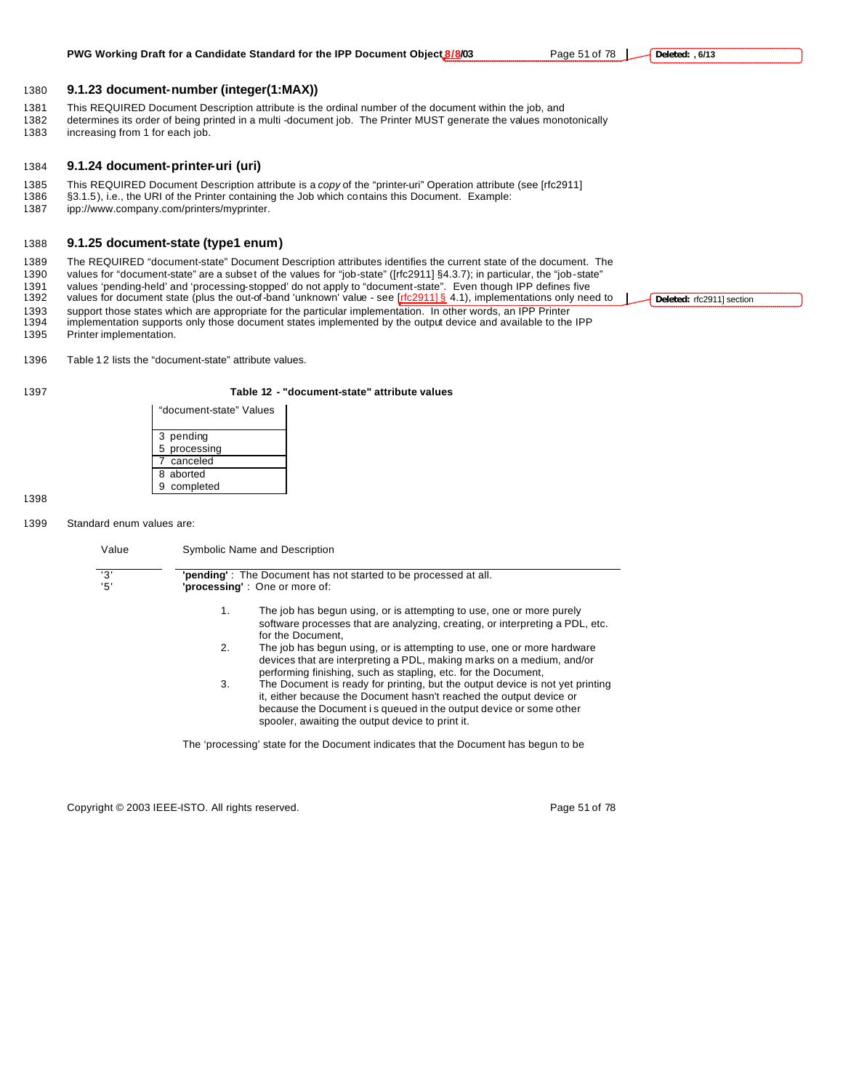1380 **9.1.23 document-number (integer(1:MAX))**

- 1381 This REQUIRED Document Description attribute is the ordinal number of the document within the job, and
- 1382 determines its order of being printed in a multi -document job. The Printer MUST generate the values monotonically
- 1383 increasing from 1 for each job.

# 1384 **9.1.24 document-printer-uri (uri)**

- 1385 This REQUIRED Document Description attribute is a *copy* of the "printer-uri" Operation attribute (see [rfc2911]<br>1386 §3.1.5), i.e., the URI of the Printer containing the Job which contains this Document. Example:
- §3.1.5), i.e., the URI of the Printer containing the Job which contains this Document. Example:
- 1387 ipp://www.company.com/printers/myprinter.

# 1388 **9.1.25 document-state (type1 enum)**

1389 The REQUIRED "document-state" Document Description attributes identifies the current state of the document. The

1390 values for "document-state" are a subset of the values for "job-state" ([rfc2911] §4.3.7); in particular, the "job-state"

- 1391 values 'pending-held' and 'processing-stopped' do not apply to "document-state". Even though IPP defines five<br>1392 values for document state (plus the out-of-band 'unknown' value see [rfc2911] § 4.1), implementation
- values for document state (plus the out-of-band 'unknown' value see  $[rfc2911]$  § 4.1), implementations only need to
- 1393 support those states which are appropriate for the particular implementation. In other words, an IPP Printer 1394 implementation supports only those document states implemented by the output device and available to the IPP 1395 Printer implementation.

**Deleted:** rfc2911] section

1396 Table 12 lists the "document-state" attribute values.

#### 1397 **Table 12 - "document-state" attribute values**

| "document-state" Values |
|-------------------------|
| 3 pending               |
| 5 processing            |
| 7 canceled              |
| 8 aborted               |
| 9 completed             |

#### 1398

#### 1399 Standard enum values are:

| '3'<br>'5' |    | "pending": The Document has not started to be processed at all.<br>'processing': One or more of:                                                                                                                                                                              |
|------------|----|-------------------------------------------------------------------------------------------------------------------------------------------------------------------------------------------------------------------------------------------------------------------------------|
|            | 1. | The job has begun using, or is attempting to use, one or more purely                                                                                                                                                                                                          |
|            |    | software processes that are analyzing, creating, or interpreting a PDL, etc.<br>for the Document.                                                                                                                                                                             |
|            | 2. | The job has begun using, or is attempting to use, one or more hardware<br>devices that are interpreting a PDL, making marks on a medium, and/or<br>performing finishing, such as stapling, etc. for the Document,                                                             |
|            | 3. | The Document is ready for printing, but the output device is not yet printing<br>it, either because the Document hasn't reached the output device or<br>because the Document is queued in the output device or some other<br>spooler, awaiting the output device to print it. |

Copyright © 2003 IEEE-ISTO. All rights reserved. example 2003 1999 51 of 78

**Deleted: , 6/13**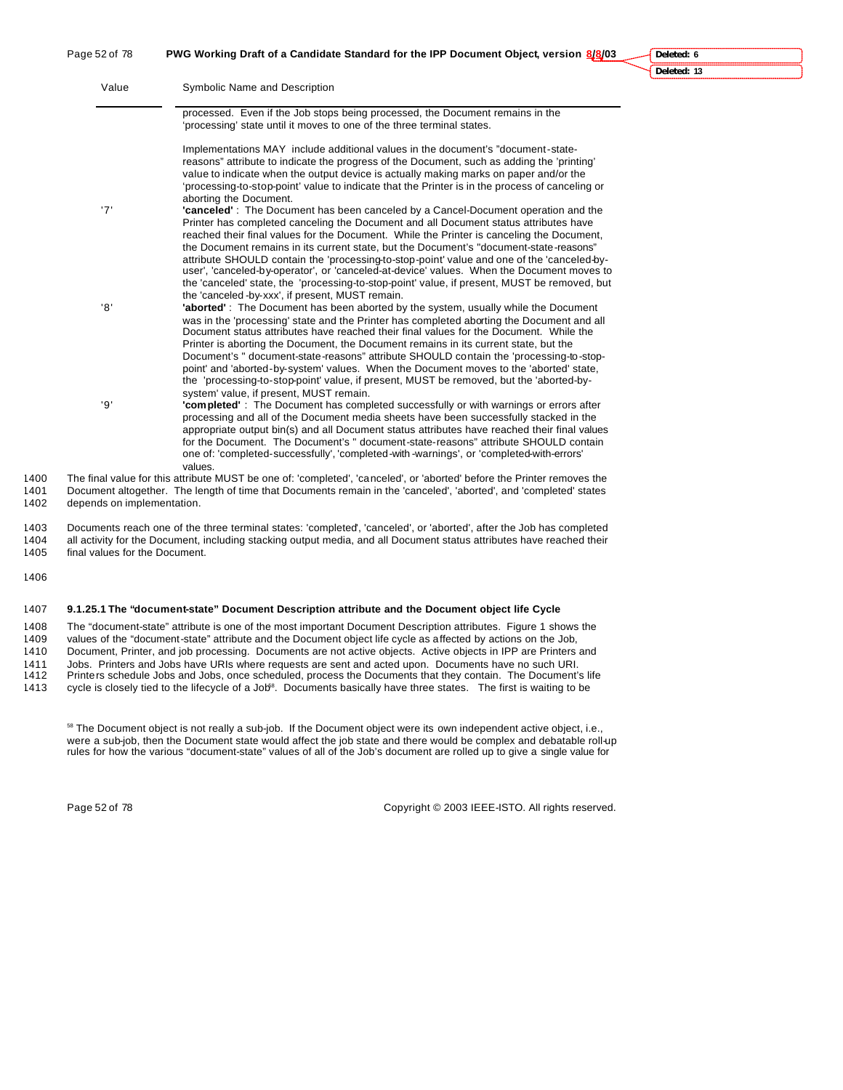Page 52 of 78 **PWG Working Draft of a Candidate Standard for the IPP Document Object, version 8/8/03**

**Deleted: 6 Deleted: 13**

| Value | Symbolic Name and Description                                                                                                                                                                                                                                                                                                                                                                                                                                                                                                                                                                                                                               |
|-------|-------------------------------------------------------------------------------------------------------------------------------------------------------------------------------------------------------------------------------------------------------------------------------------------------------------------------------------------------------------------------------------------------------------------------------------------------------------------------------------------------------------------------------------------------------------------------------------------------------------------------------------------------------------|
|       | processed. Even if the Job stops being processed, the Document remains in the<br>'processing' state until it moves to one of the three terminal states.                                                                                                                                                                                                                                                                                                                                                                                                                                                                                                     |
|       | Implementations MAY include additional values in the document's "document-state-<br>reasons" attribute to indicate the progress of the Document, such as adding the 'printing'<br>value to indicate when the output device is actually making marks on paper and/or the<br>'processing-to-stop-point' value to indicate that the Printer is in the process of canceling or<br>aborting the Document.                                                                                                                                                                                                                                                        |
| '7'   | "canceled": The Document has been canceled by a Cancel-Document operation and the<br>Printer has completed canceling the Document and all Document status attributes have<br>reached their final values for the Document. While the Printer is canceling the Document,<br>the Document remains in its current state, but the Document's "document-state-reasons"<br>attribute SHOULD contain the 'processing-to-stop-point' value and one of the 'canceled-by-<br>user', 'canceled-by-operator', or 'canceled-at-device' values. When the Document moves to<br>the 'canceled' state, the 'processing-to-stop-point' value, if present, MUST be removed, but |
| '8'   | the 'canceled -by-xxx', if present, MUST remain.<br><b>'aborted'</b> : The Document has been aborted by the system, usually while the Document<br>was in the 'processing' state and the Printer has completed aborting the Document and all<br>Document status attributes have reached their final values for the Document. While the<br>Printer is aborting the Document, the Document remains in its current state, but the<br>Document's " document-state-reasons" attribute SHOULD contain the 'processing-to-stop-<br>point' and 'aborted-by-system' values. When the Document moves to the 'aborted' state,                                           |
| '9'   | the 'processing-to-stop-point' value, if present, MUST be removed, but the 'aborted-by-<br>system' value, if present, MUST remain.<br>"completed" : The Document has completed successfully or with warnings or errors after<br>processing and all of the Document media sheets have been successfully stacked in the<br>appropriate output bin(s) and all Document status attributes have reached their final values<br>for the Document. The Document's " document-state-reasons" attribute SHOULD contain<br>one of: 'completed-successfully', 'completed-with-warnings', or 'completed-with-errors'                                                     |

1400 The final value for this attribute MUST be one of: 'completed', 'canceled', or 'aborted' before the Printer removes the 1401 Document altogether. The length of time that Documents remain in the 'canceled', 'aborted', Document altogether. The length of time that Documents remain in the 'canceled', 'aborted', and 'completed' states 1402 depends on implementation.

values.

1403 Documents reach one of the three terminal states: 'completed', 'canceled', or 'aborted', after the Job has completed 1404 all activity for the Document, including stacking output media, and all Document status attributes have reached their 1405 final values for the Document.

1406

#### 1407 **9.1.25.1 The "document-state" Document Description attribute and the Document object life Cycle**

 The "document-state" attribute is one of the most important Document Description attributes. Figure 1 shows the values of the "document-state" attribute and the Document object life cycle as affected by actions on the Job, Document, Printer, and job processing. Documents are not active objects. Active objects in IPP are Printers and Jobs. Printers and Jobs have URIs where requests are sent and acted upon. Documents have no such URI. Printers schedule Jobs and Jobs, once scheduled, process the Documents that they contain. The Document's life

1413 cycle is closely tied to the lifecycle of a Job<sup>58</sup>. Documents basically have three states. The first is waiting to be

<sup>58</sup> The Document object is not really a sub-job. If the Document object were its own independent active object, i.e., were a sub-job, then the Document state would affect the job state and there would be complex and debatable roll-up rules for how the various "document-state" values of all of the Job's document are rolled up to give a single value for

Page 52 of 78 Copyright © 2003 IEEE-ISTO. All rights reserved.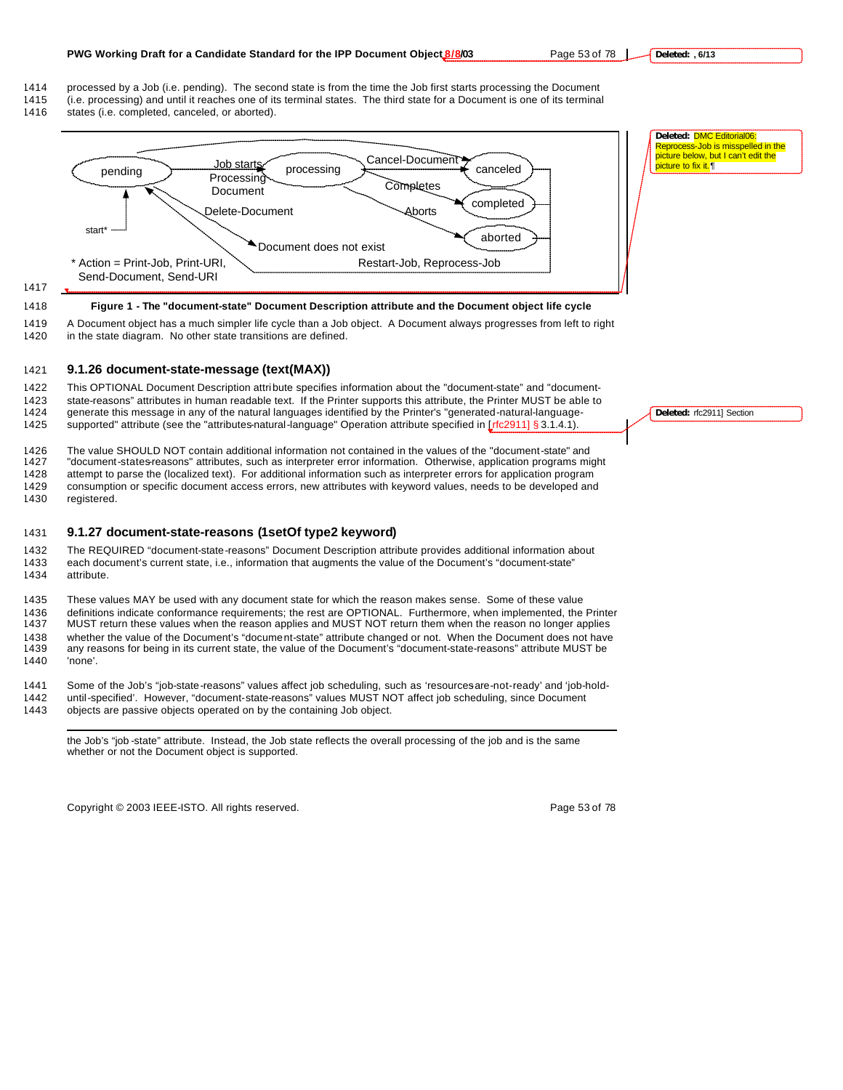#### **PWG Working Draft for a Candidate Standard for the IPP Document Object 8/8/03** Page 53 of 78

- 1414 processed by a Job (i.e. pending). The second state is from the time the Job first starts processing the Document
- 1415 (i.e. processing) and until it reaches one of its terminal states. The third state for a Document is one of its terminal
- 1416 states (i.e. completed, canceled, or aborted).



1417

#### 1418 **Figure 1 - The "document-state" Document Description attribute and the Document object life cycle**

1419 A Document object has a much simpler life cycle than a Job object. A Document always progresses from left to right 1420 in the state diagram. No other state transitions are defined.

#### 1421 **9.1.26 document-state-message (text(MAX))**

 This OPTIONAL Document Description attribute specifies information about the "document-state" and "document- state-reasons" attributes in human readable text. If the Printer supports this attribute, the Printer MUST be able to generate this message in any of the natural languages identified by the Printer's "generated-natural-language-1425 supported" attribute (see the "attributes-natural-language" Operation attribute specified in [rfc2911] § 3.1.4.1).

1426 The value SHOULD NOT contain additional information not contained in the values of the "document-state" and<br>1427 "document-states-reasons" attributes, such as interpreter error information. Otherwise, application pr "document-states-reasons" attributes, such as interpreter error information. Otherwise, application programs might 1428 attempt to parse the (localized text). For additional information such as interpreter errors for application program 1429 consumption or specific document access errors, new attributes with keyword values, needs to be developed and

1430 registered.

 $\overline{a}$ 

#### 1431 **9.1.27 document-state-reasons (1setOf type2 keyword)**

1432 The REQUIRED "document-state-reasons" Document Description attribute provides additional information about 1433 each document's current state, i.e., information that augments the value of the Document's "document-state" 1434 attribute.

 These values MAY be used with any document state for which the reason makes sense. Some of these value definitions indicate conformance requirements; the rest are OPTIONAL. Furthermore, when implemented, the Printer MUST return these values when the reason applies and MUST NOT return them when the reason no longer applies whether the value of the Document's "document-state" attribute changed or not. When the Document does not have any reasons for being in its current state, the value of the Document's "document-state-reasons" attribute MUST be 1440 'none'.

1441 Some of the Job's "job-state-reasons" values affect job scheduling, such as 'resourcesare-not-ready' and 'job-hold-

1442 until-specified'. However, "document-state-reasons" values MUST NOT affect job scheduling, since Document 1443 objects are passive objects operated on by the containing Job object.

the Job's "job -state" attribute. Instead, the Job state reflects the overall processing of the job and is the same whether or not the Document object is supported.

Copyright © 2003 IEEE-ISTO. All rights reserved. Copyright C 2003 IEEE-ISTO. All rights reserved.

**Deleted:** rfc2911] Section

**Deleted:** DMC Editorial06: Reprocess-Job is misspelled in the picture below, but I can't edit the picture to fix it. ||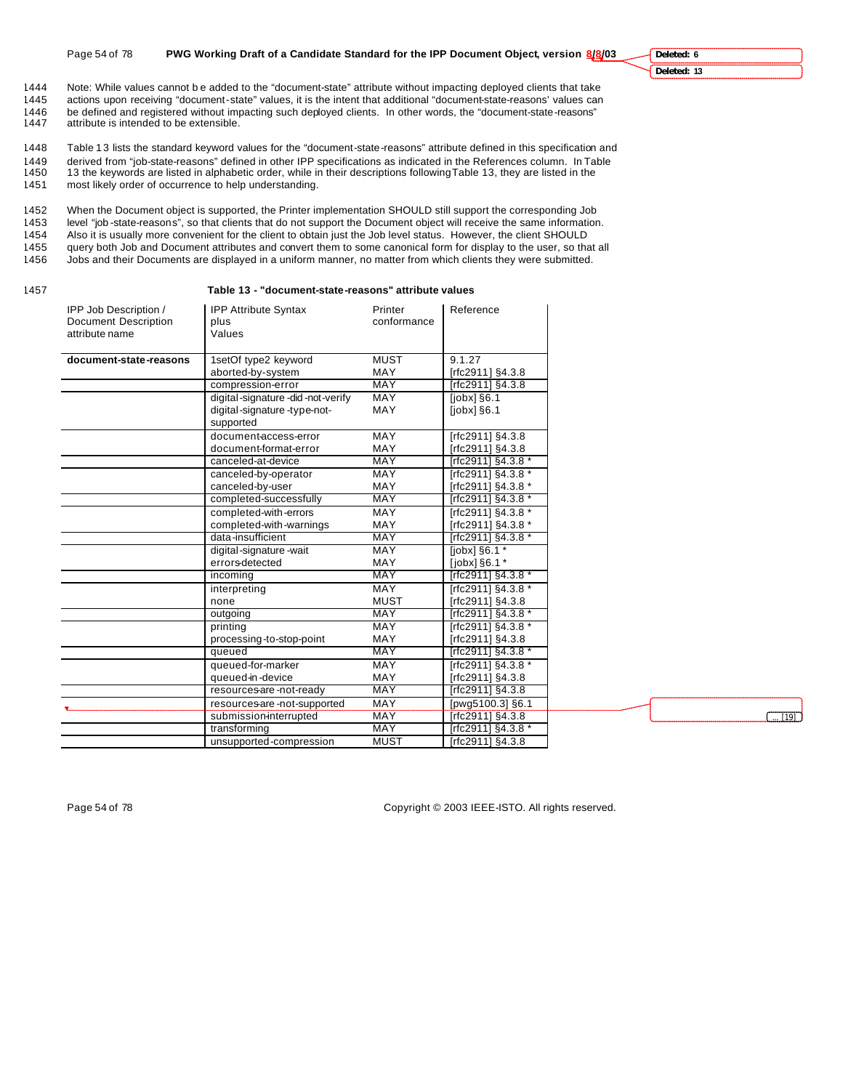#### **Deleted: 6 Deleted: 13**

1444 Note: While values cannot b e added to the "document-state" attribute without impacting deployed clients that take<br>1445 actions upon receiving "document-state" values, it is the intent that additional "document-stateactions upon receiving "document-state" values, it is the intent that additional "document-state-reasons' values can 1446 be defined and registered without impacting such deployed clients. In other words, the "document-state-reasons"<br>1447 attribute is intended to be extensible. attribute is intended to be extensible.

1448 Table 13 lists the standard keyword values for the "document-state-reasons" attribute defined in this specification and derived from "job-state-reasons" defined in other IPP specifications as indicated in the References column. In Table 13 the keywords are listed in alphabetic order, while in their descriptions following Table 13, they are listed in the most likely order of occurrence to help understanding.

 When the Document object is supported, the Printer implementation SHOULD still support the corresponding Job level "job -state-reasons", so that clients that do not support the Document object will receive the same information. Also it is usually more convenient for the client to obtain just the Job level status. However, the client SHOULD query both Job and Document attributes and convert them to some canonical form for display to the user, so that all Jobs and their Documents are displayed in a uniform manner, no matter from which clients they were submitted.

#### 1457 **Table 13 - "document-state-reasons" attribute values**

| IPP Job Description /<br><b>Document Description</b><br>attribute name | <b>IPP Attribute Syntax</b><br>plus<br>Values | Printer<br>conformance | Reference                       |
|------------------------------------------------------------------------|-----------------------------------------------|------------------------|---------------------------------|
| document-state-reasons                                                 | 1setOf type2 keyword                          | <b>MUST</b>            | 9.1.27                          |
|                                                                        | aborted-by-system                             | MAY                    | [rfc2911] §4.3.8                |
|                                                                        | compression-error                             | <b>MAY</b>             | [rfc2911] §4.3.8                |
|                                                                        | digital-signature-did-not-verify              | MAY                    | $[color]$ $$6.1$                |
|                                                                        | digital-signature-type-not-                   | MAY                    | $[color]$ $$6.1$                |
|                                                                        | supported                                     |                        |                                 |
|                                                                        | document-access-error                         | MAY                    | [rfc2911] §4.3.8                |
|                                                                        | document-format-error                         | MAY                    | [rfc2911] §4.3.8                |
|                                                                        | canceled-at-device                            | MAY                    | [rfc2911] §4.3.8 *              |
|                                                                        | canceled-by-operator                          | MAY                    | [rfc2911] §4.3.8 *              |
|                                                                        | canceled-by-user                              | MAY                    | [rfc2911] §4.3.8 *              |
|                                                                        | completed-successfully                        | <b>MAY</b>             | [rfc2911] §4.3.8 *              |
|                                                                        | completed-with-errors                         | MAY                    | [rfc2911] §4.3.8 *              |
|                                                                        | completed-with-warnings                       | MAY                    | [rfc2911] §4.3.8 *              |
|                                                                        | data-insufficient                             | <b>MAY</b>             | [rfc2911] §4.3.8 *              |
|                                                                        | digital-signature-wait                        | <b>MAY</b>             | $[jobx]$ §6.1 $*$               |
|                                                                        | errors-detected                               | MAY                    | [ <i>j</i> obx] <sub>86.1</sub> |
|                                                                        | incoming                                      | <b>MAY</b>             | [rfc2911] §4.3.8 *              |
|                                                                        | interpreting                                  | MAY                    | [rfc2911] §4.3.8 *              |
|                                                                        | none                                          | <b>MUST</b>            | [rfc2911] §4.3.8                |
|                                                                        | outgoing                                      | <b>MAY</b>             | [rfc2911] §4.3.8 *              |
|                                                                        | printing                                      | MAY                    | [rfc2911] §4.3.8 *              |
|                                                                        | processing-to-stop-point                      | MAY                    | [rfc2911] §4.3.8                |
|                                                                        | aueued                                        | <b>MAY</b>             | [rfc2911] §4.3.8 *              |
|                                                                        | queued-for-marker                             | MAY                    | [rfc2911] §4.3.8 *              |
|                                                                        | queued-in-device                              | MAY                    | [rfc2911] §4.3.8                |
|                                                                        | resources-are-not-ready                       | <b>MAY</b>             | [rfc2911] §4.3.8                |
|                                                                        | resources-are-not-supported                   | MAY                    | [pwg5100.3] §6.1                |
|                                                                        | submission-interrupted                        | MAY                    | [rfc2911] §4.3.8                |
|                                                                        | transforming                                  | <b>MAY</b>             | [rfc2911] §4.3.8 *              |
|                                                                        | unsupported-compression                       | <b>MUST</b>            | $[rfc2911]$ §4.3.8              |



Page 54 of 78 Copyright © 2003 IEEE-ISTO. All rights reserved.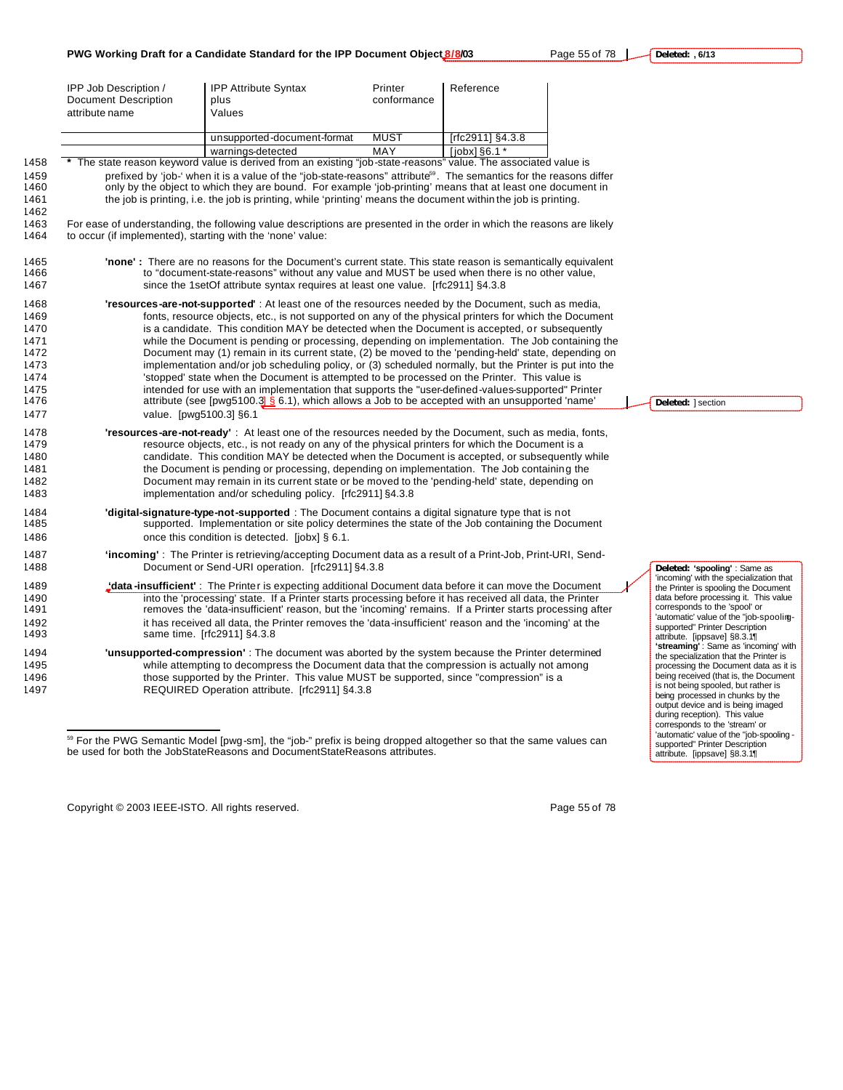IPP Job Description / Document Description attribute name IPP Attribute Syntax plus Values Printer conformance Reference unsupported-document-format MUST [rfc2911] §4.3.8 warnings-detected MAY [jobx] §6.1 \* 1492 it has received all data, the Printer removes the 'data-insufficient' reason and the 'incoming' at the 1493 same time. [rfc2911] §4.3.8 1494 **'unsupported-compression'** : The document was aborted by the system because the Printer determined while attempting to decompress the Document data that the compression is actually not among

1496 those supported by the Printer. This value MUST be supported, since "compression" is a 1497 REQUIRED Operation attribute. [rfc2911] §4.3.8

Copyright © 2003 IEEE-ISTO. All rights reserved. Page 55 of 78

 $\overline{a}$ 

**Deleted:** ] section

**Deleted: 'spooling'** : Same as 'incoming' with the specialization that the Printer is spooling the Document data before processing it. This value corresponds to the 'spool' or 'automatic' value of the "job-spoolingsupported" Printer Description attribute. [ippsave] §8.3.1¶ **'streaming'** : Same as 'incoming' with the specialization that the Printer is processing the Document data as it is being received (that is, the Document is not being spooled, but rather is being processed in chunks by the output device and is being imaged during reception). This value corresponds to the 'stream' or 'automatic' value of the "job-spooling supported" Printer Description attribute. [ippsave] §8.3.1¶

| age 55 of 78 |  | Deleted: $, 6/13$ |  |
|--------------|--|-------------------|--|
|              |  |                   |  |

|                                                                      |                                                                        | PWG Working Draft for a Candidate Standard for the IPP Document Object 8/8/03                                                                                                                                                                                                                                                                                                                                                                                                                                                                                                                                                                                                                                                                                                                                                                                                                                                                 |                        |                   | Page 55 of 78 |
|----------------------------------------------------------------------|------------------------------------------------------------------------|-----------------------------------------------------------------------------------------------------------------------------------------------------------------------------------------------------------------------------------------------------------------------------------------------------------------------------------------------------------------------------------------------------------------------------------------------------------------------------------------------------------------------------------------------------------------------------------------------------------------------------------------------------------------------------------------------------------------------------------------------------------------------------------------------------------------------------------------------------------------------------------------------------------------------------------------------|------------------------|-------------------|---------------|
|                                                                      | IPP Job Description /<br><b>Document Description</b><br>attribute name | <b>IPP Attribute Syntax</b><br>plus<br>Values                                                                                                                                                                                                                                                                                                                                                                                                                                                                                                                                                                                                                                                                                                                                                                                                                                                                                                 | Printer<br>conformance | Reference         |               |
|                                                                      |                                                                        | unsupported-document-format                                                                                                                                                                                                                                                                                                                                                                                                                                                                                                                                                                                                                                                                                                                                                                                                                                                                                                                   | <b>MUST</b>            | [rfc2911] §4.3.8  |               |
|                                                                      |                                                                        | warnings-detected                                                                                                                                                                                                                                                                                                                                                                                                                                                                                                                                                                                                                                                                                                                                                                                                                                                                                                                             | MAY                    | $[color]$ $$6.1*$ |               |
| 1458                                                                 |                                                                        | The state reason keyword value is derived from an existing "job-state-reasons" value. The associated value is                                                                                                                                                                                                                                                                                                                                                                                                                                                                                                                                                                                                                                                                                                                                                                                                                                 |                        |                   |               |
| 1459<br>1460<br>1461<br>1462                                         |                                                                        | prefixed by 'job-' when it is a value of the "job-state-reasons" attribute <sup>59</sup> . The semantics for the reasons differ<br>only by the object to which they are bound. For example 'job-printing' means that at least one document in<br>the job is printing, i.e. the job is printing, while 'printing' means the document within the job is printing.                                                                                                                                                                                                                                                                                                                                                                                                                                                                                                                                                                               |                        |                   |               |
| 1463<br>1464                                                         | to occur (if implemented), starting with the 'none' value:             | For ease of understanding, the following value descriptions are presented in the order in which the reasons are likely                                                                                                                                                                                                                                                                                                                                                                                                                                                                                                                                                                                                                                                                                                                                                                                                                        |                        |                   |               |
| 1465<br>1466<br>1467                                                 |                                                                        | <b>'none':</b> There are no reasons for the Document's current state. This state reason is semantically equivalent<br>to "document-state-reasons" without any value and MUST be used when there is no other value,<br>since the 1setOf attribute syntax requires at least one value. [rfc2911] §4.3.8                                                                                                                                                                                                                                                                                                                                                                                                                                                                                                                                                                                                                                         |                        |                   |               |
| 1468<br>1469<br>1470<br>1471<br>1472<br>1473<br>1474<br>1475<br>1476 |                                                                        | 'resources-are-not-supported': At least one of the resources needed by the Document, such as media,<br>fonts, resource objects, etc., is not supported on any of the physical printers for which the Document<br>is a candidate. This condition MAY be detected when the Document is accepted, or subsequently<br>while the Document is pending or processing, depending on implementation. The Job containing the<br>Document may (1) remain in its current state, (2) be moved to the 'pending-held' state, depending on<br>implementation and/or job scheduling policy, or (3) scheduled normally, but the Printer is put into the<br>'stopped' state when the Document is attempted to be processed on the Printer. This value is<br>intended for use with an implementation that supports the "user-defined-values-supported" Printer<br>attribute (see [pwg5100.3] § 6.1), which allows a Job to be accepted with an unsupported 'name' |                        |                   |               |
| 1477<br>1478<br>1479<br>1480<br>1481<br>1482<br>1483                 | value. [pwq5100.3] §6.1                                                | 'resources-are-not-ready': At least one of the resources needed by the Document, such as media, fonts,<br>resource objects, etc., is not ready on any of the physical printers for which the Document is a<br>candidate. This condition MAY be detected when the Document is accepted, or subsequently while<br>the Document is pending or processing, depending on implementation. The Job containing the<br>Document may remain in its current state or be moved to the 'pending-held' state, depending on<br>implementation and/or scheduling policy. [rfc2911] §4.3.8                                                                                                                                                                                                                                                                                                                                                                     |                        |                   |               |
| 1484<br>1485<br>1486                                                 |                                                                        | <b>digital-signature-type-not-supported</b> : The Document contains a digital signature type that is not<br>supported. Implementation or site policy determines the state of the Job containing the Document<br>once this condition is detected. [jobx] § 6.1.                                                                                                                                                                                                                                                                                                                                                                                                                                                                                                                                                                                                                                                                                |                        |                   |               |
| 1487<br>1488                                                         |                                                                        | 'incoming': The Printer is retrieving/accepting Document data as a result of a Print-Job, Print-URI, Send-<br>Document or Send-URI operation. [rfc2911] §4.3.8                                                                                                                                                                                                                                                                                                                                                                                                                                                                                                                                                                                                                                                                                                                                                                                |                        |                   |               |
| 1489                                                                 |                                                                        | "data-insufficient": The Printer is expecting additional Document data before it can move the Document                                                                                                                                                                                                                                                                                                                                                                                                                                                                                                                                                                                                                                                                                                                                                                                                                                        |                        |                   |               |
| 1490<br>1491                                                         |                                                                        | into the 'processing' state. If a Printer starts processing before it has received all data, the Printer<br>removes the 'data-insufficient' reason, but the 'incoming' remains. If a Printer starts processing after<br>the property of the contract of the contract of the contract of the contract of the contract of the contract of                                                                                                                                                                                                                                                                                                                                                                                                                                                                                                                                                                                                       |                        |                   |               |

<sup>&</sup>lt;sup>59</sup> For the PWG Semantic Model [pwg-sm], the "job-" prefix is being dropped altogether so that the same values can be used for both the JobStateReasons and DocumentStateReasons attributes.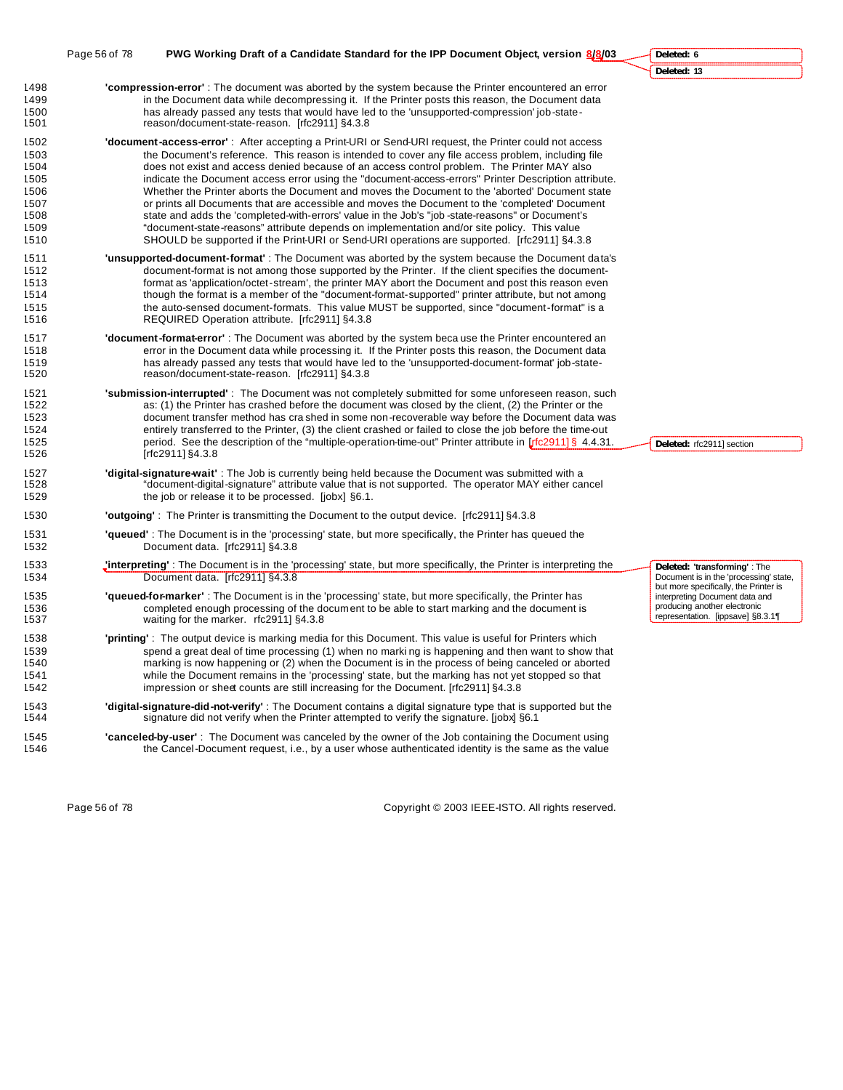|                                                                      | Page 56 of 78 | PWG Working Draft of a Candidate Standard for the IPP Document Object, version 8/8/03                                                                                                                                                                                                                                                                                                                                                                                                                                                                                                                                                                                                                                                                                                                                                                                                                                             | Deleted: 6                                                                                                      |
|----------------------------------------------------------------------|---------------|-----------------------------------------------------------------------------------------------------------------------------------------------------------------------------------------------------------------------------------------------------------------------------------------------------------------------------------------------------------------------------------------------------------------------------------------------------------------------------------------------------------------------------------------------------------------------------------------------------------------------------------------------------------------------------------------------------------------------------------------------------------------------------------------------------------------------------------------------------------------------------------------------------------------------------------|-----------------------------------------------------------------------------------------------------------------|
|                                                                      |               |                                                                                                                                                                                                                                                                                                                                                                                                                                                                                                                                                                                                                                                                                                                                                                                                                                                                                                                                   | Deleted: 13                                                                                                     |
| 1498<br>1499<br>1500<br>1501                                         |               | "compression-error": The document was aborted by the system because the Printer encountered an error<br>in the Document data while decompressing it. If the Printer posts this reason, the Document data<br>has already passed any tests that would have led to the 'unsupported-compression' job-state-<br>reason/document-state-reason. [rfc2911] §4.3.8                                                                                                                                                                                                                                                                                                                                                                                                                                                                                                                                                                        |                                                                                                                 |
| 1502<br>1503<br>1504<br>1505<br>1506<br>1507<br>1508<br>1509<br>1510 |               | <b>'document-access-error'</b> : After accepting a Print-URI or Send-URI request, the Printer could not access<br>the Document's reference. This reason is intended to cover any file access problem, including file<br>does not exist and access denied because of an access control problem. The Printer MAY also<br>indicate the Document access error using the "document-access-errors" Printer Description attribute.<br>Whether the Printer aborts the Document and moves the Document to the 'aborted' Document state<br>or prints all Documents that are accessible and moves the Document to the 'completed' Document<br>state and adds the 'completed-with-errors' value in the Job's "job -state-reasons" or Document's<br>"document-state-reasons" attribute depends on implementation and/or site policy. This value<br>SHOULD be supported if the Print-URI or Send-URI operations are supported. [rfc2911] §4.3.8 |                                                                                                                 |
| 1511<br>1512<br>1513<br>1514<br>1515<br>1516                         |               | <b>'unsupported-document-format'</b> : The Document was aborted by the system because the Document data's<br>document-format is not among those supported by the Printer. If the client specifies the document-<br>format as 'application/octet-stream', the printer MAY abort the Document and post this reason even<br>though the format is a member of the "document-format-supported" printer attribute, but not among<br>the auto-sensed document-formats. This value MUST be supported, since "document-format" is a<br>REQUIRED Operation attribute. [rfc2911] §4.3.8                                                                                                                                                                                                                                                                                                                                                      |                                                                                                                 |
| 1517<br>1518<br>1519<br>1520                                         |               | <b>'document-format-error'</b> : The Document was aborted by the system beca use the Printer encountered an<br>error in the Document data while processing it. If the Printer posts this reason, the Document data<br>has already passed any tests that would have led to the 'unsupported-document-format' job-state-<br>reason/document-state-reason. [rfc2911] §4.3.8                                                                                                                                                                                                                                                                                                                                                                                                                                                                                                                                                          |                                                                                                                 |
| 1521<br>1522<br>1523<br>1524<br>1525<br>1526                         |               | <b>'submission-interrupted'</b> : The Document was not completely submitted for some unforeseen reason, such<br>as: (1) the Printer has crashed before the document was closed by the client, (2) the Printer or the<br>document transfer method has cra shed in some non-recoverable way before the Document data was<br>entirely transferred to the Printer, (3) the client crashed or failed to close the job before the time-out<br>period. See the description of the "multiple-operation-time-out" Printer attribute in [rfc2911] § 4.4.31.<br>[rfc2911] §4.3.8                                                                                                                                                                                                                                                                                                                                                             | Deleted: rfc2911] section                                                                                       |
| 1527<br>1528<br>1529                                                 |               | <b>digital-signature-wait'</b> : The Job is currently being held because the Document was submitted with a<br>"document-digital-signature" attribute value that is not supported. The operator MAY either cancel<br>the job or release it to be processed. [jobx] §6.1.                                                                                                                                                                                                                                                                                                                                                                                                                                                                                                                                                                                                                                                           |                                                                                                                 |
| 1530                                                                 |               | <b>'outgoing'</b> : The Printer is transmitting the Document to the output device. [rfc2911] §4.3.8                                                                                                                                                                                                                                                                                                                                                                                                                                                                                                                                                                                                                                                                                                                                                                                                                               |                                                                                                                 |
| 1531<br>1532                                                         |               | 'queued': The Document is in the 'processing' state, but more specifically, the Printer has queued the<br>Document data. [rfc2911] §4.3.8                                                                                                                                                                                                                                                                                                                                                                                                                                                                                                                                                                                                                                                                                                                                                                                         |                                                                                                                 |
| 1533<br>1534                                                         |               | <b>Interpreting'</b> : The Document is in the 'processing' state, but more specifically, the Printer is interpreting the<br>Document data. [rfc2911] §4.3.8                                                                                                                                                                                                                                                                                                                                                                                                                                                                                                                                                                                                                                                                                                                                                                       | Deleted: 'transforming': The<br>Document is in the 'processing' state,<br>but more specifically, the Printer is |
| 1535<br>1536<br>1537                                                 |               | <b>'queued-for-marker'</b> : The Document is in the 'processing' state, but more specifically, the Printer has<br>completed enough processing of the document to be able to start marking and the document is<br>waiting for the marker. rfc2911] §4.3.8                                                                                                                                                                                                                                                                                                                                                                                                                                                                                                                                                                                                                                                                          | interpreting Document data and<br>producing another electronic<br>representation. [ippsave] §8.3.1¶             |
| 1538<br>1539<br>1540<br>1541<br>1542                                 |               | <b>'printing'</b> : The output device is marking media for this Document. This value is useful for Printers which<br>spend a great deal of time processing (1) when no marking is happening and then want to show that<br>marking is now happening or (2) when the Document is in the process of being canceled or aborted<br>while the Document remains in the 'processing' state, but the marking has not yet stopped so that<br>impression or sheet counts are still increasing for the Document. [rfc2911] §4.3.8                                                                                                                                                                                                                                                                                                                                                                                                             |                                                                                                                 |
| 1543<br>1544                                                         |               | 'digital-signature-did-not-verify': The Document contains a digital signature type that is supported but the<br>signature did not verify when the Printer attempted to verify the signature. [jobx] §6.1                                                                                                                                                                                                                                                                                                                                                                                                                                                                                                                                                                                                                                                                                                                          |                                                                                                                 |
| 1545<br>1546                                                         |               | "canceled-by-user": The Document was canceled by the owner of the Job containing the Document using<br>the Cancel-Document request, i.e., by a user whose authenticated identity is the same as the value                                                                                                                                                                                                                                                                                                                                                                                                                                                                                                                                                                                                                                                                                                                         |                                                                                                                 |
|                                                                      |               |                                                                                                                                                                                                                                                                                                                                                                                                                                                                                                                                                                                                                                                                                                                                                                                                                                                                                                                                   |                                                                                                                 |

Page 56 of 78 Copyright © 2003 IEEE-ISTO. All rights reserved.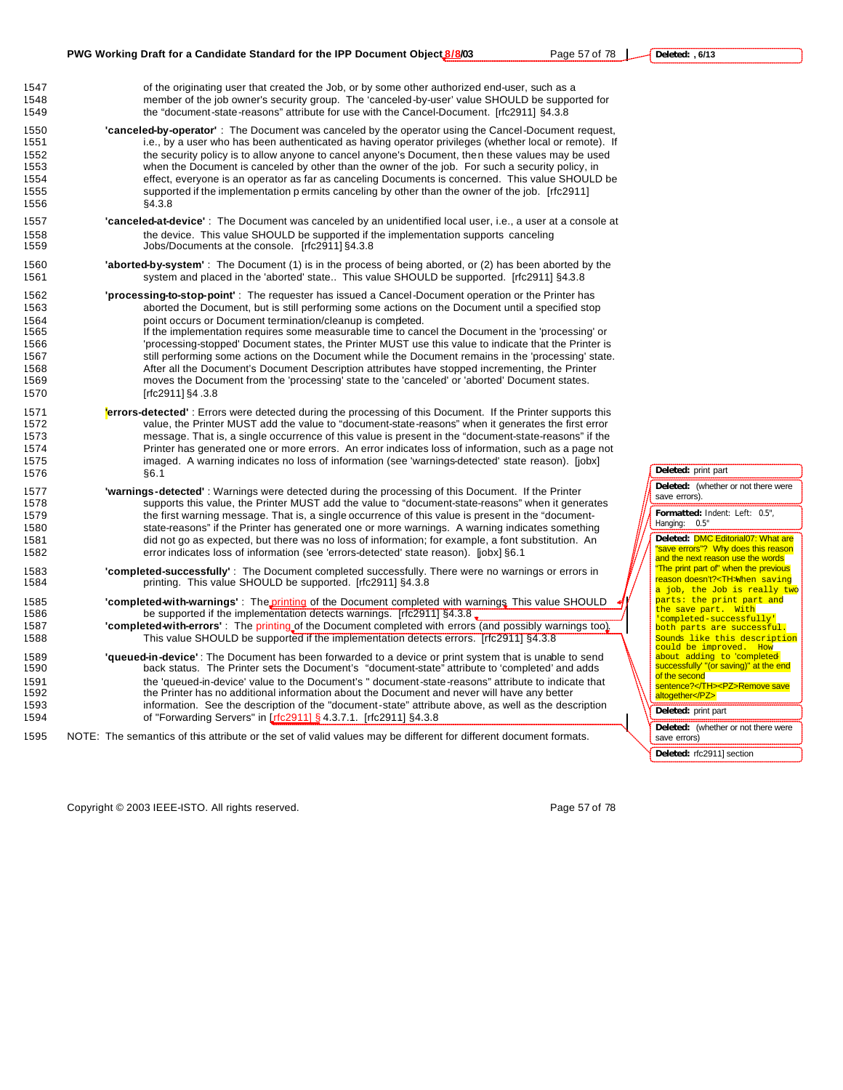1547 of the originating user that created the Job, or by some other authorized end-user, such as a 1548 member of the job owner's security group. The 'canceled-by-user' value SHOULD be supported for 1549 the "document-state-reasons" attribute for use with the Cancel-Document. [rfc2911] §4.3.8

- 1550 **'canceled-by-operator'** : The Document was canceled by the operator using the Cancel-Document request, i.e., by a user who has been authenticated as having operator privileges (whether local or remote). If 1552 the security policy is to allow anyone to cancel anyone's Document, then these values may be used<br>1553 then the Document is canceled by other than the owner of the job. For such a security policy, in when the Document is canceled by other than the owner of the job. For such a security policy, in 1554 effect, everyone is an operator as far as canceling Documents is concerned. This value SHOULD be 1555 supported if the implementation p ermits canceling by other than the owner of the job. [rfc2911] 1556 §4.3.8
- 1557 **'canceled-at-device'** : The Document was canceled by an unidentified local user, i.e., a user at a console at 1558 the device. This value SHOULD be supported if the implementation supports canceling 1559 Jobs/Documents at the console. [rfc2911] §4.3.8
- 1560 **'aborted-by-system'** : The Document (1) is in the process of being aborted, or (2) has been aborted by the 1561 system and placed in the 'aborted' state.. This value SHOULD be supported. [rfc2911] §4.3.8
- 1562 **'processing-to-stop-point'** : The requester has issued a Cancel-Document operation or the Printer has 1563 aborted the Document, but is still performing some actions on the Document until a specified stop 1564 point occurs or Document termination/cleanup is completed. 1565 If the implementation requires some measurable time to cancel the Document in the 'processing' or 1566 'processing-stopped' Document states, the Printer MUST use this value to indicate that the Printer is 1567 still performing some actions on the Document while the Document remains in the 'processing' state. 1568 After all the Document's Document Description attributes have stopped incrementing, the Printer 1569 moves the Document from the 'processing' state to the 'canceled' or 'aborted' Document states. 1570 [rfc2911] §4 .3.8
- 1571 **'errors-detected'** : Errors were detected during the processing of this Document. If the Printer supports this 1572 value, the Printer MUST add the value to "document-state-reasons" when it generates the first error 1573 message. That is, a single occurrence of this value is present in the "document-state-reasons" if the 1574 Printer has generated one or more errors. An error indicates loss of information, such as a page not 1575 imaged. A warning indicates no loss of information (see 'warnings-detected' state reason). [jobx] 1576 §6.1
- 1577 **'warnings-detected'** : Warnings were detected during the processing of this Document. If the Printer 1578 supports this value, the Printer MUST add the value to "document-state-reasons" when it generates 1579 the first warning message. That is, a single occurrence of this value is present in the "document-1580 state-reasons" if the Printer has generated one or more warnings. A warning indicates something 1581 did not go as expected, but there was no loss of information; for example, a font substitution. An 1582 error indicates loss of information (see 'errors-detected' state reason). [jobx] §6.1
- 1583 **'completed-successfully'** : The Document completed successfully. There were no warnings or errors in 1584 printing. This value SHOULD be supported. [rfc2911] §4.3.8
- 1585 **'completed-with-warnings'** : The printing of the Document completed with warnings This value SHOULD 1586 be supported if the implementation detects warnings. [rfc2911] §4.3.8. 1587 **'completed-with-errors'** : The printing of the Document completed with errors (and possibly warnings too).
- 1588 This value SHOULD be supported if the implementation detects errors. [rfc2911] §4.3.8
- 1589 **'queued-in-device'** : The Document has been forwarded to a device or print system that is unable to send 1590 back status. The Printer sets the Document's "document-state" attribute to 'completed' and adds 1591 the 'queued-in-device' value to the Document's " document-state-reasons" attribute to indicate that 1592 the Printer has no additional information about the Document and never will have any better 1593 information. See the description of the "document-state" attribute above, as well as the description 1594 of "Forwarding Servers" in [rfc2911] § 4.3.7.1. [rfc2911] §4.3.8
- 1595 NOTE: The semantics of this attribute or the set of valid values may be different for different document formats.

Copyright © 2003 IEEE-ISTO. All rights reserved. Page 57 of 78

**Deleted:** print part **Deleted:** (whether or not there were

save errors).

**Formatted:** Indent: Left: 0.5", Hanging: 0.5"

**Deleted:** DMC Editorial07: What are "save errors"? Why does this reason and the next reason use the words "The print part of" when the previous reason doesn't?<TH>When saving a job, the Job is really two parts: the print part and the save part. With<br>'completed-successfully' both parts are successful. <mark>Sounds like this description</mark><br>could be improved. How could be improved. about adding to <mark>'completed</mark><br>successfully' "(or saving)" at the end of the second sentence?</TH><PZ>Remove save altogether</PZ> **Deleted:** print part **Deleted:** (whether or not there were

save errors) **Deleted:** rfc2911] section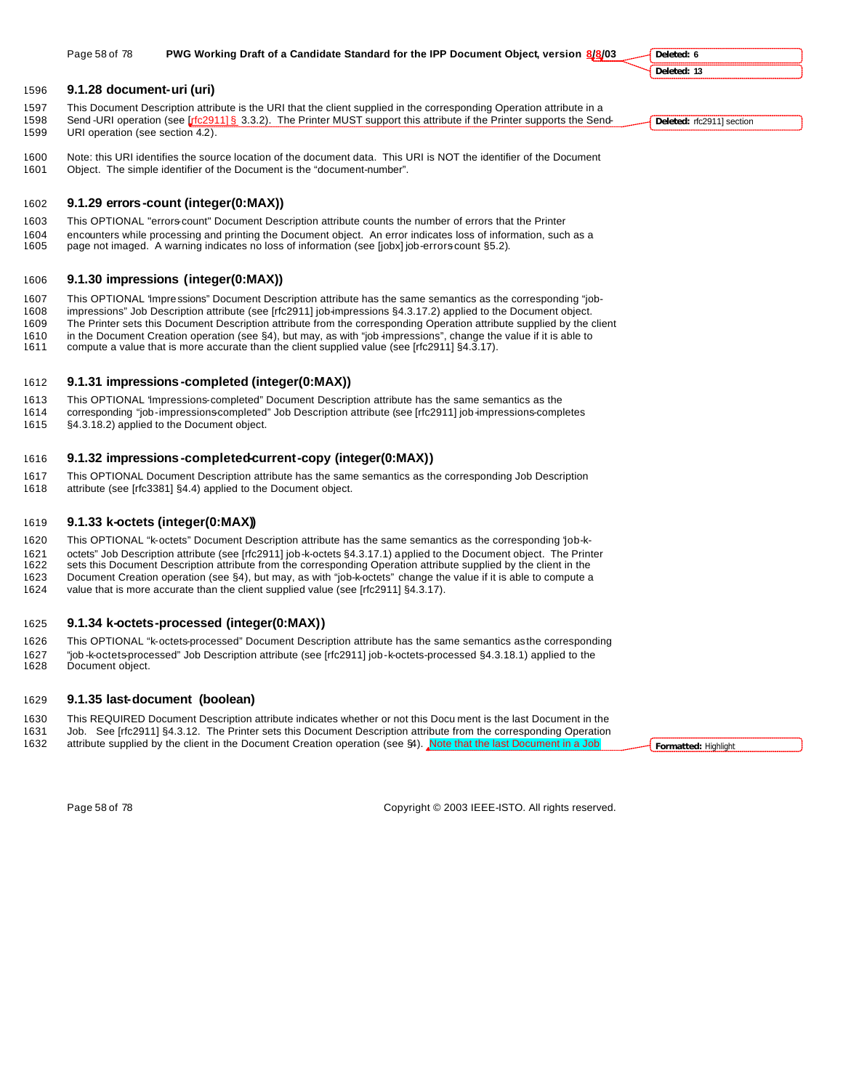#### **9.1.28 document-uri (uri)**

- This Document Description attribute is the URI that the client supplied in the corresponding Operation attribute in a 1598 Send -URI operation (see [rfc2911] § 3.3.2). The Printer MUST support this attribute if the Printer supports the Send-URI operation (see section 4.2).
- Note: this URI identifies the source location of the document data. This URI is NOT the identifier of the Document Object. The simple identifier of the Document is the "document-number".
- **9.1.29 errors-count (integer(0:MAX))**
- This OPTIONAL "errors-count" Document Description attribute counts the number of errors that the Printer encounters while processing and printing the Document object. An error indicates loss of information, such as a page not imaged. A warning indicates no loss of information (see [jobx] job-errors-count §5.2).

# **9.1.30 impressions (integer(0:MAX))**

This OPTIONAL "impressions" Document Description attribute has the same semantics as the corresponding "job-

impressions" Job Description attribute (see [rfc2911] job-impressions §4.3.17.2) applied to the Document object.

- The Printer sets this Document Description attribute from the corresponding Operation attribute supplied by the client in the Document Creation operation (see §4), but may, as with "job -impressions", change the value if it is able to
- compute a value that is more accurate than the client supplied value (see [rfc2911] §4.3.17).
- 

# **9.1.31 impressions -completed (integer(0:MAX))**

This OPTIONAL "impressions-completed" Document Description attribute has the same semantics as the

 corresponding "job-impressions-completed" Job Description attribute (see [rfc2911] job-impressions-completes §4.3.18.2) applied to the Document object.

# **9.1.32 impressions -completed-current-copy (integer(0:MAX))**

- This OPTIONAL Document Description attribute has the same semantics as the corresponding Job Description
- attribute (see [rfc3381] §4.4) applied to the Document object.

# **9.1.33 k-octets (integer(0:MAX))**

This OPTIONAL "k-octets" Document Description attribute has the same semantics as the corresponding "job-k-

octets" Job Description attribute (see [rfc2911] job-k-octets §4.3.17.1) applied to the Document object. The Printer

 sets this Document Description attribute from the corresponding Operation attribute supplied by the client in the Document Creation operation (see §4), but may, as with "job-k-octets" change the value if it is able to compute a value that is more accurate than the client supplied value (see [rfc2911] §4.3.17).

# **9.1.34 k-octets-processed (integer(0:MAX))**

 This OPTIONAL "k-octets-processed" Document Description attribute has the same semantics as the corresponding "job -k-octets-processed" Job Description attribute (see [rfc2911] job-k-octets-processed §4.3.18.1) applied to the Document object.

# **9.1.35 last-document (boolean)**

 This REQUIRED Document Description attribute indicates whether or not this Docu ment is the last Document in the Job. See [rfc2911] §4.3.12. The Printer sets this Document Description attribute from the corresponding Operation

1632 attribute supplied by the client in the Document Creation operation (see §4). Note that the last Document in a Job

**Formatted:** Highlight

Page 58 of 78 Copyright © 2003 IEEE-ISTO. All rights reserved.

**Deleted:** rfc2911] section

**Deleted: 6 Deleted: 13**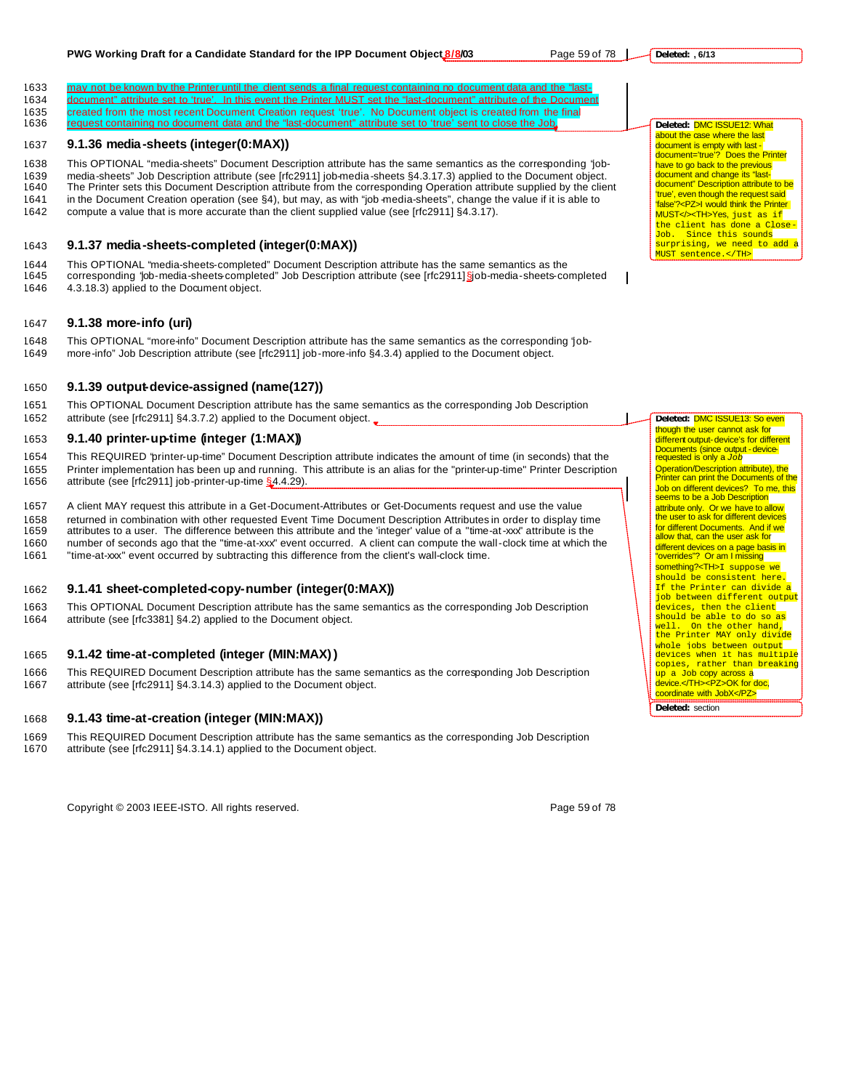#### **PWG Working Draft for a Candidate Standard for the IPP Document Object 8/8/03** Page 59 of 78 |

1633 may not be known by the Printer until the dient sends a final request containing no document data and the "last-1634 document" attribute set to 'true'. In this event the Printer MUST set the "last-document" attribute of the Document 1635 created from the most recent Document Creation request 'true'. No Document object is created from the final 1636 request containing no document data and the "last-document" attribute set to 'true' sent to close the Job.

## 1637 **9.1.36 media-sheets (integer(0:MAX))**

1638 This OPTIONAL "media-sheets" Document Description attribute has the same semantics as the corresponding "job-1639 media-sheets" Job Description attribute (see [rfc2911] job-media-sheets §4.3.17.3) applied to the Document object.

1640 The Printer sets this Document Description attribute from the corresponding Operation attribute supplied by the client

- 1641 in the Document Creation operation (see §4), but may, as with "job -media-sheets", change the value if it is able to
- 1642 compute a value that is more accurate than the client supplied value (see [rfc2911] §4.3.17).

# 1643 **9.1.37 media-sheets-completed (integer(0:MAX))**

1644 This OPTIONAL "media-sheets-completed" Document Description attribute has the same semantics as the 1645 corresponding "job-media-sheets-completed" Job Description attribute (see [rfc2911] §job-media-sheets-completed 1646 4.3.18.3) applied to the Document object.

## 1647 **9.1.38 more-info (uri)**

1648 This OPTIONAL "more-info" Document Description attribute has the same semantics as the corresponding "job-1649 more-info" Job Description attribute (see [rfc2911] job-more-info §4.3.4) applied to the Document object.

#### 1650 **9.1.39 output-device-assigned (name(127))**

1651 This OPTIONAL Document Description attribute has the same semantics as the corresponding Job Description 1652 attribute (see [rfc2911] §4.3.7.2) applied to the Document object.

# 1653 **9.1.40 printer-up-time (integer (1:MAX))**

1654 This REQUIRED "printer-up-time" Document Description attribute indicates the amount of time (in seconds) that the 1655 Printer implementation has been up and running. This attribute is an alias for the "printer-up-time" Printer Description 1656 attribute (see [rfc2911] job-printer-up-time §4.4.29).

1657 A client MAY request this attribute in a Get-Document-Attributes or Get-Documents request and use the value 1658 returned in combination with other requested Event Time Document Description Attributes in order to display time<br>1659 attributes to a user. The difference between this attribute and the 'integer' value of a "time-at-x attributes to a user. The difference between this attribute and the 'integer' value of a "time-at-xxx" attribute is the 1660 number of seconds ago that the "time-at-xxx" event occurred. A client can compute the wall-clock time at which the

1661 "time-at-xxx" event occurred by subtracting this difference from the client's wall-clock time.

# 1662 **9.1.41 sheet-completed-copy-number (integer(0:MAX))**

1663 This OPTIONAL Document Description attribute has the same semantics as the corresponding Job Description 1664 attribute (see [rfc3381] §4.2) applied to the Document object.

# 1665 **9.1.42 time-at-completed (integer (MIN:MAX))**

1666 This REQUIRED Document Description attribute has the same semantics as the corresponding Job Description 1667 attribute (see [rfc2911] §4.3.14.3) applied to the Document object.

#### 1668 **9.1.43 time-at-creation (integer (MIN:MAX))**

- 1669 This REQUIRED Document Description attribute has the same semantics as the corresponding Job Description<br>1670 attribute (see [rfc2911] §4.3.14.1) applied to the Document object.
	- attribute (see [rfc2911] §4.3.14.1) applied to the Document object.

**Deleted:** DMC ISSUE12: What about the case where the last document is empty with last document='true'? Does the Printer have to go back to the previous document and change its "lastdocument" Description attribute to be 'true', even though the request said 'false'?<PZ>I would think the Printer MUST</><TH>Yes, just as if the client has done a Close-Job. Since this sounds<br>surprising, we need to add a MUST sentence.</TH>

**Deleted:** DMC ISSUE13: So even though the user cannot ask for different output-device's for different Documents (since output - devicerequested is only a *Job* Operation/Description attribute), the Printer can print the Documents of the Job on different devices? To me, this seems to be a Job Description attribute only. Or we have to allow the user to ask for different devices for different Documents. And if we allow that, can the user ask for different devices on a page basis in "overrides"? Or am I missing something?<TH>I suppose we should be consistent here. If the Printer can divide a job between different output devices, then the client should be able to do so as well. On the other hand, the Printer MAY only divide whole jobs between output ancie Jose sechech cacpus copies, rather than breaking up a Job copy across a device.</TH><PZ>OK for doc, coordinate with JobX</PZ>

**Deleted:** section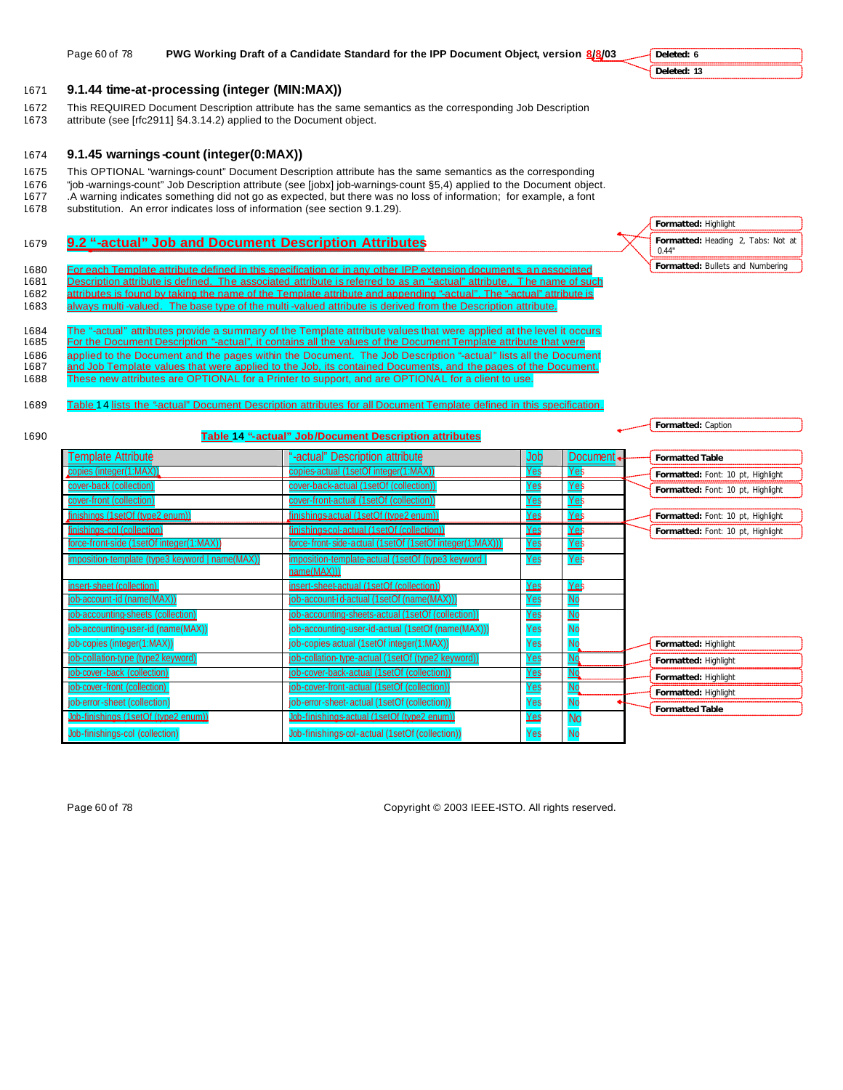#### 1671 **9.1.44 time-at-processing (integer (MIN:MAX))**

- 1672 This REQUIRED Document Description attribute has the same semantics as the corresponding Job Description
- 1673 attribute (see [rfc2911] §4.3.14.2) applied to the Document object.

### 1674 **9.1.45 warnings -count (integer(0:MAX))**

- 1675 This OPTIONAL "warnings-count" Document Description attribute has the same semantics as the corresponding
- 1676 "job -warnings-count" Job Description attribute (see [jobx] job-warnings-count §5,4) applied to the Document object. 1677 .A warning indicates something did not go as expected, but there was no loss of information; for example, a font
- 1678 substitution. An error indicates loss of information (see section 9.1.29).

# 1679 **9.2 "-actual" Job and Document Description Attributes**

- 1680 For each Template attribute defined in this specification or in any other IPP extension documents, an associated 1681 Description attribute is defined. The associated attribute is referred to as an "-actual" attribute,. The name of such 1682 attributes is found by taking the name of the Template attribute and appending "-actual". The "-actual" attribute is
- 1683 always multi-valued. The base type of the multi-valued attribute is derived from the Description attribute.
- 1684 The "-actual" attributes provide a summary of the Template attribute values that were applied at the level it occurs.<br>1685 For the Document Description "-actual", it contains all the values of the Document Template at For the Document Description "-actual", it contains all the values of the Document Template attribute that were 1686 applied to the Document and the pages within the Document. The Job Description "-actual" lists all the Document 1687 and Job Template values that were applied to the Job, its contained Documents, and the pages of the Document.
- 1688 These new attributes are OPTIONAL for a Printer to support, and are OPTIONAL for a client to use.
- 1689 Table 14 lists the "actual" Document Description attributes for all Document Template defined in this specification
- 

#### 1690 **Table 14 "-actual" Job/Document Description attributes**

| <b>Template Attribute</b>                       | "-actual" Description attribute                          | Uob        | Document.                 | <b>Formatted Table</b>            |
|-------------------------------------------------|----------------------------------------------------------|------------|---------------------------|-----------------------------------|
| copies (integer(1:MAX))                         | copies-actual (1setOf integer(1:MAX))                    | Yes        | Yes                       | Formatted: Font: 10 pt, Highlight |
| cover-back (collection)                         | cover-back-actual (1setOf (collection))                  | Yes        | Yes                       | Formatted: Font: 10 pt, Highlight |
| cover-front (collection)                        | cover-front-actual (1setOf (collection))                 | <u>Yes</u> | <u>Yes</u>                |                                   |
| finishings (1setOf (type2 enum))                | finishings actual (1setOf (type2 enum))                  | Yes        | Yes                       | Formatted: Font: 10 pt, Highlight |
| finishings-col (collection)                     | finishingscol-actual (1setOf (collection))               | Yes        | Yes                       | Formatted: Font: 10 pt, Highlight |
| force-front-side (1setOf integer(1:MAX))        | force-front-side-actual (1setOf (1setOf integer(1:MAX))) | <u>Yes</u> | $Yes$                     |                                   |
| imposition-template (type3 keyword   name(MAX)) | imposition-template-actual (1setOf (type3 keyword)       | Yes        | Yes                       |                                   |
|                                                 | name(MAX)))                                              |            |                           |                                   |
| insert-sheet (collection)                       | insert-sheet-actual (1setOf (collection))                | <u>Yes</u> | <u>Yes</u>                |                                   |
| job-account-id (name(MAX))                      | job-account-id-actual (1setOf (name(MAX)))               | <u>Yes</u> | $\overline{\text{No}}$    |                                   |
| job-accounting-sheets (collection)              | job-accounting-sheets-actual (1setOf (collection))       | <u>Yes</u> | <u>No</u>                 |                                   |
| job-accounting-user-id (name(MAX))              | job-accounting-user-id-actual (1setOf (name(MAX)))       | Yes        | N <sub>0</sub>            |                                   |
| job-copies (integer(1:MAX))                     | job-copies actual (1setOf integer(1:MAX))                | Yes        | <b>No</b>                 | Formatted: Highlight              |
| job-collation-type (type2 keyword)              | job-collation-type-actual (1setOf (type2 keyword))       | <u>Yes</u> | N <sub>Q</sub>            | Formatted: Highlight              |
| job-cover-back (collection)                     | job-cover-back-actual (1setOf (collection))              | <u>Yes</u> | Ng                        | Formatted: Highlight              |
| job-cover-front (collection)                    | job-cover-front-actual (1setOf (collection))             | <u>Yes</u> | $\mathbb{N}^{\mathbb{Q}}$ | Formatted: Highlight              |
| job-error-sheet (collection)                    | job-error-sheet-actual (1setOf (collection))             | Yes        | <b>No</b>                 | <b>Formatted Table</b>            |
| Job-finishings (1setOf (type2 enum))            | Job-finishings-actual (1setOf (type2 enum))              | Yes        | <b>No</b>                 |                                   |
| Job-finishings-col (collection)                 | Job-finishings-col-actual (1setOf (collection))          | Yes        | <b>No</b>                 |                                   |

Page 60 of 78 Copyright © 2003 IEEE-ISTO. All rights reserved.

**Deleted: 6 Deleted: 13**

**Formatted:** Highlight

**Formatted:** Caption

0.44"

**Formatted:** Heading 2, Tabs: Not at

**Formatted:** Bullets and Numbering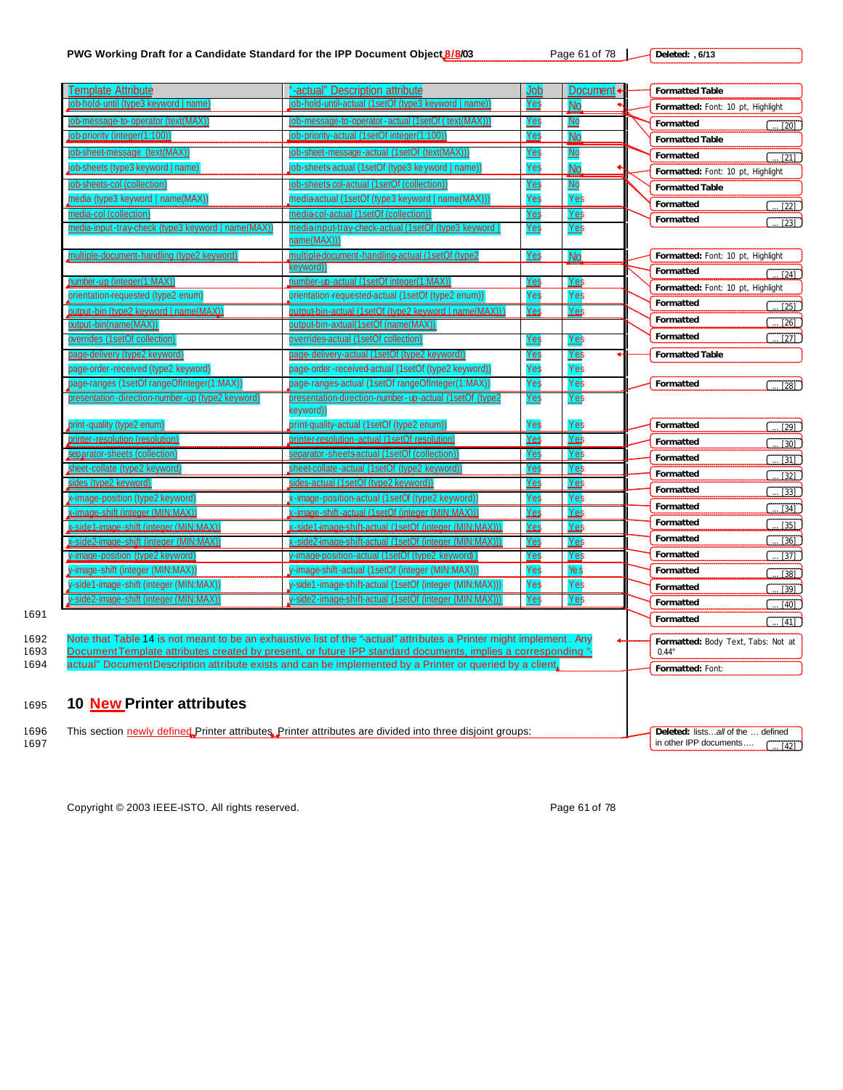# **PWG Working Draft for a Candidate Standard for the IPP Document Object 8/8/03** Page 61 of 78

**Deleted: , 6/13**

| Femplate Attribute                                        | "-actual" Description attribute                                                                                     | Job        | Document +                | <b>Formatted Table</b>                      |
|-----------------------------------------------------------|---------------------------------------------------------------------------------------------------------------------|------------|---------------------------|---------------------------------------------|
| <u>job-hold-until (type3 keyword   name</u>               | job-hold-until-actual (1setOf (type3 keyword   name))                                                               | <u>Yes</u> | No                        | Formatted: Font: 10 pt, Highlight           |
| job-message-to-operator (text(MAX)                        | job-message-to-operator-actual (1setOf ( text(MAX))                                                                 | Yes        | $\mathbf{\underline{Mo}}$ | Formatted<br>$\overline{20}$                |
| job-priority (integer(1:100))                             | job-priority-actual (1setOf integer(1:100))                                                                         | Yes        | No                        | <b>Formatted Table</b>                      |
| job-sheet-message (text(MAX))                             | <u>job-sheet-messaqe-actual (1setOf (text(MAX))</u>                                                                 | Yes        | N <sub>O</sub>            | Formatted<br>$\frac{1}{21}$                 |
| job-sheets (type3 keyword   name)                         | job-sheets actual (1setOf (type3 ke yword   name)                                                                   | Yes        | No                        | Formatted: Font: 10 pt, Highlight           |
| job-sheets-col (collection)                               | job-sheets col-actual (1setOf (collection))                                                                         | <u>Yes</u> | $No$                      | <b>Formatted Table</b>                      |
| media (type3 keyword   name(MAX))                         | media actual (1 set Of (type 3 keyword   name (MAX))                                                                | Yes        | Yes                       | Formatted                                   |
| media-col (collection)                                    | media col-actual (1setOf (collection))                                                                              | Yes        | Yes                       | $\overline{22}$<br>Formatted                |
| <u>media-input-tray-check (type3 keyword   name(MAX))</u> | media-input-tray-check-actual (1setOf (type3 keyword  <br>name(MAX)))                                               | <u>Yes</u> | Yes                       | $\overline{123}$                            |
| multiple-document-handling (type2 keyword)                | multiple document-handling-actual (1setOf (type2                                                                    | <u>Yes</u> | N <sub>o</sub>            | Formatted: Font: 10 pt, Highlight           |
|                                                           | keyword)                                                                                                            |            |                           | Formatted<br>$\sqrt{24}$                    |
| number-up (integer(1:MAX))                                | number-up-actual (1setOf integer(1:MAX)                                                                             | Yes        | Yes                       | Formatted: Font: 10 pt, Highlight           |
| orientation-requested (type2 enum)                        | orientation-requested-actual (1setOf (type2 enum)                                                                   | Yes        | Yes                       | Formatted                                   |
| output-bin (type2 keyword   name(MAX))                    | output-bin-actual (1setOf (type2 keyword   name(MAX)))                                                              | Yes        | Yes                       | $\overline{25}$                             |
| output-bin(name(MAX))                                     | output-bin-axtual(1setOf (name(MAX))                                                                                |            |                           | Formatted<br>[26]                           |
| overrides (1setOf collection)                             | <u>overrides-actual (1setOf collection)</u>                                                                         | <u>Yes</u> | <u>Yes</u>                | Formatted<br>$\overline{1271}$              |
| <u>page-delivery (type2 keyword)</u>                      | page delivery-actual (1setOf (type2 keyword))                                                                       | <u>Yes</u> | <u>Yes</u>                | <b>Formatted Table</b>                      |
| page-order-received (type2 keyword)                       | page-order-received-actual (1setOf (type2 keyword))                                                                 | Yes        | Yes                       |                                             |
| page-ranges (1setOf rangeOfInteger(1:MAX))                | page-ranges-actual (1setOf rangeOfInteger(1:MAX))                                                                   | Yes        | Yes                       | Formatted<br>$\overline{1281}$              |
| presentation-direction-number-up (type2 keyword)          | <u> presentation-direction-number-up-actual (1setOf (type2</u><br>keyword))                                         | <u>Yes</u> | <u>Yes</u>                |                                             |
| print-quality (type2 enum)                                | print-quality-actual (1setOf (type2 enum))                                                                          | Yes        | Yes                       | Formatted<br>$\overline{[29]}$              |
| printer-resolution (resolution)                           | printer-resolution-actual (1setOf resolution)                                                                       | <u>Yes</u> | Yes                       | Formatted<br>$\boxed{30}$                   |
| <u>separator-sheets (collection)</u>                      | separator-sheets actual (1setOf (collection)                                                                        | Yes        | Yes                       | Formatted<br>[31]                           |
| sheet-collate (type2 keyword)                             | sheet-collate-actual (1setOf (type2 keyword))                                                                       | Yes        | Yes                       | Formatted                                   |
| sides (type2 keyword)                                     | sides-actual (1setOf (type2 keyword))                                                                               | Yes        | <b>Yes</b>                | $[32]$                                      |
| x-image-position (type2 keyword)                          | x-image-position-actual (1setOf (type2 keyword)                                                                     | Yes        | Yes                       | Formatted<br>[33]                           |
| x-image-shift (integer (MIN:MAX))                         | x-image-shift-actual (1setOf (integer (MIN:MAX))                                                                    | Yes        | Yes                       | Formatted<br>$\cdot$ [34]                   |
| <u>x-side1-image-shift (integer (MIN:MAX))</u>            | x-side1-image-shift-actual (1setOf (integer (MIN:MAX)))                                                             | Yes        | Yes                       | Formatted<br>$[35]$                         |
| x-side2-image-shift (integer (MIN:MAX)                    | x-side2-image-shift-actual (1setOf (integer (MIN:MAX))                                                              | Yes        | Yes                       | Formatted<br>$\boxed{36}$                   |
| y-image-position (type2 keyword)                          | y-image-position-actual (1setOf (type2 keyword)                                                                     | Yes        | Yes                       | Formatted<br>[37]                           |
| y-image-shift (integer (MIN:MAX))                         | y-image-shift-actual (1setOf (integer (MIN:MAX)))                                                                   | Yes        | Ye s                      | Formatted<br>$\overline{1381}$              |
| y-side1-image-shift (integer (MIN:MAX)                    | y-side1-image-shift-actual (1setOf (integer (MIN:MAX)))                                                             | Yes        | Yes                       | Formatted<br>. [39]                         |
| y-side2-image-shift (integer (MIN:MAX))                   | y-side2-image-shift-actual (1setOf (integer (MIN:MAX))).                                                            | Yes        |                           |                                             |
|                                                           |                                                                                                                     |            |                           | [40]<br>$\overline{\cdots}$ [41]            |
|                                                           | Note that Table 14 is not meant to be an exhaustive list of the "-actual" attributes a Printer might implement. Any |            | Yes                       | Formatted<br>Formatted                      |
|                                                           | Document Template attributes created by present, or future IPP standard documents, implies a corresponding "-       |            |                           | Formatted: Body Text, Tabs: Not at<br>0.44" |
|                                                           | actual" Document Description attribute exists and can be implemented by a Printer or queried by a client,           |            |                           |                                             |
|                                                           |                                                                                                                     |            |                           | Formatted: Font:                            |
| 10 New Printer attributes                                 |                                                                                                                     |            |                           |                                             |
|                                                           | This section newly defined Printer attributes. Printer attributes are divided into three disjoint groups:           |            |                           | Deleted: listsall of the  defined           |
|                                                           |                                                                                                                     |            |                           | in other IPP documents<br>$\overline{[42]}$ |

Copyright © 2003 IEEE-ISTO. All rights reserved. example the state of 78 copyright © 2003 IEEE-ISTO. All rights reserved.

1691

<sup>1695</sup> **10 New Printer attributes**

1697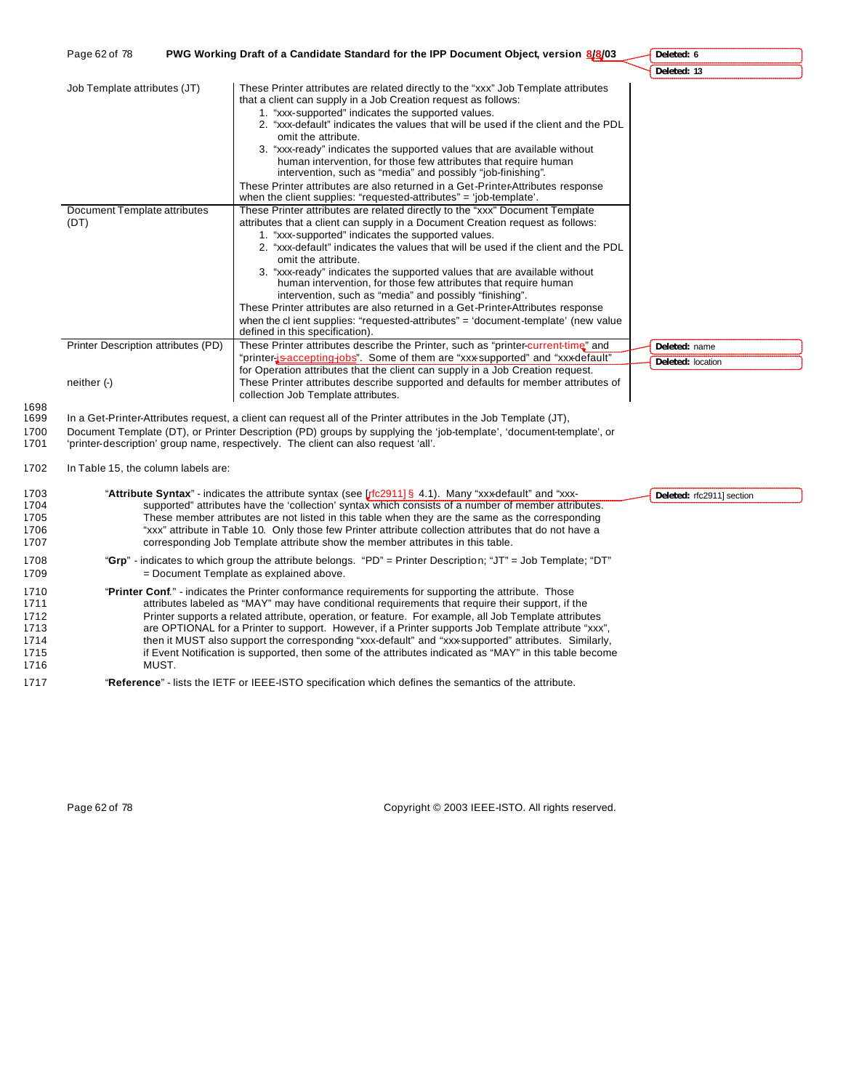| Page 62 of 78                                                        | PWG Working Draft of a Candidate Standard for the IPP Document Object, version 8/8/03                                                                                                                                                                                                                                                                                                                                                                                                                                                                                                                                                                                                                                                                                                                                                                                                                                 | Deleted: 6                         |
|----------------------------------------------------------------------|-----------------------------------------------------------------------------------------------------------------------------------------------------------------------------------------------------------------------------------------------------------------------------------------------------------------------------------------------------------------------------------------------------------------------------------------------------------------------------------------------------------------------------------------------------------------------------------------------------------------------------------------------------------------------------------------------------------------------------------------------------------------------------------------------------------------------------------------------------------------------------------------------------------------------|------------------------------------|
|                                                                      |                                                                                                                                                                                                                                                                                                                                                                                                                                                                                                                                                                                                                                                                                                                                                                                                                                                                                                                       | Deleted: 13                        |
| Job Template attributes (JT)<br>Document Template attributes<br>(DT) | These Printer attributes are related directly to the "xxx" Job Template attributes<br>that a client can supply in a Job Creation request as follows:<br>1. "xxx-supported" indicates the supported values.<br>2. "xxx-default" indicates the values that will be used if the client and the PDL<br>omit the attribute.<br>3. "xxx-ready" indicates the supported values that are available without<br>human intervention, for those few attributes that require human<br>intervention, such as "media" and possibly "job-finishing".<br>These Printer attributes are also returned in a Get-Printer-Attributes response<br>when the client supplies: "requested-attributes" = 'job-template'.<br>These Printer attributes are related directly to the "xxx" Document Template<br>attributes that a client can supply in a Document Creation request as follows:<br>1. "xxx-supported" indicates the supported values. |                                    |
|                                                                      | 2. "xxx-default" indicates the values that will be used if the client and the PDL<br>omit the attribute.<br>3. "xxx-ready" indicates the supported values that are available without<br>human intervention, for those few attributes that require human<br>intervention, such as "media" and possibly "finishing".<br>These Printer attributes are also returned in a Get-Printer-Attributes response<br>when the cl ient supplies: "requested-attributes" = 'document-template' (new value<br>defined in this specification).                                                                                                                                                                                                                                                                                                                                                                                        |                                    |
| Printer Description attributes (PD)                                  | These Printer attributes describe the Printer, such as "printer-current-time" and<br>"printer-js-accepting-jobs". Some of them are "xxx-supported" and "xxx-default"                                                                                                                                                                                                                                                                                                                                                                                                                                                                                                                                                                                                                                                                                                                                                  | Deleted: name<br>Deleted: location |
| neither (-)                                                          | for Operation attributes that the client can supply in a Job Creation request.<br>These Printer attributes describe supported and defaults for member attributes of<br>collection Job Template attributes.                                                                                                                                                                                                                                                                                                                                                                                                                                                                                                                                                                                                                                                                                                            |                                    |
|                                                                      | In a Get-Printer-Attributes request, a client can request all of the Printer attributes in the Job Template (JT),<br>Document Template (DT), or Printer Description (PD) groups by supplying the 'job-template', 'document-template', or                                                                                                                                                                                                                                                                                                                                                                                                                                                                                                                                                                                                                                                                              |                                    |

```
1702 In Table 15, the column labels are:
```

| 1703<br>1704<br>1705<br>1706<br>1707         | "Attribute Syntax" - indicates the attribute syntax (see [ $rfc2911$ ] § 4.1). Many "xxx-default" and "xxx-<br>Deleted: rfc2911] section<br>supported" attributes have the 'collection' syntax which consists of a number of member attributes.<br>These member attributes are not listed in this table when they are the same as the corresponding<br>"xxx" attribute in Table 10. Only those few Printer attribute collection attributes that do not have a<br>corresponding Job Template attribute show the member attributes in this table.                                                                                             |  |
|----------------------------------------------|---------------------------------------------------------------------------------------------------------------------------------------------------------------------------------------------------------------------------------------------------------------------------------------------------------------------------------------------------------------------------------------------------------------------------------------------------------------------------------------------------------------------------------------------------------------------------------------------------------------------------------------------|--|
| 1708<br>1709                                 | "Grp" - indicates to which group the attribute belongs. "PD" = Printer Description; "JT" = Job Template; "DT"<br>= Document Template as explained above.                                                                                                                                                                                                                                                                                                                                                                                                                                                                                    |  |
| 1710<br>1711<br>1712<br>1713<br>1714<br>1715 | "Printer Conf." - indicates the Printer conformance requirements for supporting the attribute. Those<br>attributes labeled as "MAY" may have conditional requirements that require their support, if the<br>Printer supports a related attribute, operation, or feature. For example, all Job Template attributes<br>are OPTIONAL for a Printer to support. However, if a Printer supports Job Template attribute "xxx",<br>then it MUST also support the corresponding "xxx-default" and "xxx-supported" attributes. Similarly,<br>if Event Notification is supported, then some of the attributes indicated as "MAY" in this table become |  |
| 1716<br>1717                                 | MUST.<br>"Reference" - lists the IETF or IEEE-ISTO specification which defines the semantics of the attribute.                                                                                                                                                                                                                                                                                                                                                                                                                                                                                                                              |  |

Page 62 of 78 Copyright © 2003 IEEE-ISTO. All rights reserved.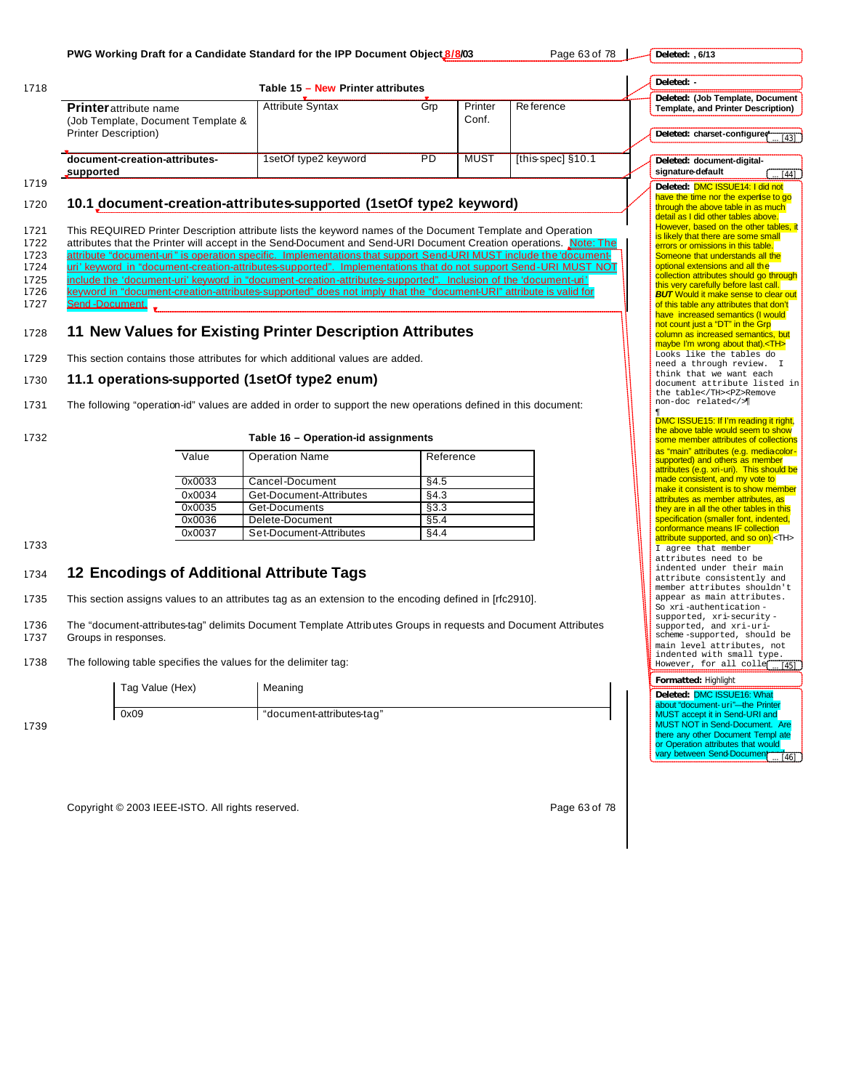| 1718                                                 |                                                                                                                                                                                                                                                                                                                                                                                                                                                                                                                                                                                                                                                                                                                                   | Table 15 - New Printer attributes                                                                                                                                                                                                                                                                                                                                                                                                                    |                              |                  |                   | Deleted: -                                                                                                             |  |
|------------------------------------------------------|-----------------------------------------------------------------------------------------------------------------------------------------------------------------------------------------------------------------------------------------------------------------------------------------------------------------------------------------------------------------------------------------------------------------------------------------------------------------------------------------------------------------------------------------------------------------------------------------------------------------------------------------------------------------------------------------------------------------------------------|------------------------------------------------------------------------------------------------------------------------------------------------------------------------------------------------------------------------------------------------------------------------------------------------------------------------------------------------------------------------------------------------------------------------------------------------------|------------------------------|------------------|-------------------|------------------------------------------------------------------------------------------------------------------------|--|
|                                                      | Printer attribute name<br>(Job Template, Document Template &<br><b>Printer Description)</b>                                                                                                                                                                                                                                                                                                                                                                                                                                                                                                                                                                                                                                       | <b>Attribute Syntax</b>                                                                                                                                                                                                                                                                                                                                                                                                                              | Grp                          | Printer<br>Conf. | Re ference        | Deleted: (Job Template, Document<br><b>Template, and Printer Description)</b><br>Deleted: charset-configured<br>[43]   |  |
|                                                      | document-creation-attributes-<br>supported                                                                                                                                                                                                                                                                                                                                                                                                                                                                                                                                                                                                                                                                                        | 1setOf type2 keyword                                                                                                                                                                                                                                                                                                                                                                                                                                 | PD                           | <b>MUST</b>      | [this-spec] §10.1 | Deleted: document-digital-<br>signature-default<br>$[44]$                                                              |  |
| 1719<br>1720                                         | 10.1 document-creation-attributes-supported (1setOf type2 keyword)                                                                                                                                                                                                                                                                                                                                                                                                                                                                                                                                                                                                                                                                |                                                                                                                                                                                                                                                                                                                                                                                                                                                      |                              |                  |                   | Deleted: DMC ISSUE14: I did not<br>have the time nor the expertise to go<br>through the above table in as much         |  |
| 1721<br>1722<br>1723<br>1724<br>1725<br>1726<br>1727 | This REQUIRED Printer Description attribute lists the keyword names of the Document Template and Operation<br>attributes that the Printer will accept in the Send-Document and Send-URI Document Creation operations. Note: The<br>attribute "document-uri" is operation specific. Implementations that support Send-URI MUST include the 'document-<br>uri' keyword in "document-creation-attributes-supported". Implementations that do not support Send-URI MUST NOT<br>include the 'document-uri' keyword in "document-creation-attributes-supported". Inclusion of the 'document-uri'<br>keyword in "document-creation-attributes-supported" does not imply that the "document-URI" attribute is valid for<br>Send-Document. | detail as I did other tables above.<br>However, based on the other tables, it<br>is likely that there are some small<br>errors or omissions in this table.<br>Someone that understands all the<br>optional extensions and all the<br>collection attributes should go through<br>this very carefully before last call.<br><b>BUT</b> Would it make sense to clear out<br>of this table any attributes that don't<br>have increased semantics (I would |                              |                  |                   |                                                                                                                        |  |
| 1728                                                 | 11 New Values for Existing Printer Description Attributes                                                                                                                                                                                                                                                                                                                                                                                                                                                                                                                                                                                                                                                                         | not count just a "DT" in the Grp<br>column as increased semantics, but<br>maybe I'm wrong about that). <th><br/>Looks like the tables do</th>                                                                                                                                                                                                                                                                                                        | <br>Looks like the tables do |                  |                   |                                                                                                                        |  |
| 1729<br>1730                                         | This section contains those attributes for which additional values are added.<br>11.1 operations-supported (1setOf type2 enum)                                                                                                                                                                                                                                                                                                                                                                                                                                                                                                                                                                                                    |                                                                                                                                                                                                                                                                                                                                                                                                                                                      |                              |                  |                   | need a through review. I<br>think that we want each                                                                    |  |
| 1731<br>1732                                         | The following "operation-id" values are added in order to support the new operations defined in this document:                                                                                                                                                                                                                                                                                                                                                                                                                                                                                                                                                                                                                    | Table 16 - Operation-id assignments                                                                                                                                                                                                                                                                                                                                                                                                                  |                              |                  |                   | document attribute listed in<br>the table                                                                              |  |
|                                                      | Value                                                                                                                                                                                                                                                                                                                                                                                                                                                                                                                                                                                                                                                                                                                             | <b>Operation Name</b>                                                                                                                                                                                                                                                                                                                                                                                                                                | Reference                    |                  |                   | as "main" attributes (e.g. mediacolor-<br>supported) and others as member<br>attributes (e.g. xri-uri). This should be |  |
|                                                      | 0x0033                                                                                                                                                                                                                                                                                                                                                                                                                                                                                                                                                                                                                                                                                                                            | Cancel-Document                                                                                                                                                                                                                                                                                                                                                                                                                                      | §4.5                         |                  |                   | made consistent, and my vote to<br>make it consistent is to show member                                                |  |
|                                                      | 0x0034<br>0x0035                                                                                                                                                                                                                                                                                                                                                                                                                                                                                                                                                                                                                                                                                                                  | Get-Document-Attributes<br>Get-Documents                                                                                                                                                                                                                                                                                                                                                                                                             | §4.3<br>§3.3                 |                  |                   | attributes as member attributes, as                                                                                    |  |
|                                                      | 0x0036                                                                                                                                                                                                                                                                                                                                                                                                                                                                                                                                                                                                                                                                                                                            | Delete-Document                                                                                                                                                                                                                                                                                                                                                                                                                                      | §5.4                         |                  |                   | they are in all the other tables in this<br>specification (smaller font, indented,                                     |  |
| 1733                                                 | 0x0037                                                                                                                                                                                                                                                                                                                                                                                                                                                                                                                                                                                                                                                                                                                            | Set-Document-Attributes                                                                                                                                                                                                                                                                                                                                                                                                                              | §4.4                         |                  |                   | conformance means IF collection<br>attribute supported, and so on). <th></th>                                          |  |
| 1734                                                 | 12 Encodings of Additional Attribute Tags                                                                                                                                                                                                                                                                                                                                                                                                                                                                                                                                                                                                                                                                                         | I agree that member<br>attributes need to be<br>indented under their main<br>attribute consistently and                                                                                                                                                                                                                                                                                                                                              |                              |                  |                   |                                                                                                                        |  |
| 1735                                                 | This section assigns values to an attributes tag as an extension to the encoding defined in [rfc2910].                                                                                                                                                                                                                                                                                                                                                                                                                                                                                                                                                                                                                            |                                                                                                                                                                                                                                                                                                                                                                                                                                                      |                              |                  |                   | member attributes shouldn't<br>appear as main attributes.<br>So xri-authentication-                                    |  |
| 1736                                                 | The "document-attributes-tag" delimits Document Template Attributes Groups in requests and Document Attributes<br>Groups in responses.                                                                                                                                                                                                                                                                                                                                                                                                                                                                                                                                                                                            | supported, xri-security-<br>supported, and xri-uri-<br>scheme-supported, should be<br>main level attributes, not<br>indented with small type.                                                                                                                                                                                                                                                                                                        |                              |                  |                   |                                                                                                                        |  |
|                                                      |                                                                                                                                                                                                                                                                                                                                                                                                                                                                                                                                                                                                                                                                                                                                   |                                                                                                                                                                                                                                                                                                                                                                                                                                                      |                              |                  |                   | However, for all colle<br>[45]                                                                                         |  |
| 1737<br>1738                                         | The following table specifies the values for the delimiter tag:                                                                                                                                                                                                                                                                                                                                                                                                                                                                                                                                                                                                                                                                   |                                                                                                                                                                                                                                                                                                                                                                                                                                                      |                              |                  |                   |                                                                                                                        |  |
|                                                      | Tag Value (Hex)                                                                                                                                                                                                                                                                                                                                                                                                                                                                                                                                                                                                                                                                                                                   | Meaning<br>"document-attributes-tag"                                                                                                                                                                                                                                                                                                                                                                                                                 |                              |                  |                   | Formatted: Highlight<br>Deleted: DMC ISSUE16: What<br>about "document- uri"-the Printer                                |  |

Copyright © 2003 IEEE-ISTO. All rights reserved. example the state of 78 of 78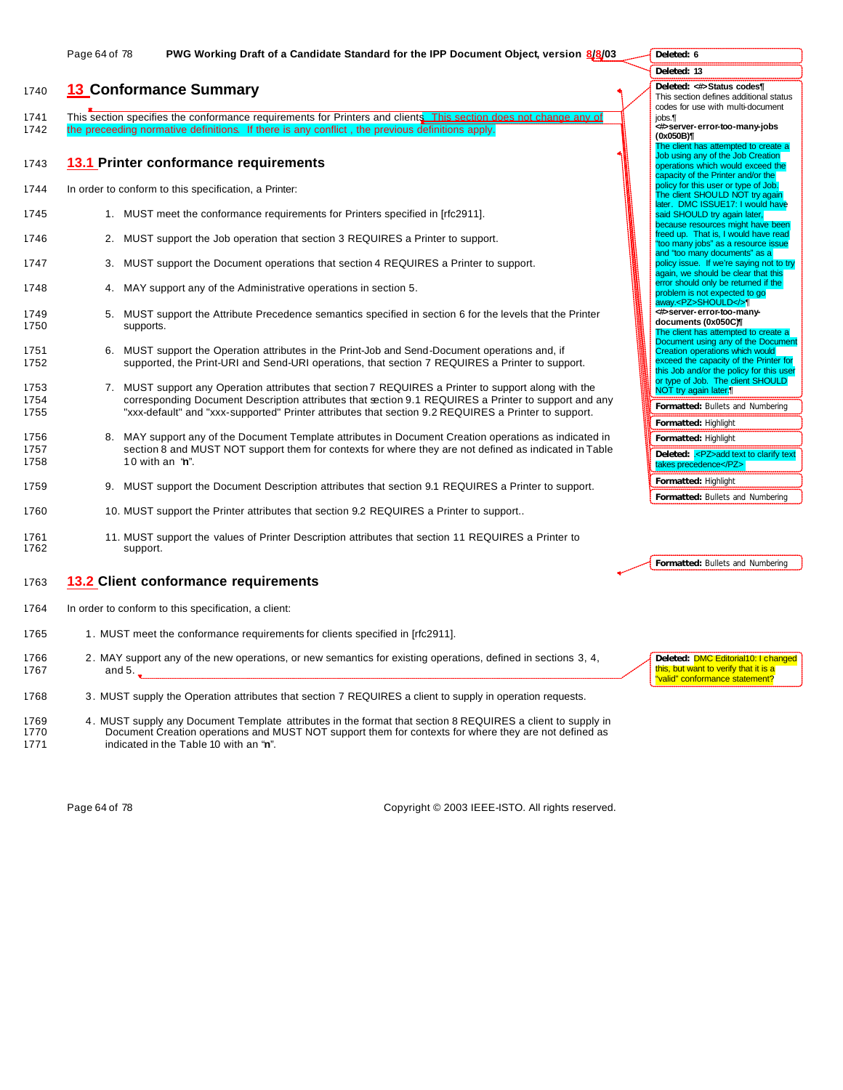# <sup>1740</sup> **13 Conformance Summary**

1741 This section specifies the conformance requirements for Printers and clients. This section does not change any of 1742 the preceeding normative definitions. If there is any conflict, the previous definitions apply.

#### 1743 **13.1 Printer conformance requirements**

- 1744 In order to conform to this specification, a Printer:
- 1745 1. MUST meet the conformance requirements for Printers specified in [rfc2911].
- 1746 2. MUST support the Job operation that section 3 REQUIRES a Printer to support.
- 1747 3. MUST support the Document operations that section 4 REQUIRES a Printer to support.
- 1748 4. MAY support any of the Administrative operations in section 5.
- 1749 5. MUST support the Attribute Precedence semantics specified in section 6 for the levels that the Printer 1750 supports.
- 1751 6. MUST support the Operation attributes in the Print-Job and Send-Document operations and, if 1752 supported, the Print-URI and Send-URI operations, that section 7 REQUIRES a Printer to support.
- 1753 7. MUST support any Operation attributes that section 7 REQUIRES a Printer to support along with the 1754 corresponding Document Description attributes that section 9.1 REQUIRES a Printer to support and any 1755 "xxx-default" and "xxx-supported" Printer attributes that section 9.2 REQUIRES a Printer to support.
- 1756 8. MAY support any of the Document Template attributes in Document Creation operations as indicated in 1757 section 8 and MUST NOT support them for contexts for where they are not defined as indicated in Table 1758 1 0 with an "**n**".
- 1759 9. MUST support the Document Description attributes that section 9.1 REQUIRES a Printer to support.
- 1760 1760 10. MUST support the Printer attributes that section 9.2 REQUIRES a Printer to support..
- 1761 11. MUST support the values of Printer Description attributes that section 11 REQUIRES a Printer to 1762 support.

# 1763 **13.2 Client conformance requirements**

- 1764 In order to conform to this specification, a client:
- 1765 1. MUST meet the conformance requirements for clients specified in [rfc2911].
- 1766 2. MAY support any of the new operations, or new semantics for existing operations, defined in sections 3, 4, 1767 and 5.
- 1768 3. MUST supply the Operation attributes that section 7 REQUIRES a client to supply in operation requests.
- 1769 4. MUST supply any Document Template attributes in the format that section 8 REQUIRES a client to supply in 1770 Document Creation operations and MUST NOT support them for contexts for where they are not defined as 1771 indicated in the Table 10 with an "**n**".

Page 64 of 78 Copyright © 2003 IEEE-ISTO. All rights reserved.

| Deleted: < b>>>Status codes¶                               |
|------------------------------------------------------------|
| This section defines additional status                     |
|                                                            |
| codes for use with multi-document                          |
| iobs.¶                                                     |
| Server-error-too-many-jobs>                                |
| (0x050B)¶                                                  |
| The client has attempted to create a                       |
| Job using any of the Job Creation                          |
| operations which would exceed the                          |
| capacity of the Printer and/or the                         |
| policy for this user or type of Job.                       |
| The client SHOULD NOT try again                            |
| later. DMC ISSUE17: I would have                           |
| said SHOULD try again later,                               |
| because resources might have been                          |
| freed up. That is, I would have read                       |
| "too many jobs" as a resource issue                        |
| and "too many documents" as a                              |
| policy issue. If we're saying not to try                   |
| again, we should be clear that this                        |
| error should only be returned if the                       |
| problem is not expected to go                              |
| away. <pz>SHOULD</pz>                                      |
| <#>server-error-too-many-                                  |
|                                                            |
| documents (0x050C)                                         |
| The client has attempted to create a                       |
| Document using any of the Document                         |
| Creation operations which would                            |
| exceed the capacity of the Printer for                     |
| this Job and/or the policy for this user                   |
| or type of Job. The client SHOULD<br>NOT try again later.¶ |
|                                                            |
|                                                            |
| Formatted: Bullets and Numbering                           |
| Formatted: Highlight                                       |
|                                                            |
| Formatted: Highlight                                       |
| Deleted: .< PZ>add text to clarify text                    |
| takes precedence                                           |
|                                                            |
| Formatted: Highlight                                       |

**Deleted: 6 Deleted: 13**

**Formatted:** Bullets and Numbering

**Formatted:** Bullets and Numbering

**Deleted:** DMC Editorial10: I changed this, but want to verify that it is a valid" conformance statement?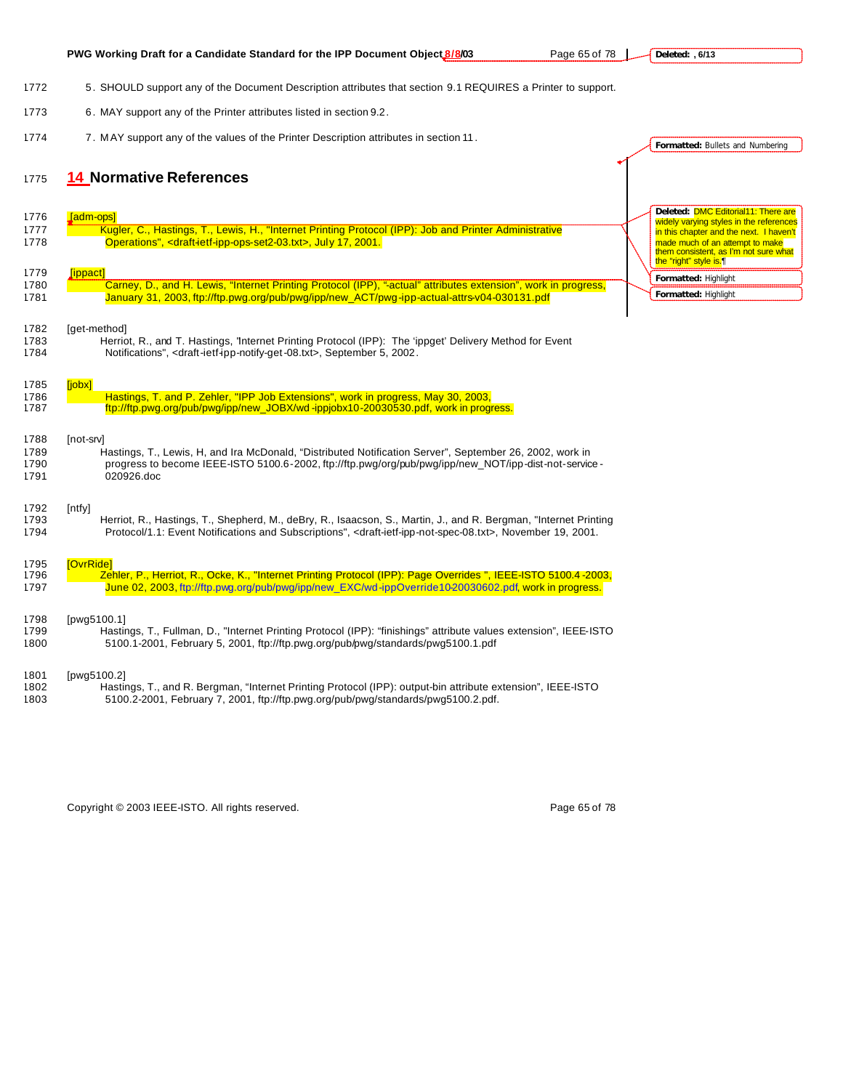|              | PWG Working Draft for a Candidate Standard for the IPP Document Object 8/8/03<br>Page 65 of 78                                              | Deleted: , 6/13                                                                                   |
|--------------|---------------------------------------------------------------------------------------------------------------------------------------------|---------------------------------------------------------------------------------------------------|
|              |                                                                                                                                             |                                                                                                   |
| 1772         | 5. SHOULD support any of the Document Description attributes that section 9.1 REQUIRES a Printer to support.                                |                                                                                                   |
| 1773         | 6. MAY support any of the Printer attributes listed in section 9.2.                                                                         |                                                                                                   |
| 1774         | 7. MAY support any of the values of the Printer Description attributes in section 11.                                                       | Formatted: Bullets and Numbering                                                                  |
|              |                                                                                                                                             |                                                                                                   |
| 1775         | 14 Normative References                                                                                                                     |                                                                                                   |
|              |                                                                                                                                             | Deleted: <b>DMC Editorial11: There are</b>                                                        |
| 1776         | [adm-ops]                                                                                                                                   | widely varying styles in the references                                                           |
| 1777         | Kugler, C., Hastings, T., Lewis, H., "Internet Printing Protocol (IPP): Job and Printer Administrative                                      | in this chapter and the next. I haven't                                                           |
| 1778         | Operations", <draft-ietf-ipp-ops-set2-03.txt>, July 17, 2001.</draft-ietf-ipp-ops-set2-03.txt>                                              | made much of an attempt to make<br>them consistent, as I'm not sure what<br>the "right" style is. |
| 1779         | [ippact]                                                                                                                                    | Formatted: Highlight                                                                              |
| 1780         | Carney, D., and H. Lewis, "Internet Printing Protocol (IPP), "-actual" attributes extension", work in progress,                             | Formatted: Highlight                                                                              |
| 1781         | January 31, 2003, ftp://ftp.pwg.org/pub/pwg/ipp/new_ACT/pwg-ipp-actual-attrs-v04-030131.pdf                                                 |                                                                                                   |
| 1782         | [get-method]                                                                                                                                |                                                                                                   |
| 1783         | Herriot, R., and T. Hastings, "Internet Printing Protocol (IPP): The 'ippget' Delivery Method for Event                                     |                                                                                                   |
| 1784         | Notifications", <draft-ietf-ipp-notify-get-08.txt>, September 5, 2002.</draft-ietf-ipp-notify-get-08.txt>                                   |                                                                                                   |
|              |                                                                                                                                             |                                                                                                   |
| 1785<br>1786 | [jobx]<br>Hastings, T. and P. Zehler, "IPP Job Extensions", work in progress, May 30, 2003,                                                 |                                                                                                   |
| 1787         | ftp://ftp.pwg.org/pub/pwg/ipp/new_JOBX/wd-ippjobx10-20030530.pdf, work in progress.                                                         |                                                                                                   |
|              |                                                                                                                                             |                                                                                                   |
| 1788         | [not-srv]                                                                                                                                   |                                                                                                   |
| 1789         | Hastings, T., Lewis, H. and Ira McDonald, "Distributed Notification Server", September 26, 2002, work in                                    |                                                                                                   |
| 1790<br>1791 | progress to become IEEE-ISTO 5100.6-2002, ftp://ftp.pwg/org/pub/pwg/ipp/new_NOT/ipp-dist-not-service-<br>020926.doc                         |                                                                                                   |
|              |                                                                                                                                             |                                                                                                   |
| 1792         | $[$ ntfy $]$                                                                                                                                |                                                                                                   |
| 1793         | Herriot, R., Hastings, T., Shepherd, M., deBry, R., Isaacson, S., Martin, J., and R. Bergman, "Internet Printing                            |                                                                                                   |
| 1794         | Protocol/1.1: Event Notifications and Subscriptions", <draft-ietf-ipp-not-spec-08.txt>, November 19, 2001.</draft-ietf-ipp-not-spec-08.txt> |                                                                                                   |
| 1795         | [OvrRide]                                                                                                                                   |                                                                                                   |
| 1796         | Zehler, P., Herriot, R., Ocke, K., "Internet Printing Protocol (IPP): Page Overrides ", IEEE-ISTO 5100.4-2003,                              |                                                                                                   |
| 1797         | June 02, 2003, ftp://ftp.pwg.org/pub/pwg/ipp/new_EXC/wd-ippOverride10-20030602.pdf, work in progress.                                       |                                                                                                   |
|              |                                                                                                                                             |                                                                                                   |
| 1798<br>1799 | [pwg5100.1]<br>Hastings, T., Fullman, D., "Internet Printing Protocol (IPP): "finishings" attribute values extension", IEEE-ISTO            |                                                                                                   |
| 1800         | 5100.1-2001, February 5, 2001, ftp://ftp.pwg.org/pub/pwg/standards/pwg5100.1.pdf                                                            |                                                                                                   |
| 1801         | [pwg5100.2]                                                                                                                                 |                                                                                                   |
| 1802         | Hastings, T., and R. Bergman, "Internet Printing Protocol (IPP): output-bin attribute extension", IEEE-ISTO                                 |                                                                                                   |
| 1803         | 5100.2-2001, February 7, 2001, ftp://ftp.pwg.org/pub/pwg/standards/pwg5100.2.pdf.                                                           |                                                                                                   |
|              |                                                                                                                                             |                                                                                                   |

Copyright © 2003 IEEE-ISTO. All rights reserved. example 2003 15 and 2009 178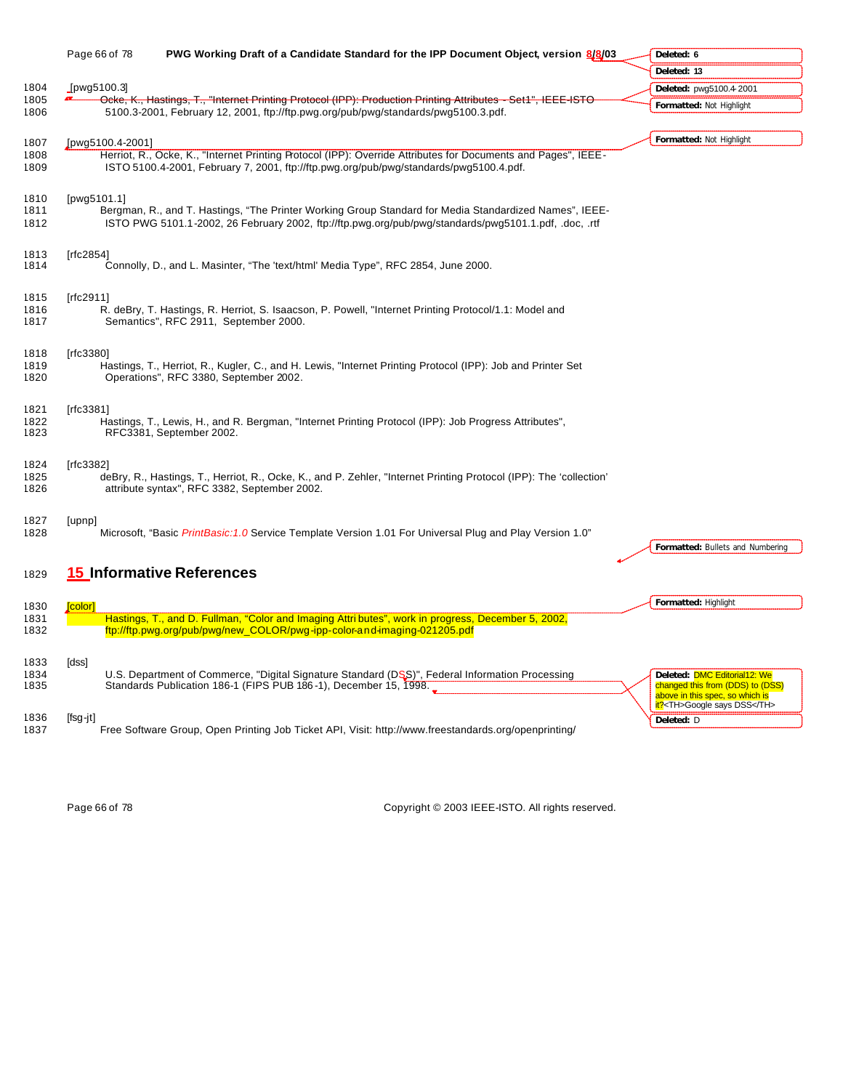|                      | Page 66 of 78    | PWG Working Draft of a Candidate Standard for the IPP Document Object, version 8/8/03                                                                                                                           | Deleted: 6                                                                                                                          |                 |
|----------------------|------------------|-----------------------------------------------------------------------------------------------------------------------------------------------------------------------------------------------------------------|-------------------------------------------------------------------------------------------------------------------------------------|-----------------|
|                      |                  |                                                                                                                                                                                                                 | Deleted: 13                                                                                                                         |                 |
| 1804                 | [pwg5100.3]      |                                                                                                                                                                                                                 | Deleted: pwg5100.4-2001                                                                                                             |                 |
| 1805<br>1806         |                  | Ocke, K., Hastings, T., "Internet Printing Protocol (IPP): Production Printing Attributes - Set1", IEEE ISTO<br>5100.3-2001, February 12, 2001, ftp://ftp.pwg.org/pub/pwg/standards/pwg5100.3.pdf.              | Formatted: Not Highlight                                                                                                            |                 |
|                      |                  |                                                                                                                                                                                                                 |                                                                                                                                     |                 |
| 1807                 | [pwg5100.4-2001] |                                                                                                                                                                                                                 | Formatted: Not Highlight                                                                                                            |                 |
| 1808<br>1809         |                  | Herriot, R., Ocke, K., "Internet Printing Protocol (IPP): Override Attributes for Documents and Pages", IEEE-<br>ISTO 5100.4-2001, February 7, 2001, ftp://ftp.pwg.org/pub/pwg/standards/pwg5100.4.pdf.         |                                                                                                                                     |                 |
| 1810<br>1811<br>1812 | [ $pvg5101.1$ ]  | Bergman, R., and T. Hastings, "The Printer Working Group Standard for Media Standardized Names", IEEE-<br>ISTO PWG 5101.1-2002, 26 February 2002, ftp://ftp.pwg.org/pub/pwg/standards/pwg5101.1.pdf, .doc, .rtf |                                                                                                                                     |                 |
| 1813<br>1814         | [rfc2854]        | Connolly, D., and L. Masinter, "The 'text/html' Media Type", RFC 2854, June 2000.                                                                                                                               |                                                                                                                                     |                 |
| 1815<br>1816<br>1817 | [rfc2911]        | R. deBry, T. Hastings, R. Herriot, S. Isaacson, P. Powell, "Internet Printing Protocol/1.1: Model and<br>Semantics", RFC 2911, September 2000.                                                                  |                                                                                                                                     |                 |
| 1818<br>1819<br>1820 | [rfc3380]        | Hastings, T., Herriot, R., Kugler, C., and H. Lewis, "Internet Printing Protocol (IPP): Job and Printer Set<br>Operations", RFC 3380, September 2002.                                                           |                                                                                                                                     |                 |
| 1821<br>1822<br>1823 | [rfc3381]        | Hastings, T., Lewis, H., and R. Bergman, "Internet Printing Protocol (IPP): Job Progress Attributes",<br>RFC3381, September 2002.                                                                               |                                                                                                                                     |                 |
| 1824<br>1825<br>1826 | [rfc3382]        | deBry, R., Hastings, T., Herriot, R., Ocke, K., and P. Zehler, "Internet Printing Protocol (IPP): The 'collection'<br>attribute syntax", RFC 3382, September 2002.                                              |                                                                                                                                     |                 |
| 1827<br>1828         | [upnp]           | "Microsoft, "Basic <i>PrintBasic:1.0</i> Service Template Version 1.01 For Universal Plug and Play Version 1.0                                                                                                  | Formatted: Bullets and Numbering                                                                                                    |                 |
| 1829                 |                  | <b>15 Informative References</b>                                                                                                                                                                                |                                                                                                                                     |                 |
| 1830                 | [color]          |                                                                                                                                                                                                                 | Formatted: Highlight                                                                                                                |                 |
| 1831<br>1832         |                  | Hastings, T., and D. Fullman, "Color and Imaging Attri butes", work in progress, December 5, 2002,<br>ftp://ftp.pwg.org/pub/pwg/new_COLOR/pwg-ipp-color-and-imaging-021205.pdf                                  |                                                                                                                                     |                 |
| 1833<br>1834<br>1835 | [dss]            | U.S. Department of Commerce, "Digital Signature Standard (DSS)", Federal Information Processing<br>Standards Publication 186-1 (FIPS PUB 186-1), December 15, 1998.                                             | Deleted: DMC Editorial12: We<br>changed this from (DDS) to (DSS)<br>above in this spec, so which is<br>it? <th>Google says DSS</th> | Google says DSS |
| 1836<br>1837         | [fsg-jt]         | Free Software Group, Open Printing Job Ticket API, Visit: http://www.freestandards.org/openprinting/                                                                                                            | Deleted: D                                                                                                                          |                 |

Page 66 of 78 Copyright © 2003 IEEE-ISTO. All rights reserved.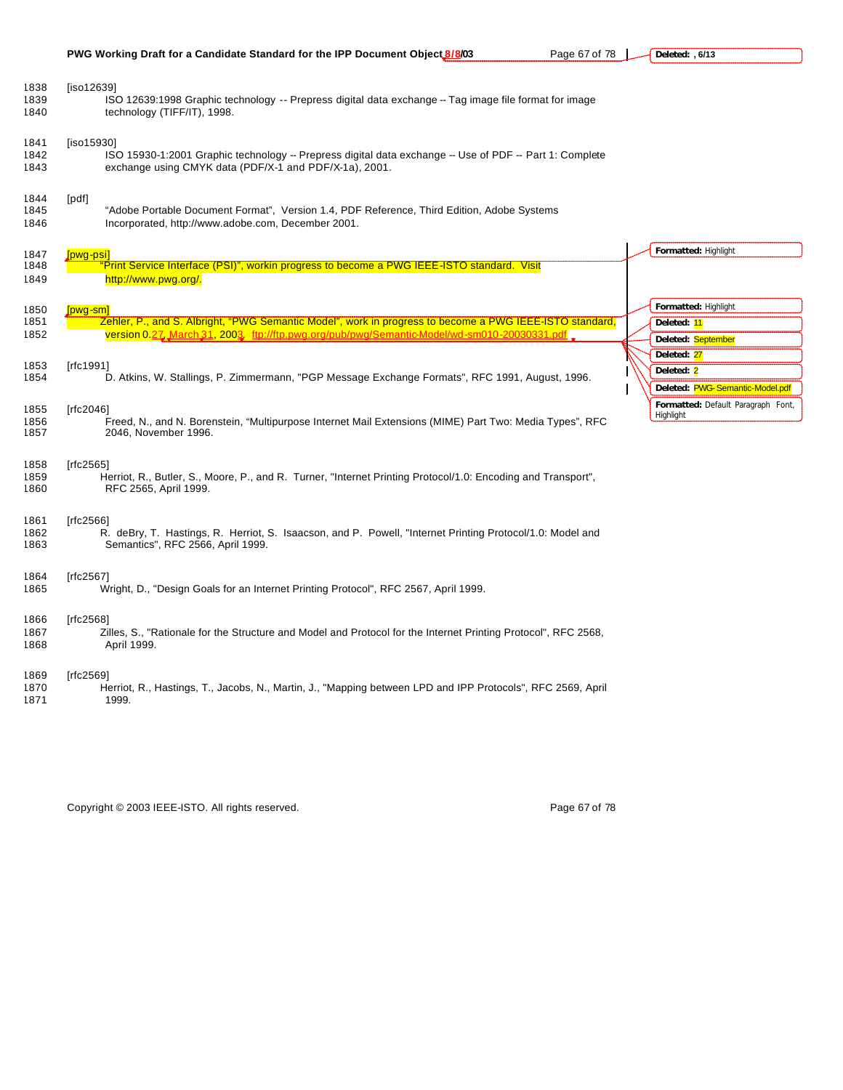| PWG Working Draft for a Candidate Standard for the IPP Document Object 8/8/03 |  |
|-------------------------------------------------------------------------------|--|
|-------------------------------------------------------------------------------|--|

**Page 67 of 78 Deleted: , 6/13**

| 1838<br>1839<br>1840 | [iso12639]<br>ISO 12639:1998 Graphic technology -- Prepress digital data exchange -- Tag image file format for image<br>technology (TIFF/IT), 1998.                                                                  |                                                              |
|----------------------|----------------------------------------------------------------------------------------------------------------------------------------------------------------------------------------------------------------------|--------------------------------------------------------------|
| 1841<br>1842<br>1843 | [iso15930]<br>ISO 15930-1:2001 Graphic technology -- Prepress digital data exchange -- Use of PDF -- Part 1: Complete<br>exchange using CMYK data (PDF/X-1 and PDF/X-1a), 2001.                                      |                                                              |
| 1844<br>1845<br>1846 | [pdf]<br>"Adobe Portable Document Format", Version 1.4, PDF Reference, Third Edition, Adobe Systems<br>Incorporated, http://www.adobe.com, December 2001.                                                            |                                                              |
| 1847<br>1848<br>1849 | <u> Ipwg-psi</u><br>Print Service Interface (PSI)", workin progress to become a PWG IEEE-ISTO standard. Visit<br>http://www.pwg.org/.                                                                                | Formatted: Highlight                                         |
| 1850<br>1851<br>1852 | [pwq-sm]<br>Zehler, P., and S. Albright, "PWG Semantic Model", work in progress to become a PWG IEEE-ISTO standard,<br>version 0.27, March 31, 2003. ftp://ftp.pwg.org/pub/pwg/Semantic-Model/wd-sm010-20030331.pdf. | Formatted: Highlight<br>Deleted: 11<br>Deleted: September    |
| 1853<br>1854         | [rfc1991]<br>D. Atkins, W. Stallings, P. Zimmermann, "PGP Message Exchange Formats", RFC 1991, August, 1996.                                                                                                         | Deleted: 27<br>Deleted: 2<br>Deleted: PWG-Semantic-Model.pdf |
| 1855<br>1856<br>1857 | [rfc2046]<br>Freed, N., and N. Borenstein, "Multipurpose Internet Mail Extensions (MIME) Part Two: Media Types", RFC<br>2046, November 1996.                                                                         | Formatted: Default Paragraph Font,<br>Highlight              |
| 1858<br>1859<br>1860 | [rfc2565]<br>Herriot, R., Butler, S., Moore, P., and R. Turner, "Internet Printing Protocol/1.0: Encoding and Transport",<br>RFC 2565, April 1999.                                                                   |                                                              |
| 1861<br>1862<br>1863 | [rfc2566]<br>R. deBry, T. Hastings, R. Herriot, S. Isaacson, and P. Powell, "Internet Printing Protocol/1.0: Model and<br>Semantics", RFC 2566, April 1999.                                                          |                                                              |
| 1864<br>1865         | [rfc2567]<br>Wright, D., "Design Goals for an Internet Printing Protocol", RFC 2567, April 1999.                                                                                                                     |                                                              |
| 1866<br>1867<br>1868 | [rfc2568]<br>Zilles, S., "Rationale for the Structure and Model and Protocol for the Internet Printing Protocol", RFC 2568,<br>April 1999.                                                                           |                                                              |
| 1869<br>1870<br>1871 | [rfc2569]<br>Herriot, R., Hastings, T., Jacobs, N., Martin, J., "Mapping between LPD and IPP Protocols", RFC 2569, April<br>1999.                                                                                    |                                                              |

Copyright © 2003 IEEE-ISTO. All rights reserved. example 2003 1999 67 of 78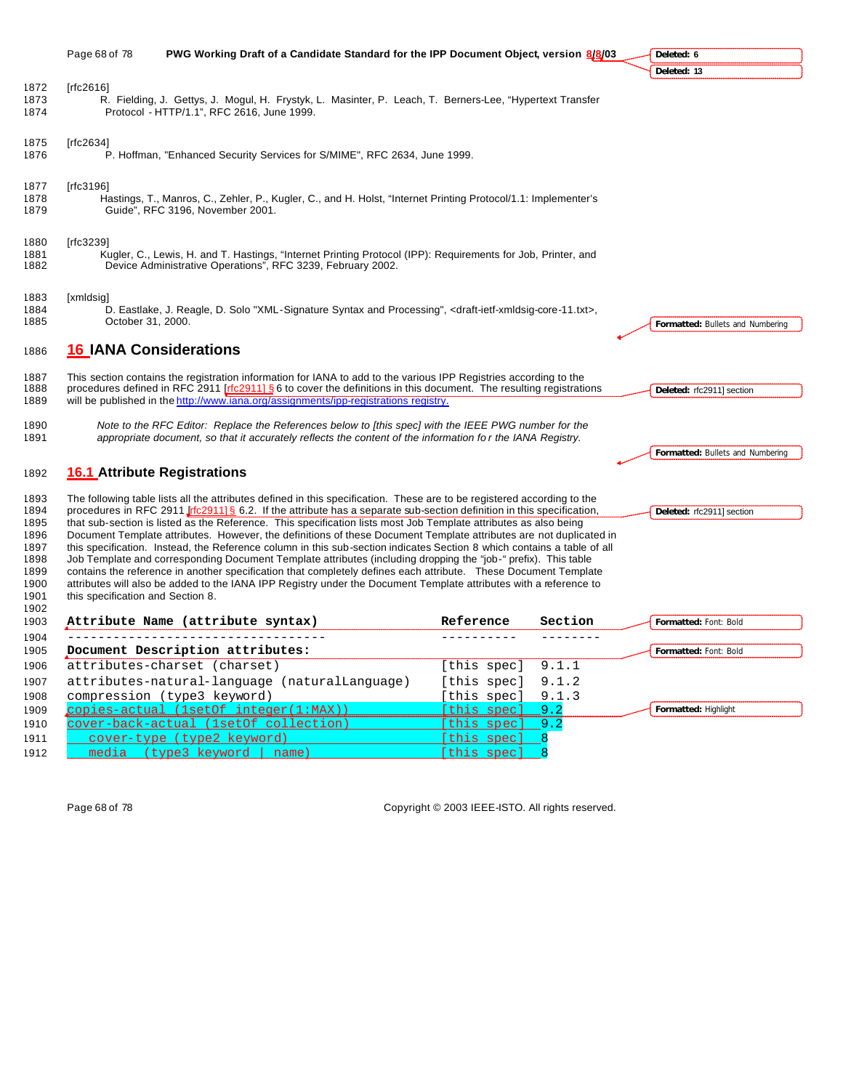|                      | Page 68 of 78                     | PWG Working Draft of a Candidate Standard for the IPP Document Object, version 8/8/03                                                                                                                                                                                                                                                                                                                                                                                                      |           |         | Deleted: 6                       |
|----------------------|-----------------------------------|--------------------------------------------------------------------------------------------------------------------------------------------------------------------------------------------------------------------------------------------------------------------------------------------------------------------------------------------------------------------------------------------------------------------------------------------------------------------------------------------|-----------|---------|----------------------------------|
|                      |                                   |                                                                                                                                                                                                                                                                                                                                                                                                                                                                                            |           |         | Deleted: 13                      |
| 1872                 | [rfc2616]                         | R. Fielding, J. Gettys, J. Mogul, H. Frystyk, L. Masinter, P. Leach, T. Berners-Lee, "Hypertext Transfer<br>Protocol - HTTP/1.1", RFC 2616, June 1999.                                                                                                                                                                                                                                                                                                                                     |           |         |                                  |
| 1875<br>1876         | [rfc2634]                         | P. Hoffman, "Enhanced Security Services for S/MIME", RFC 2634, June 1999.                                                                                                                                                                                                                                                                                                                                                                                                                  |           |         |                                  |
| 1877<br>1878<br>1879 | [rfc3196]                         | Hastings, T., Manros, C., Zehler, P., Kugler, C., and H. Holst, "Internet Printing Protocol/1.1: Implementer's<br>Guide", RFC 3196, November 2001.                                                                                                                                                                                                                                                                                                                                         |           |         |                                  |
| 1880<br>1882         | [ $rfc3239$ ]                     | Kugler, C., Lewis, H. and T. Hastings, "Internet Printing Protocol (IPP): Requirements for Job, Printer, and<br>Device Administrative Operations", RFC 3239, February 2002.                                                                                                                                                                                                                                                                                                                |           |         |                                  |
| 1883<br>1884<br>1885 | [xmldsig]<br>October 31, 2000.    | D. Eastlake, J. Reagle, D. Solo "XML-Signature Syntax and Processing", <draft-ietf-xmldsig-core-11.txt>,</draft-ietf-xmldsig-core-11.txt>                                                                                                                                                                                                                                                                                                                                                  |           |         | Formatted: Bullets and Numbering |
| 1886                 | <b>16 IANA Considerations</b>     |                                                                                                                                                                                                                                                                                                                                                                                                                                                                                            |           |         |                                  |
| 1887<br>1888<br>1889 |                                   | This section contains the registration information for IANA to add to the various IPP Registries according to the<br>procedures defined in RFC 2911 [rfc2911] § 6 to cover the definitions in this document. The resulting registrations<br>will be published in the http://www.iana.org/assignments/ipp-registrations registry.                                                                                                                                                           |           |         | Deleted: rfc2911] section        |
| 1890                 |                                   | Note to the RFC Editor: Replace the References below to [this spec] with the IEEE PWG number for the<br>appropriate document, so that it accurately reflects the content of the information for the IANA Registry.                                                                                                                                                                                                                                                                         |           |         | Formatted: Bullets and Numbering |
| 1892                 |                                   | <b>16.1 Attribute Registrations</b>                                                                                                                                                                                                                                                                                                                                                                                                                                                        |           |         |                                  |
|                      |                                   | The following table lists all the attributes defined in this specification. These are to be registered according to the<br>procedures in RFC 2911 Irfc2911] § 6.2. If the attribute has a separate sub-section definition in this specification,<br>that sub-section is listed as the Reference. This specification lists most Job Template attributes as also being<br>Document Template attributes. However, the definitions of these Document Template attributes are not duplicated in |           |         | Deleted: rfc2911] section        |
|                      | this specification and Section 8. | this specification. Instead, the Reference column in this sub-section indicates Section 8 which contains a table of all<br>Job Template and corresponding Document Template attributes (including dropping the "job-" prefix). This table<br>contains the reference in another specification that completely defines each attribute. These Document Template<br>attributes will also be added to the IANA IPP Registry under the Document Template attributes with a reference to          |           |         |                                  |
|                      |                                   | Attribute Name (attribute syntax)                                                                                                                                                                                                                                                                                                                                                                                                                                                          | Reference | Section | Formatted: Font: Bold            |

| 1905 | Document Description attributes:                   |                     | Formatted: Font: Bold |
|------|----------------------------------------------------|---------------------|-----------------------|
| 1906 | attributes-charset (charset)                       | [this spec] $9.1.1$ |                       |
|      | 1907 attributes-natural-language (naturalLanguage) | [this spec] $9.1.2$ |                       |
| 1908 | compression (type3 keyword)                        | [this spec] $9.1.3$ |                       |
| 1909 | copies-actual (1setOf integer(1:MAX))              | [this spec] 9.2     | Formatted: Highlight  |
| 1910 | cover-back-actual (1set of collection)             | [this spec] 9.2     |                       |
| 1911 | cover-type (type2 keyword)                         | [this spec]         |                       |
| 1912 | media (type3 keyword   name)                       | [this spec]         |                       |

Page 68 of 78 Copyright © 2003 IEEE-ISTO. All rights reserved.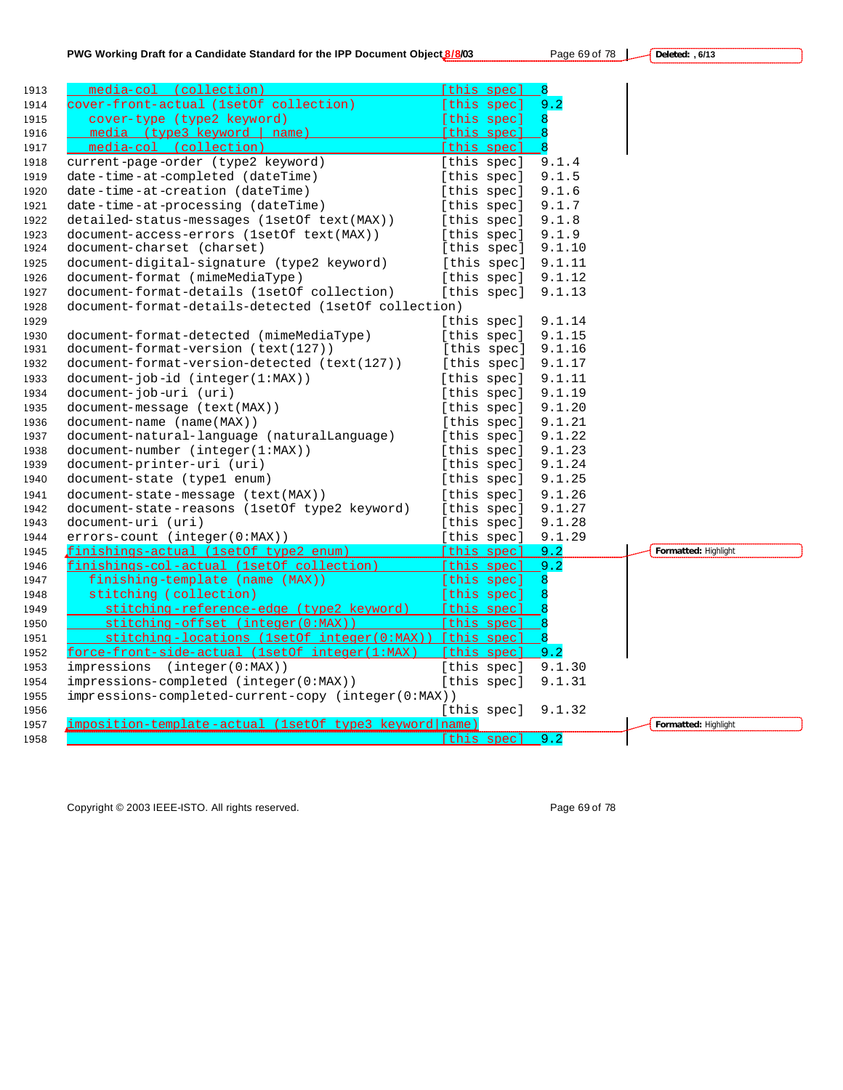**Deleted: , 6/13**

| PWG Working Draft for a Candidate Standard for the IPP Document Object 8/8/03 | Page 69 of 78 |
|-------------------------------------------------------------------------------|---------------|
|                                                                               |               |

| 1913 | media-col (collection)                                  | [this spec]     | 8      |                      |
|------|---------------------------------------------------------|-----------------|--------|----------------------|
| 1914 | cover-front-actual (1setOf collection)                  | [this spec]     | 9.2    |                      |
| 1915 | cover-type (type2 keyword)                              | [this spec]     | 8      |                      |
| 1916 | media (type3 keyword   name)                            | [this spec]     |        |                      |
| 1917 | media-col (collection)                                  | [this spec]     |        |                      |
| 1918 | current-page-order (type2 keyword)                      | [this spec]     | 9.1.4  |                      |
| 1919 | date-time-at-completed (dateTime)                       | [this spec]     | 9.1.5  |                      |
| 1920 | date-time-at-creation (dateTime)                        | [this spec]     | 9.1.6  |                      |
| 1921 | date-time-at-processing (dateTime)                      | [this spec]     | 9.1.7  |                      |
| 1922 | detailed-status-messages (1setOf text(MAX))             | [this spec]     | 9.1.8  |                      |
| 1923 | document-access-errors (1setOf text(MAX))               | [this spec]     | 9.1.9  |                      |
| 1924 | document-charset (charset)                              | [this spec]     | 9.1.10 |                      |
| 1925 | document-digital-signature (type2 keyword)              | [this spec]     | 9.1.11 |                      |
| 1926 | document-format (mimeMediaType)                         | [this spec]     | 9.1.12 |                      |
| 1927 | document-format-details (1set Of collection)            | [this spec]     | 9.1.13 |                      |
| 1928 | document-format-details-detected (1setOf collection)    |                 |        |                      |
| 1929 |                                                         | [this spec]     | 9.1.14 |                      |
| 1930 | document-format-detected (mimeMediaType)                | [this spec]     | 9.1.15 |                      |
| 1931 | document-format-version (text(127))                     | [this spec]     | 9.1.16 |                      |
| 1932 | document-format-version-detected (text(127))            | [this spec]     | 9.1.17 |                      |
| 1933 | $document-job-id (integer(1:MAX))$                      | [this spec]     | 9.1.11 |                      |
| 1934 | document-job-uri (uri)                                  | [this spec]     | 9.1.19 |                      |
| 1935 | document-message (text(MAX))                            | [this spec]     | 9.1.20 |                      |
| 1936 | document-name (name(MAX))                               | [this spec]     | 9.1.21 |                      |
| 1937 | document-natural-language (naturalLanguage)             | [this spec]     | 9.1.22 |                      |
| 1938 | $document-number (integer(1:MAX))$                      | [this spec]     | 9.1.23 |                      |
| 1939 | document-printer-uri (uri)                              | [this spec]     | 9.1.24 |                      |
| 1940 | document-state (type1 enum)                             | [this spec]     | 9.1.25 |                      |
| 1941 | document-state-message (text(MAX))                      | [this spec]     | 9.1.26 |                      |
| 1942 | document-state-reasons (1setOf type2 keyword)           | [this spec]     | 9.1.27 |                      |
| 1943 | document-uri (uri)                                      | [this spec]     | 9.1.28 |                      |
| 1944 | errors-count (integer(0:MAX))                           | [this spec]     | 9.1.29 |                      |
| 1945 | finishings-actual (1setOf type2 enum)                   | [this spec] 9.2 |        | Formatted: Highlight |
| 1946 | finishings-col-actual (1setOf collection)               | [this spec] 9.2 |        |                      |
| 1947 | finishing-template (name (MAX))                         | [this spec]     | 8      |                      |
| 1948 | stitching (collection)                                  | [this spec]     | 8      |                      |
| 1949 | stitching-reference-edge (type2 keyword)                | [this spec]     |        |                      |
| 1950 | stitching-offset (integer(0:MAX))                       | [this spec]     |        |                      |
| 1951 | stitching-locations (1setOf integer(0:MAX)) [this spec] |                 |        |                      |
| 1952 | force-front-side-actual (1setOf integer(1:MAX)          | [this spec] 9.2 |        |                      |
| 1953 | impressions (integer(0:MAX))                            | [this spec]     | 9.1.30 |                      |
| 1954 | impressions-completed (integer(0:MAX))                  | [this spec]     | 9.1.31 |                      |
| 1955 | impressions-completed-current-copy (integer(0:MAX))     |                 |        |                      |
| 1956 |                                                         | [this spec]     | 9.1.32 |                      |
| 1957 | imposition-template-actual (1setOf type3 keyword name)  |                 |        | Formatted: Highlight |
| 1958 |                                                         | [this spec]     | 9.2    |                      |

Copyright © 2003 IEEE-ISTO. All rights reserved. example a state of the Page 69 of 78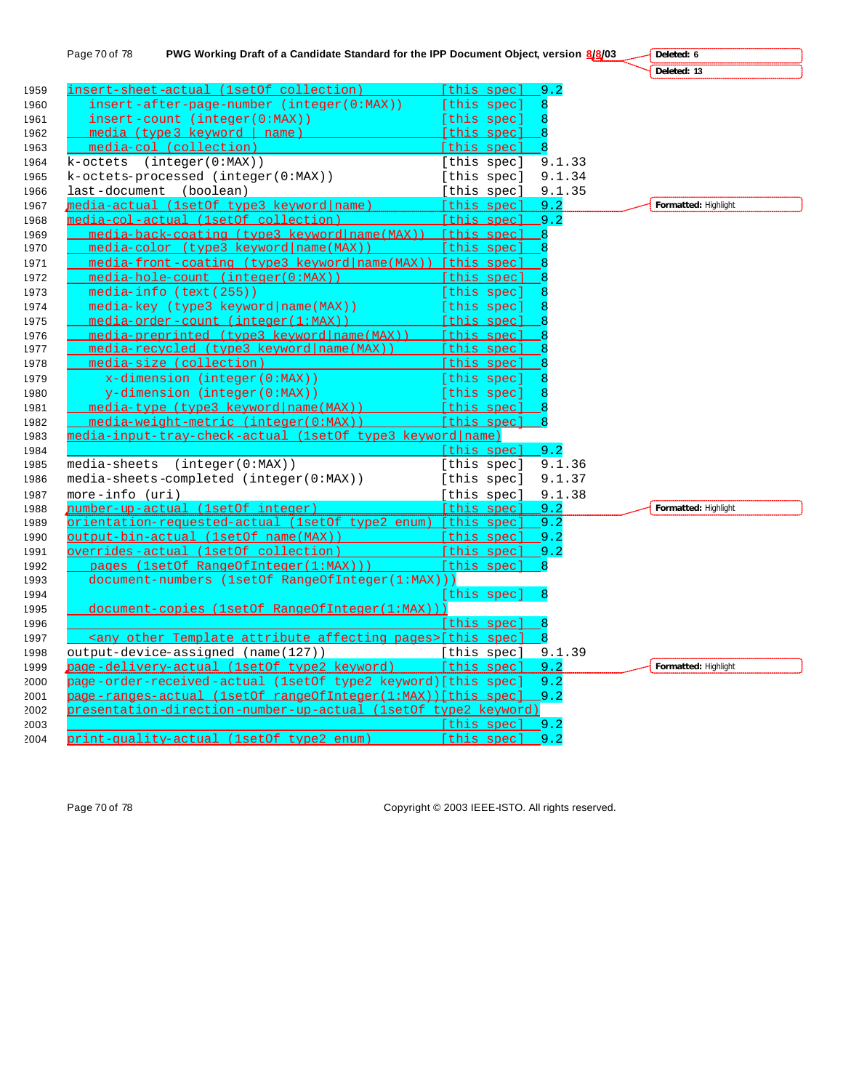|      | PWG Working Draft of a Candidate Standard for the IPP Document Object, version 8/8/03<br>Page 70 of 78 |                    |        | Deleted: 6           |
|------|--------------------------------------------------------------------------------------------------------|--------------------|--------|----------------------|
|      |                                                                                                        |                    |        | Deleted: 13          |
| 1959 | insert-sheet-actual (1setOf collection)                                                                | [this spec]        | 9.2    |                      |
| 1960 | insert-after-page-number (integer(0:MAX))                                                              | [this spec]        |        |                      |
| 1961 | insert-count (integer(0:MAX))                                                                          | [this spec]        |        |                      |
| 1962 | media (type 3 keyword   name)                                                                          | [this spec]        |        |                      |
| 1963 | media-col (collection)                                                                                 | [this spec]        |        |                      |
| 1964 | $k-octets$ (integer( $0:MAX$ ))                                                                        | [this spec]        | 9.1.33 |                      |
| 1965 | k-octets-processed (integer(0:MAX))                                                                    | [this spec]        | 9.1.34 |                      |
| 1966 | last-document (boolean)                                                                                | [this spec]        | 9.1.35 |                      |
| 1967 | media-actual (1setOf type3 keyword name)                                                               | [this spec]        | 9.2    | Formatted: Highlight |
| 1968 | media-col-actual (1setOf collection)                                                                   | [this spec] 9.2    |        |                      |
| 1969 | media-back-coating (type3 keyword name (MAX)) [this spec]                                              |                    |        |                      |
| 1970 | media-color (type3 keyword name (MAX))                                                                 | [this spec]        |        |                      |
| 1971 | $median$ front-coating (type3 keyword $name(MAX)$ ) [this spec]                                        |                    |        |                      |
| 1972 | media-hole-count (integer(0:MAX))                                                                      | [this spec]        |        |                      |
| 1973 | media-info (text (255))                                                                                | [this spec]        |        |                      |
| 1974 | media-key (type3 keyword   name (MAX))                                                                 | [this spec]        |        |                      |
| 1975 | media-order-count (integer(1:MAX))                                                                     | [this spec]        |        |                      |
| 1976 | media-preprinted (type3 keyword name (MAX))                                                            | [this spec]        |        |                      |
| 1977 | media-recycled (type3 keyword name (MAX))                                                              | [this spec]        |        |                      |
| 1978 | media-size (collection)                                                                                | [this spec]        |        |                      |
| 1979 | $x$ -dimension (integer (0:MAX))                                                                       | [this spec]        |        |                      |
| 1980 | y-dimension (integer(0:MAX))                                                                           | [this spec]        |        |                      |
| 1981 | media-type (type3 keyword name (MAX))                                                                  | [this spec]        |        |                      |
| 1982 | media-weight-metric (integer(0:MAX))                                                                   | [this spec]        |        |                      |
| 1983 | media-input-tray-check-actual (1setOf type3 keyword name)                                              |                    |        |                      |
| 1984 |                                                                                                        | [this spec] 9.2    |        |                      |
| 1985 | media-sheets (integer(0:MAX))                                                                          | [this spec]        | 9.1.36 |                      |
| 1986 | media-sheets-completed (integer(0:MAX))                                                                | [this spec]        | 9.1.37 |                      |
| 1987 | $more - info (uri)$                                                                                    | [this spec]        | 9.1.38 |                      |
| 1988 | number-up-actual (1setOf integer)                                                                      | Ithis specl 9.2    |        | Formatted: Highlight |
| 1989 | orientation-requested-actual (1setOf type2 enum) [this spec]                                           |                    | $-9.2$ |                      |
| 1990 |                                                                                                        |                    | 9.2    |                      |
| 1991 | overrides-actual (1setOf collection)                                                                   | [this spec]        | 9.2    |                      |
| 1992 | pages (1setOf RangeOfInteger(1:MAX)))                                                                  | [this spec]        | 8      |                      |
| 1993 | document-numbers (1setOf RangeOfInteger(1:MAX)))                                                       |                    |        |                      |
| 1994 |                                                                                                        | [this spec]        |        |                      |
| 1995 | document-copies (1setOf RangeOfInteger(1:MAX)))                                                        |                    |        |                      |
| 1996 |                                                                                                        | [this spec]        |        |                      |
| 1997 | <any affecting="" attribute="" other="" pages="" template="">[this spec]</any>                         |                    |        |                      |
| 1998 | output-device-assigned (name(127))                                                                     | [this spec] 9.1.39 |        |                      |
| 1999 | page-delivery-actual (1setOf type2 keyword)                                                            | [this spec]        | 9.2    | Formatted: Highlight |
| 2000 | page-order-received-actual (1setOf type2 keyword)[this spec]                                           |                    | 9.2    |                      |
| 2001 | page-ranges-actual (1setOf rangeOfInteger(1:MAX))[this spec]                                           |                    | .9.2   |                      |
| 2002 | presentation-direction-number-up-actual (1setOf type2 keyword)                                         |                    |        |                      |
| 2003 |                                                                                                        | [this spec] 9.2    |        |                      |
| 2004 | print-quality-actual (1setOf type2 enum)                                                               | [this spec] 9.2    |        |                      |

Page 70 of 78 Copyright © 2003 IEEE-ISTO. All rights reserved.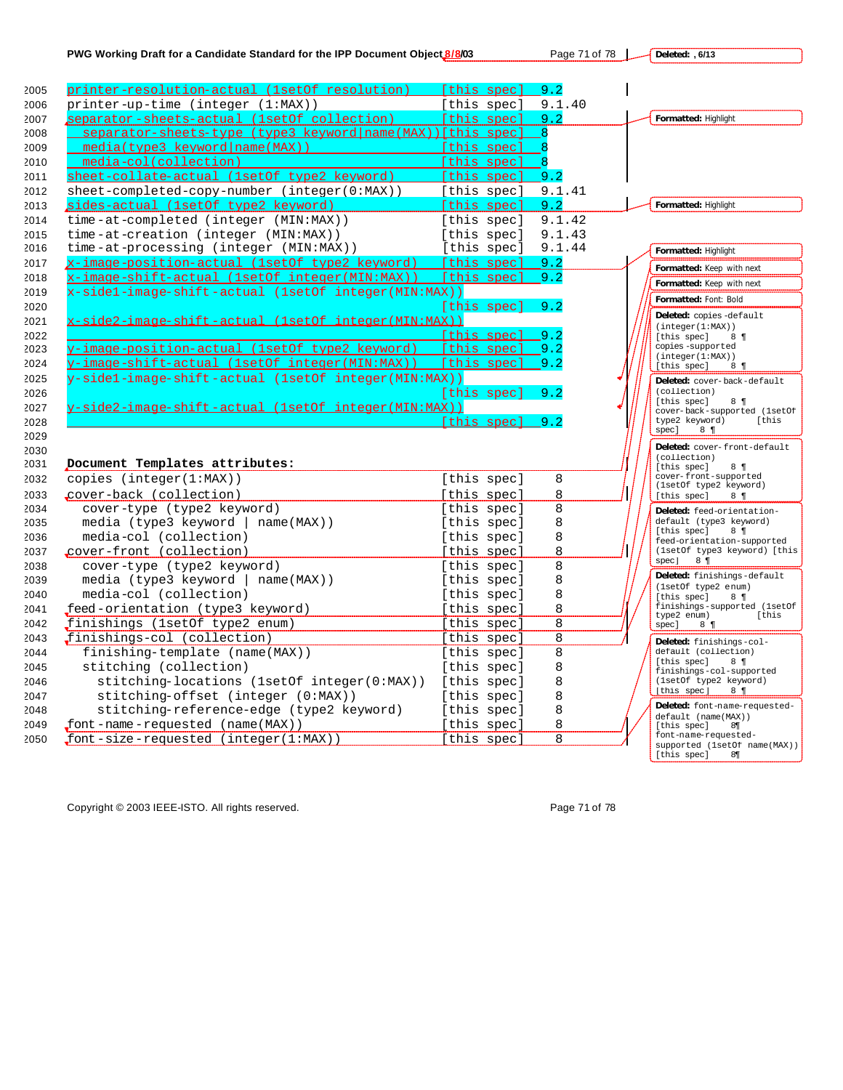**Deleted: , 6/13**



Copyright © 2003 IEEE-ISTO. All rights reserved. Page 71 of 78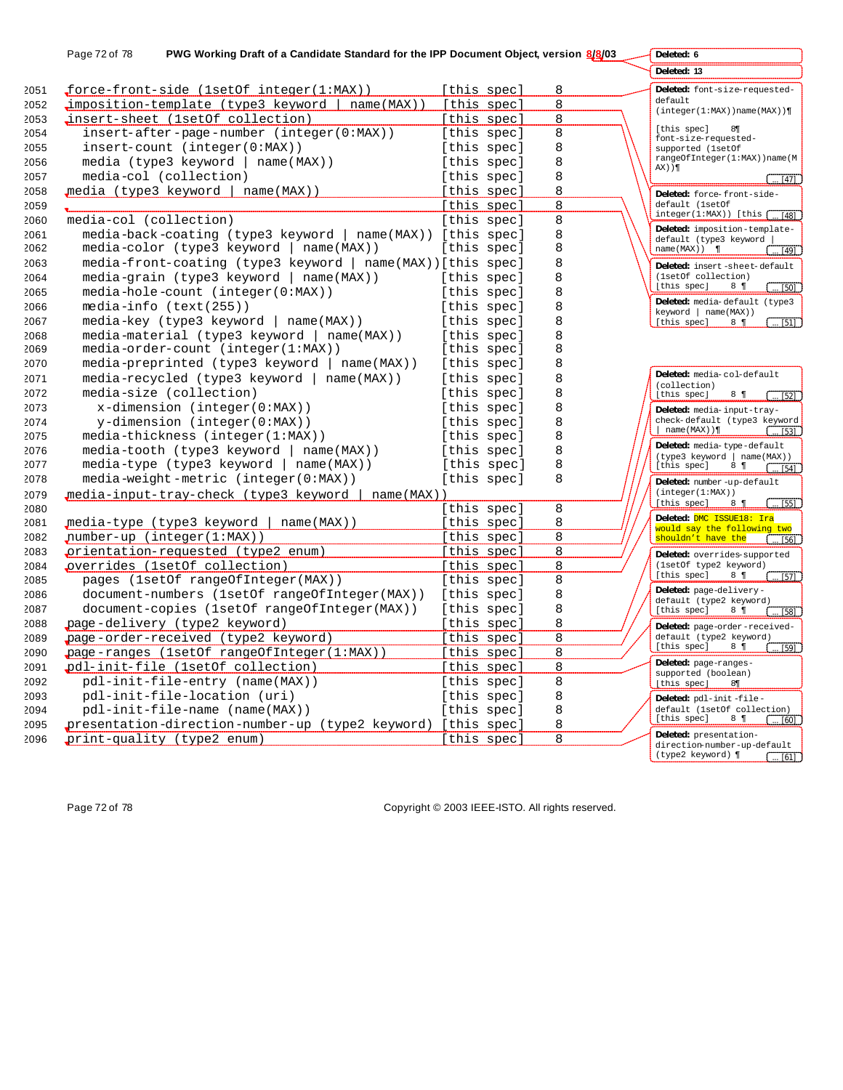| PWG Working Draft of a Candidate Standard for the IPP Document Object, version 8/8/03<br>Page 72 of 78 |                                                              |             |             |   | Deleted: 6                                                                             |
|--------------------------------------------------------------------------------------------------------|--------------------------------------------------------------|-------------|-------------|---|----------------------------------------------------------------------------------------|
|                                                                                                        |                                                              |             |             |   | Deleted: 13                                                                            |
|                                                                                                        | force-front-side (1setOf integer(1:MAX))                     | [this spec] |             | 8 | Deleted: font-size-requested-                                                          |
|                                                                                                        | $\text{imposition-template}$ (type3 keyword   name(MAX))     | [this spec] |             | 8 | default                                                                                |
|                                                                                                        | insert-sheet (1setOf collection)                             | [this spec] |             | 8 | (integer(1:MAX))name(MAX))                                                             |
|                                                                                                        | $insert-after -page-number (integer(0:MAX))$                 |             | [this spec] | 8 | [this spec]<br>$8\P$<br>font-size-requested-                                           |
|                                                                                                        | insert-count (integer(0:MAX))                                |             | [this spec] | 8 | supported (lsetOf                                                                      |
|                                                                                                        | media (type3 keyword   name(MAX))                            | [this spec] |             | 8 | rangeOfInteger(1:MAX))name(M                                                           |
| media-col (collection)                                                                                 |                                                              | [this spec] |             | 8 | $AX)$ ) ¶<br>$\ldots$ [47]                                                             |
|                                                                                                        | media (type3 keyword   name(MAX))                            | [this spec] |             | 8 | Deleted: force-front-side-                                                             |
|                                                                                                        |                                                              |             | [this spec] | 8 | default (1setOf                                                                        |
| media-col (collection)                                                                                 |                                                              |             | [this spec] | 8 | $integer(1:MAX)$ [this $\lceil$<br>[48]                                                |
|                                                                                                        | media-back-coating (type3 keyword   name(MAX)) [this spec]   |             |             | 8 | Deleted: imposition-template-                                                          |
|                                                                                                        | $median-color (type3 keyword   name(MAX))$                   | [this spec] |             | 8 | default (type3 keyword<br>$name(MAX))$ ¶<br>$\left[ \dots [49] \right]$                |
|                                                                                                        | media-front-coating (type3 keyword   name(MAX))[this spec]   |             |             | 8 |                                                                                        |
|                                                                                                        | $median -qrain$ (type3 keyword   name(MAX))                  | [this spec] |             | 8 | Deleted: insert-sheet-default<br>(1setOf collection)                                   |
|                                                                                                        | media-hole-count (integer(0:MAX))                            | [this spec] |             | 8 | [this spec]<br>$8 \t{ }$<br>. [50]                                                     |
|                                                                                                        |                                                              |             |             |   | Deleted: media-default (type3                                                          |
| $median-info (text(255))$                                                                              |                                                              | [this spec] |             | 8 | keyword   name(MAX))                                                                   |
|                                                                                                        | media-key (type3 keyword   name(MAX))                        | [this spec] |             | 8 | [this spec]<br>$\overline{511}$<br>$8 \t{ }$                                           |
|                                                                                                        | media-material (type3 keyword  <br>$name(MAX)$ )             | [this spec] |             | 8 |                                                                                        |
|                                                                                                        | $median-order-count (integer(1:MAX))$                        | [this spec] |             | 8 |                                                                                        |
|                                                                                                        | media-preprinted (type3 keyword   name(MAX))                 | [this spec] |             | 8 | Deleted: media-col-default                                                             |
|                                                                                                        | $median-recycle$ (type3 keyword   name(MAX))                 | [this spec] |             | 8 | (collection)                                                                           |
| media-size (collection)                                                                                |                                                              | [this spec] |             | 8 | [this spec]<br>$8 \t{q}$<br>. 521                                                      |
|                                                                                                        | $x$ -dimension (integer( $0:MAX$ ))                          | [this spec] |             | 8 | Deleted: media-input-tray-                                                             |
|                                                                                                        | $y$ -dimension (integer( $0:MAX$ ))                          | [this spec] |             | 8 | check-default (type3 keyword<br>$ $ name (MAX)) $\P$                                   |
|                                                                                                        | $median-thickness (integer(1:MAX))$                          | [this spec] |             | 8 | [53]                                                                                   |
|                                                                                                        | media-tooth (type3 keyword   name(MAX))                      | [this spec] |             | 8 | Deleted: media-type-default<br>(type3 keyword   name(MAX))                             |
|                                                                                                        | media-type (type3 keyword   name(MAX))                       |             | [this spec] | 8 | [this spec]<br>$8 \t{q}$<br>. 1541                                                     |
|                                                                                                        | $median-weight-metric (integer(0:MAX))$                      |             | [this spec] | 8 | Deleted: number-up-default                                                             |
| media-input-tray-check (type3 keyword   name(MAX))                                                     |                                                              |             |             |   | (integer(1:MAX))                                                                       |
|                                                                                                        |                                                              | [this spec] |             | 8 | [this spec]<br>$\left( \dots \right.$ [55]<br>$8 \t{q}$                                |
| media-type (type3 keyword                                                                              | name(MAX))                                                   | [this spec] |             | 8 | Deleted: DMC ISSUE18: Ira                                                              |
| $number-up (integer(1:MAX))$                                                                           |                                                              | [this spec] |             | 8 | would say the following two<br>shouldn't have the<br>$1 \dots 1561$                    |
|                                                                                                        | prientation-requested (type2 enum)                           | [this spec] |             | 8 | Deleted: overrides-supported                                                           |
| overrides (1setOf collection)                                                                          |                                                              | [this spec] |             | 8 | (1setOf type2 keyword)                                                                 |
|                                                                                                        | pages (1setOf rangeOfInteger(MAX))                           |             | [this spec] | 8 | [this spec]<br>$8 \ \ \ \blacksquare$<br>$\sqrt{571}$                                  |
|                                                                                                        | document-numbers (1setOf rangeOfInteger(MAX))                | [this spec] |             | 8 | Deleted: page-delivery-                                                                |
|                                                                                                        | document-copies (1setOf rangeOfInteger(MAX))                 | [this spec] |             | 8 | default (type2 keyword)<br>[this spec]<br>$8 \ \ \ \ \blacksquare$                     |
| page-delivery (type2 keyword)                                                                          |                                                              | [this spec] |             | 8 | [58]                                                                                   |
|                                                                                                        | page-order-received (type2 keyword)                          | [this spec] |             | 8 | Deleted: page-order-received-<br>default (type2 keyword)                               |
|                                                                                                        | page-ranges (1setOf rangeOfInteger(1:MAX))                   | [this spec] |             | 8 | [this spec]<br>$8 \ \ \ \blacksquare$<br>[59]                                          |
|                                                                                                        | pdl-init-file (1setOf collection)                            | [this spec] |             | 8 | Deleted: page-ranges-                                                                  |
|                                                                                                        |                                                              |             |             | 8 | supported (boolean)                                                                    |
|                                                                                                        | pdl-init-file-entry (name(MAX))                              | [this spec] |             |   | [this spec]<br>$8\P$                                                                   |
|                                                                                                        | pdl-init-file-location (uri)                                 | [this spec] |             | 8 | Deleted: pdl-init-file-                                                                |
|                                                                                                        | pdl-init-file-name (name(MAX))                               | [this spec] |             | 8 | default (1setOf collection)<br>[this spec]<br>$8 \t{ }$<br>$\left[ \dots \right]$ [60] |
|                                                                                                        | presentation-direction-number-up (type2 keyword) [this spec] |             |             | 8 | Deleted: presentation-                                                                 |
| print-quality (type2 enum)                                                                             |                                                              | [this spec] |             | 8 | direction-number-up-default                                                            |
|                                                                                                        |                                                              |             |             |   | (type2 keyword) ¶<br>[61] ]                                                            |

Page 72 of 78 Copyright © 2003 IEEE-ISTO. All rights reserved.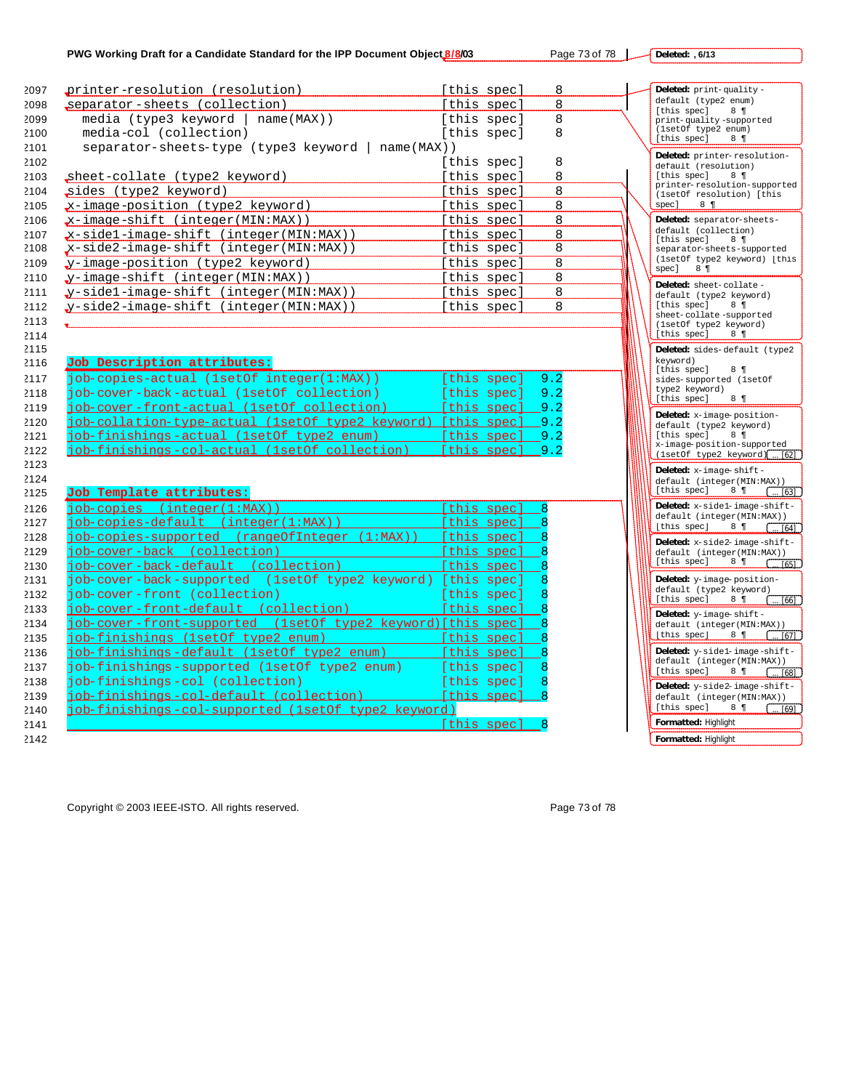**Deleted: , 6/13**

| 2097 | printer-resolution (resolution)                                   | [this spec]     | 8   | Deleted: print-quality-                                                                     |
|------|-------------------------------------------------------------------|-----------------|-----|---------------------------------------------------------------------------------------------|
| 2098 | separator-sheets (collection)                                     | [this spec]     | 8   | default (type2 enum)                                                                        |
| 2099 | media (type3 keyword   name(MAX))                                 | [this spec]     | 8   | [this spec]<br>$8 \t{q}$<br>print-quality-supported                                         |
| 2100 | media-col (collection)                                            | [this spec]     | 8   | (1setOf type2 enum)                                                                         |
| 2101 | separator-sheets-type (type3 keyword   name(MAX))                 |                 |     | [this spec]<br>$8 \t{q}$                                                                    |
| 2102 |                                                                   | [this spec]     | 8   | Deleted: printer-resolution-<br>default (resolution)                                        |
| 2103 | sheet-collate (type2 keyword)                                     | [this spec]     | 8   | [this spec]<br>$8 \text{ }$                                                                 |
| 2104 | sides (type2 keyword)                                             | [this spec]     | 8   | printer-resolution-supported<br>(1setOf resolution) [this                                   |
| 2105 | x-image-position (type2 keyword)                                  | [this spec]     | 8   | spec]<br>$8 \t{ }$                                                                          |
| 2106 | $x$ -image-shift (integer(MIN:MAX))                               | [this spec]     | 8   | Deleted: separator-sheets-                                                                  |
| 2107 | $x$ -sidel-image-shift (integer(MIN:MAX))                         | [this spec]     | 8   | default (collection)                                                                        |
| 2108 | x-side2-image-shift (integer(MIN:MAX))                            | [this spec]     | 8   | [this spec]<br>$8 \text{ } \P$<br>separator-sheets-supported                                |
| 2109 | y-image-position (type2 keyword)                                  | [this spec]     | 8   | (1setOf type2 keyword) [this                                                                |
| 2110 | y-image-shift (integer(MIN:MAX))                                  | [this spec]     | 8   | spec]<br>$8 \blacktriangleleft$                                                             |
| 2111 | y-sidel-image-shift (integer(MIN:MAX))                            | [this spec]     | 8   | Deleted: sheet-collate-<br>default (type2 keyword)                                          |
| 2112 | y-side2-image-shift (integer(MIN:MAX))                            | [this spec]     | 8   | [this spec]<br>$8 \text{ } 9$                                                               |
| 2113 |                                                                   |                 |     | sheet-collate-supported<br>(1setOf type2 keyword)                                           |
| 2114 |                                                                   |                 |     | [this spec]<br>$8 \text{ } \P$                                                              |
| 2115 |                                                                   |                 |     | Deleted: sides-default (type2                                                               |
| 2116 | Job Description attributes:                                       |                 |     | kevword)<br>[this spec]<br>$8 \t{q}$                                                        |
| 2117 | job-copies-actual (1setOf integer(1:MAX))                         | [this spec]     | 9.2 | sides-supported (lsetOf                                                                     |
| 2118 | job-cover-back-actual (1setOf collection)                         | [this spec]     | 9.2 | type2 keyword)<br>[this spec]<br>$8 \t{q}$                                                  |
| 2119 | iob-cover-front-actual (1setOf collection)                        | [this spec] 9.2 |     |                                                                                             |
| 2120 | job-collation-type-actual (1setOf type2 keyword) [this spec] _9.2 |                 |     | Deleted: x-image-position-<br>default (type2 keyword)                                       |
| 2121 | job-finishings-actual (1setOf type2 enum) [this spec] 9.2         |                 |     | [this spec]<br>$8 \text{ }$                                                                 |
| 2122 | job-finishings-col-actual (1setOf collection)                     | [this spec] 9.2 |     | x-image-position-supported<br>$(\text{lstOf type2 keyword})$ [ [62]                         |
| 2123 |                                                                   |                 |     | Deleted: $x$ -image-shift-                                                                  |
| 2124 |                                                                   |                 |     | default (integer(MIN:MAX))                                                                  |
| 2125 | Job Template attributes:                                          |                 |     | [this spec]<br>$8 \ \ \ \blacksquare$<br>$\sim$ [63]                                        |
| 2126 | iob-copies (integer(1:MAX))                                       | [this spec]     |     | Deleted: x-sidel-image-shift-                                                               |
| 2127 | iob-copies-default (integer(1:MAX))                               | [this spec]     |     | default (integer(MIN:MAX))<br>[this spec] $8 \text{ } 1 \text{ }$ $\boxed{\dots [64]}$      |
| 2128 | job-copies-supported (rangeOfInteger (1:MAX)) [this spec]         |                 |     | Deleted: x-side2-image-shift-                                                               |
| 2129 | job-cover-back (collection)                                       | [this spec]     |     | default (integer(MIN:MAX))                                                                  |
| 2130 | job-cover-back-default (collection)                               | [this spec]     |     | [this spec] $8 \text{ } 1 \quad \text{(65)}$                                                |
| 2131 | job-cover-back-supported (1setOf type2 keyword) [this spec]       |                 |     | Deleted: y-image-position-                                                                  |
| 2132 | job-cover-front (collection)                                      | [this spec]     |     | default (type2 keyword)<br>[this spec] $8 \text{ } 1 \quad \text{(} \quad \frac{166}{100})$ |
| 2133 | job-cover-front-default (collection) [this spec]                  |                 |     | Deleted: y-image-shift-                                                                     |
| 2134 | job-cover-front-supported (1setOf type2 keyword)[this spec]       |                 |     | default (integer(MIN:MAX))                                                                  |
| 2135 | job-finishings (1setOf type2 enum)                                | [this spec]     |     | [this spec] $8 \text{ } 1 \text{ }$ $\boxed{ [67]}$                                         |
| 2136 | job-finishings-default (1setOf type2 enum)                        | [this spec]     |     | Deleted: y-sidel-image-shift-                                                               |
| 2137 | job-finishings-supported (1setOf type2 enum)                      | [this spec]     |     | default (integer(MIN:MAX))<br>[this spec] $8 \text{ } 1 \quad \text{(68)}$                  |
| 2138 | job-finishings-col (collection)                                   | [this spec]     |     | Deleted: y-side2-image-shift-                                                               |
| 2139 | job-finishings-col-default (collection) [this spec]               |                 |     | default (integer(MIN:MAX))                                                                  |
| 2140 | iob-finishings-col-supported (1setOf type2 keyword)               |                 |     | [this spec]                                                                                 |
| 2141 |                                                                   | [this spec]     |     | Formatted: Highlight                                                                        |
| 2142 |                                                                   |                 |     | Formatted: Highlight                                                                        |
|      |                                                                   |                 |     |                                                                                             |

Copyright © 2003 IEEE-ISTO. All rights reserved. example 2003 15 and 2008 178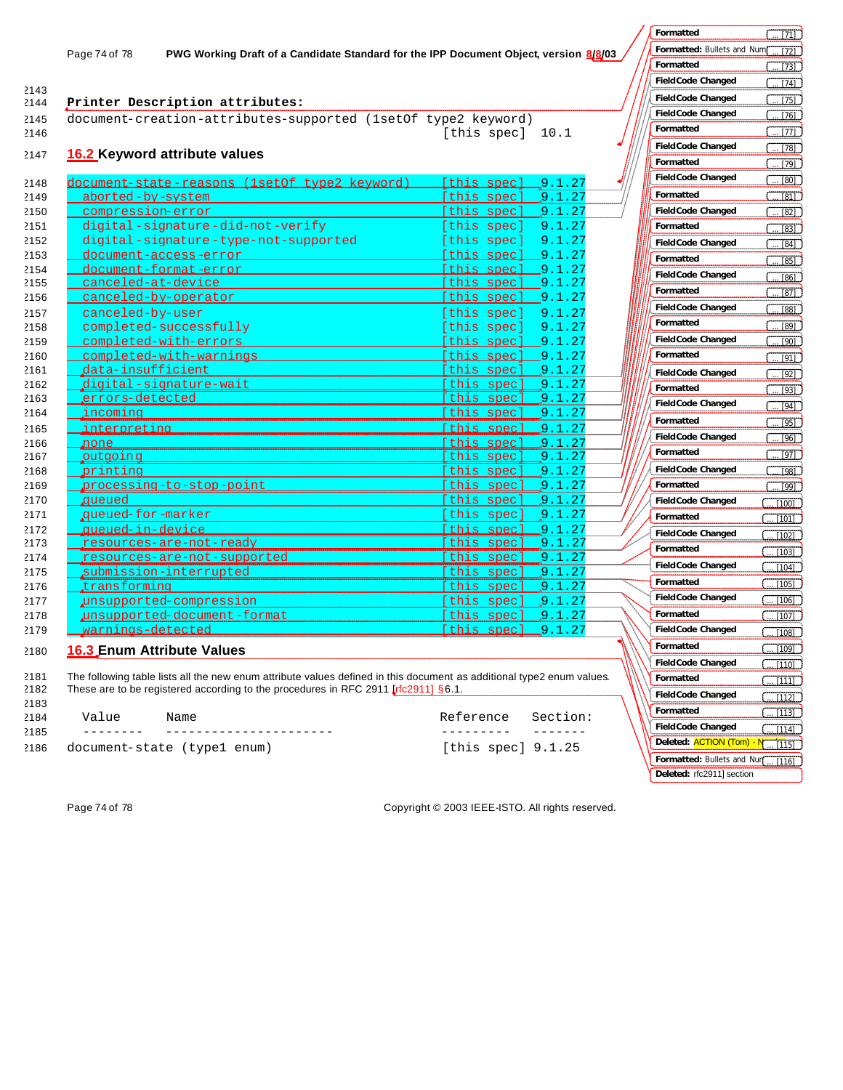2143

# 2144 **Printer Description attributes:**

2145 document-creation-attributes-supported (1setOf type2 keyword) 2146 [this spec] 10.1

### 2147 **16.2 Keyword attribute values**

| 2148 | document-state-reasons (1setOf type2 keyword) | [this spec] 9.1.27            |
|------|-----------------------------------------------|-------------------------------|
| 2149 | aborted-by-system                             | [this spec]<br>9.1.27         |
| 2150 | compression-error                             | 9.1.27<br>[this spec]         |
| 2151 | digital-signature-did-not-verify              | 9.1.27<br>[this spec]         |
| 2152 | digital-signature-type-not-supported          | 9.1.27<br>[this spec]         |
| 2153 | document-access-error                         | [this spec] 9.1.27            |
| 2154 | document-format-error                         | [this spec] 9.1.27            |
| 2155 | <u>canceled-at-device</u>                     | [this spec] 9.1.27            |
| 2156 | canceled-by-operator                          | 9.1.27<br><u>[this spec]</u>  |
| 2157 | canceled-by-user                              | 9.1.27<br>[this spec]         |
| 2158 | completed-successfully                        | [this spec]<br>9.1.27         |
| 2159 | completed-with-errors                         | [this spec]<br>$-9.1.27$      |
| 2160 | completed-with-warnings                       | [this spec]<br>$-9.1.27$      |
| 2161 | data-insufficient                             | this spec]<br>$\sqrt{9.1.27}$ |
| 2162 | digital-signature-wait                        | 9.1.27<br>this spec]          |
| 2163 | errors-detected                               | .9.1.27<br>this spec]         |
| 2164 | incoming                                      | this spec]<br>9.1.27          |
| 2165 | <u>interpreting</u>                           | .9.1.27<br><u>[this spec]</u> |
| 2166 | none                                          | [this spec]<br>9.1.27         |
| 2167 | outgoing                                      | [this spec]<br>9.1.27         |
| 2168 | printing                                      | [this spec]<br>9.1.27         |
| 2169 | processing-to-stop-point                      | 9.1.27<br>this spec]          |
| 2170 | aueued                                        | 9.1.27<br>this spec]          |
| 2171 | queued-for-marker                             | [this spec]<br>9.1.27         |
| 2172 | queued-in-device                              | .9.1.27<br>[this spec]        |
| 2173 | <u>resources-are-not-ready</u>                | this spec.<br>9.1.27          |
| 2174 | resources-are-not-supported                   | this spec]<br>9.1.27          |
| 2175 | submission-interrupted                        | this spec.<br>.9.1.27         |
| 2176 | transforming,                                 | this spec.<br>9.1.27          |
| 2177 | unsupported-compression                       | this spec]<br>9.1.27          |
| 2178 | unsupported-document-format                   | this spec<br>9.1.27           |
| 2179 | warnings-detected                             | 9.1.27<br>[this spec]         |

### 2180 **16.3 Enum Attribute Values**

2181 The following table lists all the new enum attribute values defined in this document as additional type2 enum values. 2182 These are to be registered according to the procedures in RFC 2911 [rfc2911] §6.1.

2183 2184 Value Name Reference Section: 2185 -------- ---------------------- --------- ------- 2186 document-state (type1 enum)

| Reference                |  | Section: |  |
|--------------------------|--|----------|--|
|                          |  |          |  |
| $[$ thig gnec $]$ 9 1 25 |  |          |  |

| Formatted                     |                      |
|-------------------------------|----------------------|
|                               | 71]                  |
| Bullets and Num<br>Formatted: | 721                  |
| Formatted                     | $[73]$               |
| <b>Field Code Changed</b>     | 74<br>ί              |
| <b>Field Code Changed</b>     | 75                   |
| <b>Field Code Changed</b>     | $[76]$               |
| Formatted                     | $[77]$               |
| <b>Field Code Changed</b>     | $[78]$               |
| Formatted                     | $[79]$               |
| <b>Field Code Changed</b>     | [80]                 |
| Formatted                     |                      |
| <b>Field Code Changed</b>     | [81]                 |
| Formatted                     | ſ<br>[82]            |
|                               | í<br>[83]            |
| <b>Field Code Changed</b>     | í<br>[84]            |
| Formatted                     | [85]                 |
| <b>Field Code Changed</b>     | [86]                 |
| Formatted                     | [87]                 |
| <b>Field Code Changed</b>     | [88]                 |
| Formatted                     | [89]                 |
| <b>Field Code Changed</b>     | [90]                 |
| Formatted                     | [91]                 |
| <b>Field Code Changed</b>     | $[92]$               |
| Formatted                     | [93]                 |
| <b>Field Code Changed</b>     |                      |
|                               | [94]                 |
| Formatted                     | [95]                 |
| <b>Field Code Changed</b>     | [96]                 |
| Formatted                     | $[97]$               |
| <b>Field Code Changed</b>     | [98]                 |
| Formatted                     | $\overline{[99]}$    |
| <b>Field Code Changed</b>     | 100                  |
| Formatted                     | 1011                 |
| <b>Field Code Changed</b>     | 102                  |
| Formatted                     | 1031                 |
| <b>Field Code Changed</b>     | ί<br>$\frac{104}{3}$ |
| Formatted                     | ί<br>105]            |
| <b>Field Code Changed</b>     | ί<br>106             |
| Formatted                     | 107                  |
| <b>Field Code Changed</b>     | 108]                 |
| Formatted                     |                      |
|                               | $[109]$              |
| <b>Field Code Changed</b>     | 101                  |
| Formatted                     | 11                   |
| <b>Field Code Changed</b>     | 21                   |
| Formatted                     | 131                  |
| <b>Field Code Changed</b>     | 141<br>1             |
| Deleted: ACTION (Tom) - N     | 1151                 |
| Formatted: Bullets and Nur    | 16]<br>1             |
| Deleted: rfc2911] section     |                      |
|                               |                      |

 $\mathbb{Z}$ 

Page 74 of 78 Copyright © 2003 IEEE-ISTO. All rights reserved.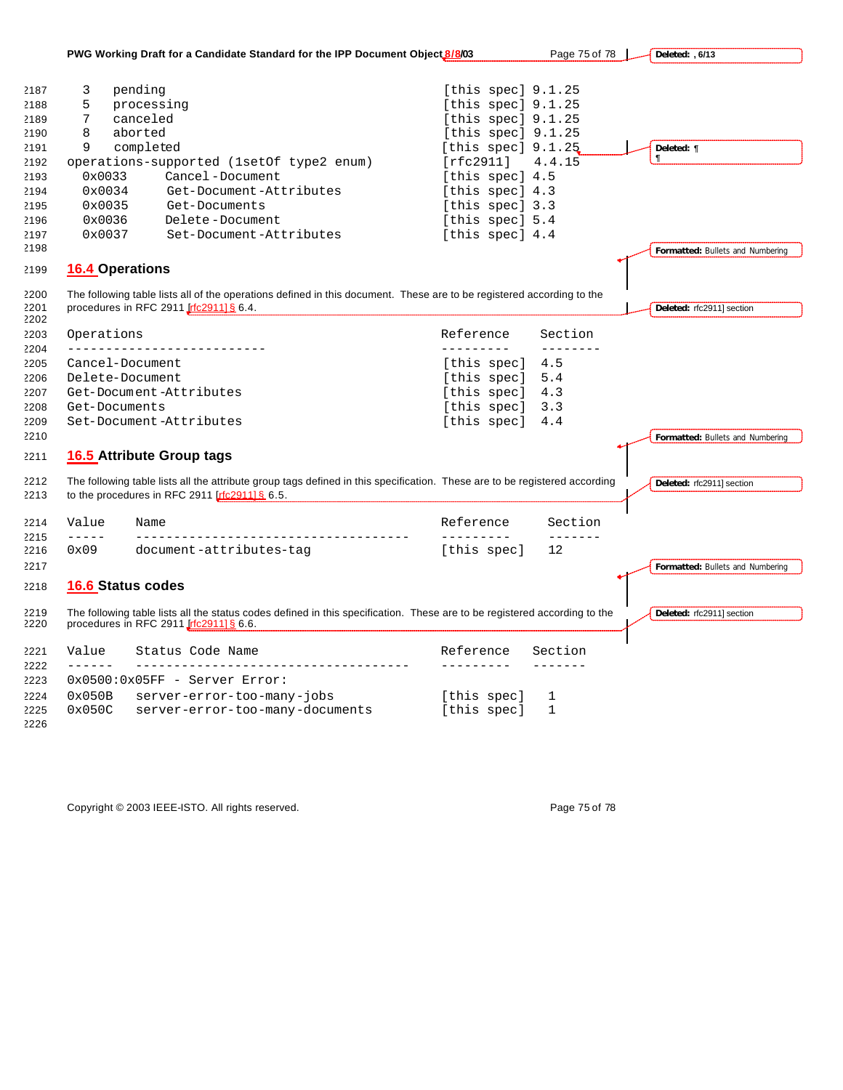|                                                                                              |                                                                         | PWG Working Draft for a Candidate Standard for the IPP Document Object 8/8/03                                                                                                                                      |                                                                                                                                                                                                                                | Page 75 of 78       | Deleted: , 6/13                                        |
|----------------------------------------------------------------------------------------------|-------------------------------------------------------------------------|--------------------------------------------------------------------------------------------------------------------------------------------------------------------------------------------------------------------|--------------------------------------------------------------------------------------------------------------------------------------------------------------------------------------------------------------------------------|---------------------|--------------------------------------------------------|
| 2187<br>2188<br>2189<br>2190<br>2191<br>2192<br>2193<br>2194<br>2195<br>2196<br>2197<br>2198 | 3<br>5<br>7<br>8<br>9<br>0x0033<br>0x0034<br>0x0035<br>0x0036<br>0x0037 | pending<br>processing<br>canceled<br>aborted<br>completed<br>operations-supported (1setOf type2 enum)<br>Cancel-Document<br>Get-Document-Attributes<br>Get-Documents<br>Delete-Document<br>Set-Document-Attributes | [this spec] $9.1.25$<br>[this spec] 9.1.25<br>[this spec] $9.1.25$<br>[this spec] $9.1.25$<br>[this spec] $9.1.25$<br>[rfc2911]<br>[this spec] 4.5<br>[this spec] 4.3<br>[this spec] 3.3<br>[this spec] 5.4<br>[this spec] 4.4 | 4.4.15              | Deleted: $\P$<br>¶<br>Formatted: Bullets and Numbering |
| 2199                                                                                         | <b>16.4 Operations</b>                                                  |                                                                                                                                                                                                                    |                                                                                                                                                                                                                                |                     |                                                        |
| 2200<br>2201<br>2202                                                                         |                                                                         | The following table lists all of the operations defined in this document. These are to be registered according to the<br>procedures in RFC 2911 Irfc29111 § 6.4.                                                   |                                                                                                                                                                                                                                |                     | Deleted: rfc2911] section                              |
| 2203<br>2204                                                                                 | Operations<br>---------                                                 |                                                                                                                                                                                                                    | Reference<br>----------                                                                                                                                                                                                        | Section<br>-------- |                                                        |
| 2205                                                                                         |                                                                         | Cancel-Document                                                                                                                                                                                                    | [this spec]                                                                                                                                                                                                                    | 4.5                 |                                                        |
| 2206                                                                                         |                                                                         | Delete-Document                                                                                                                                                                                                    | [this spec]                                                                                                                                                                                                                    | 5.4                 |                                                        |
| 2207                                                                                         |                                                                         | Get-Document-Attributes                                                                                                                                                                                            | [this spec]                                                                                                                                                                                                                    | 4.3                 |                                                        |
| 2208                                                                                         | Get-Documents                                                           |                                                                                                                                                                                                                    | [this spec]                                                                                                                                                                                                                    | 3.3                 |                                                        |
| 2209<br>2210                                                                                 |                                                                         | Set-Document-Attributes                                                                                                                                                                                            | [this spec]                                                                                                                                                                                                                    | 4.4                 |                                                        |
| 2211                                                                                         |                                                                         | <b>16.5 Attribute Group tags</b>                                                                                                                                                                                   |                                                                                                                                                                                                                                |                     | Formatted: Bullets and Numbering                       |
| 2212<br>2213                                                                                 |                                                                         | The following table lists all the attribute group tags defined in this specification. These are to be registered according<br>to the procedures in RFC 2911 $[rfc29111 \& 6.5]$ .                                  |                                                                                                                                                                                                                                |                     | Deleted: rfc2911] section                              |
| 2214                                                                                         | Value<br>$- - - - -$                                                    | Name                                                                                                                                                                                                               | Reference<br>_________                                                                                                                                                                                                         | Section<br>-------  |                                                        |
| 2215<br>2216<br>2217                                                                         | 0x09                                                                    | document-attributes-tag                                                                                                                                                                                            | [this spec]                                                                                                                                                                                                                    | 12                  | Formatted: Bullets and Numbering                       |
| 2218                                                                                         |                                                                         | <b>16.6 Status codes</b>                                                                                                                                                                                           |                                                                                                                                                                                                                                |                     |                                                        |
| 2219<br>2220                                                                                 |                                                                         | The following table lists all the status codes defined in this specification. These are to be registered according to the<br>procedures in RFC 2911 [rfc2911] § 6.6.                                               |                                                                                                                                                                                                                                |                     | Deleted: rfc2911] section                              |
| 2221                                                                                         | Value<br>$- - - - - -$                                                  | Status Code Name<br>__________________________________                                                                                                                                                             | Reference                                                                                                                                                                                                                      | Section             |                                                        |
| 2222<br>2223                                                                                 |                                                                         | 0x0500:0x05FF - Server Error:                                                                                                                                                                                      |                                                                                                                                                                                                                                |                     |                                                        |
| 2224                                                                                         | 0x050B                                                                  | server-error-too-many-jobs                                                                                                                                                                                         | [this spec]                                                                                                                                                                                                                    | 1                   |                                                        |
| 2225<br>2226                                                                                 | 0x050C                                                                  | server-error-too-many-documents                                                                                                                                                                                    | [this spec]                                                                                                                                                                                                                    | $\mathbf{1}$        |                                                        |

Copyright © 2003 IEEE-ISTO. All rights reserved. expansion of the comparison of 78 Page 75 of 78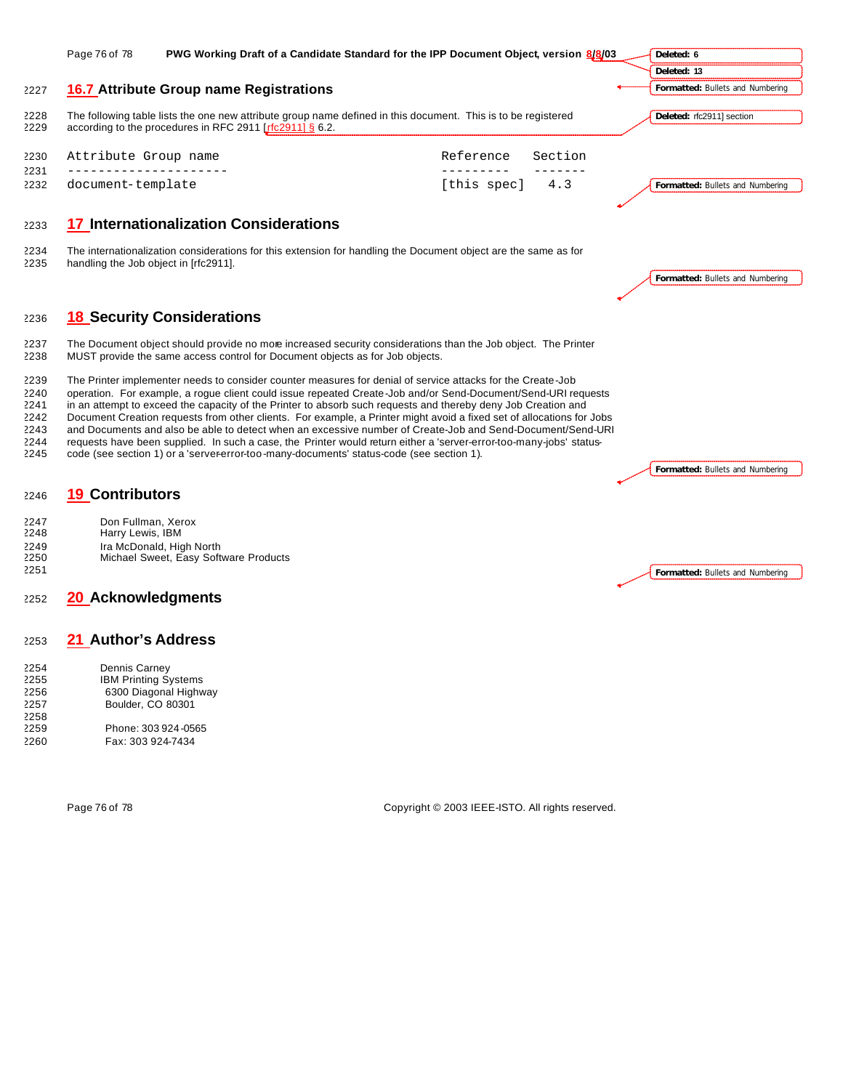|                                                      | Page 76 of 78                                                                            | PWG Working Draft of a Candidate Standard for the IPP Document Object, version 8/8/03                                                                                                                                                                                                                                                                                                                                                                                                                                                                                                                                                                                                                                                                                                                   |                            |         | Deleted: 6                       |
|------------------------------------------------------|------------------------------------------------------------------------------------------|---------------------------------------------------------------------------------------------------------------------------------------------------------------------------------------------------------------------------------------------------------------------------------------------------------------------------------------------------------------------------------------------------------------------------------------------------------------------------------------------------------------------------------------------------------------------------------------------------------------------------------------------------------------------------------------------------------------------------------------------------------------------------------------------------------|----------------------------|---------|----------------------------------|
|                                                      |                                                                                          |                                                                                                                                                                                                                                                                                                                                                                                                                                                                                                                                                                                                                                                                                                                                                                                                         |                            |         | Deleted: 13                      |
| 2227                                                 |                                                                                          | <b>16.7 Attribute Group name Registrations</b>                                                                                                                                                                                                                                                                                                                                                                                                                                                                                                                                                                                                                                                                                                                                                          |                            |         | Formatted: Bullets and Numbering |
| 2228<br>2229                                         |                                                                                          | The following table lists the one new attribute group name defined in this document. This is to be registered<br>according to the procedures in RFC 2911 [rfc2911] § 6.2.                                                                                                                                                                                                                                                                                                                                                                                                                                                                                                                                                                                                                               |                            |         | Deleted: rfc2911] section        |
| 2230<br>2231                                         | Attribute Group name                                                                     | __________________                                                                                                                                                                                                                                                                                                                                                                                                                                                                                                                                                                                                                                                                                                                                                                                      | Reference<br>$\frac{1}{2}$ | Section |                                  |
| 2232                                                 | document-template                                                                        |                                                                                                                                                                                                                                                                                                                                                                                                                                                                                                                                                                                                                                                                                                                                                                                                         | [this spec]                | 4.3     | Formatted: Bullets and Numbering |
| 2233                                                 |                                                                                          | <b>17 Internationalization Considerations</b>                                                                                                                                                                                                                                                                                                                                                                                                                                                                                                                                                                                                                                                                                                                                                           |                            |         |                                  |
| 2234<br>2235                                         | handling the Job object in [rfc2911].                                                    | The internationalization considerations for this extension for handling the Document object are the same as for                                                                                                                                                                                                                                                                                                                                                                                                                                                                                                                                                                                                                                                                                         |                            |         | Formatted: Bullets and Numbering |
| 2236                                                 |                                                                                          | <b>18 Security Considerations</b>                                                                                                                                                                                                                                                                                                                                                                                                                                                                                                                                                                                                                                                                                                                                                                       |                            |         |                                  |
| 2237<br>2238                                         |                                                                                          | The Document object should provide no more increased security considerations than the Job object. The Printer<br>MUST provide the same access control for Document objects as for Job objects.                                                                                                                                                                                                                                                                                                                                                                                                                                                                                                                                                                                                          |                            |         |                                  |
| 2239<br>2240<br>2241<br>2242<br>2243<br>2244<br>2245 |                                                                                          | The Printer implementer needs to consider counter measures for denial of service attacks for the Create-Job<br>operation. For example, a rogue client could issue repeated Create-Job and/or Send-Document/Send-URI requests<br>in an attempt to exceed the capacity of the Printer to absorb such requests and thereby deny Job Creation and<br>Document Creation requests from other clients. For example, a Printer might avoid a fixed set of allocations for Jobs<br>and Documents and also be able to detect when an excessive number of Create-Job and Send-Document/Send-URI<br>requests have been supplied. In such a case, the Printer would return either a 'server-error-too-many-jobs' status-<br>code (see section 1) or a 'server-error-too-many-documents' status-code (see section 1). |                            |         | Formatted: Bullets and Numbering |
| 2246                                                 | <b>19 Contributors</b>                                                                   |                                                                                                                                                                                                                                                                                                                                                                                                                                                                                                                                                                                                                                                                                                                                                                                                         |                            |         |                                  |
| 2247<br>2248<br>2249<br>2250<br>2251                 | Don Fullman, Xerox<br>Harry Lewis, IBM                                                   | Ira McDonald, High North<br>Michael Sweet, Easy Software Products                                                                                                                                                                                                                                                                                                                                                                                                                                                                                                                                                                                                                                                                                                                                       |                            |         | Formatted: Bullets and Numbering |
| 2252                                                 | <b>20 Acknowledgments</b>                                                                |                                                                                                                                                                                                                                                                                                                                                                                                                                                                                                                                                                                                                                                                                                                                                                                                         |                            |         |                                  |
| 2253                                                 | 21 Author's Address                                                                      |                                                                                                                                                                                                                                                                                                                                                                                                                                                                                                                                                                                                                                                                                                                                                                                                         |                            |         |                                  |
| 2254<br>2255<br>2256<br>2257<br>2258<br>2259         | Dennis Carney<br><b>IBM Printing Systems</b><br>Boulder, CO 80301<br>Phone: 303 924-0565 | 6300 Diagonal Highway                                                                                                                                                                                                                                                                                                                                                                                                                                                                                                                                                                                                                                                                                                                                                                                   |                            |         |                                  |
| 2260                                                 | Fax: 303 924-7434                                                                        |                                                                                                                                                                                                                                                                                                                                                                                                                                                                                                                                                                                                                                                                                                                                                                                                         |                            |         |                                  |

Page 76 of 78 Copyright © 2003 IEEE-ISTO. All rights reserved.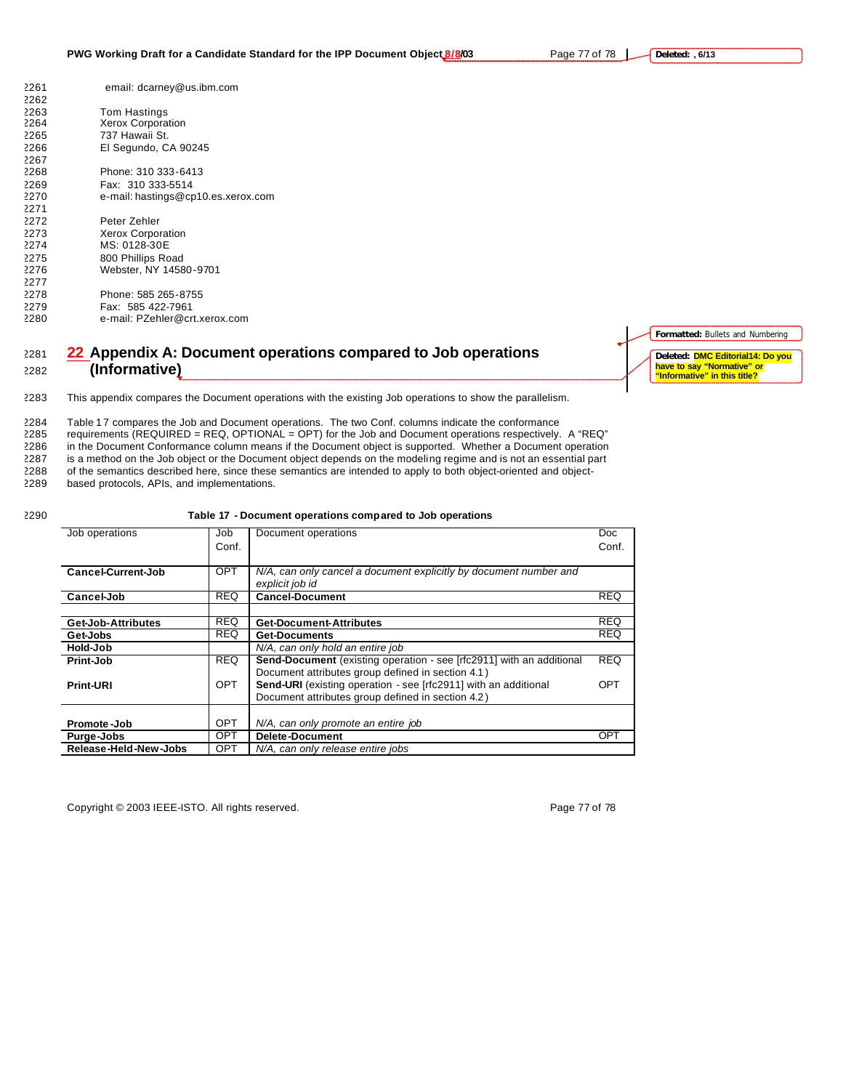**Deleted: , 6/13**

| 2261 | email: dcarney@us.ibm.com          |
|------|------------------------------------|
| 2262 |                                    |
| 2263 | Tom Hastings                       |
| 2264 | <b>Xerox Corporation</b>           |
| 2265 | 737 Hawaii St.                     |
| 2266 | El Segundo, CA 90245               |
| 2267 |                                    |
| 2268 | Phone: 310 333-6413                |
| 2269 | Fax: 310 333-5514                  |
| 2270 | e-mail: hastings@cp10.es.xerox.com |
| 2271 |                                    |
| 2272 | Peter Zehler                       |
| 2273 | <b>Xerox Corporation</b>           |
| 2274 | MS: 0128-30E                       |
| 2275 | 800 Phillips Road                  |
| 2276 | Webster, NY 14580-9701             |
| 2277 |                                    |
| 2278 | Phone: 585 265-8755                |
| 2279 | Fax: 585 422-7961                  |
| 2280 | e-mail: PZehler@crt.xerox.com      |

### <sup>2281</sup> **22 Appendix A: Document operations compared to Job operations**  <sup>2282</sup> **(Informative)**

**Formatted:** Bullets and Numbering **Deleted: DMC Editorial14: Do you have to say "Normative" or "Informative" in this title?**

2283 This appendix compares the Document operations with the existing Job operations to show the parallelism.

2284 Table 17 compares the Job and Document operations. The two Conf. columns indicate the conformance 2285 requirements (REQUIRED = REQ, OPTIONAL = OPT) for the Job and Document operations respectively. A "REQ" 2286 in the Document Conformance column means if the Document object is supported. Whether a Document operation 2287 is a method on the Job object or the Document object depends on the modeling regime and is not an essential part 2288 of the semantics described here, since these semantics are intended to apply to both object-oriented and object-<br>2289 based protocols, APIs, and implementations.

based protocols, APIs, and implementations.

### 2290 **Table 17 - Document operations compared to Job operations**

| Job operations            | Job        | Document operations                                                    | <b>Doc</b> |
|---------------------------|------------|------------------------------------------------------------------------|------------|
|                           | Conf.      |                                                                        | Conf.      |
|                           |            |                                                                        |            |
| <b>Cancel-Current-Job</b> | <b>OPT</b> | N/A, can only cancel a document explicitly by document number and      |            |
|                           |            | explicit job id                                                        |            |
| Cancel-Job                | <b>REQ</b> | <b>Cancel-Document</b>                                                 | <b>REQ</b> |
|                           |            |                                                                        |            |
| Get-Job-Attributes        | <b>REQ</b> | <b>Get-Document-Attributes</b>                                         | <b>REQ</b> |
| Get-Jobs                  | <b>REQ</b> | <b>Get-Documents</b>                                                   | <b>REQ</b> |
| Hold-Job                  |            | N/A, can only hold an entire job                                       |            |
| Print-Job                 | <b>REQ</b> | Send-Document (existing operation - see [rfc2911] with an additional   | <b>REQ</b> |
|                           |            | Document attributes group defined in section 4.1)                      |            |
| <b>Print-URI</b>          | <b>OPT</b> | <b>Send-URI</b> (existing operation - see [rfc2911] with an additional | OPT        |
|                           |            | Document attributes group defined in section 4.2)                      |            |
|                           |            |                                                                        |            |
| Promote-Job               | <b>OPT</b> | N/A, can only promote an entire job                                    |            |
| Purge-Jobs                | <b>OPT</b> | <b>Delete-Document</b>                                                 | OPT        |
| Release-Held-New-Jobs     | <b>OPT</b> | N/A, can only release entire jobs                                      |            |

Copyright © 2003 IEEE-ISTO. All rights reserved. Page 77 of 78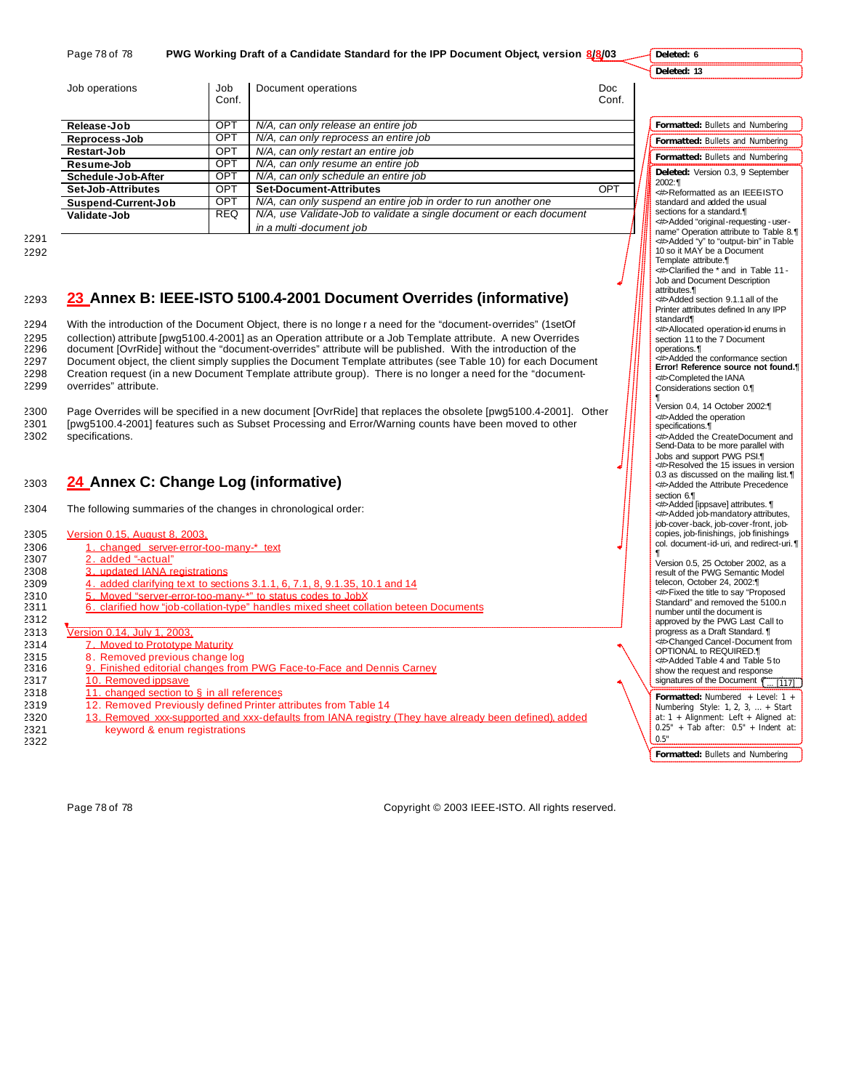Page 78 of 78 **PWG Working Draft of a Candidate Standard for the IPP Document Object, version 8/8/03** 

**Deleted: 6**

**Deleted: 13**

| Job operations      | Job<br>Conf. | Document operations                                                  | <b>Doc</b><br>Conf. |
|---------------------|--------------|----------------------------------------------------------------------|---------------------|
| Release-Job         | <b>OPT</b>   | N/A, can only release an entire job                                  |                     |
| Reprocess-Job       | OPT          | N/A, can only reprocess an entire job                                |                     |
| Restart-Job         | <b>OPT</b>   | N/A, can only restart an entire job                                  |                     |
| Resume-Job          | OPT          | N/A, can only resume an entire job                                   |                     |
| Schedule-Job-After  | OPT          | N/A, can only schedule an entire job                                 |                     |
| Set-Job-Attributes  | OPT          | <b>Set-Document-Attributes</b>                                       | OPT                 |
| Suspend-Current-Job | <b>OPT</b>   | N/A, can only suspend an entire job in order to run another one      |                     |
| Validate-Job        | <b>REQ</b>   | N/A, use Validate-Job to validate a single document or each document |                     |
|                     |              | in a multi-document job                                              |                     |

2291 2292

## <sup>2293</sup> **23 Annex B: IEEE-ISTO 5100.4-2001 Document Overrides (informative)**

 With the introduction of the Document Object, there is no longe r a need for the "document-overrides" (1setOf collection) attribute [pwg5100.4-2001] as an Operation attribute or a Job Template attribute. A new Overrides document [OvrRide] without the "document-overrides" attribute will be published. With the introduction of the Document object, the client simply supplies the Document Template attributes (see Table 10) for each Document Creation request (in a new Document Template attribute group). There is no longer a need for the "document-overrides" attribute.

2300 Page Overrides will be specified in a new document [OvrRide] that replaces the obsolete [pwg5100.4-2001]. Other 2301 [pwg5100.4-2001] features such as Subset Processing and Error/Warning counts have been moved to other 2302 specifications.

# <sup>2303</sup> **24 Annex C: Change Log (informative)**

2304 The following summaries of the changes in chronological order:

### 2305 Version 0.15, August 8, 2003,

- 2306 1. changed server-error-too-many-\* text<br>2307 2. added "-actual"
- 2. added "-actual"
- 2308 3. updated IANA registrations
- 2309 4. added clarifying text to sections 3.1.1, 6, 7.1, 8, 9.1.35, 10.1 and 14
- 2310 5. Moved "server-error-too-many-\*" to status codes to JobX
- 2311 6. clarified how "job-collation-type" handles mixed sheet collation beteen Documents
- 2312
- 2313 Version 0.14, July 1, 2003,
- 2314 7. Moved to Prototype Maturity
- 2315 8. Removed previous change log<br>2316 9. Finished editorial changes from
	- 9. Finished editorial changes from PWG Face-to-Face and Dennis Carney
- 2317 10. Removed ippsave
- 2318  $11.$  changed section to § in all references
- 2319 12. Removed Previously defined Printer attributes from Table 14
- 2320 13. Removed xxx-supported and xxx-defaults from IANA registry (They have already been defined), added 2321 keyword & enum registrations
- 2322

Page 78 of 78 Copyright © 2003 IEEE-ISTO. All rights reserved.

| Formatted:<br><b>Bullets and Numbering</b>                                                                                                             |
|--------------------------------------------------------------------------------------------------------------------------------------------------------|
| Formatted:<br><b>Bullets and Numbering</b>                                                                                                             |
| Formatted: Bullets and Numbering                                                                                                                       |
| Deleted: Version 0.3, 9 September                                                                                                                      |
| 2002:¶<br>< Reformatted as an IEEEISTO                                                                                                                 |
| standard and added the usual<br>sections for a standard.¶                                                                                              |
| <#>Added "original-requesting - user-<br>name" Operation attribute to Table 8.¶<br>⊲#>Added "y" to "output-bin" in Table<br>10 so it MAY be a Document |
| Template attribute.¶<br><#>Clarified the * and in Table 11-                                                                                            |
| Job and Document Description<br>attributes.¶                                                                                                           |
| <#>Added section 9.1.1 all of the<br>Printer attributes defined In any IPP<br>standard¶                                                                |
| <#>Allocated operation-id enums in<br>section 11 to the 7 Document                                                                                     |
| operations.¶<br><b>Added the conformance section</b>                                                                                                   |
| Error! Reference source not found.¶<br>dl>Completed the IANA                                                                                           |
| Considerations section 0.<br>¶                                                                                                                         |
| Version 0.4, 14 October 2002:¶                                                                                                                         |
| <b>AD</b> Added the operation                                                                                                                          |
| specifications.¶<br><#>Added the CreateDocument and                                                                                                    |
| Send-Data to be more parallel with                                                                                                                     |
| Jobs and support PWG PSI.¶<br><b>Example 25</b> issues in version                                                                                      |
| 0.3 as discussed on the mailing list.<br><b>&lt;#&gt;Added the Attribute Precedence</b>                                                                |
| section 6.<br>⊲#>Added [ippsave] attributes. ¶                                                                                                         |
| Added job-mandatory attributes,                                                                                                                        |
| job-cover-back, job-cover-front, job-<br>copies, job-finishings, job finishings                                                                        |
| col. document-id-uri, and redirect-uri.¶<br>1                                                                                                          |
| Version 0.5, 25 October 2002, as a<br>result of the PWG Semantic Model                                                                                 |
| telecon, October 24, 2002:¶                                                                                                                            |
| <b>Exed the title to say "Proposed</b>                                                                                                                 |
| Standard" and removed the 5100.n                                                                                                                       |
| number until the document is<br>approved by the PWG Last Call to                                                                                       |
| progress as a Draft Standard. ¶                                                                                                                        |
| <b>Example Cancel - Document from</b>                                                                                                                  |
| OPTIONAL to REQUIRED.¶<br><#>Added Table 4 and Table 5 to                                                                                              |
| show the request and response                                                                                                                          |
| signatures of the Document (<br>[117]                                                                                                                  |
| Formatted: Numbered + Level:<br>1.                                                                                                                     |
| Numbering Style: 1, 2, 3,  + Start                                                                                                                     |
| at: 1 + Alignment: Left + Aligned at:<br>0.25" + Tab after: 0.5" + Indent at:                                                                          |
|                                                                                                                                                        |

0.5"

**Formatted:** Bullets and Numbering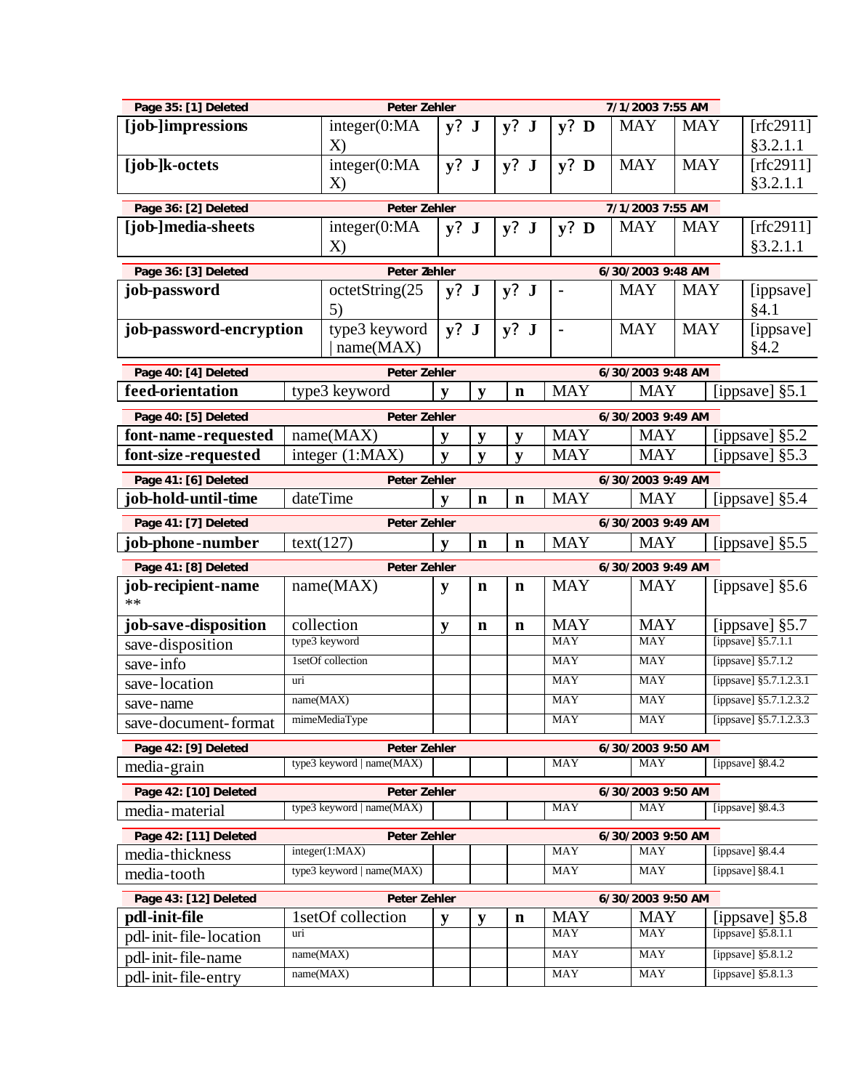| Page 35: [1] Deleted                   |           | Peter Zehler                 |              |                            |             |                          | 7/1/2003 7:55 AM  |            |  |                                          |
|----------------------------------------|-----------|------------------------------|--------------|----------------------------|-------------|--------------------------|-------------------|------------|--|------------------------------------------|
| [job-]impressions                      |           | integer(0:MA)                | $y?$ J       |                            | y? J        | $y?$ D                   | <b>MAY</b>        | <b>MAY</b> |  | [ $rfc2911$ ]                            |
|                                        |           | $\mathbf{X}$                 |              |                            |             |                          |                   |            |  | §3.2.1.1                                 |
| [job-]k-octets                         |           | integer(0:MA)                | $y?$ J       |                            | $y?$ J      | $y?$ D                   | <b>MAY</b>        | <b>MAY</b> |  | [rfc2911]                                |
|                                        |           | X)                           |              |                            |             |                          |                   |            |  | §3.2.1.1                                 |
| Page 36: [2] Deleted                   |           | Peter Zehler                 |              |                            |             |                          | 7/1/2003 7:55 AM  |            |  |                                          |
| [job-]media-sheets                     |           | integer(0:MA)                | $y?$ J       |                            | y? J        | $y?$ D                   | <b>MAY</b>        | <b>MAY</b> |  | [rfc2911]                                |
|                                        |           | $\mathbf{X}$                 |              |                            |             |                          |                   |            |  | §3.2.1.1                                 |
| Page 36: [3] Deleted                   |           | Peter Zehler                 |              |                            |             |                          | 6/30/2003 9:48 AM |            |  |                                          |
| job-password                           |           | octetString(25               | $y?$ J       |                            | y? J        | $\blacksquare$           | <b>MAY</b>        | <b>MAY</b> |  | [ippsave]                                |
|                                        |           | 5)                           |              |                            |             |                          |                   |            |  | §4.1                                     |
| job-password-encryption                |           | type3 keyword                | $y?$ J       |                            | $y?$ J      | $\blacksquare$           | <b>MAY</b>        | <b>MAY</b> |  | [ippsave]                                |
|                                        |           | name(MAX)                    |              |                            |             |                          |                   |            |  | §4.2                                     |
| Page 40: [4] Deleted                   |           | <b>Peter Zehler</b>          |              |                            |             |                          | 6/30/2003 9:48 AM |            |  |                                          |
| feed-orientation                       |           | type3 keyword                | y            | y                          | $\mathbf n$ | <b>MAY</b>               | <b>MAY</b>        |            |  | [ippsave] $§5.1$                         |
| Page 40: [5] Deleted                   |           | <b>Peter Zehler</b>          |              |                            |             |                          | 6/30/2003 9:49 AM |            |  |                                          |
| font-name-requested                    |           | name(MAX)                    | y            | y                          | y           | <b>MAY</b>               | <b>MAY</b>        |            |  | [ippsave] §5.2                           |
| font-size-requested                    |           | integer (1:MAX)              | $\mathbf{v}$ | y                          | y           | <b>MAY</b>               | <b>MAY</b>        |            |  | [ippsave] $§5.3$                         |
| Page 41: [6] Deleted                   |           | <b>Peter Zehler</b>          |              |                            |             |                          | 6/30/2003 9:49 AM |            |  |                                          |
| job-hold-until-time                    |           | dateTime                     | y            | $\mathbf n$<br>$\mathbf n$ |             | <b>MAY</b>               |                   | <b>MAY</b> |  | [ippsave] §5.4                           |
| Page 41: [7] Deleted                   |           | <b>Peter Zehler</b>          |              |                            |             |                          | 6/30/2003 9:49 AM |            |  |                                          |
| job-phone-number                       |           | text(127)                    | V            | $\mathbf n$                | $\mathbf n$ | <b>MAY</b>               | <b>MAY</b>        |            |  | [ippsave] $§5.5$                         |
| Page 41: [8] Deleted                   |           | Peter Zehler                 |              |                            |             |                          | 6/30/2003 9:49 AM |            |  |                                          |
| job-recipient-name                     |           | name(MAX)                    | y            | $\mathbf n$                | $\mathbf n$ | <b>MAY</b>               | <b>MAY</b>        |            |  | [ippsave] §5.6                           |
|                                        |           |                              |              |                            |             |                          |                   |            |  |                                          |
| **                                     |           |                              |              |                            |             |                          |                   |            |  |                                          |
| job-save-disposition                   |           | collection                   | y            | $\mathbf n$                | $\mathbf n$ | <b>MAY</b>               | <b>MAY</b>        |            |  | [ippsave] §5.7                           |
| save-disposition                       |           | type3 keyword                |              |                            |             | <b>MAY</b>               | <b>MAY</b>        |            |  | [ippsave] $$5.7.1.1$                     |
| save-info                              |           | 1setOf collection            |              |                            |             | <b>MAY</b>               | <b>MAY</b>        |            |  | [ippsave] §5.7.1.2                       |
| save-location                          | uri       |                              |              |                            |             | <b>MAY</b>               | <b>MAY</b>        |            |  | [ippsave] §5.7.1.2.3.1                   |
| save-name                              | name(MAX) |                              |              |                            |             | <b>MAY</b>               | <b>MAY</b>        |            |  | [ippsave] §5.7.1.2.3.2                   |
| save-document-format                   |           | mimeMediaType                |              |                            |             | <b>MAY</b>               | <b>MAY</b>        |            |  | [ippsave] §5.7.1.2.3.3                   |
| Page 42: [9] Deleted                   |           | <b>Peter Zehler</b>          |              |                            |             |                          | 6/30/2003 9:50 AM |            |  |                                          |
| media-grain                            |           | type3 keyword   name $(MAX)$ |              |                            |             | <b>MAY</b>               | <b>MAY</b>        |            |  | [ippsave] §8.4.2                         |
| Page 42: [10] Deleted                  |           | <b>Peter Zehler</b>          |              |                            |             |                          | 6/30/2003 9:50 AM |            |  |                                          |
| media-material                         |           | type3 keyword   name(MAX)    |              |                            |             | <b>MAY</b>               | <b>MAY</b>        |            |  | [ippsave] $§8.4.3$                       |
| Page 42: [11] Deleted                  |           | Peter Zehler                 |              |                            |             |                          | 6/30/2003 9:50 AM |            |  |                                          |
| media-thickness                        |           | integer(1:MAX)               |              |                            |             | <b>MAY</b>               | <b>MAY</b>        |            |  | [ippsave] §8.4.4                         |
| media-tooth                            |           | type3 keyword   name(MAX)    |              |                            |             | <b>MAY</b>               | <b>MAY</b>        |            |  | [ippsave] $§8.4.1$                       |
|                                        |           | <b>Peter Zehler</b>          |              |                            |             |                          | 6/30/2003 9:50 AM |            |  |                                          |
| Page 43: [12] Deleted<br>pdl-init-file |           | 1setOf collection            | y            | y                          | $\mathbf n$ | <b>MAY</b>               | <b>MAY</b>        |            |  | [ippsave] $§5.8$                         |
| pdl-init-file-location                 | uri       |                              |              |                            |             | <b>MAY</b>               | <b>MAY</b>        |            |  | [ippsave] $$5.8.1.1$                     |
| pdl-init-file-name                     |           | name(MAX)<br>name(MAX)       |              |                            |             | <b>MAY</b><br><b>MAY</b> | <b>MAY</b>        |            |  | [ippsave] §5.8.1.2<br>[ippsave] §5.8.1.3 |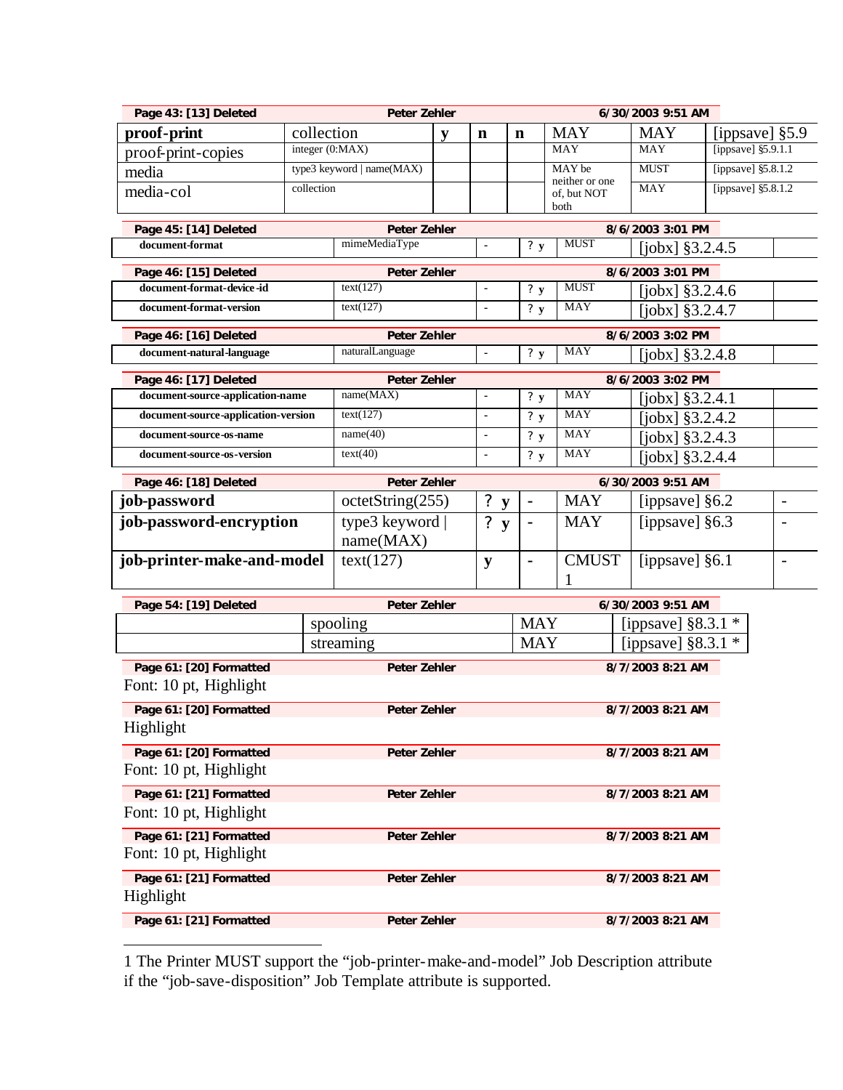| Page 43: [13] Deleted                                     |                 | <b>Peter Zehler</b>              |   |                                |                              | 6/30/2003 9:51 AM             |                                          |                      |                          |
|-----------------------------------------------------------|-----------------|----------------------------------|---|--------------------------------|------------------------------|-------------------------------|------------------------------------------|----------------------|--------------------------|
| proof-print                                               | collection      |                                  | y | n                              | $\mathbf n$                  | <b>MAY</b>                    | <b>MAY</b>                               |                      | [ippsave] $§5.9$         |
| proof-print-copies                                        | integer (0:MAX) |                                  |   |                                |                              | <b>MAY</b>                    | <b>MAY</b>                               | [ippsave] $$5.9.1.1$ |                          |
| media                                                     |                 | type3 keyword   name(MAX)        |   |                                |                              | MAY be                        | <b>MUST</b>                              | [ippsave] §5.8.1.2   |                          |
| media-col                                                 | collection      |                                  |   |                                |                              | neither or one<br>of, but NOT | <b>MAY</b>                               | [ippsave] §5.8.1.2   |                          |
|                                                           |                 |                                  |   |                                |                              | both                          |                                          |                      |                          |
| Page 45: [14] Deleted                                     |                 | <b>Peter Zehler</b>              |   |                                |                              |                               | 8/6/2003 3:01 PM                         |                      |                          |
| document-format                                           |                 | mimeMediaType                    |   | $\blacksquare$                 | ? $y$                        | <b>MUST</b>                   | [ $i$ obx] $§ 3.2.4.5$                   |                      |                          |
| Page 46: [15] Deleted                                     |                 | <b>Peter Zehler</b>              |   |                                |                              |                               | 8/6/2003 3:01 PM                         |                      |                          |
| document-format-device-id                                 |                 | text(127)                        |   | $\blacksquare$                 | ? $y$                        | <b>MUST</b>                   | [jobx] $§3.2.4.6$                        |                      |                          |
| document-format-version                                   |                 | text(127)                        |   | $\blacksquare$                 | ? $y$                        | <b>MAY</b>                    | [ $i$ obx] $§ 3.2.4.7$                   |                      |                          |
| Page 46: [16] Deleted                                     |                 | <b>Peter Zehler</b>              |   |                                |                              |                               | 8/6/2003 3:02 PM                         |                      |                          |
| document-natural-language                                 |                 | naturalLanguage                  |   | $\blacksquare$                 | ? $y$                        | <b>MAY</b>                    | $[jobs]$ §3.2.4.8                        |                      |                          |
|                                                           |                 |                                  |   |                                |                              |                               |                                          |                      |                          |
| Page 46: [17] Deleted<br>document-source-application-name |                 | <b>Peter Zehler</b><br>name(MAX) |   | $\blacksquare$                 | ? $y$                        | MAY                           | 8/6/2003 3:02 PM                         |                      |                          |
| document-source-application-version                       |                 | text(127)                        |   | $\blacksquare$                 | ? $y$                        | <b>MAY</b>                    | $[jobs]$ §3.2.4.1                        |                      |                          |
| document-source-os-name                                   |                 | name(40)                         |   | $\blacksquare$                 | ? $y$                        | <b>MAY</b>                    | $[jobs]$ §3.2.4.2                        |                      |                          |
| document-source-os-version                                |                 | text(40)                         |   | $\blacksquare$                 | ? $y$                        | <b>MAY</b>                    | [ $jobx$ ] $§3.2.4.3$                    |                      |                          |
|                                                           |                 |                                  |   |                                |                              |                               | $[jobs]$ §3.2.4.4                        |                      |                          |
| Page 46: [18] Deleted                                     |                 | <b>Peter Zehler</b>              |   |                                |                              |                               | 6/30/2003 9:51 AM                        |                      |                          |
| job-password                                              |                 | octetString(255)                 |   | ?<br>${\bf y}$                 | $\qquad \qquad \blacksquare$ | <b>MAY</b>                    | [ippsave] §6.2                           |                      | $\overline{\phantom{m}}$ |
| job-password-encryption                                   |                 | type3 keyword<br>name(MAX)       |   | $\ddot{\cdot}$<br>$\mathbf{y}$ |                              | <b>MAY</b>                    | [ippsave] $§6.3$                         |                      |                          |
| job-printer-make-and-model                                |                 | text(127)                        |   | ${\bf y}$                      | $\blacksquare$               | <b>CMUST</b><br>1             | [ippsave] §6.1                           |                      | $\overline{\phantom{a}}$ |
|                                                           |                 |                                  |   |                                |                              |                               |                                          |                      |                          |
| Page 54: [19] Deleted                                     |                 | <b>Peter Zehler</b><br>spooling  |   |                                | <b>MAY</b>                   |                               | 6/30/2003 9:51 AM<br>[ippsave] $§8.3.1*$ |                      |                          |
|                                                           |                 | streaming                        |   |                                | <b>MAY</b>                   |                               | [ippsave] $§8.3.1$ *                     |                      |                          |
|                                                           |                 |                                  |   |                                |                              |                               |                                          |                      |                          |
| Page 61: [20] Formatted                                   |                 | <b>Peter Zehler</b>              |   |                                |                              |                               | 8/7/2003 8:21 AM                         |                      |                          |
| Font: 10 pt, Highlight                                    |                 |                                  |   |                                |                              |                               |                                          |                      |                          |
| Page 61: [20] Formatted                                   |                 | <b>Peter Zehler</b>              |   |                                |                              |                               | 8/7/2003 8:21 AM                         |                      |                          |
| Highlight                                                 |                 |                                  |   |                                |                              |                               |                                          |                      |                          |
| Page 61: [20] Formatted                                   |                 | Peter Zehler                     |   |                                |                              |                               | 8/7/2003 8:21 AM                         |                      |                          |
| Font: 10 pt, Highlight                                    |                 |                                  |   |                                |                              |                               |                                          |                      |                          |
| Page 61: [21] Formatted                                   |                 | Peter Zehler                     |   |                                |                              |                               | 8/7/2003 8:21 AM                         |                      |                          |
| Font: 10 pt, Highlight                                    |                 |                                  |   |                                |                              |                               |                                          |                      |                          |
| Page 61: [21] Formatted                                   |                 | Peter Zehler                     |   |                                |                              |                               | 8/7/2003 8:21 AM                         |                      |                          |
| Font: 10 pt, Highlight                                    |                 |                                  |   |                                |                              |                               |                                          |                      |                          |
| Page 61: [21] Formatted                                   |                 | Peter Zehler                     |   |                                |                              |                               | 8/7/2003 8:21 AM                         |                      |                          |
| Highlight                                                 |                 |                                  |   |                                |                              |                               |                                          |                      |                          |
|                                                           |                 |                                  |   |                                |                              |                               |                                          |                      |                          |
| Page 61: [21] Formatted                                   |                 | Peter Zehler                     |   |                                |                              |                               | 8/7/2003 8:21 AM                         |                      |                          |

1 The Printer MUST support the "job-printer-make-and-model" Job Description attribute if the "job-save-disposition" Job Template attribute is supported.

 $\overline{a}$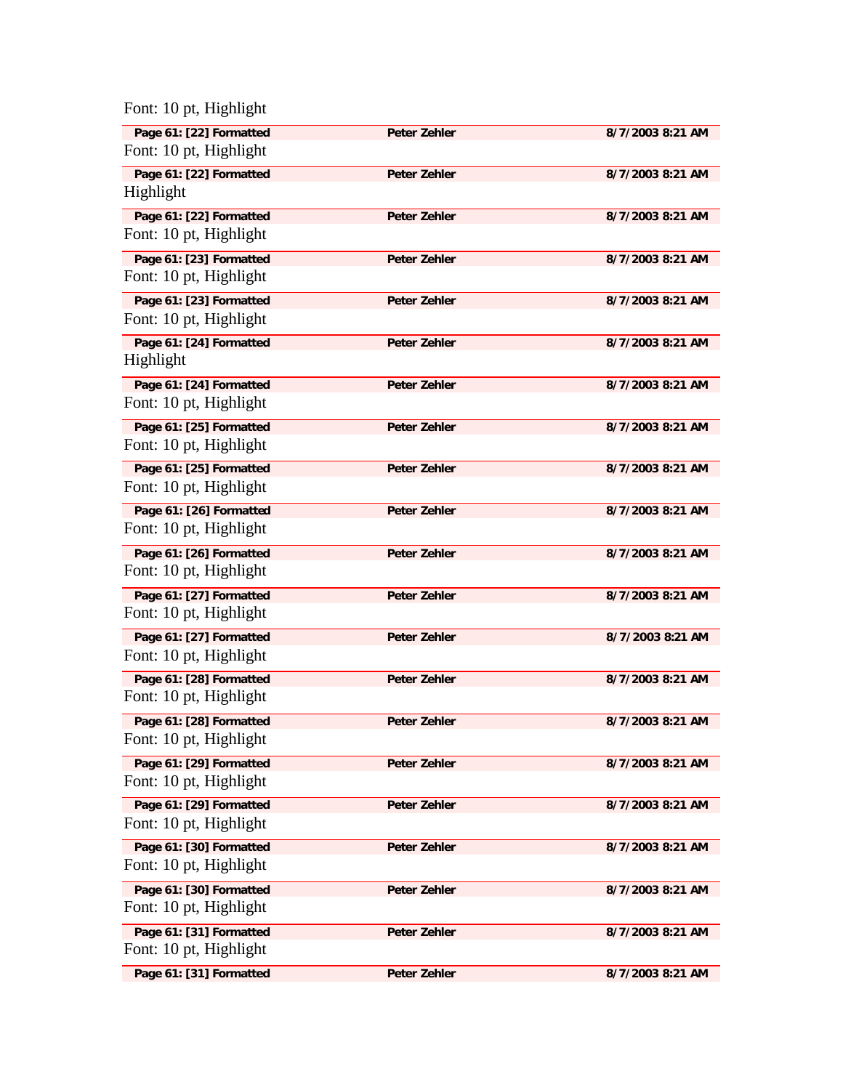Font: 10 pt, Highlight

| Page 61: [22] Formatted                           | <b>Peter Zehler</b> | 8/7/2003 8:21 AM |
|---------------------------------------------------|---------------------|------------------|
| Font: 10 pt, Highlight                            |                     |                  |
| Page 61: [22] Formatted<br>Highlight              | <b>Peter Zehler</b> | 8/7/2003 8:21 AM |
|                                                   |                     |                  |
| Page 61: [22] Formatted<br>Font: 10 pt, Highlight | <b>Peter Zehler</b> | 8/7/2003 8:21 AM |
|                                                   |                     |                  |
| Page 61: [23] Formatted<br>Font: 10 pt, Highlight | <b>Peter Zehler</b> | 8/7/2003 8:21 AM |
|                                                   |                     |                  |
| Page 61: [23] Formatted<br>Font: 10 pt, Highlight | <b>Peter Zehler</b> | 8/7/2003 8:21 AM |
|                                                   |                     |                  |
| Page 61: [24] Formatted<br>Highlight              | <b>Peter Zehler</b> | 8/7/2003 8:21 AM |
|                                                   |                     |                  |
| Page 61: [24] Formatted<br>Font: 10 pt, Highlight | <b>Peter Zehler</b> | 8/7/2003 8:21 AM |
|                                                   |                     |                  |
| Page 61: [25] Formatted<br>Font: 10 pt, Highlight | Peter Zehler        | 8/7/2003 8:21 AM |
|                                                   |                     |                  |
| Page 61: [25] Formatted<br>Font: 10 pt, Highlight | <b>Peter Zehler</b> | 8/7/2003 8:21 AM |
|                                                   |                     |                  |
| Page 61: [26] Formatted<br>Font: 10 pt, Highlight | <b>Peter Zehler</b> | 8/7/2003 8:21 AM |
|                                                   |                     |                  |
| Page 61: [26] Formatted<br>Font: 10 pt, Highlight | <b>Peter Zehler</b> | 8/7/2003 8:21 AM |
|                                                   |                     |                  |
| Page 61: [27] Formatted                           | <b>Peter Zehler</b> | 8/7/2003 8:21 AM |
| Font: 10 pt, Highlight                            |                     |                  |
| Page 61: [27] Formatted                           | <b>Peter Zehler</b> | 8/7/2003 8:21 AM |
| Font: 10 pt, Highlight                            |                     |                  |
| Page 61: [28] Formatted<br>Font: 10 pt, Highlight | Peter Zehler        | 8/7/2003 8:21 AM |
|                                                   |                     |                  |
| Page 61: [28] Formatted                           | <b>Peter Zehler</b> | 8/7/2003 8:21 AM |
| Font: 10 pt, Highlight                            |                     |                  |
| Page 61: [29] Formatted                           | Peter Zehler        | 8/7/2003 8:21 AM |
| Font: 10 pt, Highlight                            |                     |                  |
| Page 61: [29] Formatted                           | Peter Zehler        | 8/7/2003 8:21 AM |
| Font: 10 pt, Highlight                            |                     |                  |
| Page 61: [30] Formatted                           | Peter Zehler        | 8/7/2003 8:21 AM |
| Font: 10 pt, Highlight                            |                     |                  |
| Page 61: [30] Formatted                           | Peter Zehler        | 8/7/2003 8:21 AM |
| Font: 10 pt, Highlight                            |                     |                  |
| Page 61: [31] Formatted                           | Peter Zehler        | 8/7/2003 8:21 AM |
| Font: 10 pt, Highlight                            |                     |                  |
| Page 61: [31] Formatted                           | Peter Zehler        | 8/7/2003 8:21 AM |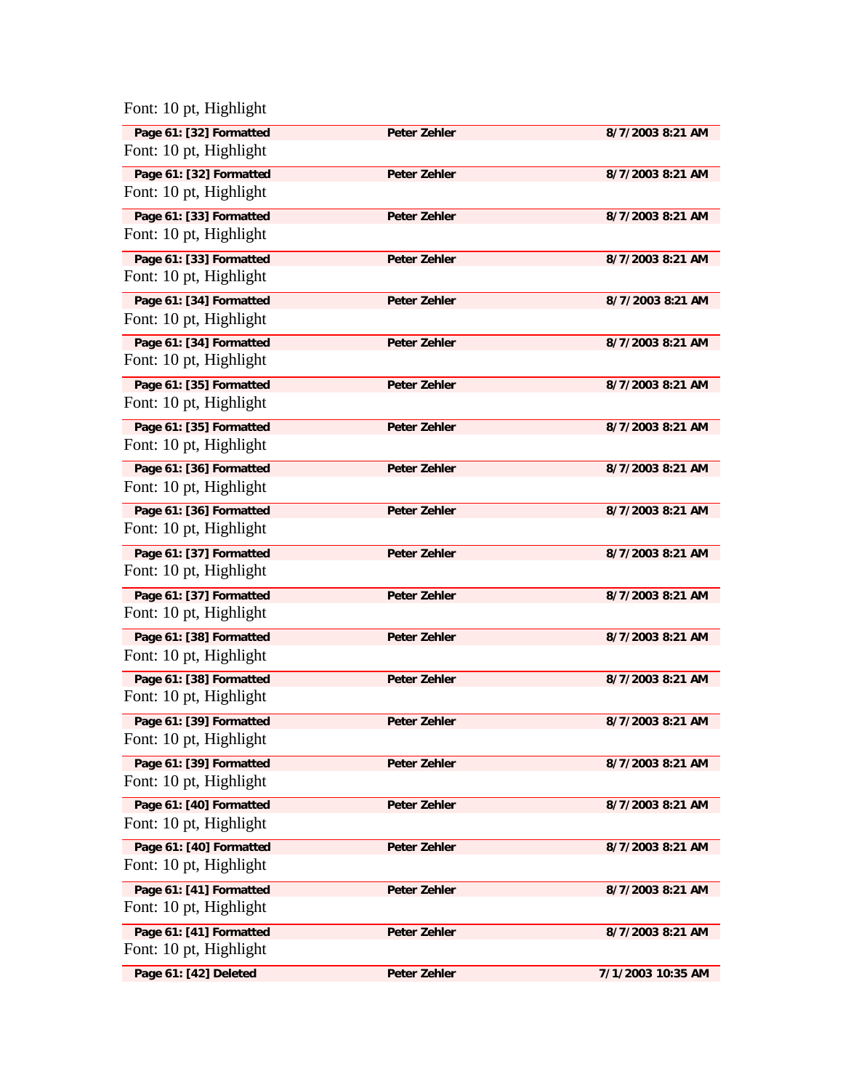| Font: 10 pt, Highlight |  |  |
|------------------------|--|--|
|------------------------|--|--|

| Page 61: [32] Formatted<br>Font: 10 pt, Highlight | <b>Peter Zehler</b> | 8/7/2003 8:21 AM  |
|---------------------------------------------------|---------------------|-------------------|
| Page 61: [32] Formatted                           | <b>Peter Zehler</b> | 8/7/2003 8:21 AM  |
| Font: 10 pt, Highlight                            |                     |                   |
| Page 61: [33] Formatted                           | Peter Zehler        | 8/7/2003 8:21 AM  |
| Font: 10 pt, Highlight                            |                     |                   |
| Page 61: [33] Formatted                           | <b>Peter Zehler</b> | 8/7/2003 8:21 AM  |
| Font: 10 pt, Highlight                            |                     |                   |
| Page 61: [34] Formatted                           | <b>Peter Zehler</b> | 8/7/2003 8:21 AM  |
| Font: 10 pt, Highlight                            |                     |                   |
| Page 61: [34] Formatted                           | <b>Peter Zehler</b> | 8/7/2003 8:21 AM  |
| Font: 10 pt, Highlight                            |                     |                   |
| Page 61: [35] Formatted                           | <b>Peter Zehler</b> | 8/7/2003 8:21 AM  |
| Font: 10 pt, Highlight                            |                     |                   |
| Page 61: [35] Formatted                           | <b>Peter Zehler</b> | 8/7/2003 8:21 AM  |
| Font: 10 pt, Highlight                            |                     |                   |
| Page 61: [36] Formatted                           | <b>Peter Zehler</b> | 8/7/2003 8:21 AM  |
| Font: 10 pt, Highlight                            |                     |                   |
| Page 61: [36] Formatted                           | Peter Zehler        | 8/7/2003 8:21 AM  |
| Font: 10 pt, Highlight                            |                     |                   |
| Page 61: [37] Formatted                           | <b>Peter Zehler</b> | 8/7/2003 8:21 AM  |
| Font: 10 pt, Highlight                            |                     |                   |
| Page 61: [37] Formatted                           | <b>Peter Zehler</b> | 8/7/2003 8:21 AM  |
| Font: 10 pt, Highlight                            |                     |                   |
| Page 61: [38] Formatted                           | <b>Peter Zehler</b> | 8/7/2003 8:21 AM  |
| Font: 10 pt, Highlight                            |                     |                   |
| Page 61: [38] Formatted                           | Peter Zehler        | 8/7/2003 8:21 AM  |
| Font: 10 pt, Highlight                            |                     |                   |
| Page 61: [39] Formatted                           | Peter Zehler        | 8/7/2003 8:21 AM  |
| Font: 10 pt, Highlight                            |                     |                   |
| Page 61: [39] Formatted                           | Peter Zehler        | 8/7/2003 8:21 AM  |
| Font: 10 pt, Highlight                            |                     |                   |
| Page 61: [40] Formatted                           | Peter Zehler        | 8/7/2003 8:21 AM  |
| Font: 10 pt, Highlight                            |                     |                   |
| Page 61: [40] Formatted                           | Peter Zehler        | 8/7/2003 8:21 AM  |
| Font: 10 pt, Highlight                            |                     |                   |
| Page 61: [41] Formatted                           | Peter Zehler        | 8/7/2003 8:21 AM  |
| Font: 10 pt, Highlight                            |                     |                   |
| Page 61: [41] Formatted                           | Peter Zehler        | 8/7/2003 8:21 AM  |
| Font: 10 pt, Highlight                            |                     |                   |
| Page 61: [42] Deleted                             | Peter Zehler        | 7/1/2003 10:35 AM |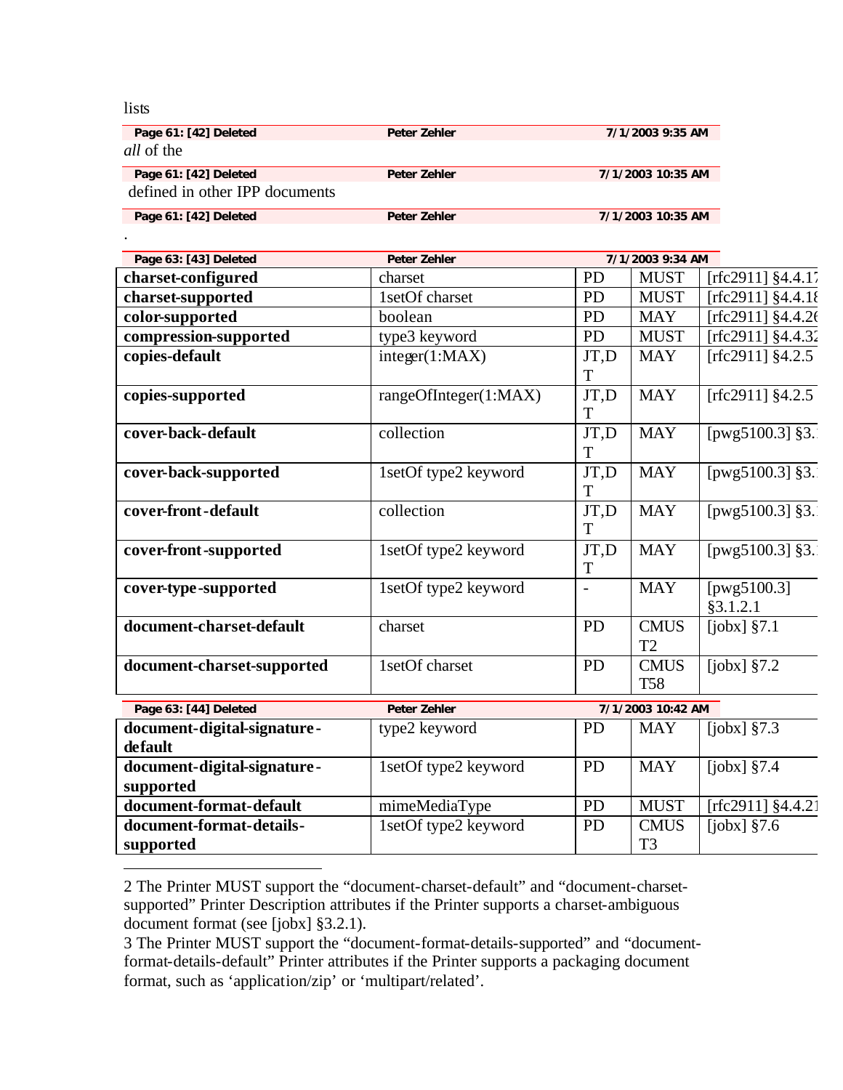lists

.

 $\overline{a}$ 

| Page 61: [42] Deleted          | <b>Peter Zehler</b> | 7/1/2003 9:35 AM  |
|--------------------------------|---------------------|-------------------|
| <i>all</i> of the              |                     |                   |
| Page 61: [42] Deleted          | Peter Zehler        | 7/1/2003 10:35 AM |
| defined in other IPP documents |                     |                   |
| Page 61: [42] Deleted          | Peter Zehler        | 7/1/2003 10:35 AM |

| Page 63: [43] Deleted       | <b>Peter Zehler</b>   |           | 7/1/2003 9:34 AM  |                      |
|-----------------------------|-----------------------|-----------|-------------------|----------------------|
| charset-configured          | charset               | PD        | <b>MUST</b>       | $[rfc2911]$ §4.4.17  |
| charset-supported           | 1setOf charset        | <b>PD</b> | <b>MUST</b>       | [rfc2911] §4.4.1{    |
| color-supported             | boolean               | PD        | <b>MAY</b>        | [rfc2911] §4.4.26    |
| compression-supported       | type3 keyword         | PD        | <b>MUST</b>       | [rfc2911] $§4.4.32$  |
| copies-default              | integer(1:MAX)        | JT,D      | <b>MAY</b>        | $[rfc2911]$ §4.2.5   |
|                             |                       | T         |                   |                      |
| copies-supported            | rangeOfInteger(1:MAX) | JT,D      | <b>MAY</b>        | [ $rfc2911$ ] §4.2.5 |
|                             |                       | T         |                   |                      |
| cover-back-default          | collection            | JT,D      | <b>MAY</b>        | [ $pvg5100.3$ ] §3.  |
|                             |                       | T         |                   |                      |
| cover-back-supported        | 1setOf type2 keyword  | JT,D      | <b>MAY</b>        | [ $pvg5100.3$ ] §3.  |
|                             |                       | T         |                   |                      |
| cover-front-default         | collection            | JT,D      | <b>MAY</b>        | [ $pvg5100.3$ ] §3.  |
|                             |                       | T         |                   |                      |
| cover-front-supported       | 1setOf type2 keyword  | JT,D      | <b>MAY</b>        | [ $pwg5100.3$ ] §3.  |
|                             |                       | T         |                   |                      |
| cover-type-supported        | 1setOf type2 keyword  |           | <b>MAY</b>        | [ $pwg5100.3$ ]      |
|                             |                       |           |                   | §3.1.2.1             |
| document-charset-default    | charset               | PD        | <b>CMUS</b>       | [ $jobx$ ] $§7.1$    |
|                             |                       |           | T <sub>2</sub>    |                      |
| document-charset-supported  | 1setOf charset        | <b>PD</b> | <b>CMUS</b>       | [ $jobs$ ] $§7.2$    |
|                             |                       |           | <b>T58</b>        |                      |
| Page 63: [44] Deleted       | <b>Peter Zehler</b>   |           | 7/1/2003 10:42 AM |                      |
| document-digital-signature- | type2 keyword         | <b>PD</b> | <b>MAY</b>        | [ $jobx$ ] $§7.3$    |
| default                     |                       |           |                   |                      |
| document-digital-signature- | 1setOf type2 keyword  | PD        | <b>MAY</b>        | [ $jobx$ ] $§7.4$    |
| supported                   |                       |           |                   |                      |
| document-format-default     | mimeMediaType         | <b>PD</b> | <b>MUST</b>       | [rfc2911] §4.4.21    |
| document-format-details-    | 1setOf type2 keyword  | <b>PD</b> | <b>CMUS</b>       | [ $jobx$ ] §7.6      |
| supported                   |                       |           | T <sub>3</sub>    |                      |

<sup>2</sup> The Printer MUST support the "document-charset-default" and "document-charsetsupported" Printer Description attributes if the Printer supports a charset-ambiguous document format (see [jobx] §3.2.1).

<sup>3</sup> The Printer MUST support the "document-format-details-supported" and "documentformat-details-default" Printer attributes if the Printer supports a packaging document format, such as 'application/zip' or 'multipart/related'.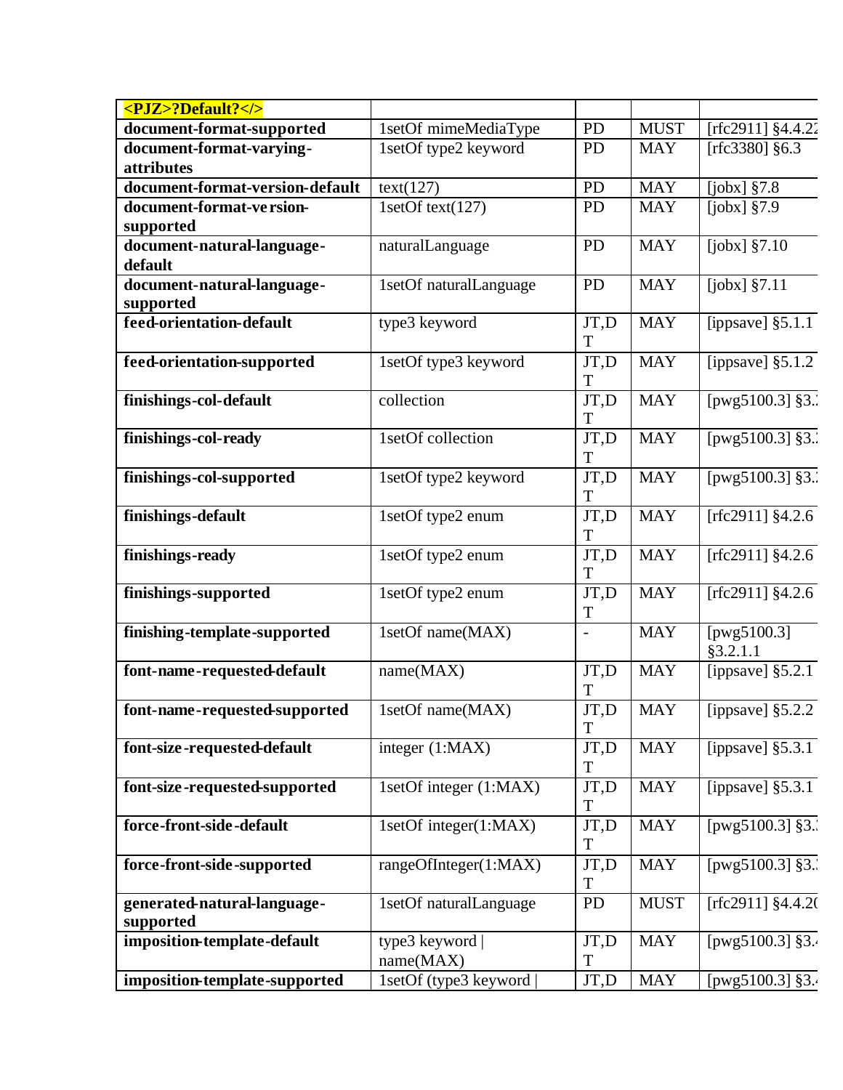| <pjz>?Default?</pjz>            |                        |                |             |                               |
|---------------------------------|------------------------|----------------|-------------|-------------------------------|
| document-format-supported       | 1setOf mimeMediaType   | PD             | <b>MUST</b> | [rfc2911] §4.4.22             |
| document-format-varying-        | 1setOf type2 keyword   | PD             | <b>MAY</b>  | [ $rfc3380$ ] §6.3            |
| attributes                      |                        |                |             |                               |
| document-format-version-default | text(127)              | PD             | <b>MAY</b>  | [ $jobx$ ] $§7.8$             |
| document-format-ve rsion-       | 1setOf text(127)       | PD             | <b>MAY</b>  | [ $jobx$ ] $§7.9$             |
| supported                       |                        |                |             |                               |
| document-natural-language-      | naturalLanguage        | PD             | <b>MAY</b>  | $[jobx]$ §7.10                |
| default                         |                        |                |             |                               |
| document-natural-language-      | 1setOf naturalLanguage | PD             | <b>MAY</b>  | [ $jobx$ ] $§7.11$            |
| supported                       |                        |                |             |                               |
| feed-orientation-default        | type3 keyword          | JT,D           | <b>MAY</b>  | [ippsave] $§5.1.1$            |
|                                 |                        | T              |             |                               |
| feed-orientation-supported      | 1setOf type3 keyword   | JT,D           | <b>MAY</b>  | [ippsave] $§5.1.2$            |
|                                 |                        | T              |             |                               |
| finishings-col-default          | collection             | JT,D<br>T      | <b>MAY</b>  | [pwg5100.3] §3.               |
| finishings-col-ready            | 1setOf collection      | JT,D           | <b>MAY</b>  | [ $pwg5100.3$ ] §3.           |
|                                 |                        | T              |             |                               |
| finishings-col-supported        | 1setOf type2 keyword   | JT,D           | <b>MAY</b>  | [ $pwg5100.3$ ] §3.           |
|                                 |                        | T              |             |                               |
| finishings-default              | 1setOf type2 enum      | JT,D           | <b>MAY</b>  | [ $rfc2911$ ] §4.2.6          |
|                                 |                        | T              |             |                               |
| finishings-ready                | 1setOf type2 enum      | JT,D           | <b>MAY</b>  | [ $rfc2911$ ] §4.2.6          |
|                                 |                        | T              |             |                               |
| finishings-supported            | 1setOf type2 enum      | JT,D           | <b>MAY</b>  | [ $rfc2911$ ] §4.2.6          |
|                                 |                        | T              |             |                               |
| finishing-template-supported    | 1setOf name(MAX)       | $\overline{a}$ | <b>MAY</b>  | [pwg5100.3]                   |
|                                 |                        |                |             | §3.2.1.1                      |
| font-name-requested-default     | name(MAX)              | JT,D           | <b>MAY</b>  | [ippsave] $§5.2.\overline{1}$ |
|                                 |                        | T              |             |                               |
| font-name-requested-supported   | 1setOf name(MAX)       | JT,D           | <b>MAY</b>  | [ippsave] $§5.2.2$            |
|                                 |                        | T              |             |                               |
| font-size-requested-default     | integer (1:MAX)        | JT,D           | <b>MAY</b>  | [ippsave] $§5.3.1$            |
|                                 |                        | T              |             |                               |
| font-size-requested-supported   | 1setOf integer (1:MAX) | JT,D<br>T      | <b>MAY</b>  | [ippsave] $§5.3.1$            |
| force-front-side-default        | 1setOf integer(1:MAX)  | JT,D           | <b>MAY</b>  | [pwg5100.3] §3.               |
|                                 |                        | T              |             |                               |
| force-front-side-supported      | rangeOfInteger(1:MAX)  | JT,D           | <b>MAY</b>  | [pwg5100.3] §3.               |
|                                 |                        | T              |             |                               |
| generated-natural-language-     | 1setOf naturalLanguage | PD             | <b>MUST</b> | [rfc2911] $§4.4.2$ (          |
| supported                       |                        |                |             |                               |
| imposition-template-default     | type3 keyword          | JT,D           | <b>MAY</b>  | [pwg5100.3] §3.               |
|                                 | name(MAX)              | T              |             |                               |
| imposition-template-supported   | 1setOf (type3 keyword  | JT,D           | <b>MAY</b>  | [pwg5100.3] §3.               |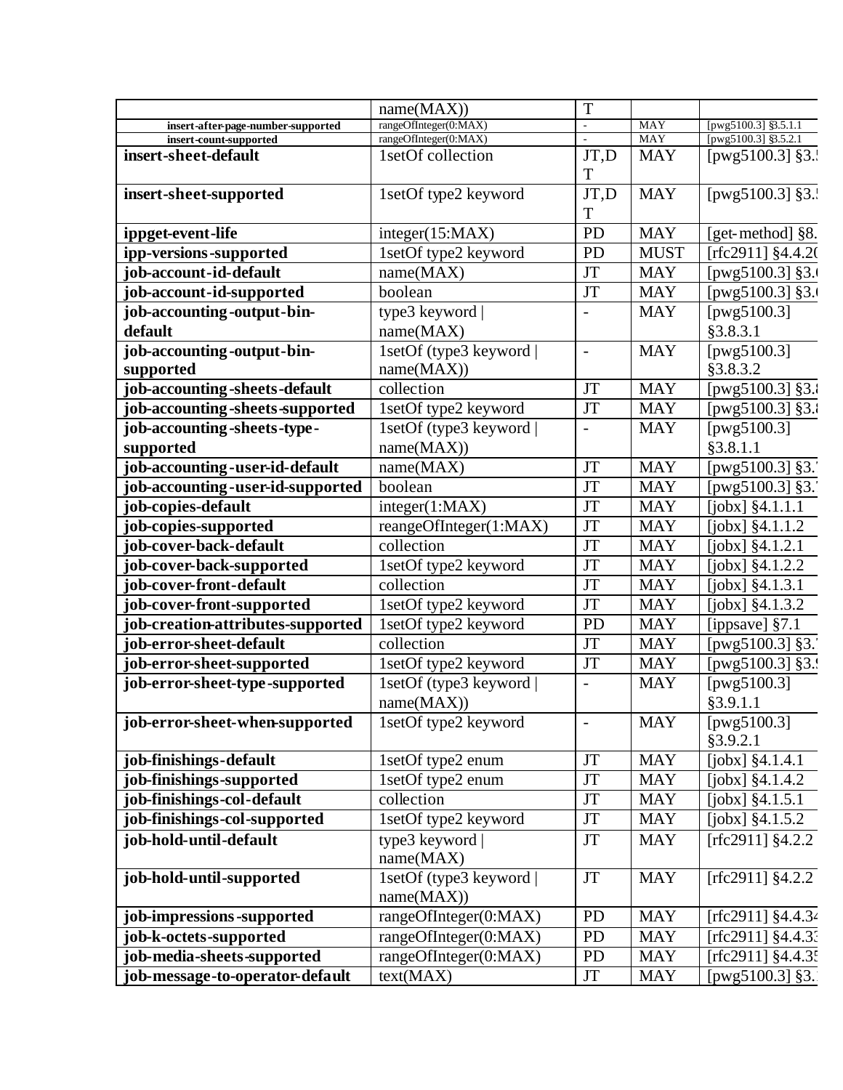|                                    | name(MAX))                                 | T                        |                          |                       |
|------------------------------------|--------------------------------------------|--------------------------|--------------------------|-----------------------|
| insert-after-page-number-supported | rangeOfInteger(0:MAX)                      |                          | <b>MAY</b>               | [pwg5100.3] §3.5.1.1  |
| insert-count-supported             | rangeOfInteger(0:MAX)<br>1setOf collection | JT,D                     | <b>MAY</b><br><b>MAY</b> | [pwg5100.3] §3.5.2.1  |
| insert-sheet-default               |                                            | T                        |                          | [ $pvg5100.3$ ] §3    |
| insert-sheet-supported             | 1setOf type2 keyword                       | JT,D                     | <b>MAY</b>               | [ $pvg5100.3$ ] §3    |
|                                    |                                            | T                        |                          |                       |
| ippget-event-life                  | integer(15:MAX)                            | PD                       | <b>MAY</b>               | [get-method] §8.      |
| ipp-versions-supported             | 1setOf type2 keyword                       | PD                       | <b>MUST</b>              | [rfc2911] §4.4.20     |
| job-account-id-default             | name(MAX)                                  | <b>JT</b>                | <b>MAY</b>               | [pwg5100.3] §3.       |
| job-account-id-supported           | boolean                                    | JT                       | <b>MAY</b>               | [pwg5100.3] §3.       |
| job-accounting-output-bin-         | type3 keyword                              |                          | <b>MAY</b>               | [pwg5100.3]           |
| default                            | name(MAX)                                  |                          |                          | §3.8.3.1              |
| job-accounting-output-bin-         | 1setOf (type3 keyword                      | $\overline{\phantom{a}}$ | <b>MAY</b>               | [ $pwg5100.3$ ]       |
| supported                          | name(MAX))                                 |                          |                          | §3.8.3.2              |
| job-accounting-sheets-default      | collection                                 | <b>JT</b>                | <b>MAY</b>               | [pwg5100.3] §3.       |
| job-accounting-sheets-supported    | 1setOf type2 keyword                       | <b>JT</b>                | <b>MAY</b>               | [ $pvg5100.3$ ] §3.   |
| job-accounting-sheets-type-        | 1setOf (type3 keyword                      |                          | <b>MAY</b>               | [ $pwg5100.3$ ]       |
| supported                          | name(MAX))                                 |                          |                          | §3.8.1.1              |
| job-accounting-user-id-default     | name(MAX)                                  | <b>JT</b>                | <b>MAY</b>               | [pwg5100.3] §3.       |
| job-accounting-user-id-supported   | boolean                                    | <b>JT</b>                | <b>MAY</b>               | [pwg5100.3] §3.       |
| job-copies-default                 | integer(1:MAX)                             | <b>JT</b>                | <b>MAY</b>               | [ $jobx$ ] $§4.1.1.1$ |
| job-copies-supported               | reangeOfInteger(1:MAX)                     | <b>JT</b>                | <b>MAY</b>               | $[jobx]$ §4.1.1.2     |
| job-cover-back-default             | collection                                 | <b>JT</b>                | <b>MAY</b>               | $[jobs]$ §4.1.2.1     |
| job-cover-back-supported           | 1setOf type2 keyword                       | JT                       | <b>MAY</b>               | $[jobx]$ §4.1.2.2     |
| job-cover-front-default            | collection                                 | <b>JT</b>                | <b>MAY</b>               | [jobx] §4.1.3.1       |
| job-cover-front-supported          | 1setOf type2 keyword                       | <b>JT</b>                | <b>MAY</b>               | [ $jobx$ ] $§4.1.3.2$ |
| job-creation-attributes-supported  | 1setOf type2 keyword                       | PD                       | <b>MAY</b>               | [ippsave] §7.1        |
| job-error-sheet-default            | collection                                 | <b>JT</b>                | <b>MAY</b>               | [ $pwg5100.3$ ] §3.   |
| job-error-sheet-supported          | 1setOf type2 keyword                       | JT                       | <b>MAY</b>               | [pwg5100.3] §3.!      |
| job-error-sheet-type-supported     | 1setOf (type3 keyword                      |                          | <b>MAY</b>               | [ $pwg5100.3$ ]       |
|                                    | name(MAX))                                 |                          |                          | §3.9.1.1              |
| job-error-sheet-when-supported     | 1setOf type2 keyword                       |                          | <b>MAY</b>               | [ $pvg5100.3$ ]       |
|                                    |                                            |                          |                          | §3.9.2.1              |
| job-finishings-default             | 1setOf type2 enum                          | JT                       | <b>MAY</b>               | $[jobs]$ §4.1.4.1     |
| job-finishings-supported           | 1setOf type2 enum                          | <b>JT</b>                | <b>MAY</b>               | $[jobs]$ $§4.1.4.2$   |
| job-finishings-col-default         | collection                                 | JT                       | <b>MAY</b>               | [ $jobx$ ] $§4.1.5.1$ |
| job-finishings-col-supported       | 1setOf type2 keyword                       | JT                       | <b>MAY</b>               | [ $jobx$ ] $§4.1.5.2$ |
| job-hold-until-default             | type3 keyword                              | JT                       | <b>MAY</b>               | [ $rfc2911$ ] §4.2.2  |
|                                    | name(MAX)                                  |                          |                          |                       |
| job-hold-until-supported           | 1setOf (type3 keyword)                     | <b>JT</b>                | <b>MAY</b>               | [ $rfc2911$ ] §4.2.2  |
|                                    | name(MAX))                                 |                          |                          |                       |
| job-impressions-supported          | rangeOfInteger(0:MAX)                      | PD                       | <b>MAY</b>               | [rfc2911] §4.4.34     |
| job-k-octets-supported             | rangeOfInteger(0:MAX)                      | PD                       | <b>MAY</b>               | [rfc2911] $§4.4.3$    |
| job-media-sheets-supported         | rangeOfInteger(0:MAX)                      | PD                       | <b>MAY</b>               | [rfc2911] §4.4.3:     |
| job-message-to-operator-default    | text(MAX)                                  | JT                       | <b>MAY</b>               | [pwg5100.3] $§3.$     |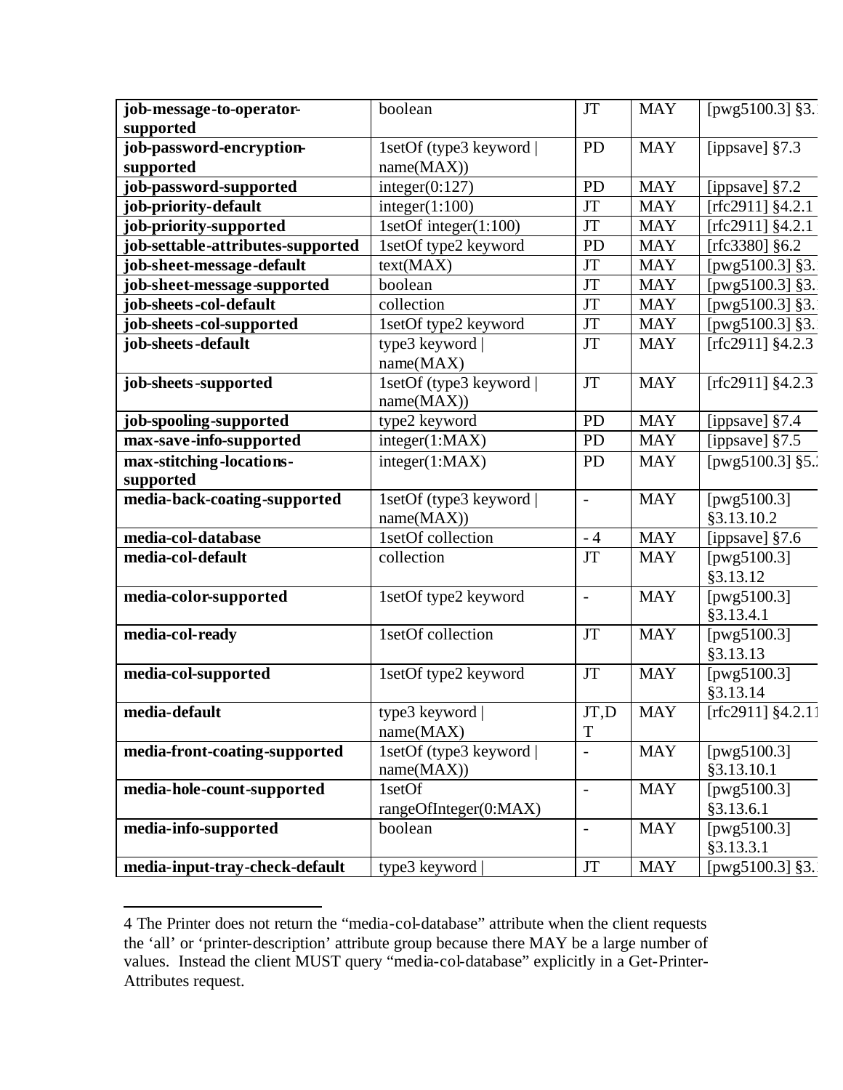| job-message-to-operator-<br>supported                       | boolean                               | <b>JT</b>                | <b>MAY</b>               | [ $pvg5100.3$ ] §3.                    |
|-------------------------------------------------------------|---------------------------------------|--------------------------|--------------------------|----------------------------------------|
| job-password-encryption-                                    | 1setOf (type3 keyword                 | <b>PD</b>                | <b>MAY</b>               | [ippsave] $§7.3$                       |
| supported                                                   | name(MAX))                            |                          |                          |                                        |
| job-password-supported                                      | integer(0:127)                        | <b>PD</b>                | <b>MAY</b>               |                                        |
| job-priority-default                                        | integer(1:100)                        | <b>JT</b>                | <b>MAY</b>               | [ippsave] §7.2<br>[ $rfc2911$ ] §4.2.1 |
|                                                             | 1setOf integer $(1:100)$              | <b>JT</b>                | <b>MAY</b>               | [ $rfc2911$ ] §4.2.1                   |
| job-priority-supported<br>job-settable-attributes-supported |                                       | <b>PD</b>                | <b>MAY</b>               |                                        |
|                                                             | 1setOf type2 keyword                  |                          |                          | [rfc3380] §6.2                         |
| job-sheet-message-default                                   | text(MAX)<br>boolean                  | <b>JT</b><br><b>JT</b>   | <b>MAY</b><br><b>MAY</b> | [pwg5100.3] §3.                        |
| job-sheet-message-supported                                 |                                       |                          |                          | [pwg5100.3] §3.                        |
| job-sheets-col-default                                      | collection                            | <b>JT</b>                | <b>MAY</b>               | [pwg5100.3] §3.                        |
| job-sheets-col-supported                                    | 1setOf type2 keyword                  | <b>JT</b>                | <b>MAY</b>               | [pwg5100.3] §3.                        |
| job-sheets-default                                          | type3 keyword  <br>name(MAX)          | <b>JT</b>                | <b>MAY</b>               | [ $rfc2911$ ] §4.2.3                   |
| job-sheets-supported                                        | 1setOf (type3 keyword  <br>name(MAX)) | <b>JT</b>                | <b>MAY</b>               | [ $rfc2911$ ] §4.2.3                   |
| job-spooling-supported                                      | type2 keyword                         | <b>PD</b>                | <b>MAY</b>               | [ippsave] $§7.4$                       |
| max-save-info-supported                                     | integer(1:MAX)                        | <b>PD</b>                | <b>MAY</b>               | [ippsave] §7.5                         |
| max-stitching-locations-<br>supported                       | integer(1:MAX)                        | <b>PD</b>                | <b>MAY</b>               | [pwg5100.3] §5.                        |
| media-back-coating-supported                                | 1setOf (type3 keyword  <br>name(MAX)) | $\overline{a}$           | <b>MAY</b>               | [pwg5100.3]<br>§3.13.10.2              |
| media-col-database                                          | 1setOf collection                     | $-4$                     | <b>MAY</b>               | [ippsave] §7.6                         |
| media-col-default                                           | collection                            | <b>JT</b>                | <b>MAY</b>               | [pwg5100.3]<br>§3.13.12                |
| media-color-supported                                       | 1setOf type2 keyword                  | $\frac{1}{2}$            | <b>MAY</b>               | [ $pwg5100.3$ ]<br>§3.13.4.1           |
| media-col-ready                                             | 1setOf collection                     | <b>JT</b>                | <b>MAY</b>               | [ $pwg5100.3$ ]<br>§3.13.13            |
| media-col-supported                                         | 1setOf type2 keyword                  | <b>JT</b>                | <b>MAY</b>               | [pwg5100.3]<br>§3.13.14                |
| media-default                                               | type3 keyword  <br>name(MAX)          | JT,D<br>$\mathbf T$      | <b>MAY</b>               | [rfc2911] $\sqrt[3]{4.2.1}$ ]          |
| media-front-coating-supported                               | 1setOf (type3 keyword                 |                          | <b>MAY</b>               | [ $pwg5100.3$ ]                        |
|                                                             | name(MAX))                            | $\blacksquare$           |                          | §3.13.10.1                             |
| media-hole-count-supported                                  | 1setOf                                | $\overline{\phantom{a}}$ | <b>MAY</b>               | [ $pwg5100.3$ ]                        |
|                                                             | rangeOfInteger(0:MAX)                 |                          |                          | §3.13.6.1                              |
| media-info-supported                                        | boolean                               | $\overline{a}$           | <b>MAY</b>               | [ $pwg5100.3$ ]<br>§3.13.3.1           |
| media-input-tray-check-default                              | type3 keyword                         | <b>JT</b>                | <b>MAY</b>               | [ $pvg5100.3$ ] §3.                    |

 $\overline{a}$ 4 The Printer does not return the "media-col-database" attribute when the client requests the 'all' or 'printer-description' attribute group because there MAY be a large number of values. Instead the client MUST query "media-col-database" explicitly in a Get-Printer-Attributes request.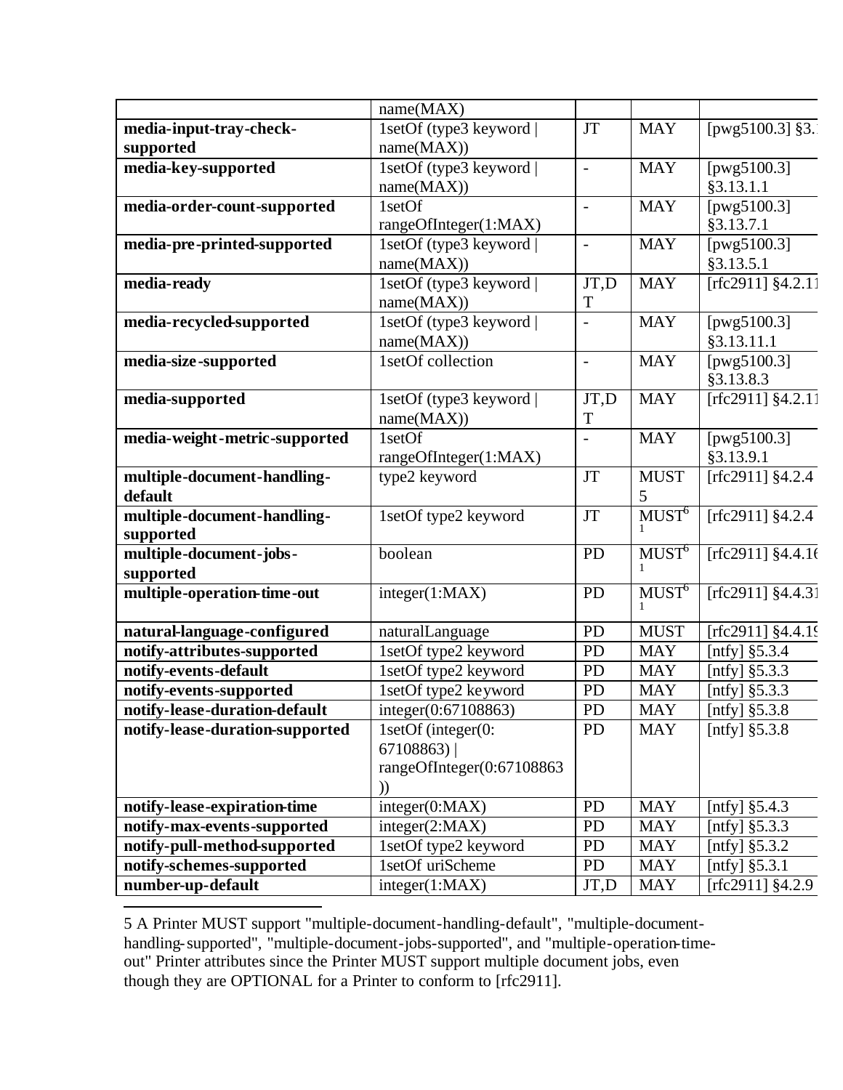|                                 | name(MAX)                 |                          |                                |                                |
|---------------------------------|---------------------------|--------------------------|--------------------------------|--------------------------------|
| media-input-tray-check-         | 1setOf (type3 keyword     | <b>JT</b>                | <b>MAY</b>                     | [ $pvg5100.3$ ] §3.            |
| supported                       | name(MAX))                |                          |                                |                                |
| media-key-supported             | 1setOf (type3 keyword     | $\overline{\phantom{a}}$ | <b>MAY</b>                     | [ $pwg5100.3$ ]                |
|                                 | name(MAX))                |                          |                                | §3.13.1.1                      |
| media-order-count-supported     | 1setOf                    | $\overline{a}$           | <b>MAY</b>                     | [ $pwg5100.3$ ]                |
|                                 | rangeOfInteger(1:MAX)     |                          |                                | §3.13.7.1                      |
| media-pre-printed-supported     | 1setOf (type3 keyword     | $\overline{a}$           | <b>MAY</b>                     | [pwg51 $\overline{00.3}$ ]     |
|                                 | name(MAX))                |                          |                                | §3.13.5.1                      |
| media-ready                     | 1setOf (type3 keyword     | JT,D                     | <b>MAY</b>                     | [rfc2911] $§4.\overline{2.11}$ |
|                                 | name(MAX))                | T                        |                                |                                |
| media-recycled-supported        | 1setOf (type3 keyword     | $\overline{a}$           | <b>MAY</b>                     | [ $pwg5100.3$ ]                |
|                                 | name(MAX))                |                          |                                | §3.13.11.1                     |
| media-size-supported            | 1setOf collection         | $\overline{\phantom{a}}$ | <b>MAY</b>                     | [ $pwg5100.3$ ]                |
|                                 |                           |                          |                                | §3.13.8.3                      |
| media-supported                 | 1setOf (type3 keyword)    | JT,D                     | <b>MAY</b>                     | [rfc2911] $§4.\overline{2.11}$ |
|                                 | name(MAX))                | T                        |                                |                                |
| media-weight-metric-supported   | 1setOf                    |                          | <b>MAY</b>                     | [ $pwg5100.3$ ]                |
|                                 | rangeOfInteger(1:MAX)     |                          |                                | §3.13.9.1                      |
| multiple-document-handling-     | type2 keyword             | $\mathbf{J}\mathbf{T}$   | <b>MUST</b>                    | [rfc2911] $\sqrt[3]{4.2.4}$    |
| default                         |                           |                          | 5                              |                                |
| multiple-document-handling-     | 1setOf type2 keyword      | <b>JT</b>                | MUST <sup>6</sup>              | [ $rfc2911$ ] §4.2.4           |
| supported                       |                           |                          |                                |                                |
| multiple-document-jobs-         | boolean                   | PD                       | M <sub>U</sub> ST <sup>6</sup> | [rfc2911] $§4.4.16$            |
| supported                       |                           |                          |                                |                                |
| multiple-operation-time-out     | integer(1:MAX)            | PD                       | M <sub>U</sub> ST <sup>6</sup> | [rfc2911] §4.4.31              |
|                                 |                           |                          |                                |                                |
| natural-language-configured     | naturalLanguage           | PD                       | <b>MUST</b>                    | [rfc2911] §4.4.19              |
| notify-attributes-supported     | 1setOf type2 keyword      | PD                       | <b>MAY</b>                     | [ntfy] $§5.3.4$                |
| notify-events-default           | 1setOf type2 keyword      | <b>PD</b>                | <b>MAY</b>                     | [ntfy] $§5.3.3$                |
| notify-events-supported         | 1setOf type2 keyword      | PD                       | <b>MAY</b>                     | [ntfy] $§5.3.3$                |
| notify-lease-duration-default   | integer(0:67108863)       | <b>PD</b>                | <b>MAY</b>                     | [ntfy] $§5.3.8$                |
| notify-lease-duration-supported | 1setOf (integer(0:        | <b>PD</b>                | <b>MAY</b>                     | [ntfy] $§5.3.8$                |
|                                 | 67108863                  |                          |                                |                                |
|                                 | rangeOfInteger(0:67108863 |                          |                                |                                |
|                                 | ))                        |                          |                                |                                |
| notify-lease-expiration-time    | integer(0:MAX)            | <b>PD</b>                | <b>MAY</b>                     | [ntfy] $§5.4.3$                |
| notify-max-events-supported     | integer(2:MAX)            | <b>PD</b>                | <b>MAY</b>                     | [ntfy] $§5.3.3$                |
| notify-pull-method-supported    | IsetOf type2 keyword      | PD                       | <b>MAY</b>                     | [ntfy] $§5.3.2$                |
| notify-schemes-supported        | 1setOf uriScheme          | <b>PD</b>                | <b>MAY</b>                     | [ntfy] $§ 5.3.1$               |
| number-up-default               | integer(1:MAX)            | JT,D                     | <b>MAY</b>                     | [rfc2911] $§4.2.9$             |

 $\overline{a}$ 5 A Printer MUST support "multiple-document-handling-default", "multiple-documenthandling-supported", "multiple-document-jobs-supported", and "multiple-operation-timeout" Printer attributes since the Printer MUST support multiple document jobs, even though they are OPTIONAL for a Printer to conform to [rfc2911].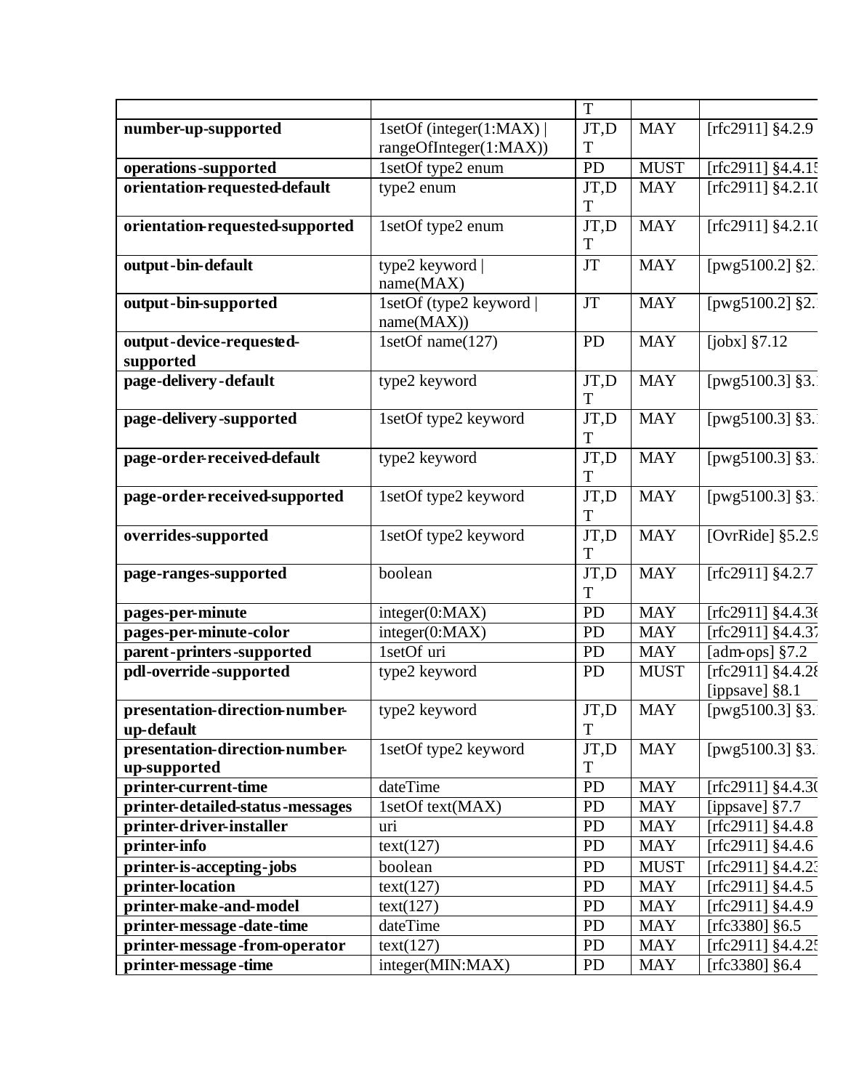|                                  |                        | T                      |             |                              |
|----------------------------------|------------------------|------------------------|-------------|------------------------------|
| number-up-supported              | 1setOf (integer(1:MAX) | JT,D                   | <b>MAY</b>  | [ $rfc2911$ ] $§4.2.9$       |
|                                  | rangeOfInteger(1:MAX)) | T                      |             |                              |
| operations-supported             | 1setOf type2 enum      | PD                     | <b>MUST</b> | [rfc2911] §4.4.1:            |
| orientation-requested-default    | type2 enum             | JT,D                   | <b>MAY</b>  | [rfc2911] §4.2.10            |
|                                  |                        | T                      |             |                              |
| orientation-requested-supported  | 1setOf type2 enum      | JT,D                   | <b>MAY</b>  | [rfc2911] $\sqrt[3]{4.2.10}$ |
|                                  |                        | T                      |             |                              |
| output-bin-default               | type2 keyword          | <b>JT</b>              | <b>MAY</b>  | [ $pwg5100.2$ ] §2.          |
|                                  | name(MAX)              |                        |             |                              |
| output-bin-supported             | 1setOf (type2 keyword  | $\mathbf{J}\mathbf{T}$ | <b>MAY</b>  | [pwg5100.2] §2.              |
|                                  | name(MAX))             |                        |             |                              |
| output-device-requested-         | 1setOf name(127)       | <b>PD</b>              | <b>MAY</b>  | [ $jobx$ ] $§7.12$           |
| supported                        |                        |                        |             |                              |
| page-delivery-default            | type2 keyword          | JT,D                   | <b>MAY</b>  | [ $pvg5100.3$ ] §3.          |
|                                  |                        | T                      |             |                              |
| page-delivery-supported          | 1setOf type2 keyword   | JT,D                   | <b>MAY</b>  | [ $pvg5100.3$ ] §3.          |
|                                  |                        | T                      |             |                              |
| page-order-received-default      | type2 keyword          | JT,D                   | <b>MAY</b>  | [ $pwg5100.3$ ] §3.          |
|                                  |                        | T                      |             |                              |
| page-order-received-supported    | 1setOf type2 keyword   | JT,D                   | <b>MAY</b>  | [ $pvg5100.3$ ] §3.          |
|                                  |                        | T                      |             |                              |
| overrides-supported              | 1setOf type2 keyword   | JT,D                   | <b>MAY</b>  | [OvrRide] $§5.2.9$           |
|                                  |                        | T                      |             |                              |
| page-ranges-supported            | boolean                | JT,D                   | <b>MAY</b>  | [rfc2911] $§4.2.7$           |
|                                  |                        | T                      |             |                              |
| pages-per-minute                 | integer(0:MAX)         | <b>PD</b>              | <b>MAY</b>  | [rfc2911] $§4.4.36$          |
| pages-per-minute-color           | integer(0:MAX)         | <b>PD</b>              | <b>MAY</b>  | $[rfc2911]$ §4.4.37          |
| parent-printers-supported        | 1setOf uri             | <b>PD</b>              | <b>MAY</b>  | [adm-ops] §7.2               |
| pdl-override-supported           | type2 keyword          | <b>PD</b>              | <b>MUST</b> | [rfc2911] §4.4.28            |
|                                  |                        |                        |             | [ippsave] §8.1               |
| presentation-direction-number-   | type2 keyword          | JT,D                   | <b>MAY</b>  | [pwg5100.3] §3.              |
| up-default                       |                        | T                      |             |                              |
| presentation-direction-number-   | 1setOf type2 keyword   | JT,D                   | <b>MAY</b>  | [ $pvg5100.3$ ] §3.          |
| up-supported                     |                        | T                      |             |                              |
| printer-current-time             | dateTime               | PD                     | <b>MAY</b>  | [rfc2911] $§4.4.3$ (         |
| printer-detailed-status-messages | 1setOf text(MAX)       | PD                     | <b>MAY</b>  | [ippsave] $§7.7$             |
| printer-driver-installer         | uri                    | PD                     | <b>MAY</b>  | [rfc2911] $§4.4.8$           |
| printer-info                     | text(127)              | <b>PD</b>              | <b>MAY</b>  | [rfc2911] $§4.4.6$           |
| printer-is-accepting-jobs        | boolean                | PD                     | <b>MUST</b> | [rfc2911] $§4.4.2$           |
| printer-location                 | text(127)              | PD                     | <b>MAY</b>  | [rfc2911] $§4.4.5$           |
| printer-make-and-model           | text(127)              | PD                     | <b>MAY</b>  | [rfc2911] $§4.4.9$           |
| printer-message-date-time        | dateTime               | <b>PD</b>              | <b>MAY</b>  | [rfc3380] $§6.5$             |
| printer-message-from-operator    | text(127)              | PD                     | <b>MAY</b>  | [rfc2911] $§4.4.2$           |
| printer-message-time             | integer(MIN:MAX)       | PD                     | <b>MAY</b>  | [rfc3380] §6.4               |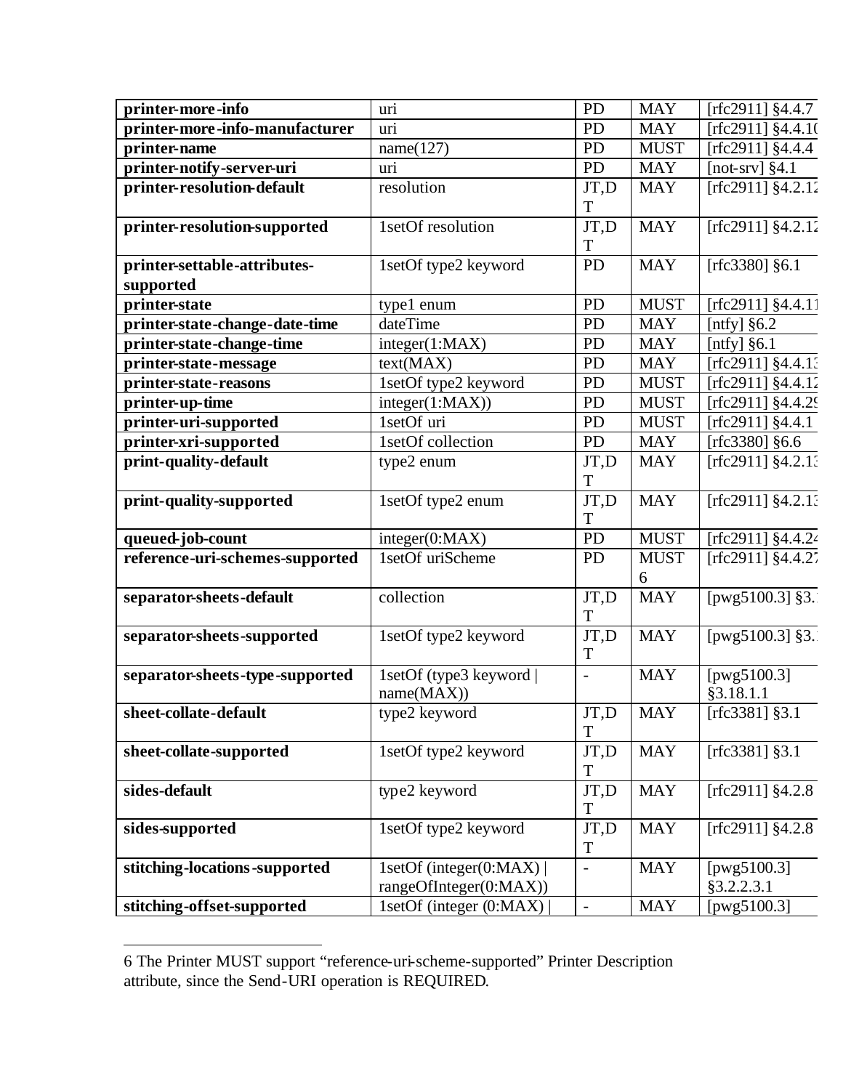| printer-more-info               | uri                     | <b>PD</b>           | <b>MAY</b>  | [ $rfc2911$ ] §4.4.7           |
|---------------------------------|-------------------------|---------------------|-------------|--------------------------------|
| printer-more-info-manufacturer  | uri                     | <b>PD</b>           | <b>MAY</b>  | [rfc2911] §4.4.10              |
| printer-name                    | name(127)               | <b>PD</b>           | <b>MUST</b> | [rfc2911] $§4.4.4$             |
| printer-notify-server-uri       | uri                     | <b>PD</b>           | <b>MAY</b>  | [not-srv] $§4.1$               |
| printer-resolution-default      | resolution              | JT,D                | <b>MAY</b>  | [ $rfc2911$ ] §4.2.12          |
|                                 |                         | T                   |             |                                |
| printer-resolution-supported    | 1setOf resolution       | JT,D                | <b>MAY</b>  | [rfc2911] $\sqrt[3]{4.2.12}$   |
|                                 |                         | T                   |             |                                |
| printer-settable-attributes-    | 1setOf type2 keyword    | <b>PD</b>           | <b>MAY</b>  | [rfc3380] §6.1                 |
| supported                       |                         |                     |             |                                |
| printer-state                   | type1 enum              | <b>PD</b>           | <b>MUST</b> | [rfc2911] §4.4.11              |
| printer-state-change-date-time  | dateTime                | <b>PD</b>           | <b>MAY</b>  | [ntfy] $§6.2$                  |
| printer-state-change-time       | integer(1:MAX)          | <b>PD</b>           | <b>MAY</b>  | [ $ntfy$ ] §6.1                |
| printer-state-message           | text(MAX)               | <b>PD</b>           | <b>MAY</b>  | [rfc2911] §4.4.13              |
| printer-state-reasons           | 1setOf type2 keyword    | <b>PD</b>           | <b>MUST</b> | [rfc2911] §4.4.12              |
| printer-up-time                 | integer(1:MAX))         | <b>PD</b>           | <b>MUST</b> | [rfc2911] $§4.4.\overline{29}$ |
| printer-uri-supported           | 1setOf uri              | <b>PD</b>           | <b>MUST</b> | [ $rfc2911$ ] §4.4.1           |
| printer-xri-supported           | 1setOf collection       | <b>PD</b>           | <b>MAY</b>  | [ $rfc3380$ ] §6.6             |
| print-quality-default           | type2 enum              | JT,D                | <b>MAY</b>  | [rfc2911] §4.2.13              |
|                                 |                         | T                   |             |                                |
| print-quality-supported         | 1setOf type2 enum       | JT,D                | <b>MAY</b>  | [rfc2911] $\frac{24.2.1}{5}$   |
|                                 |                         | T                   |             |                                |
| queued-job-count                | integer(0:MAX)          | PD                  | <b>MUST</b> | [rfc2911] §4.4.24              |
| reference-uri-schemes-supported | 1setOf uriScheme        | <b>PD</b>           | <b>MUST</b> | [rfc2911] §4.4.27              |
|                                 |                         |                     | 6           |                                |
| separator-sheets-default        | collection              | JT,D                | <b>MAY</b>  | [ $pwg5100.3$ ] §3.            |
|                                 |                         | T                   |             |                                |
| separator-sheets-supported      | 1setOf type2 keyword    | JT,D                | <b>MAY</b>  | [ $pwg5100.3$ ] §3.            |
|                                 |                         | T                   |             |                                |
| separator-sheets-type-supported | 1setOf (type3 keyword   | $\overline{a}$      | <b>MAY</b>  | [pwg5100.3]                    |
|                                 | name(MAX))              |                     |             | §3.18.1.1                      |
| sheet-collate-default           | type2 keyword           | JT,D                | <b>MAY</b>  | [rfc3381] §3.1                 |
|                                 |                         | $\mathbf T$         |             |                                |
| sheet-collate-supported         | 1setOf type2 keyword    | JT,D                | <b>MAY</b>  | [ $rfc3381$ ] §3.1             |
|                                 |                         | $\mathbf T$         |             |                                |
| sides-default                   | type2 keyword           | JT,D                | <b>MAY</b>  | [ $rfc2911$ ] §4.2.8           |
|                                 |                         | T                   |             |                                |
| sides-supported                 | 1setOf type2 keyword    | JT,D                | <b>MAY</b>  | [ $rfc2911$ ] §4.2.8           |
|                                 |                         | T                   |             |                                |
| stitching-locations-supported   | 1setOf (integer(0:MAX)) | $\qquad \qquad -$   | <b>MAY</b>  | [ $pwg5100.3$ ]                |
|                                 | rangeOfInteger(0:MAX))  |                     |             | §3.2.2.3.1                     |
| stitching-offset-supported      | 1setOf (integer (0:MAX) | $\bar{\phantom{a}}$ | <b>MAY</b>  | [ $pwg5100.3$ ]                |

<sup>6</sup> The Printer MUST support "reference-uri-scheme-supported" Printer Description attribute, since the Send-URI operation is REQUIRED.

 $\overline{a}$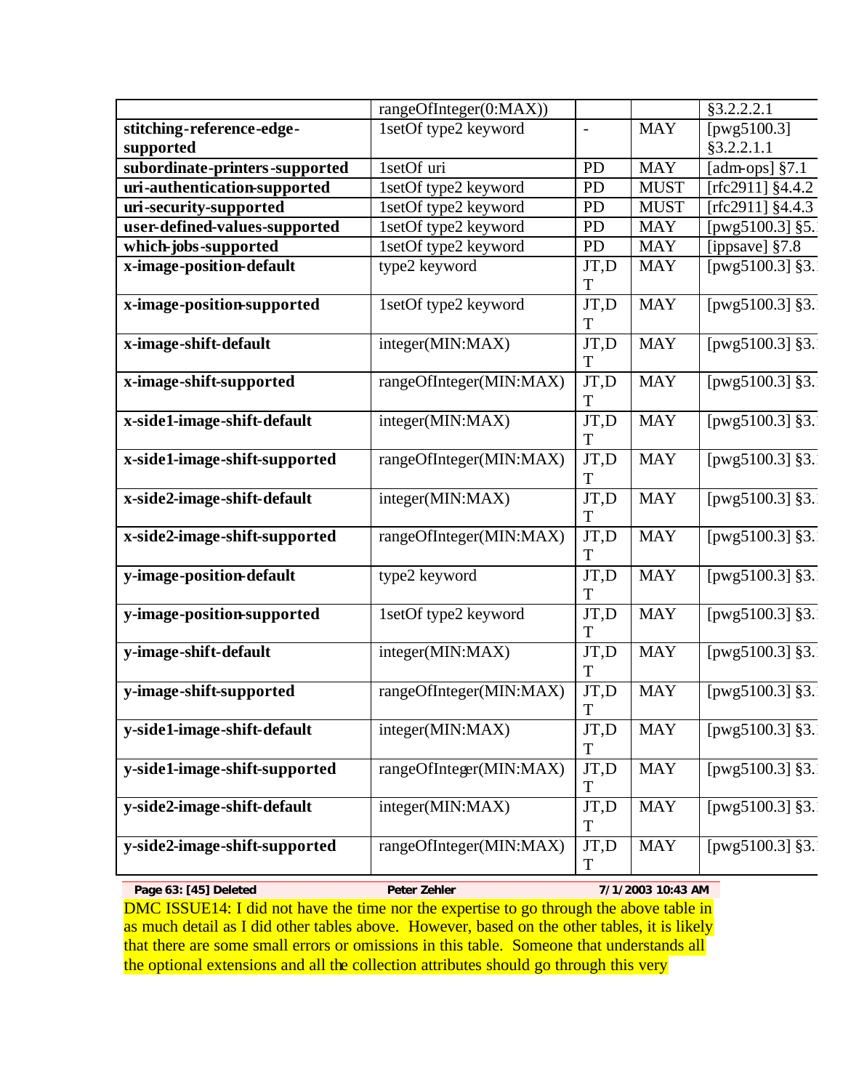|                                | rangeOfInteger(0:MAX))  |                |                   | §3.2.2.2.1                     |
|--------------------------------|-------------------------|----------------|-------------------|--------------------------------|
| stitching-reference-edge-      | 1setOf type2 keyword    | $\overline{a}$ | <b>MAY</b>        | [pwg5100.3]                    |
| supported                      |                         |                |                   | §3.2.2.1.1                     |
| subordinate-printers-supported | 1setOf uri              | <b>PD</b>      | <b>MAY</b>        | [ $adm$ -ops] $§7.1$           |
| uri-authentication-supported   | 1setOf type2 keyword    | <b>PD</b>      | <b>MUST</b>       | [rfc2911] $§4.4.2$             |
| uri-security-supported         | 1setOf type2 keyword    | <b>PD</b>      | <b>MUST</b>       | [rfc2911] $§4.4.3$             |
| user-defined-values-supported  | 1setOf type2 keyword    | <b>PD</b>      | <b>MAY</b>        | [pwg5100.3] §5.                |
| which-jobs-supported           | 1setOf type2 keyword    | <b>PD</b>      | <b>MAY</b>        | [ippsave] $§7.8$               |
| x-image-position-default       | type2 keyword           | JT,D           | <b>MAY</b>        | [ $pvg5100.3$ ] §3.            |
|                                |                         | T              |                   |                                |
| x-image-position-supported     | 1setOf type2 keyword    | JT,D<br>T      | <b>MAY</b>        | [ $pvg5100.3$ ] §3.            |
| x-image-shift-default          | integer(MIN:MAX)        | JT,D           | <b>MAY</b>        | [ $pwg5100.3$ ] §3.            |
|                                |                         | T              |                   |                                |
| x-image-shift-supported        | rangeOfInteger(MIN:MAX) | JT,D<br>T      | <b>MAY</b>        | [ $pwg5100.\overline{3}$ ] §3. |
| x-side1-image-shift-default    | integer(MIN:MAX)        | JT,D           | <b>MAY</b>        | [ $pwg5100.3$ ] §3.            |
|                                |                         | T<br>JT,D      | <b>MAY</b>        | [ $pwg5100.3$ ] §3.            |
| x-side1-image-shift-supported  | rangeOfInteger(MIN:MAX) | T              |                   |                                |
| x-side2-image-shift-default    | integer(MIN:MAX)        | JT,D           | <b>MAY</b>        | [ $pwg5100.\overline{3}$ ] §3. |
|                                |                         | T              |                   |                                |
| x-side2-image-shift-supported  | rangeOfInteger(MIN:MAX) | JT,D           | <b>MAY</b>        | [ $pwg5100.3$ ] §3.            |
|                                |                         | T              |                   |                                |
| y-image-position-default       | type2 keyword           | JT,D<br>T      | <b>MAY</b>        | [ $pw\overline{g5100.3}$ ] §3. |
| y-image-position-supported     | 1setOf type2 keyword    | JT,D           | <b>MAY</b>        | [ $pwg5100.\overline{3}$ ] §3. |
|                                |                         | T              |                   |                                |
| y-image-shift-default          | integer(MIN:MAX)        | JT,D           | <b>MAY</b>        | [ $pwg5100.3$ ] §3.            |
|                                |                         | T              |                   |                                |
| y-image-shift-supported        | rangeOfInteger(MIN:MAX) | JT,D<br>T      | <b>MAY</b>        | [ $pvg5100.3$ ] §3.            |
| y-side1-image-shift-default    | integer(MIN:MAX)        | JT,D           | <b>MAY</b>        | [ $pwg5100.3$ ] §3.            |
|                                |                         | $\mathbf T$    |                   |                                |
| y-side1-image-shift-supported  | rangeOfInteger(MIN:MAX) | JT,D           | <b>MAY</b>        | [ $pwg5100.3$ ] §3.            |
|                                |                         | T              |                   |                                |
| y-side2-image-shift-default    | integer(MIN:MAX)        | JT,D           | <b>MAY</b>        | [ $pvg5100.3$ ] §3.            |
|                                |                         | T              |                   |                                |
| y-side2-image-shift-supported  | rangeOfInteger(MIN:MAX) | JT,D           | <b>MAY</b>        | [ $pwg5100.3$ ] §3.            |
|                                |                         | T              |                   |                                |
| Page 63: [45] Deleted          | Peter Zehler            |                | 7/1/2003 10:43 AM |                                |

DMC ISSUE14: I did not have the time nor the expertise to go through the above table in as much detail as I did other tables above. However, based on the other tables, it is likely that there are some small errors or omissions in this table. Someone that understands all the optional extensions and all the collection attributes should go through this very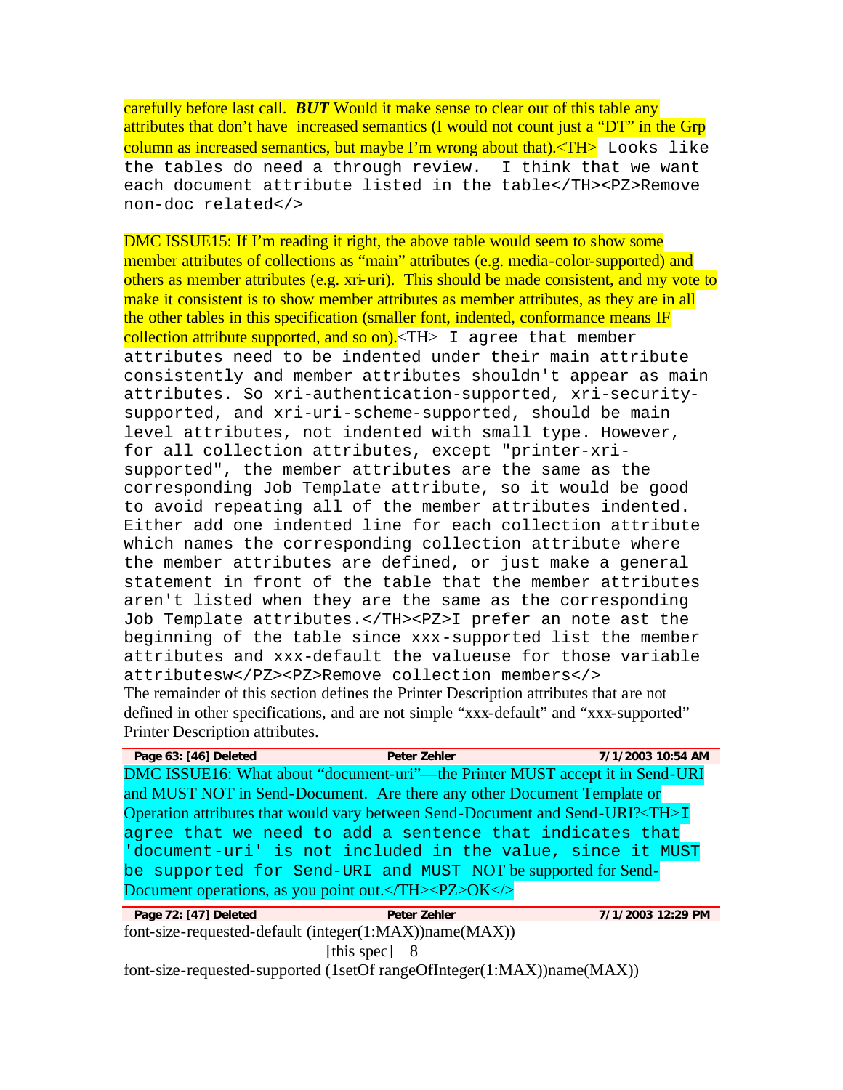carefully before last call. *BUT* Would it make sense to clear out of this table any attributes that don't have increased semantics (I would not count just a "DT" in the Grp column as increased semantics, but maybe I'm wrong about that). $\langle TH \rangle$  Looks like the tables do need a through review. I think that we want each document attribute listed in the table</TH><PZ>Remove non-doc related</>

DMC ISSUE15: If I'm reading it right, the above table would seem to show some member attributes of collections as "main" attributes (e.g. media-color-supported) and others as member attributes (e.g. xri-uri). This should be made consistent, and my vote to make it consistent is to show member attributes as member attributes, as they are in all the other tables in this specification (smaller font, indented, conformance means IF collection attribute supported, and so on).  $\langle TH \rangle$  I agree that member attributes need to be indented under their main attribute consistently and member attributes shouldn't appear as main attributes. So xri-authentication-supported, xri-securitysupported, and xri-uri-scheme-supported, should be main level attributes, not indented with small type. However, for all collection attributes, except "printer-xrisupported", the member attributes are the same as the corresponding Job Template attribute, so it would be good to avoid repeating all of the member attributes indented. Either add one indented line for each collection attribute which names the corresponding collection attribute where the member attributes are defined, or just make a general statement in front of the table that the member attributes aren't listed when they are the same as the corresponding Job Template attributes.</TH><PZ>I prefer an note ast the beginning of the table since xxx-supported list the member attributes and xxx-default the valueuse for those variable attributesw</PZ><PZ>Remove collection members</> The remainder of this section defines the Printer Description attributes that are not defined in other specifications, and are not simple "xxx-default" and "xxx-supported" Printer Description attributes.

| Page 63: [46] Deleted | Peter Zehler                                                                                  | 7/1/2003 10:54 AM |  |
|-----------------------|-----------------------------------------------------------------------------------------------|-------------------|--|
|                       | DMC ISSUE16: What about "document-uri"—the Printer MUST accept it in Send-URI                 |                   |  |
|                       | and MUST NOT in Send-Document. Are there any other Document Template or                       |                   |  |
|                       | Operation attributes that would vary between Send-Document and Send-URI? <th>I</th> <td></td> | I                 |  |
|                       | agree that we need to add a sentence that indicates that                                      |                   |  |
|                       | 'document-uri' is not included in the value, since it MUST                                    |                   |  |
|                       | be supported for Send-URI and MUST NOT be supported for Send-                                 |                   |  |
|                       | Document operations, as you point out.                                                        |                   |  |

**Page 72: [47] Deleted Peter Zehler 7/1/2003 12:29 PM** font-size-requested-default (integer(1:MAX))name(MAX)) [this spec] 8 font-size-requested-supported (1setOf rangeOfInteger(1:MAX))name(MAX))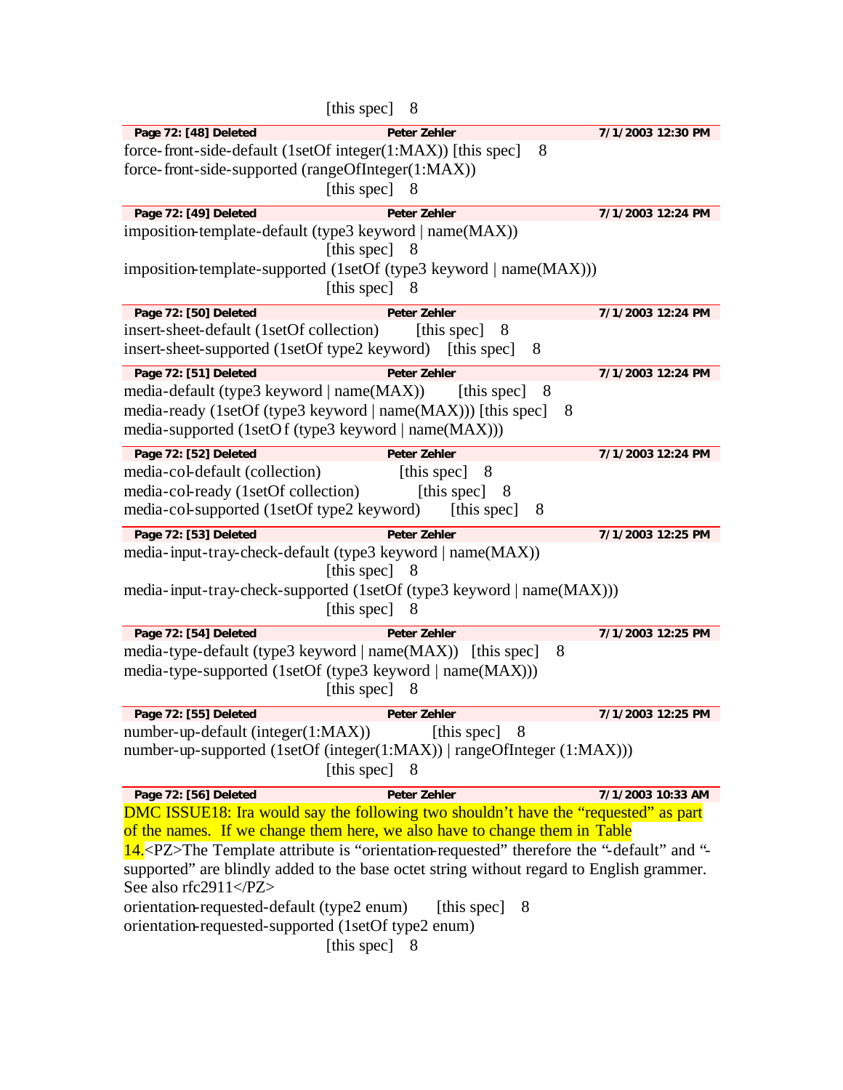| [this spec] 8                                                                                                                                                                               |                   |  |
|---------------------------------------------------------------------------------------------------------------------------------------------------------------------------------------------|-------------------|--|
| Page 72: [48] Deleted<br><b>Peter Zehler</b>                                                                                                                                                | 7/1/2003 12:30 PM |  |
| force-front-side-default (1setOf integer(1:MAX)) [this spec]                                                                                                                                | 8                 |  |
| force-front-side-supported (rangeOfInteger(1:MAX))                                                                                                                                          |                   |  |
| [this spec] 8                                                                                                                                                                               |                   |  |
| Page 72: [49] Deleted<br><b>Peter Zehler</b>                                                                                                                                                | 7/1/2003 12:24 PM |  |
| imposition-template-default (type3 keyword   name(MAX))                                                                                                                                     |                   |  |
| [this spec]<br>-8                                                                                                                                                                           |                   |  |
| imposition-template-supported (1setOf (type3 keyword   name(MAX)))                                                                                                                          |                   |  |
| [this spec] 8                                                                                                                                                                               |                   |  |
| Page 72: [50] Deleted<br><b>Peter Zehler</b>                                                                                                                                                | 7/1/2003 12:24 PM |  |
| insert-sheet-default (1setOf collection)<br>[this spec]                                                                                                                                     | - 8               |  |
| insert-sheet-supported (1setOf type2 keyword) [this spec]                                                                                                                                   | 8                 |  |
| Page 72: [51] Deleted<br><b>Peter Zehler</b>                                                                                                                                                | 7/1/2003 12:24 PM |  |
| media-default (type3 keyword   name(MAX))                                                                                                                                                   | [this spec]<br>8  |  |
| media-ready (1setOf (type3 keyword   name(MAX))) [this spec]                                                                                                                                | 8                 |  |
| media-supported (1setOf (type3 keyword   name(MAX)))                                                                                                                                        |                   |  |
| Page 72: [52] Deleted<br><b>Peter Zehler</b>                                                                                                                                                | 7/1/2003 12:24 PM |  |
| media-col-default (collection)<br>[this spec]                                                                                                                                               | $-8$              |  |
| media-col-ready (1setOf collection)<br>[this spec]                                                                                                                                          | 8                 |  |
| media-col-supported (1setOf type2 keyword) [this spec]                                                                                                                                      | 8                 |  |
| Page 72: [53] Deleted<br><b>Peter Zehler</b>                                                                                                                                                | 7/1/2003 12:25 PM |  |
| media-input-tray-check-default (type3 keyword   name(MAX))                                                                                                                                  |                   |  |
| [this spec] 8                                                                                                                                                                               |                   |  |
| media-input-tray-check-supported (1setOf (type3 keyword   name(MAX)))                                                                                                                       |                   |  |
| [this spec]<br>8                                                                                                                                                                            |                   |  |
| Page 72: [54] Deleted<br><b>Peter Zehler</b>                                                                                                                                                | 7/1/2003 12:25 PM |  |
| media-type-default (type3 keyword   name(MAX)) [this spec]                                                                                                                                  | 8                 |  |
| media-type-supported (1setOf (type3 keyword   name(MAX)))                                                                                                                                   |                   |  |
| [this spec]<br>8                                                                                                                                                                            |                   |  |
| Page 72: [55] Deleted<br>Peter Zehler                                                                                                                                                       | 7/1/2003 12:25 PM |  |
| number-up-default (integer(1:MAX))                                                                                                                                                          | [this spec] 8     |  |
| number-up-supported (1setOf (integer(1:MAX))   rangeOfInteger (1:MAX)))                                                                                                                     |                   |  |
| [this spec] 8                                                                                                                                                                               |                   |  |
| Page 72: [56] Deleted<br><b>Peter Zehler</b>                                                                                                                                                | 7/1/2003 10:33 AM |  |
| DMC ISSUE18: Ira would say the following two shouldn't have the "requested" as part                                                                                                         |                   |  |
| of the names. If we change them here, we also have to change them in Table                                                                                                                  |                   |  |
| 14. <pz>The Template attribute is "orientation-requested" therefore the "-default" and "-<br/>supported" are blindly added to the base octet string without regard to English grammer.</pz> |                   |  |
| See also rfc2911                                                                                                                                                                            |                   |  |
| orientation-requested-default (type2 enum)<br>[this spec]<br>8                                                                                                                              |                   |  |
|                                                                                                                                                                                             |                   |  |
| orientation-requested-supported (1setOf type2 enum)                                                                                                                                         |                   |  |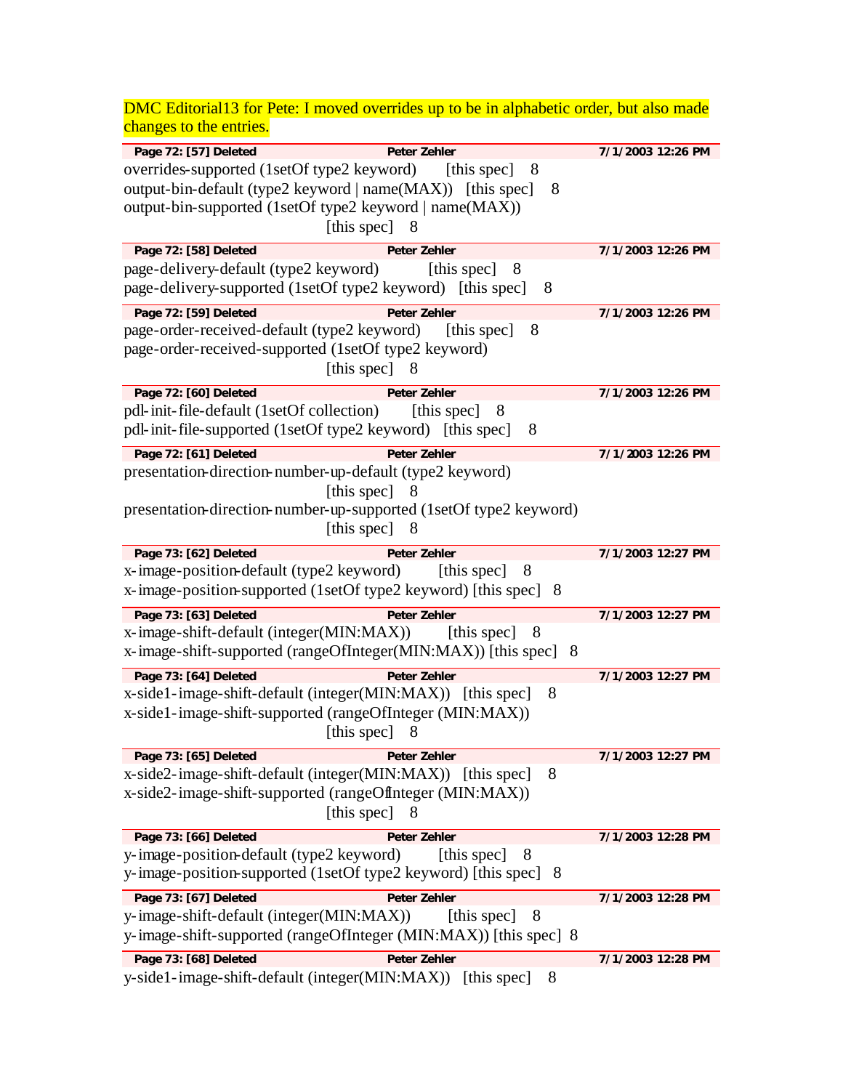DMC Editorial13 for Pete: I moved overrides up to be in alphabetic order, but also made changes to the entries.

| Page 72: [57] Deleted<br><b>Peter Zehler</b>                                                            | 7/1/2003 12:26 PM |
|---------------------------------------------------------------------------------------------------------|-------------------|
| overrides-supported (1setOf type2 keyword) [this spec]<br>- 8                                           |                   |
| output-bin-default (type2 keyword   name(MAX)) [this spec]<br>8                                         |                   |
| output-bin-supported (1setOf type2 keyword   name(MAX))                                                 |                   |
| [this spec]<br>8                                                                                        |                   |
|                                                                                                         |                   |
| Page 72: [58] Deleted<br><b>Peter Zehler</b>                                                            | 7/1/2003 12:26 PM |
| page-delivery-default (type2 keyword)<br>8<br>[this spec]                                               |                   |
| page-delivery-supported (1setOf type2 keyword) [this spec]<br>8                                         |                   |
| Page 72: [59] Deleted<br><b>Peter Zehler</b>                                                            | 7/1/2003 12:26 PM |
| page-order-received-default (type2 keyword)<br>[this spec]<br>8                                         |                   |
| page-order-received-supported (1setOf type2 keyword)                                                    |                   |
| [this spec] 8                                                                                           |                   |
| Page 72: [60] Deleted<br><b>Peter Zehler</b>                                                            | 7/1/2003 12:26 PM |
| pdl-init-file-default (1setOf collection)<br>8<br>[this spec]                                           |                   |
| pdl-init-file-supported (1setOf type2 keyword) [this spec]<br>8                                         |                   |
| Page 72: [61] Deleted<br><b>Peter Zehler</b>                                                            | 7/1/2003 12:26 PM |
| presentation-direction-number-up-default (type2 keyword)                                                |                   |
| [this spec]<br>8                                                                                        |                   |
| presentation-direction-number-up-supported (1setOf type2 keyword)                                       |                   |
| [this spec]<br>8                                                                                        |                   |
|                                                                                                         |                   |
| Page 73: [62] Deleted<br><b>Peter Zehler</b>                                                            | 7/1/2003 12:27 PM |
| x-image-position-default (type2 keyword)<br>[this spec]<br>8                                            |                   |
| x-image-position-supported (1setOf type2 keyword) [this spec] 8                                         |                   |
| Page 73: [63] Deleted<br><b>Peter Zehler</b>                                                            | 7/1/2003 12:27 PM |
| x-image-shift-default (integer(MIN:MAX))<br>[this spec]<br>- 8                                          |                   |
| x-image-shift-supported (rangeOfInteger(MIN:MAX)) [this spec] 8                                         |                   |
| Page 73: [64] Deleted<br><b>Peter Zehler</b>                                                            | 7/1/2003 12:27 PM |
| x-side1-image-shift-default (integer(MIN:MAX)) [this spec]<br>8                                         |                   |
| x-side1-image-shift-supported (rangeOfInteger (MIN:MAX))                                                |                   |
| [this spec]<br>8                                                                                        |                   |
| Page 73: [65] Deleted<br><b>Peter Zehler</b>                                                            | 7/1/2003 12:27 PM |
| x-side2-image-shift-default (integer(MIN:MAX)) [this spec]<br>8                                         |                   |
| x-side2-image-shift-supported (rangeOffnteger (MIN:MAX))                                                |                   |
| [this spec] 8                                                                                           |                   |
|                                                                                                         |                   |
| Page 73: [66] Deleted<br>Peter Zehler<br>y-image-position-default (type2 keyword)<br>[this spec]<br>- 8 | 7/1/2003 12:28 PM |
| y-image-position-supported (1setOf type2 keyword) [this spec] 8                                         |                   |
|                                                                                                         |                   |
| Page 73: [67] Deleted<br><b>Peter Zehler</b>                                                            | 7/1/2003 12:28 PM |
| y-image-shift-default (integer(MIN:MAX))<br>[this spec]<br>8                                            |                   |
| y-image-shift-supported (rangeOfInteger (MIN:MAX)) [this spec] 8                                        |                   |
| Page 73: [68] Deleted<br>Peter Zehler                                                                   | 7/1/2003 12:28 PM |
| y-side1-image-shift-default (integer(MIN:MAX)) [this spec]<br>8                                         |                   |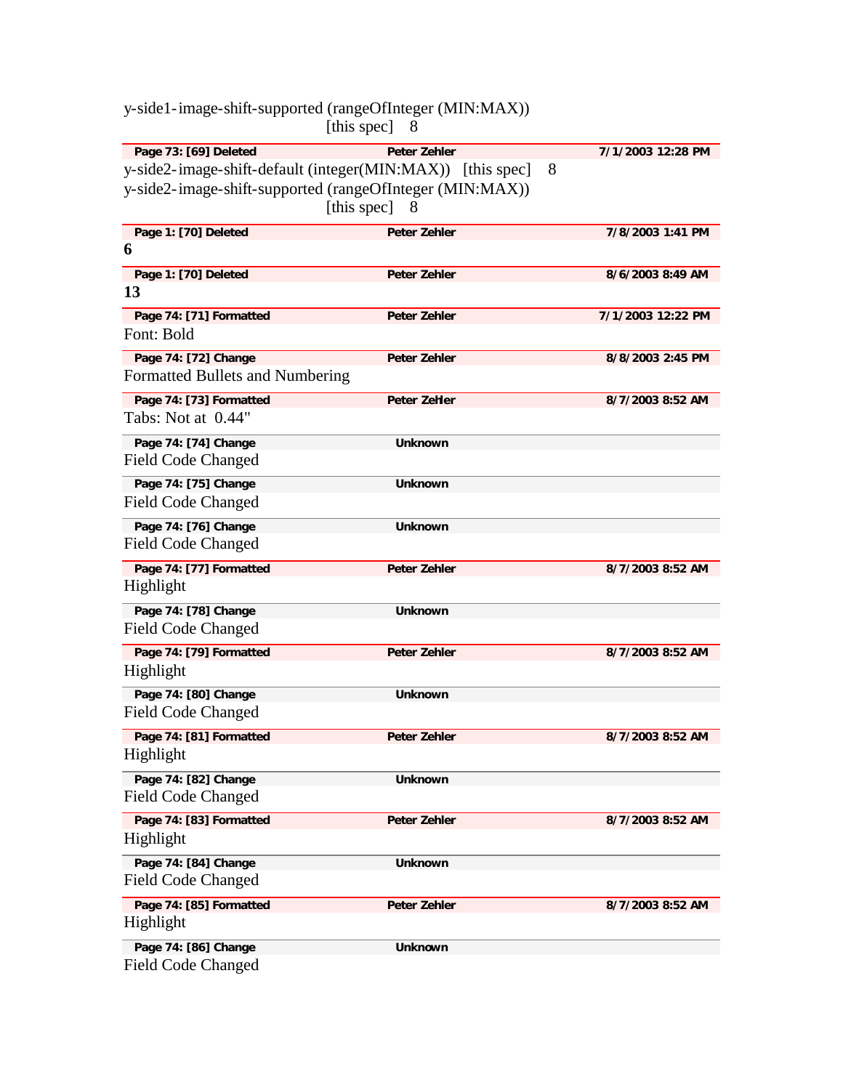|                                                   | [this spec]<br>8                                                                                                                                                  |   |                   |
|---------------------------------------------------|-------------------------------------------------------------------------------------------------------------------------------------------------------------------|---|-------------------|
| Page 73: [69] Deleted                             | <b>Peter Zehler</b><br>y-side2-image-shift-default (integer(MIN:MAX)) [this spec]<br>y-side2-image-shift-supported (rangeOfInteger (MIN:MAX))<br>[this spec]<br>8 | 8 | 7/1/2003 12:28 PM |
| Page 1: [70] Deleted                              | <b>Peter Zehler</b>                                                                                                                                               |   | 7/8/2003 1:41 PM  |
| 6                                                 |                                                                                                                                                                   |   |                   |
| Page 1: [70] Deleted                              | Peter Zehler                                                                                                                                                      |   | 8/6/2003 8:49 AM  |
| 13                                                |                                                                                                                                                                   |   |                   |
| Page 74: [71] Formatted                           | <b>Peter Zehler</b>                                                                                                                                               |   | 7/1/2003 12:22 PM |
| Font: Bold                                        |                                                                                                                                                                   |   |                   |
| Page 74: [72] Change                              | <b>Peter Zehler</b>                                                                                                                                               |   | 8/8/2003 2:45 PM  |
| Formatted Bullets and Numbering                   |                                                                                                                                                                   |   |                   |
| Page 74: [73] Formatted                           | Peter Zehler                                                                                                                                                      |   | 8/7/2003 8:52 AM  |
| Tabs: Not at 0.44"                                |                                                                                                                                                                   |   |                   |
| Page 74: [74] Change                              | <b>Unknown</b>                                                                                                                                                    |   |                   |
| Field Code Changed                                |                                                                                                                                                                   |   |                   |
| Page 74: [75] Change                              | <b>Unknown</b>                                                                                                                                                    |   |                   |
| Field Code Changed                                |                                                                                                                                                                   |   |                   |
| Page 74: [76] Change                              | <b>Unknown</b>                                                                                                                                                    |   |                   |
| <b>Field Code Changed</b>                         |                                                                                                                                                                   |   |                   |
| Page 74: [77] Formatted<br>Highlight              | Peter Zehler                                                                                                                                                      |   | 8/7/2003 8:52 AM  |
| Page 74: [78] Change                              | <b>Unknown</b>                                                                                                                                                    |   |                   |
| <b>Field Code Changed</b>                         |                                                                                                                                                                   |   |                   |
| Page 74: [79] Formatted                           | Peter Zehler                                                                                                                                                      |   | 8/7/2003 8:52 AM  |
| Highlight                                         |                                                                                                                                                                   |   |                   |
| Page 74: [80] Change<br><b>Field Code Changed</b> | <b>Unknown</b>                                                                                                                                                    |   |                   |
| Page 74: [81] Formatted<br>Highlight              | Peter Zehler                                                                                                                                                      |   | 8/7/2003 8:52 AM  |
| Page 74: [82] Change<br><b>Field Code Changed</b> | <b>Unknown</b>                                                                                                                                                    |   |                   |
| Page 74: [83] Formatted<br>Highlight              | Peter Zehler                                                                                                                                                      |   | 8/7/2003 8:52 AM  |
| Page 74: [84] Change                              | <b>Unknown</b>                                                                                                                                                    |   |                   |
| <b>Field Code Changed</b>                         |                                                                                                                                                                   |   |                   |
| Page 74: [85] Formatted<br>Highlight              | Peter Zehler                                                                                                                                                      |   | 8/7/2003 8:52 AM  |
| Page 74: [86] Change<br><b>Field Code Changed</b> | <b>Unknown</b>                                                                                                                                                    |   |                   |

y-side1-image-shift-supported (rangeOfInteger (MIN:MAX))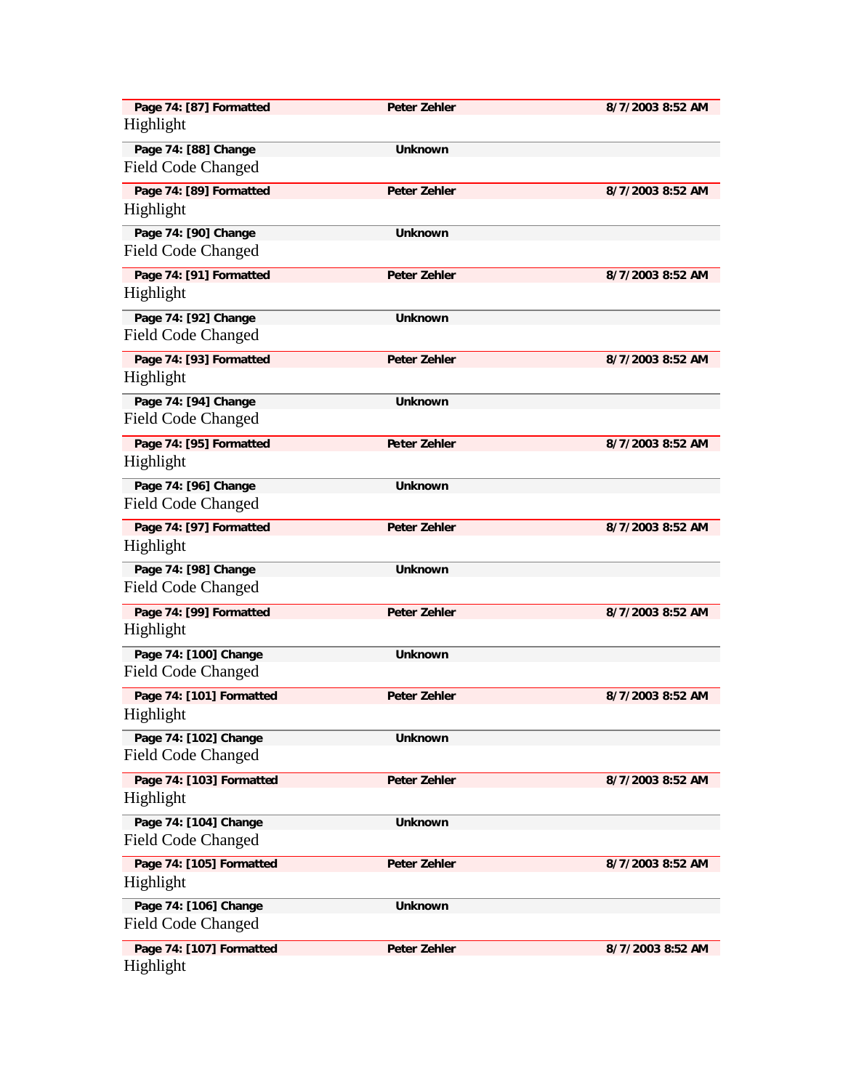| Page 74: [87] Formatted<br>Highlight  | <b>Peter Zehler</b> | 8/7/2003 8:52 AM |
|---------------------------------------|---------------------|------------------|
| Page 74: [88] Change                  | <b>Unknown</b>      |                  |
| <b>Field Code Changed</b>             |                     |                  |
| Page 74: [89] Formatted               | Peter Zehler        | 8/7/2003 8:52 AM |
| Highlight                             |                     |                  |
| Page 74: [90] Change                  | <b>Unknown</b>      |                  |
| <b>Field Code Changed</b>             |                     |                  |
| Page 74: [91] Formatted<br>Highlight  | Peter Zehler        | 8/7/2003 8:52 AM |
| Page 74: [92] Change                  | <b>Unknown</b>      |                  |
| <b>Field Code Changed</b>             |                     |                  |
| Page 74: [93] Formatted               | <b>Peter Zehler</b> | 8/7/2003 8:52 AM |
| Highlight                             |                     |                  |
| Page 74: [94] Change                  | <b>Unknown</b>      |                  |
| <b>Field Code Changed</b>             |                     |                  |
| Page 74: [95] Formatted               | Peter Zehler        | 8/7/2003 8:52 AM |
| Highlight                             |                     |                  |
| Page 74: [96] Change                  | <b>Unknown</b>      |                  |
| <b>Field Code Changed</b>             |                     |                  |
| Page 74: [97] Formatted<br>Highlight  | <b>Peter Zehler</b> | 8/7/2003 8:52 AM |
| Page 74: [98] Change                  | <b>Unknown</b>      |                  |
| <b>Field Code Changed</b>             |                     |                  |
| Page 74: [99] Formatted               | Peter Zehler        | 8/7/2003 8:52 AM |
| Highlight                             |                     |                  |
| Page 74: [100] Change                 | <b>Unknown</b>      |                  |
| <b>Field Code Changed</b>             |                     |                  |
| Page 74: [101] Formatted              | Peter Zehler        | 8/7/2003 8:52 AM |
| Highlight                             |                     |                  |
| Page 74: [102] Change                 | <b>Unknown</b>      |                  |
| <b>Field Code Changed</b>             |                     |                  |
| Page 74: [103] Formatted<br>Highlight | Peter Zehler        | 8/7/2003 8:52 AM |
| Page 74: [104] Change                 | <b>Unknown</b>      |                  |
| <b>Field Code Changed</b>             |                     |                  |
| Page 74: [105] Formatted              | Peter Zehler        | 8/7/2003 8:52 AM |
| Highlight                             |                     |                  |
| Page 74: [106] Change                 | <b>Unknown</b>      |                  |
| <b>Field Code Changed</b>             |                     |                  |
| Page 74: [107] Formatted              | <b>Peter Zehler</b> | 8/7/2003 8:52 AM |
| Highlight                             |                     |                  |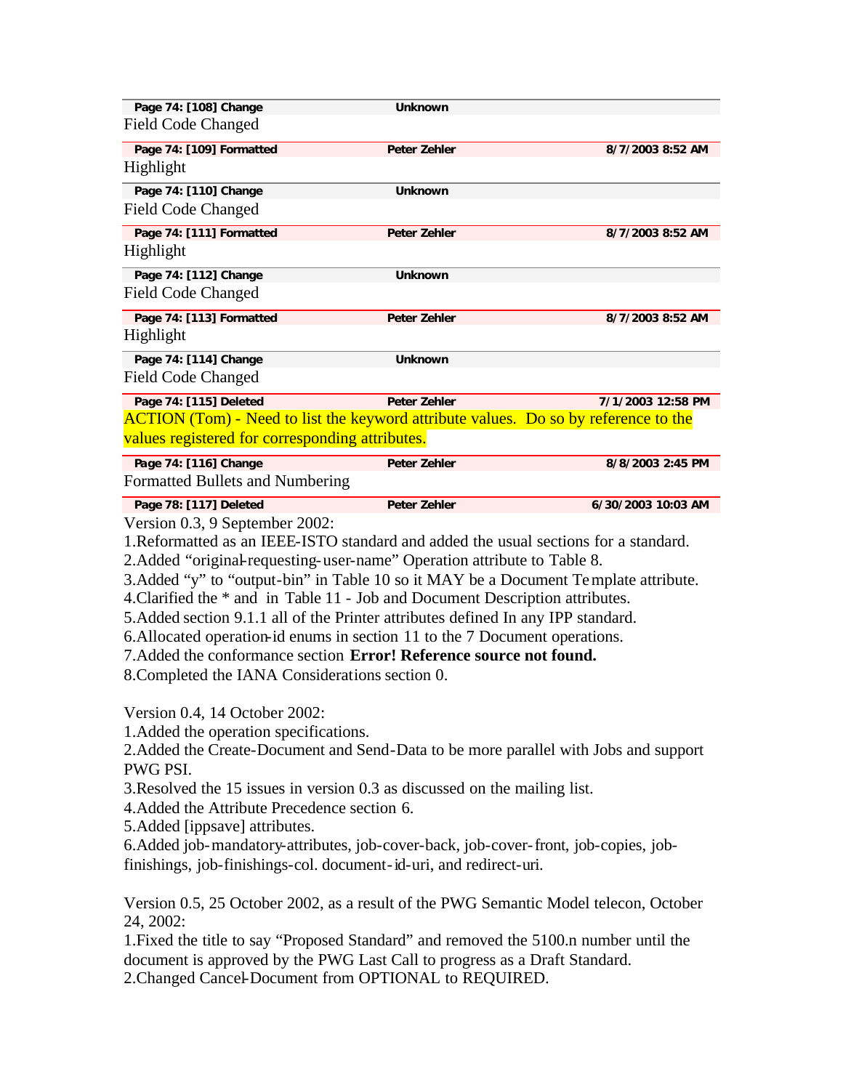| Page 74: [108] Change                                                                      | <b>Unknown</b>      |                    |  |
|--------------------------------------------------------------------------------------------|---------------------|--------------------|--|
| <b>Field Code Changed</b>                                                                  |                     |                    |  |
| Page 74: [109] Formatted                                                                   | <b>Peter Zehler</b> | 8/7/2003 8:52 AM   |  |
| Highlight                                                                                  |                     |                    |  |
| Page 74: [110] Change                                                                      | <b>Unknown</b>      |                    |  |
| <b>Field Code Changed</b>                                                                  |                     |                    |  |
| Page 74: [111] Formatted                                                                   | <b>Peter Zehler</b> | 8/7/2003 8:52 AM   |  |
| Highlight                                                                                  |                     |                    |  |
| Page 74: [112] Change                                                                      | <b>Unknown</b>      |                    |  |
| <b>Field Code Changed</b>                                                                  |                     |                    |  |
| Page 74: [113] Formatted                                                                   | <b>Peter Zehler</b> | 8/7/2003 8:52 AM   |  |
| Highlight                                                                                  |                     |                    |  |
| Page 74: [114] Change                                                                      | <b>Unknown</b>      |                    |  |
| <b>Field Code Changed</b>                                                                  |                     |                    |  |
| Page 74: [115] Deleted                                                                     | <b>Peter Zehler</b> | 7/1/2003 12:58 PM  |  |
| <b>ACTION</b> (Tom) - Need to list the keyword attribute values. Do so by reference to the |                     |                    |  |
| values registered for corresponding attributes.                                            |                     |                    |  |
| Page 74: [116] Change                                                                      | <b>Peter Zehler</b> | 8/8/2003 2:45 PM   |  |
| Formatted Bullets and Numbering                                                            |                     |                    |  |
| Page 78: [117] Deleted                                                                     | <b>Peter Zehler</b> | 6/30/2003 10:03 AM |  |

Version 0.3, 9 September 2002:

1.Reformatted as an IEEE-ISTO standard and added the usual sections for a standard.

2.Added "original-requesting-user-name" Operation attribute to Table 8.

3.Added "y" to "output-bin" in Table 10 so it MAY be a Document Template attribute.

4.Clarified the \* and in Table 11 - Job and Document Description attributes.

5.Added section 9.1.1 all of the Printer attributes defined In any IPP standard.

6.Allocated operation-id enums in section 11 to the 7 Document operations.

7.Added the conformance section **Error! Reference source not found.**

8.Completed the IANA Considerations section 0.

Version 0.4, 14 October 2002:

1.Added the operation specifications.

2.Added the Create-Document and Send-Data to be more parallel with Jobs and support PWG PSI.

3.Resolved the 15 issues in version 0.3 as discussed on the mailing list.

4.Added the Attribute Precedence section 6.

5.Added [ippsave] attributes.

6.Added job-mandatory-attributes, job-cover-back, job-cover-front, job-copies, jobfinishings, job-finishings-col. document-id-uri, and redirect-uri.

Version 0.5, 25 October 2002, as a result of the PWG Semantic Model telecon, October 24, 2002:

1.Fixed the title to say "Proposed Standard" and removed the 5100.n number until the document is approved by the PWG Last Call to progress as a Draft Standard. 2.Changed Cancel-Document from OPTIONAL to REQUIRED.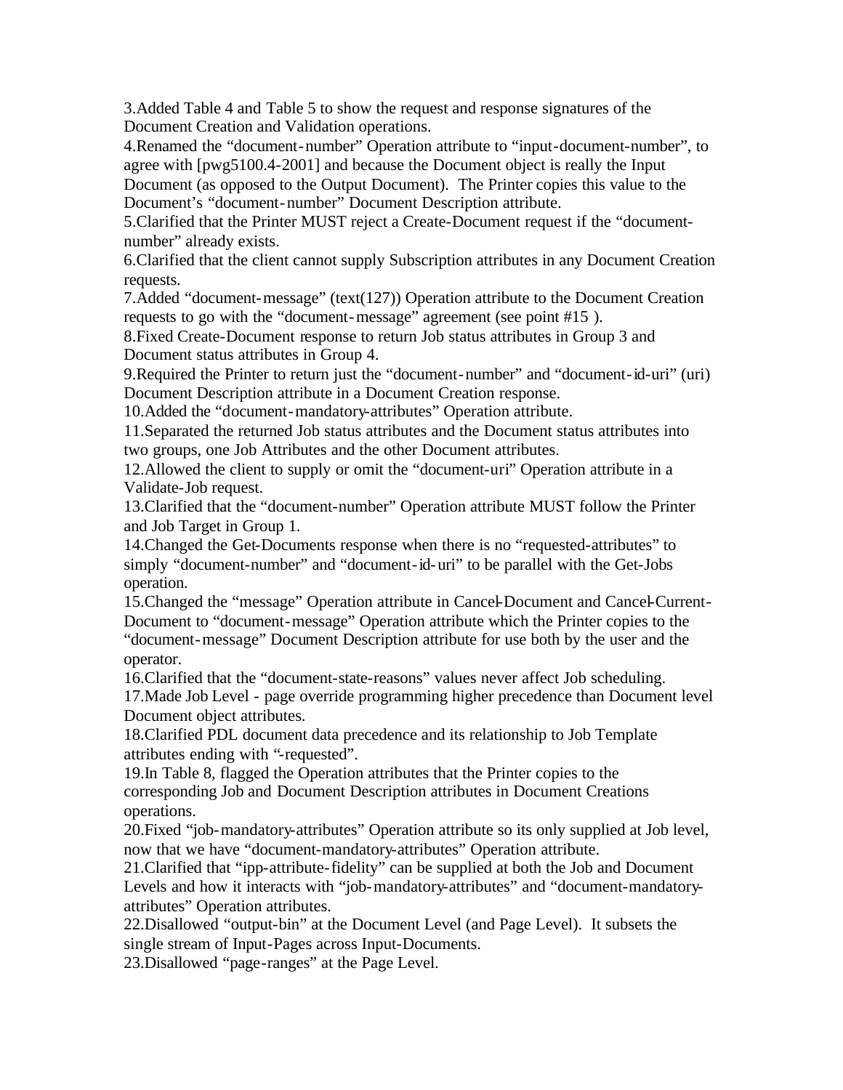3.Added Table 4 and Table 5 to show the request and response signatures of the Document Creation and Validation operations.

4.Renamed the "document-number" Operation attribute to "input-document-number", to agree with [pwg5100.4-2001] and because the Document object is really the Input Document (as opposed to the Output Document). The Printer copies this value to the Document's "document-number" Document Description attribute.

5.Clarified that the Printer MUST reject a Create-Document request if the "documentnumber" already exists.

6.Clarified that the client cannot supply Subscription attributes in any Document Creation requests.

7.Added "document-message" (text(127)) Operation attribute to the Document Creation requests to go with the "document-message" agreement (see point #15 ).

8.Fixed Create-Document response to return Job status attributes in Group 3 and Document status attributes in Group 4.

9.Required the Printer to return just the "document-number" and "document-id-uri" (uri) Document Description attribute in a Document Creation response.

10.Added the "document-mandatory-attributes" Operation attribute.

11.Separated the returned Job status attributes and the Document status attributes into two groups, one Job Attributes and the other Document attributes.

12.Allowed the client to supply or omit the "document-uri" Operation attribute in a Validate-Job request.

13.Clarified that the "document-number" Operation attribute MUST follow the Printer and Job Target in Group 1.

14.Changed the Get-Documents response when there is no "requested-attributes" to simply "document-number" and "document-id-uri" to be parallel with the Get-Jobs operation.

15.Changed the "message" Operation attribute in Cancel-Document and Cancel-Current-Document to "document-message" Operation attribute which the Printer copies to the "document-message" Document Description attribute for use both by the user and the operator.

16.Clarified that the "document-state-reasons" values never affect Job scheduling. 17.Made Job Level - page override programming higher precedence than Document level Document object attributes.

18.Clarified PDL document data precedence and its relationship to Job Template attributes ending with "-requested".

19.In Table 8, flagged the Operation attributes that the Printer copies to the corresponding Job and Document Description attributes in Document Creations operations.

20.Fixed "job-mandatory-attributes" Operation attribute so its only supplied at Job level, now that we have "document-mandatory-attributes" Operation attribute.

21.Clarified that "ipp-attribute-fidelity" can be supplied at both the Job and Document Levels and how it interacts with "job-mandatory-attributes" and "document-mandatoryattributes" Operation attributes.

22.Disallowed "output-bin" at the Document Level (and Page Level). It subsets the single stream of Input-Pages across Input-Documents.

23.Disallowed "page-ranges" at the Page Level.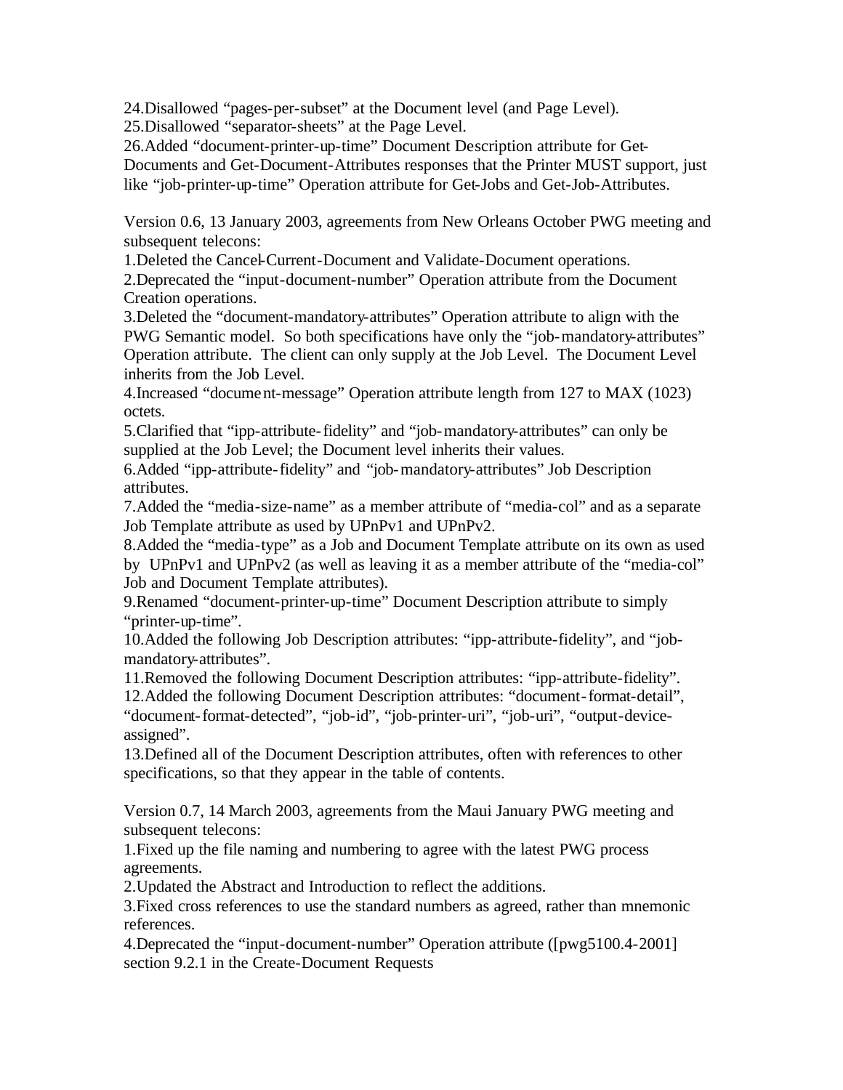24.Disallowed "pages-per-subset" at the Document level (and Page Level).

25.Disallowed "separator-sheets" at the Page Level.

26.Added "document-printer-up-time" Document Description attribute for Get-Documents and Get-Document-Attributes responses that the Printer MUST support, just like "job-printer-up-time" Operation attribute for Get-Jobs and Get-Job-Attributes.

Version 0.6, 13 January 2003, agreements from New Orleans October PWG meeting and subsequent telecons:

1.Deleted the Cancel-Current-Document and Validate-Document operations.

2.Deprecated the "input-document-number" Operation attribute from the Document Creation operations.

3.Deleted the "document-mandatory-attributes" Operation attribute to align with the PWG Semantic model. So both specifications have only the "job-mandatory-attributes" Operation attribute. The client can only supply at the Job Level. The Document Level inherits from the Job Level.

4.Increased "document-message" Operation attribute length from 127 to MAX (1023) octets.

5.Clarified that "ipp-attribute-fidelity" and "job-mandatory-attributes" can only be supplied at the Job Level; the Document level inherits their values.

6.Added "ipp-attribute-fidelity" and "job-mandatory-attributes" Job Description attributes.

7.Added the "media-size-name" as a member attribute of "media-col" and as a separate Job Template attribute as used by UPnPv1 and UPnPv2.

8.Added the "media-type" as a Job and Document Template attribute on its own as used by UPnPv1 and UPnPv2 (as well as leaving it as a member attribute of the "media-col" Job and Document Template attributes).

9.Renamed "document-printer-up-time" Document Description attribute to simply "printer-up-time".

10.Added the following Job Description attributes: "ipp-attribute-fidelity", and "jobmandatory-attributes".

11.Removed the following Document Description attributes: "ipp-attribute-fidelity".

12.Added the following Document Description attributes: "document-format-detail", "document-format-detected", "job-id", "job-printer-uri", "job-uri", "output-deviceassigned".

13.Defined all of the Document Description attributes, often with references to other specifications, so that they appear in the table of contents.

Version 0.7, 14 March 2003, agreements from the Maui January PWG meeting and subsequent telecons:

1.Fixed up the file naming and numbering to agree with the latest PWG process agreements.

2.Updated the Abstract and Introduction to reflect the additions.

3.Fixed cross references to use the standard numbers as agreed, rather than mnemonic references.

4.Deprecated the "input-document-number" Operation attribute ([pwg5100.4-2001] section 9.2.1 in the Create-Document Requests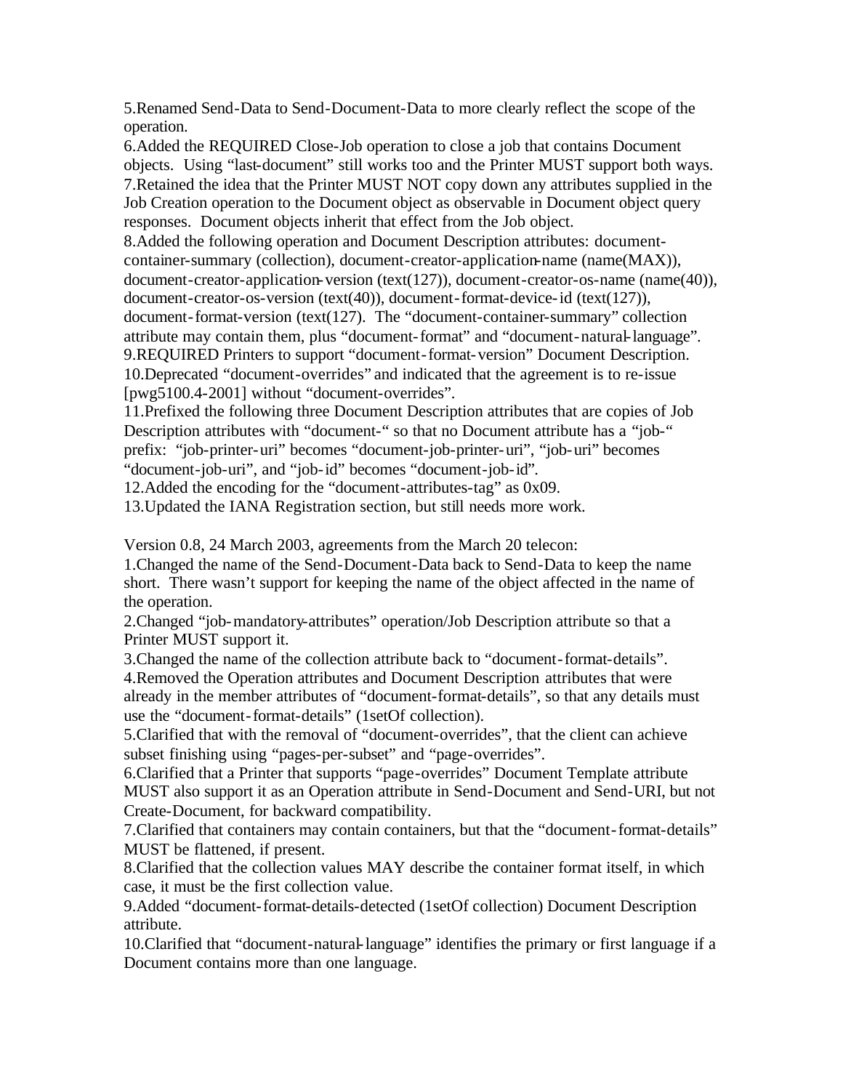5.Renamed Send-Data to Send-Document-Data to more clearly reflect the scope of the operation.

6.Added the REQUIRED Close-Job operation to close a job that contains Document objects. Using "last-document" still works too and the Printer MUST support both ways. 7.Retained the idea that the Printer MUST NOT copy down any attributes supplied in the Job Creation operation to the Document object as observable in Document object query responses. Document objects inherit that effect from the Job object.

8.Added the following operation and Document Description attributes: documentcontainer-summary (collection), document-creator-application-name (name(MAX)), document-creator-application-version (text(127)), document-creator-os-name (name(40)), document-creator-os-version (text(40)), document-format-device-id (text(127)), document-format-version (text(127). The "document-container-summary" collection attribute may contain them, plus "document-format" and "document-natural-language". 9.REQUIRED Printers to support "document-format-version" Document Description. 10.Deprecated "document-overrides" and indicated that the agreement is to re-issue [pwg5100.4-2001] without "document-overrides".

11.Prefixed the following three Document Description attributes that are copies of Job Description attributes with "document-" so that no Document attribute has a "job-" prefix: "job-printer-uri" becomes "document-job-printer-uri", "job-uri" becomes "document-job-uri", and "job-id" becomes "document-job-id".

12.Added the encoding for the "document-attributes-tag" as 0x09.

13.Updated the IANA Registration section, but still needs more work.

Version 0.8, 24 March 2003, agreements from the March 20 telecon:

1.Changed the name of the Send-Document-Data back to Send-Data to keep the name short. There wasn't support for keeping the name of the object affected in the name of the operation.

2.Changed "job-mandatory-attributes" operation/Job Description attribute so that a Printer MUST support it.

3.Changed the name of the collection attribute back to "document-format-details". 4.Removed the Operation attributes and Document Description attributes that were already in the member attributes of "document-format-details", so that any details must use the "document-format-details" (1setOf collection).

5.Clarified that with the removal of "document-overrides", that the client can achieve subset finishing using "pages-per-subset" and "page-overrides".

6.Clarified that a Printer that supports "page-overrides" Document Template attribute MUST also support it as an Operation attribute in Send-Document and Send-URI, but not Create-Document, for backward compatibility.

7.Clarified that containers may contain containers, but that the "document-format-details" MUST be flattened, if present.

8.Clarified that the collection values MAY describe the container format itself, in which case, it must be the first collection value.

9.Added "document-format-details-detected (1setOf collection) Document Description attribute.

10.Clarified that "document-natural-language" identifies the primary or first language if a Document contains more than one language.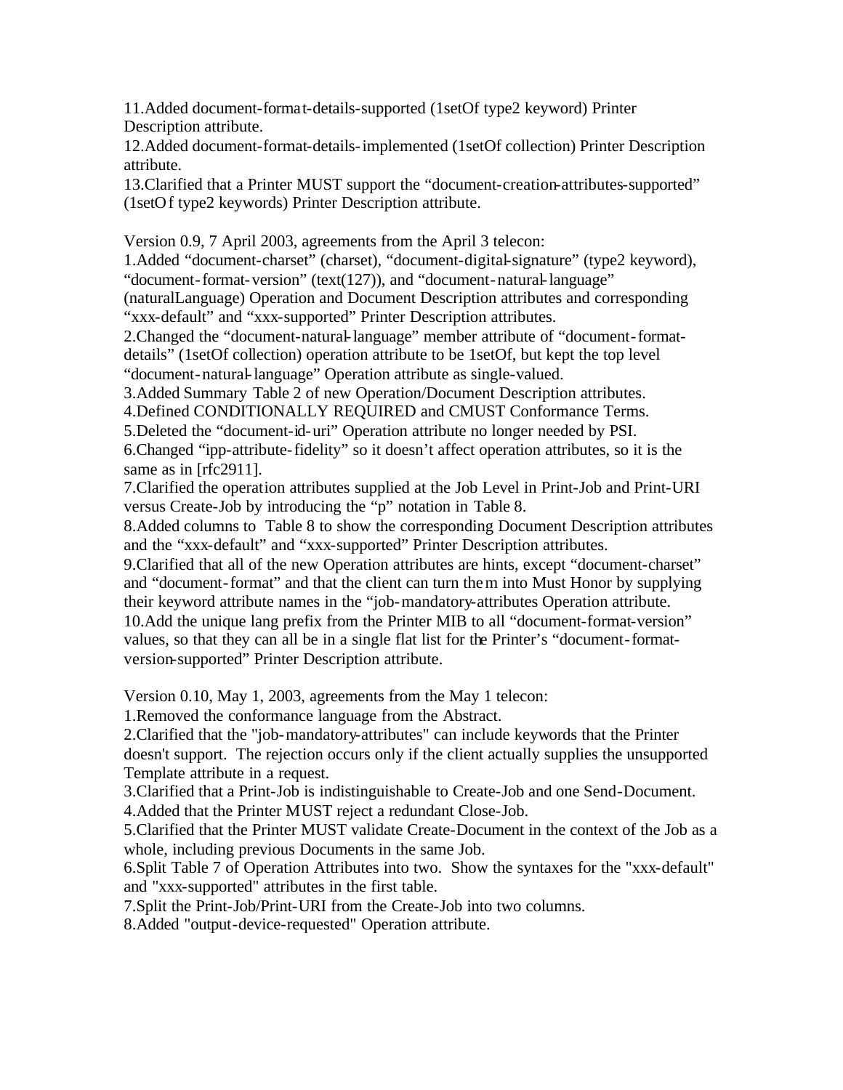11.Added document-format-details-supported (1setOf type2 keyword) Printer Description attribute.

12.Added document-format-details-implemented (1setOf collection) Printer Description attribute.

13.Clarified that a Printer MUST support the "document-creation-attributes-supported" (1setOf type2 keywords) Printer Description attribute.

Version 0.9, 7 April 2003, agreements from the April 3 telecon:

1.Added "document-charset" (charset), "document-digital-signature" (type2 keyword), "document-format-version" (text(127)), and "document-natural-language"

(naturalLanguage) Operation and Document Description attributes and corresponding "xxx-default" and "xxx-supported" Printer Description attributes.

2.Changed the "document-natural-language" member attribute of "document-formatdetails" (1setOf collection) operation attribute to be 1setOf, but kept the top level "document-natural-language" Operation attribute as single-valued.

3.Added Summary Table 2 of new Operation/Document Description attributes.

4.Defined CONDITIONALLY REQUIRED and CMUST Conformance Terms.

5.Deleted the "document-id-uri" Operation attribute no longer needed by PSI.

6.Changed "ipp-attribute-fidelity" so it doesn't affect operation attributes, so it is the same as in [rfc2911].

7.Clarified the operation attributes supplied at the Job Level in Print-Job and Print-URI versus Create-Job by introducing the "p" notation in Table 8.

8.Added columns to Table 8 to show the corresponding Document Description attributes and the "xxx-default" and "xxx-supported" Printer Description attributes.

9.Clarified that all of the new Operation attributes are hints, except "document-charset" and "document-format" and that the client can turn them into Must Honor by supplying their keyword attribute names in the "job-mandatory-attributes Operation attribute. 10.Add the unique lang prefix from the Printer MIB to all "document-format-version" values, so that they can all be in a single flat list for the Printer's "document-formatversion-supported" Printer Description attribute.

Version 0.10, May 1, 2003, agreements from the May 1 telecon:

1.Removed the conformance language from the Abstract.

2.Clarified that the "job-mandatory-attributes" can include keywords that the Printer doesn't support. The rejection occurs only if the client actually supplies the unsupported Template attribute in a request.

3.Clarified that a Print-Job is indistinguishable to Create-Job and one Send-Document. 4.Added that the Printer MUST reject a redundant Close-Job.

5.Clarified that the Printer MUST validate Create-Document in the context of the Job as a whole, including previous Documents in the same Job.

6.Split Table 7 of Operation Attributes into two. Show the syntaxes for the "xxx-default" and "xxx-supported" attributes in the first table.

7.Split the Print-Job/Print-URI from the Create-Job into two columns.

8.Added "output-device-requested" Operation attribute.